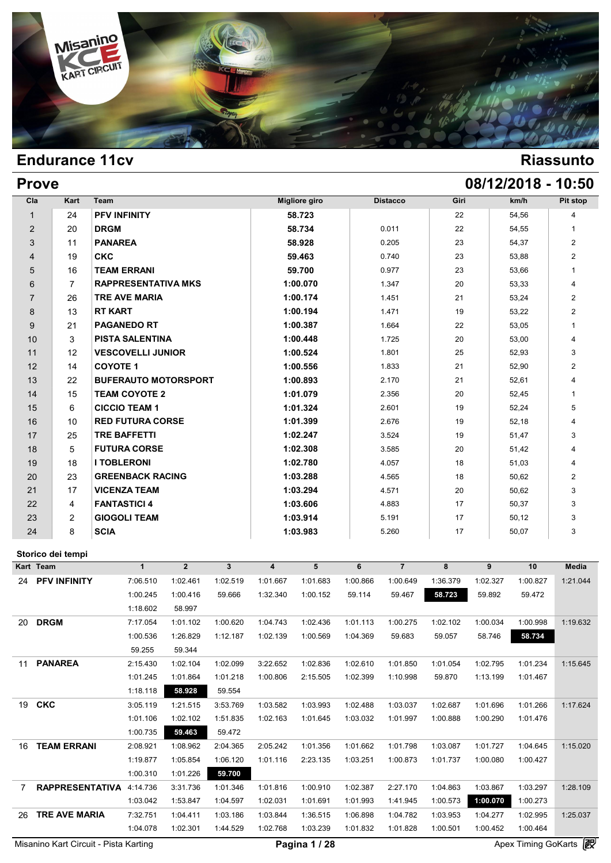

## **Prove 08/12/2018 - 10:50**

| Cla            | Kart           | Team                        | Migliore giro | <b>Distacco</b> | Giri | km/h  | Pit stop       |
|----------------|----------------|-----------------------------|---------------|-----------------|------|-------|----------------|
| $\mathbf{1}$   | 24             | <b>PFV INFINITY</b>         | 58.723        |                 | 22   | 54,56 | 4              |
| $\overline{2}$ | 20             | <b>DRGM</b>                 | 58.734        | 0.011           | 22   | 54,55 | $\mathbf{1}$   |
| 3              | 11             | <b>PANAREA</b>              | 58.928        | 0.205           | 23   | 54,37 | $\overline{2}$ |
| $\overline{4}$ | 19             | <b>CKC</b>                  | 59.463        | 0.740           | 23   | 53,88 | $\overline{2}$ |
| 5              | 16             | <b>TEAM ERRANI</b>          | 59.700        | 0.977           | 23   | 53,66 | $\mathbf{1}$   |
| 6              | $\overline{7}$ | <b>RAPPRESENTATIVA MKS</b>  | 1:00.070      | 1.347           | 20   | 53,33 | 4              |
| $\overline{7}$ | 26             | <b>TRE AVE MARIA</b>        | 1:00.174      | 1.451           | 21   | 53,24 | $\overline{2}$ |
| 8              | 13             | <b>RT KART</b>              | 1:00.194      | 1.471           | 19   | 53,22 | $\overline{2}$ |
| 9              | 21             | <b>PAGANEDO RT</b>          | 1:00.387      | 1.664           | 22   | 53,05 | $\mathbf{1}$   |
| 10             | 3              | <b>PISTA SALENTINA</b>      | 1:00.448      | 1.725           | 20   | 53,00 | 4              |
| 11             | 12             | <b>VESCOVELLI JUNIOR</b>    | 1:00.524      | 1.801           | 25   | 52,93 | 3              |
| 12             | 14             | <b>COYOTE 1</b>             | 1:00.556      | 1.833           | 21   | 52,90 | $\overline{2}$ |
| 13             | 22             | <b>BUFERAUTO MOTORSPORT</b> | 1:00.893      | 2.170           | 21   | 52,61 | 4              |
| 14             | 15             | <b>TEAM COYOTE 2</b>        | 1:01.079      | 2.356           | 20   | 52,45 | $\mathbf{1}$   |
| 15             | 6              | <b>CICCIO TEAM 1</b>        | 1:01.324      | 2.601           | 19   | 52,24 | 5              |
| 16             | 10             | <b>RED FUTURA CORSE</b>     | 1:01.399      | 2.676           | 19   | 52,18 | 4              |
| 17             | 25             | <b>TRE BAFFETTI</b>         | 1:02.247      | 3.524           | 19   | 51,47 | 3              |
| 18             | 5              | <b>FUTURA CORSE</b>         | 1:02.308      | 3.585           | 20   | 51,42 | 4              |
| 19             | 18             | <b>I TOBLERONI</b>          | 1:02.780      | 4.057           | 18   | 51,03 | 4              |
| 20             | 23             | <b>GREENBACK RACING</b>     | 1:03.288      | 4.565           | 18   | 50,62 | $\overline{2}$ |
| 21             | 17             | <b>VICENZA TEAM</b>         | 1:03.294      | 4.571           | 20   | 50,62 | 3              |
| 22             | 4              | <b>FANTASTICI 4</b>         | 1:03.606      | 4.883           | 17   | 50,37 | 3              |
| 23             | $\overline{2}$ | <b>GIOGOLI TEAM</b>         | 1:03.914      | 5.191           | 17   | 50,12 | 3              |
| 24             | 8              | <b>SCIA</b>                 | 1:03.983      | 5.260           | 17   | 50,07 | 3              |

### **Storico dei tempi**

|                | Storico dei tempi                     |              |                |              |                         |               |          |                |          |          |                            |          |
|----------------|---------------------------------------|--------------|----------------|--------------|-------------------------|---------------|----------|----------------|----------|----------|----------------------------|----------|
|                | Kart Team                             | $\mathbf{1}$ | $\overline{2}$ | $\mathbf{3}$ | $\overline{\mathbf{4}}$ | 5             | 6        | $\overline{7}$ | 8        | 9        | 10                         | Media    |
| 24             | <b>PFV INFINITY</b>                   | 7:06.510     | 1:02.461       | 1:02.519     | 1:01.667                | 1:01.683      | 1:00.866 | 1:00.649       | 1:36.379 | 1:02.327 | 1:00.827                   | 1:21.044 |
|                |                                       | 1:00.245     | 1:00.416       | 59.666       | 1:32.340                | 1:00.152      | 59.114   | 59.467         | 58.723   | 59.892   | 59.472                     |          |
|                |                                       | 1:18.602     | 58.997         |              |                         |               |          |                |          |          |                            |          |
| 20             | <b>DRGM</b>                           | 7:17.054     | 1:01.102       | 1:00.620     | 1:04.743                | 1:02.436      | 1:01.113 | 1:00.275       | 1:02.102 | 1:00.034 | 1:00.998                   | 1:19.632 |
|                |                                       | 1:00.536     | 1:26.829       | 1:12.187     | 1:02.139                | 1:00.569      | 1:04.369 | 59.683         | 59.057   | 58.746   | 58.734                     |          |
|                |                                       | 59.255       | 59.344         |              |                         |               |          |                |          |          |                            |          |
| 11             | <b>PANAREA</b>                        | 2:15.430     | 1:02.104       | 1:02.099     | 3:22.652                | 1:02.836      | 1:02.610 | 1:01.850       | 1:01.054 | 1:02.795 | 1:01.234                   | 1:15.645 |
|                |                                       | 1:01.245     | 1:01.864       | 1:01.218     | 1:00.806                | 2:15.505      | 1:02.399 | 1:10.998       | 59.870   | 1:13.199 | 1:01.467                   |          |
|                |                                       | 1:18.118     | 58.928         | 59.554       |                         |               |          |                |          |          |                            |          |
| 19             | <b>CKC</b>                            | 3:05.119     | 1:21.515       | 3:53.769     | 1:03.582                | 1:03.993      | 1:02.488 | 1:03.037       | 1:02.687 | 1:01.696 | 1:01.266                   | 1:17.624 |
|                |                                       | 1:01.106     | 1:02.102       | 1:51.835     | 1:02.163                | 1:01.645      | 1:03.032 | 1:01.997       | 1:00.888 | 1:00.290 | 1:01.476                   |          |
|                |                                       | 1:00.735     | 59.463         | 59.472       |                         |               |          |                |          |          |                            |          |
| 16             | <b>TEAM ERRANI</b>                    | 2:08.921     | 1:08.962       | 2:04.365     | 2:05.242                | 1:01.356      | 1:01.662 | 1:01.798       | 1:03.087 | 1:01.727 | 1:04.645                   | 1:15.020 |
|                |                                       | 1:19.877     | 1:05.854       | 1:06.120     | 1:01.116                | 2:23.135      | 1:03.251 | 1:00.873       | 1:01.737 | 1:00.080 | 1:00.427                   |          |
|                |                                       | 1:00.310     | 1:01.226       | 59.700       |                         |               |          |                |          |          |                            |          |
| $\overline{7}$ | <b>RAPPRESENTATIVA</b>                | 4:14.736     | 3:31.736       | 1:01.346     | 1:01.816                | 1:00.910      | 1:02.387 | 2:27.170       | 1:04.863 | 1:03.867 | 1:03.297                   | 1:28.109 |
|                |                                       | 1:03.042     | 1:53.847       | 1:04.597     | 1:02.031                | 1:01.691      | 1:01.993 | 1:41.945       | 1:00.573 | 1:00.070 | 1:00.273                   |          |
| 26             | <b>TRE AVE MARIA</b>                  | 7:32.751     | 1:04.411       | 1:03.186     | 1:03.844                | 1:36.515      | 1:06.898 | 1:04.782       | 1:03.953 | 1:04.277 | 1:02.995                   | 1:25.037 |
|                |                                       | 1:04.078     | 1:02.301       | 1:44.529     | 1:02.768                | 1:03.239      | 1:01.832 | 1:01.828       | 1:00.501 | 1:00.452 | 1:00.464                   |          |
|                | Misanino Kart Circuit - Pista Karting |              |                |              |                         | Pagina 1 / 28 |          |                |          |          | <b>Apex Timing GoKarts</b> | 毆        |
|                |                                       |              |                |              |                         |               |          |                |          |          |                            |          |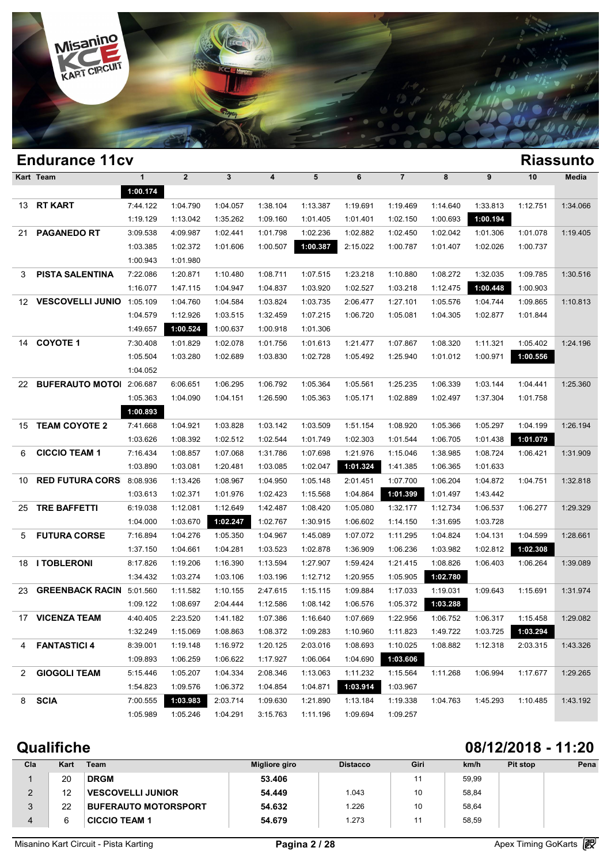

|    | <b>Endurance 11cv</b>           |              |                |              |          |          |          |                |          |          |          | <b>Riassunto</b> |
|----|---------------------------------|--------------|----------------|--------------|----------|----------|----------|----------------|----------|----------|----------|------------------|
|    | Kart Team                       | $\mathbf{1}$ | $\overline{2}$ | $\mathbf{3}$ | 4        | 5        | 6        | $\overline{7}$ | 8        | 9        | 10       | Media            |
|    |                                 | 1:00.174     |                |              |          |          |          |                |          |          |          |                  |
|    | 13 RT KART                      | 7:44.122     | 1:04.790       | 1:04.057     | 1:38.104 | 1:13.387 | 1:19.691 | 1:19.469       | 1:14.640 | 1:33.813 | 1:12.751 | 1:34.066         |
|    |                                 | 1:19.129     | 1:13.042       | 1:35.262     | 1:09.160 | 1:01.405 | 1:01.401 | 1:02.150       | 1:00.693 | 1:00.194 |          |                  |
| 21 | <b>PAGANEDO RT</b>              | 3:09.538     | 4:09.987       | 1:02.441     | 1:01.798 | 1:02.236 | 1:02.882 | 1:02.450       | 1:02.042 | 1:01.306 | 1:01.078 | 1:19.405         |
|    |                                 | 1:03.385     | 1:02.372       | 1:01.606     | 1:00.507 | 1:00.387 | 2:15.022 | 1:00.787       | 1:01.407 | 1:02.026 | 1:00.737 |                  |
|    |                                 | 1:00.943     | 1:01.980       |              |          |          |          |                |          |          |          |                  |
| 3  | <b>PISTA SALENTINA</b>          | 7:22.086     | 1:20.871       | 1:10.480     | 1:08.711 | 1:07.515 | 1:23.218 | 1:10.880       | 1:08.272 | 1:32.035 | 1:09.785 | 1:30.516         |
|    |                                 | 1:16.077     | 1:47.115       | 1:04.947     | 1:04.837 | 1:03.920 | 1:02.527 | 1:03.218       | 1:12.475 | 1:00.448 | 1:00.903 |                  |
|    | 12 VESCOVELLI JUNIO             | 1:05.109     | 1:04.760       | 1:04.584     | 1:03.824 | 1:03.735 | 2:06.477 | 1:27.101       | 1:05.576 | 1:04.744 | 1:09.865 | 1:10.813         |
|    |                                 | 1:04.579     | 1:12.926       | 1:03.515     | 1:32.459 | 1:07.215 | 1:06.720 | 1:05.081       | 1:04.305 | 1:02.877 | 1:01.844 |                  |
|    |                                 | 1:49.657     | 1:00.524       | 1:00.637     | 1:00.918 | 1:01.306 |          |                |          |          |          |                  |
|    | 14 COYOTE 1                     | 7:30.408     | 1:01.829       | 1:02.078     | 1:01.756 | 1:01.613 | 1:21.477 | 1:07.867       | 1:08.320 | 1:11.321 | 1:05.402 | 1:24.196         |
|    |                                 | 1:05.504     | 1:03.280       | 1:02.689     | 1:03.830 | 1:02.728 | 1:05.492 | 1:25.940       | 1:01.012 | 1:00.971 | 1:00.556 |                  |
|    |                                 | 1:04.052     |                |              |          |          |          |                |          |          |          |                  |
| 22 | <b>BUFERAUTO MOTOI 2:06.687</b> |              | 6:06.651       | 1:06.295     | 1:06.792 | 1:05.364 | 1:05.561 | 1:25.235       | 1:06.339 | 1:03.144 | 1:04.441 | 1:25.360         |
|    |                                 | 1:05.363     | 1:04.090       | 1:04.151     | 1:26.590 | 1:05.363 | 1:05.171 | 1:02.889       | 1:02.497 | 1:37.304 | 1:01.758 |                  |
|    |                                 | 1:00.893     |                |              |          |          |          |                |          |          |          |                  |
| 15 | <b>TEAM COYOTE 2</b>            | 7:41.668     | 1:04.921       | 1:03.828     | 1:03.142 | 1:03.509 | 1:51.154 | 1:08.920       | 1:05.366 | 1:05.297 | 1:04.199 | 1:26.194         |
|    |                                 | 1:03.626     | 1:08.392       | 1:02.512     | 1:02.544 | 1:01.749 | 1:02.303 | 1:01.544       | 1:06.705 | 1:01.438 | 1:01.079 |                  |
| 6  | <b>CICCIO TEAM 1</b>            | 7:16.434     | 1:08.857       | 1:07.068     | 1:31.786 | 1:07.698 | 1:21.976 | 1:15.046       | 1:38.985 | 1:08.724 | 1:06.421 | 1:31.909         |
|    |                                 | 1:03.890     | 1:03.081       | 1:20.481     | 1:03.085 | 1:02.047 | 1:01.324 | 1:41.385       | 1:06.365 | 1:01.633 |          |                  |
| 10 | <b>RED FUTURA CORSI</b>         | 8:08.936     | 1:13.426       | 1:08.967     | 1:04.950 | 1:05.148 | 2:01.451 | 1:07.700       | 1:06.204 | 1:04.872 | 1:04.751 | 1:32.818         |
|    |                                 | 1:03.613     | 1:02.371       | 1:01.976     | 1:02.423 | 1:15.568 | 1:04.864 | 1:01.399       | 1:01.497 | 1:43.442 |          |                  |
| 25 | <b>TRE BAFFETTI</b>             | 6:19.038     | 1:12.081       | 1:12.649     | 1:42.487 | 1:08.420 | 1:05.080 | 1:32.177       | 1:12.734 | 1:06.537 | 1:06.277 | 1:29.329         |
|    |                                 | 1:04.000     | 1:03.670       | 1:02.247     | 1:02.767 | 1:30.915 | 1:06.602 | 1:14.150       | 1:31.695 | 1:03.728 |          |                  |
| 5. | <b>FUTURA CORSE</b>             | 7:16.894     | 1:04.276       | 1:05.350     | 1:04.967 | 1:45.089 | 1:07.072 | 1:11.295       | 1:04.824 | 1:04.131 | 1:04.599 | 1:28.661         |
|    |                                 | 1:37.150     | 1:04.661       | 1:04.281     | 1:03.523 | 1:02.878 | 1:36.909 | 1:06.236       | 1:03.982 | 1:02.812 | 1:02.308 |                  |
| 18 | <b>I TOBLERONI</b>              | 8:17.826     | 1:19.206       | 1:16.390     | 1:13.594 | 1:27.907 | 1:59.424 | 1:21.415       | 1:08.826 | 1:06.403 | 1:06.264 | 1:39.089         |
|    |                                 | 1:34.432     | 1:03.274       | 1:03.106     | 1:03.196 | 1:12.712 | 1:20.955 | 1:05.905       | 1:02.780 |          |          |                  |
| 23 | <b>GREENBACK RACIN 5:01.560</b> |              | 1:11.582       | 1:10.155     | 2:47.615 | 1:15.115 | 1:09.884 | 1:17.033       | 1:19.031 | 1:09.643 | 1:15.691 | 1:31.974         |
|    |                                 | 1:09.122     | 1:08.697       | 2:04.444     | 1:12.586 | 1:08.142 | 1:06.576 | 1:05.372       | 1:03.288 |          |          |                  |
|    | 17 VICENZA TEAM                 | 4:40.405     | 2:23.520       | 1:41.182     | 1:07.386 | 1:16.640 | 1:07.669 | 1:22.956       | 1:06.752 | 1:06.317 | 1:15.458 | 1:29.082         |
|    |                                 | 1:32.249     | 1:15.069       | 1:08.863     | 1:08.372 | 1:09.283 | 1:10.960 | 1:11.823       | 1:49.722 | 1:03.725 | 1:03.294 |                  |
| 4  | <b>FANTASTICI 4</b>             | 8:39.001     | 1:19.148       | 1:16.972     | 1:20.125 | 2:03.016 | 1:08.693 | 1:10.025       | 1:08.882 | 1:12.318 | 2:03.315 | 1:43.326         |
|    |                                 | 1:09.893     | 1:06.259       | 1:06.622     | 1:17.927 | 1:06.064 | 1:04.690 | 1:03.606       |          |          |          |                  |
| 2  | <b>GIOGOLI TEAM</b>             | 5:15.446     | 1:05.207       | 1:04.334     | 2:08.346 | 1:13.063 | 1:11.232 | 1:15.564       | 1:11.268 | 1:06.994 | 1:17.677 | 1:29.265         |
|    |                                 | 1:54.823     | 1:09.576       | 1:06.372     | 1:04.854 | 1:04.871 | 1:03.914 | 1:03.967       |          |          |          |                  |
| 8  | <b>SCIA</b>                     | 7:00.555     | 1:03.983       | 2:03.714     | 1:09.630 | 1:21.890 | 1:13.184 | 1:19.338       | 1:04.763 | 1:45.293 | 1:10.485 | 1:43.192         |
|    |                                 | 1:05.989     | 1:05.246       | 1:04.291     | 3:15.763 | 1:11.196 | 1:09.694 | 1:09.257       |          |          |          |                  |
|    |                                 |              |                |              |          |          |          |                |          |          |          |                  |

## **Qualifiche 08/12/2018 - 11:20**

| Cla | Kart | Team                        | Migliore giro | <b>Distacco</b> | Giri | km/h  | Pit stop | Pena |
|-----|------|-----------------------------|---------------|-----------------|------|-------|----------|------|
|     | 20   | <b>DRGM</b>                 | 53.406        |                 | 11   | 59,99 |          |      |
| C   | 12   | <b>VESCOVELLI JUNIOR</b>    | 54.449        | 1.043           | 10   | 58,84 |          |      |
| ີ   | 22   | <b>BUFERAUTO MOTORSPORT</b> | 54.632        | 1.226           | 10   | 58,64 |          |      |
| 4   |      | <b>CICCIO TEAM 1</b>        | 54.679        | 1.273           | 11   | 58,59 |          |      |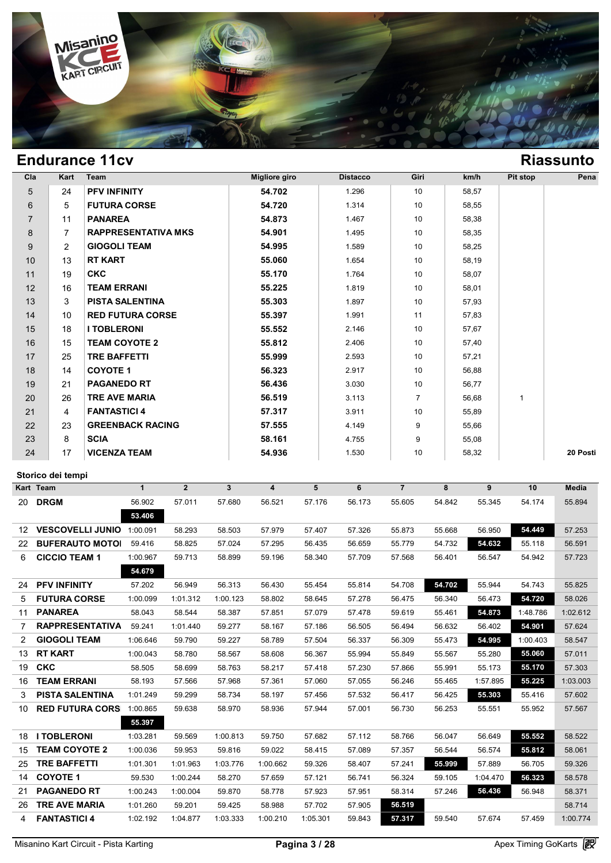

| Cla            | Kart           | Team                       | <b>Migliore giro</b> | <b>Distacco</b> | Giri           | km/h  | Pit stop | Pena     |
|----------------|----------------|----------------------------|----------------------|-----------------|----------------|-------|----------|----------|
| 5              | 24             | <b>PFV INFINITY</b>        | 54.702               | 1.296           | 10             | 58,57 |          |          |
| 6              | 5              | <b>FUTURA CORSE</b>        | 54.720               | 1.314           | 10             | 58,55 |          |          |
| $\overline{7}$ | 11             | <b>PANAREA</b>             | 54.873               | 1.467           | 10             | 58,38 |          |          |
| 8              | $\overline{7}$ | <b>RAPPRESENTATIVA MKS</b> | 54.901               | 1.495           | 10             | 58,35 |          |          |
| 9              | $\overline{2}$ | <b>GIOGOLI TEAM</b>        | 54.995               | 1.589           | 10             | 58,25 |          |          |
| 10             | 13             | <b>RT KART</b>             | 55.060               | 1.654           | 10             | 58,19 |          |          |
| 11             | 19             | <b>CKC</b>                 | 55.170               | 1.764           | 10             | 58,07 |          |          |
| 12             | 16             | <b>TEAM ERRANI</b>         | 55.225               | 1.819           | 10             | 58,01 |          |          |
| 13             | 3              | <b>PISTA SALENTINA</b>     | 55.303               | 1.897           | 10             | 57,93 |          |          |
| 14             | 10             | <b>RED FUTURA CORSE</b>    | 55.397               | 1.991           | 11             | 57,83 |          |          |
| 15             | 18             | <b>I TOBLERONI</b>         | 55.552               | 2.146           | 10             | 57,67 |          |          |
| 16             | 15             | <b>TEAM COYOTE 2</b>       | 55.812               | 2.406           | 10             | 57,40 |          |          |
| 17             | 25             | <b>TRE BAFFETTI</b>        | 55.999               | 2.593           | 10             | 57,21 |          |          |
| 18             | 14             | <b>COYOTE 1</b>            | 56.323               | 2.917           | 10             | 56,88 |          |          |
| 19             | 21             | <b>PAGANEDO RT</b>         | 56.436               | 3.030           | 10             | 56,77 |          |          |
| 20             | 26             | <b>TRE AVE MARIA</b>       | 56.519               | 3.113           | $\overline{7}$ | 56,68 | 1        |          |
| 21             | 4              | <b>FANTASTICI 4</b>        | 57.317               | 3.911           | 10             | 55,89 |          |          |
| 22             | 23             | <b>GREENBACK RACING</b>    | 57.555               | 4.149           | 9              | 55,66 |          |          |
| 23             | 8              | <b>SCIA</b>                | 58.161               | 4.755           | 9              | 55,08 |          |          |
| 24             | 17             | <b>VICENZA TEAM</b>        | 54.936               | 1.530           | 10             | 58,32 |          | 20 Posti |

### **Storico dei tempi**

|    | Storico dei tempi       |              |                |          |                         |          |        |                |        |          |          |          |
|----|-------------------------|--------------|----------------|----------|-------------------------|----------|--------|----------------|--------|----------|----------|----------|
|    | Kart Team               | $\mathbf{1}$ | $\overline{2}$ | 3        | $\overline{\mathbf{4}}$ | 5        | 6      | $\overline{7}$ | 8      | 9        | 10       | Media    |
| 20 | <b>DRGM</b>             | 56.902       | 57.011         | 57.680   | 56.521                  | 57.176   | 56.173 | 55.605         | 54.842 | 55.345   | 54.174   | 55.894   |
|    |                         | 53.406       |                |          |                         |          |        |                |        |          |          |          |
| 12 | <b>VESCOVELLI JUNIO</b> | 1:00.091     | 58.293         | 58.503   | 57.979                  | 57.407   | 57.326 | 55.873         | 55.668 | 56.950   | 54.449   | 57.253   |
| 22 | <b>BUFERAUTO MOTOL</b>  | 59.416       | 58.825         | 57.024   | 57.295                  | 56.435   | 56.659 | 55.779         | 54.732 | 54.632   | 55.118   | 56.591   |
| 6  | <b>CICCIO TEAM 1</b>    | 1:00.967     | 59.713         | 58.899   | 59.196                  | 58.340   | 57.709 | 57.568         | 56.401 | 56.547   | 54.942   | 57.723   |
|    |                         | 54.679       |                |          |                         |          |        |                |        |          |          |          |
| 24 | <b>PFV INFINITY</b>     | 57.202       | 56.949         | 56.313   | 56.430                  | 55.454   | 55.814 | 54.708         | 54.702 | 55.944   | 54.743   | 55.825   |
| 5  | <b>FUTURA CORSE</b>     | 1:00.099     | 1:01.312       | 1:00.123 | 58.802                  | 58.645   | 57.278 | 56.475         | 56.340 | 56.473   | 54.720   | 58.026   |
| 11 | <b>PANAREA</b>          | 58.043       | 58.544         | 58.387   | 57.851                  | 57.079   | 57.478 | 59.619         | 55.461 | 54.873   | 1:48.786 | 1:02.612 |
| 7  | <b>RAPPRESENTATIVA</b>  | 59.241       | 1:01.440       | 59.277   | 58.167                  | 57.186   | 56.505 | 56.494         | 56.632 | 56.402   | 54.901   | 57.624   |
| 2  | <b>GIOGOLI TEAM</b>     | 1:06.646     | 59.790         | 59.227   | 58.789                  | 57.504   | 56.337 | 56.309         | 55.473 | 54.995   | 1:00.403 | 58.547   |
| 13 | <b>RT KART</b>          | 1:00.043     | 58.780         | 58.567   | 58.608                  | 56.367   | 55.994 | 55.849         | 55.567 | 55.280   | 55.060   | 57.011   |
| 19 | <b>CKC</b>              | 58.505       | 58.699         | 58.763   | 58.217                  | 57.418   | 57.230 | 57.866         | 55.991 | 55.173   | 55.170   | 57.303   |
| 16 | <b>TEAM ERRANI</b>      | 58.193       | 57.566         | 57.968   | 57.361                  | 57.060   | 57.055 | 56.246         | 55.465 | 1:57.895 | 55.225   | 1:03.003 |
| 3  | <b>PISTA SALENTINA</b>  | 1:01.249     | 59.299         | 58.734   | 58.197                  | 57.456   | 57.532 | 56.417         | 56.425 | 55.303   | 55.416   | 57.602   |
| 10 | <b>RED FUTURA CORSI</b> | 1:00.865     | 59.638         | 58.970   | 58.936                  | 57.944   | 57.001 | 56.730         | 56.253 | 55.551   | 55.952   | 57.567   |
|    |                         | 55.397       |                |          |                         |          |        |                |        |          |          |          |
| 18 | <b>I TOBLERONI</b>      | 1:03.281     | 59.569         | 1:00.813 | 59.750                  | 57.682   | 57.112 | 58.766         | 56.047 | 56.649   | 55.552   | 58.522   |
| 15 | <b>TEAM COYOTE 2</b>    | 1:00.036     | 59.953         | 59.816   | 59.022                  | 58.415   | 57.089 | 57.357         | 56.544 | 56.574   | 55.812   | 58.061   |
| 25 | <b>TRE BAFFETTI</b>     | 1:01.301     | 1:01.963       | 1:03.776 | 1:00.662                | 59.326   | 58.407 | 57.241         | 55.999 | 57.889   | 56.705   | 59.326   |
| 14 | <b>COYOTE 1</b>         | 59.530       | 1:00.244       | 58.270   | 57.659                  | 57.121   | 56.741 | 56.324         | 59.105 | 1:04.470 | 56.323   | 58.578   |
| 21 | <b>PAGANEDO RT</b>      | 1:00.243     | 1:00.004       | 59.870   | 58.778                  | 57.923   | 57.951 | 58.314         | 57.246 | 56.436   | 56.948   | 58.371   |
| 26 | <b>TRE AVE MARIA</b>    | 1:01.260     | 59.201         | 59.425   | 58.988                  | 57.702   | 57.905 | 56.519         |        |          |          | 58.714   |
| 4  | <b>FANTASTICI 4</b>     | 1:02.192     | 1:04.877       | 1:03.333 | 1:00.210                | 1:05.301 | 59.843 | 57.317         | 59.540 | 57.674   | 57.459   | 1:00.774 |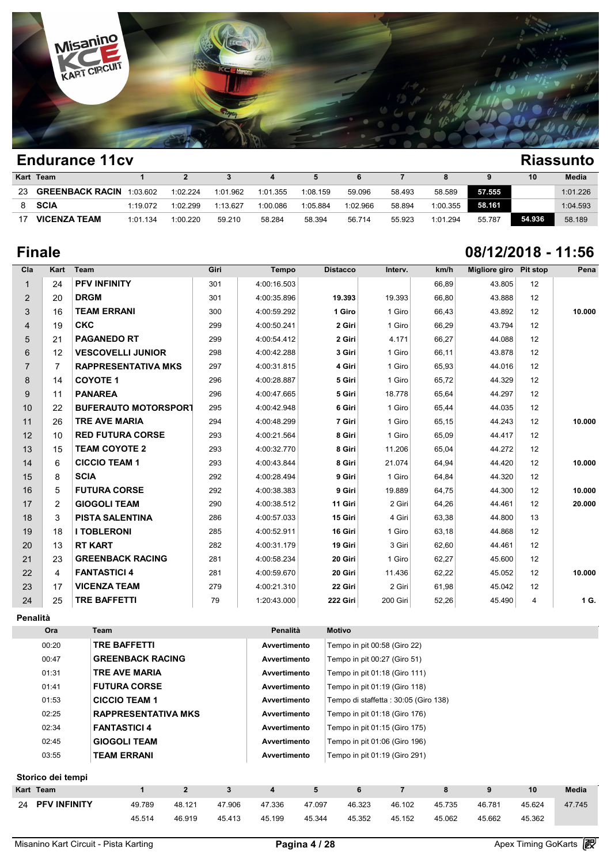

|    | Kart Team              |          |          |          |          |          |          |        |          |        | 10     | Media    |
|----|------------------------|----------|----------|----------|----------|----------|----------|--------|----------|--------|--------|----------|
| 23 | <b>GREENBACK RACIN</b> | 1:03.602 | 1:02.224 | 1:01.962 | 1:01.355 | 1:08.159 | 59.096   | 58.493 | 58.589   | 57.555 |        | 1:01.226 |
|    | <b>SCIA</b>            | 1:19.072 | 1:02.299 | 1:13.627 | 1:00.086 | 1:05.884 | 1:02.966 | 58.894 | 1:00.355 | 58.161 |        | 1:04.593 |
|    | <b>VICENZA TEAM</b>    | 1:01.134 | 1:00.220 | 59.210   | 58.284   | 58.394   | 56.714   | 55.923 | 1:01.294 | 55.787 | 54.936 | 58.189   |

### **Finale 08/12/2018 - 11:56**

| Cla            | Kart | Team                        | Giri | Tempo       | <b>Distacco</b> | Interv.  | km/h  | Migliore giro Pit stop |    | Pena   |
|----------------|------|-----------------------------|------|-------------|-----------------|----------|-------|------------------------|----|--------|
| $\mathbf{1}$   | 24   | <b>PFV INFINITY</b>         | 301  | 4:00:16.503 |                 |          | 66,89 | 43.805                 | 12 |        |
| 2              | 20   | <b>DRGM</b>                 | 301  | 4:00:35.896 | 19.393          | 19.393   | 66,80 | 43.888                 | 12 |        |
| 3              | 16   | <b>TEAM ERRANI</b>          | 300  | 4:00:59.292 | 1 Giro          | 1 Giro   | 66,43 | 43.892                 | 12 | 10.000 |
| $\overline{4}$ | 19   | <b>CKC</b>                  | 299  | 4:00:50.241 | 2 Giri          | 1 Giro   | 66,29 | 43.794                 | 12 |        |
| 5              | 21   | <b>PAGANEDO RT</b>          | 299  | 4:00:54.412 | 2 Giri          | 4.171    | 66,27 | 44.088                 | 12 |        |
| 6              | 12   | <b>VESCOVELLI JUNIOR</b>    | 298  | 4:00:42.288 | 3 Giri          | 1 Giro   | 66,11 | 43.878                 | 12 |        |
| $\overline{7}$ | 7    | <b>RAPPRESENTATIVA MKS</b>  | 297  | 4:00:31.815 | 4 Giri          | 1 Giro   | 65,93 | 44.016                 | 12 |        |
| 8              | 14   | <b>COYOTE 1</b>             | 296  | 4:00:28.887 | 5 Giri          | 1 Giro   | 65,72 | 44.329                 | 12 |        |
| 9              | 11   | <b>PANAREA</b>              | 296  | 4:00:47.665 | 5 Giri          | 18.778   | 65,64 | 44.297                 | 12 |        |
| 10             | 22   | <b>BUFERAUTO MOTORSPORT</b> | 295  | 4:00:42.948 | 6 Giri          | 1 Giro   | 65,44 | 44.035                 | 12 |        |
| 11             | 26   | <b>TRE AVE MARIA</b>        | 294  | 4:00:48.299 | 7 Giri          | 1 Giro   | 65,15 | 44.243                 | 12 | 10.000 |
| 12             | 10   | <b>RED FUTURA CORSE</b>     | 293  | 4:00:21.564 | 8 Giri          | 1 Giro   | 65,09 | 44.417                 | 12 |        |
| 13             | 15   | <b>TEAM COYOTE 2</b>        | 293  | 4:00:32.770 | 8 Giri          | 11.206   | 65,04 | 44.272                 | 12 |        |
| 14             | 6    | <b>CICCIO TEAM 1</b>        | 293  | 4:00:43.844 | 8 Giri          | 21.074   | 64,94 | 44.420                 | 12 | 10.000 |
| 15             | 8    | <b>SCIA</b>                 | 292  | 4:00:28.494 | 9 Giri          | 1 Giro   | 64,84 | 44.320                 | 12 |        |
| 16             | 5    | <b>FUTURA CORSE</b>         | 292  | 4:00:38.383 | 9 Giri          | 19.889   | 64,75 | 44.300                 | 12 | 10.000 |
| 17             | 2    | <b>GIOGOLI TEAM</b>         | 290  | 4:00:38.512 | 11 Giri         | 2 Giri   | 64,26 | 44.461                 | 12 | 20.000 |
| 18             | 3    | <b>PISTA SALENTINA</b>      | 286  | 4:00:57.033 | 15 Giri         | 4 Giri   | 63,38 | 44.800                 | 13 |        |
| 19             | 18   | <b>I TOBLERONI</b>          | 285  | 4:00:52.911 | 16 Giri         | 1 Giro   | 63,18 | 44.868                 | 12 |        |
| 20             | 13   | <b>RT KART</b>              | 282  | 4:00:31.179 | 19 Giri         | 3 Giri   | 62,60 | 44.461                 | 12 |        |
| 21             | 23   | <b>GREENBACK RACING</b>     | 281  | 4:00:58.234 | 20 Giri         | 1 Giro   | 62,27 | 45.600                 | 12 |        |
| 22             | 4    | <b>FANTASTICI 4</b>         | 281  | 4:00:59.670 | 20 Giri         | 11.436   | 62,22 | 45.052                 | 12 | 10.000 |
| 23             | 17   | <b>VICENZA TEAM</b>         | 279  | 4:00:21.310 | 22 Giri         | 2 Giri   | 61,98 | 45.042                 | 12 |        |
| 24             | 25   | <b>TRE BAFFETTI</b>         | 79   | 1:20:43.000 | 222 Giri        | 200 Giri | 52,26 | 45.490                 | 4  | 1 G.   |

### **Penalità**

| Ora   | Team                       | Penalità     | <b>Motivo</b>                        |
|-------|----------------------------|--------------|--------------------------------------|
| 00:20 | <b>TRE BAFFETTI</b>        | Avvertimento | Tempo in pit 00:58 (Giro 22)         |
| 00:47 | <b>GREENBACK RACING</b>    | Avvertimento | Tempo in pit 00:27 (Giro 51)         |
| 01:31 | TRE AVE MARIA              | Avvertimento | Tempo in pit 01:18 (Giro 111)        |
| 01:41 | <b>FUTURA CORSE</b>        | Avvertimento | Tempo in pit 01:19 (Giro 118)        |
| 01:53 | <b>CICCIO TEAM 1</b>       | Avvertimento | Tempo di staffetta: 30:05 (Giro 138) |
| 02:25 | <b>RAPPRESENTATIVA MKS</b> | Avvertimento | Tempo in pit 01:18 (Giro 176)        |
| 02:34 | <b>FANTASTICI 4</b>        | Avvertimento | Tempo in pit 01:15 (Giro 175)        |
| 02:45 | <b>GIOGOLI TEAM</b>        | Avvertimento | Tempo in pit 01:06 (Giro 196)        |
| 03:55 | <b>TEAM ERRANI</b>         | Avvertimento | Tempo in pit 01:19 (Giro 291)        |
|       |                            |              |                                      |

### **Storico dei tempi**

|                   |        |              |        |                |        | ____   |        |        |        |        |        |
|-------------------|--------|--------------|--------|----------------|--------|--------|--------|--------|--------|--------|--------|
| Storico dei tempi |        |              |        |                |        |        |        |        |        |        |        |
| Kart Team         |        | $\mathbf{2}$ | 3      | $\overline{4}$ | 5      | 6      |        | 8      | 9      | 10     | Media  |
| 24 PFV INFINITY   | 49.789 | 48.121       | 47.906 | 47.336         | 47.097 | 46.323 | 46.102 | 45.735 | 46.781 | 45.624 | 47.745 |
|                   | 45.514 | 46.919       | 45.413 | 45.199         | 45.344 | 45.352 | 45.152 | 45.062 | 45.662 | 45.362 |        |
|                   |        |              |        |                |        |        |        |        |        |        |        |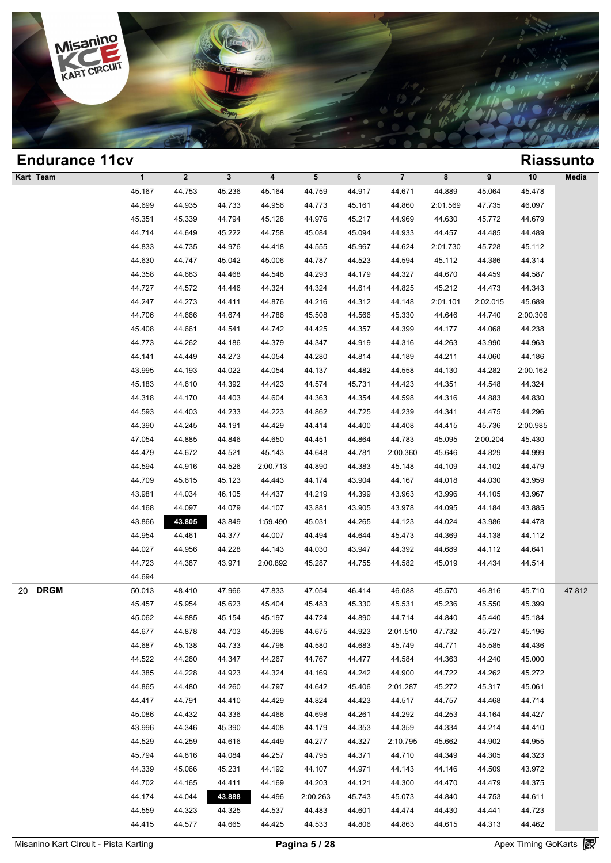

| <b>Endurance 11cv</b> |              |              |              |                         |           |        |                |          |          |          | <b>Riassunto</b> |
|-----------------------|--------------|--------------|--------------|-------------------------|-----------|--------|----------------|----------|----------|----------|------------------|
| Kart Team             | $\mathbf{1}$ | $\mathbf{2}$ | $\mathbf{3}$ | $\overline{\mathbf{4}}$ | ${\bf 5}$ | 6      | $\overline{7}$ | 8        | 9        | $10$     | Media            |
|                       | 45.167       | 44.753       | 45.236       | 45.164                  | 44.759    | 44.917 | 44.671         | 44.889   | 45.064   | 45.478   |                  |
|                       | 44.699       | 44.935       | 44.733       | 44.956                  | 44.773    | 45.161 | 44.860         | 2:01.569 | 47.735   | 46.097   |                  |
|                       | 45.351       | 45.339       | 44.794       | 45.128                  | 44.976    | 45.217 | 44.969         | 44.630   | 45.772   | 44.679   |                  |
|                       | 44.714       | 44.649       | 45.222       | 44.758                  | 45.084    | 45.094 | 44.933         | 44.457   | 44.485   | 44.489   |                  |
|                       | 44.833       | 44.735       | 44.976       | 44.418                  | 44.555    | 45.967 | 44.624         | 2:01.730 | 45.728   | 45.112   |                  |
|                       | 44.630       | 44.747       | 45.042       | 45.006                  | 44.787    | 44.523 | 44.594         | 45.112   | 44.386   | 44.314   |                  |
|                       | 44.358       | 44.683       | 44.468       | 44.548                  | 44.293    | 44.179 | 44.327         | 44.670   | 44.459   | 44.587   |                  |
|                       | 44.727       | 44.572       | 44.446       | 44.324                  | 44.324    | 44.614 | 44.825         | 45.212   | 44.473   | 44.343   |                  |
|                       | 44.247       | 44.273       | 44.411       | 44.876                  | 44.216    | 44.312 | 44.148         | 2:01.101 | 2:02.015 | 45.689   |                  |
|                       | 44.706       | 44.666       | 44.674       | 44.786                  | 45.508    | 44.566 | 45.330         | 44.646   | 44.740   | 2:00.306 |                  |
|                       | 45.408       | 44.661       | 44.541       | 44.742                  | 44.425    | 44.357 | 44.399         | 44.177   | 44.068   | 44.238   |                  |
|                       | 44.773       | 44.262       | 44.186       | 44.379                  | 44.347    | 44.919 | 44.316         | 44.263   | 43.990   | 44.963   |                  |
|                       | 44.141       | 44.449       | 44.273       | 44.054                  | 44.280    | 44.814 | 44.189         | 44.211   | 44.060   | 44.186   |                  |
|                       | 43.995       | 44.193       | 44.022       | 44.054                  | 44.137    | 44.482 | 44.558         | 44.130   | 44.282   | 2:00.162 |                  |
|                       | 45.183       | 44.610       | 44.392       | 44.423                  | 44.574    | 45.731 | 44.423         | 44.351   | 44.548   | 44.324   |                  |
|                       | 44.318       | 44.170       | 44.403       | 44.604                  | 44.363    | 44.354 | 44.598         | 44.316   | 44.883   | 44.830   |                  |
|                       | 44.593       | 44.403       | 44.233       | 44.223                  | 44.862    | 44.725 | 44.239         | 44.341   | 44.475   | 44.296   |                  |
|                       | 44.390       | 44.245       | 44.191       | 44.429                  | 44.414    | 44.400 | 44.408         | 44.415   | 45.736   | 2:00.985 |                  |
|                       | 47.054       | 44.885       | 44.846       | 44.650                  | 44.451    | 44.864 | 44.783         | 45.095   | 2:00.204 | 45.430   |                  |
|                       | 44.479       | 44.672       | 44.521       | 45.143                  | 44.648    | 44.781 | 2:00.360       | 45.646   | 44.829   | 44.999   |                  |
|                       | 44.594       | 44.916       | 44.526       | 2:00.713                | 44.890    | 44.383 | 45.148         | 44.109   | 44.102   | 44.479   |                  |
|                       | 44.709       | 45.615       | 45.123       | 44.443                  | 44.174    | 43.904 | 44.167         | 44.018   | 44.030   | 43.959   |                  |
|                       | 43.981       | 44.034       | 46.105       | 44.437                  | 44.219    | 44.399 | 43.963         | 43.996   | 44.105   | 43.967   |                  |
|                       | 44.168       | 44.097       | 44.079       | 44.107                  | 43.881    | 43.905 | 43.978         | 44.095   | 44.184   | 43.885   |                  |
|                       | 43.866       | 43.805       | 43.849       | 1:59.490                | 45.031    | 44.265 | 44.123         | 44.024   | 43.986   | 44.478   |                  |
|                       | 44.954       | 44.461       | 44.377       | 44.007                  | 44.494    | 44.644 | 45.473         | 44.369   | 44.138   | 44.112   |                  |
|                       | 44.027       | 44.956       | 44.228       | 44.143                  | 44.030    | 43.947 | 44.392         | 44.689   | 44.112   | 44.641   |                  |
|                       | 44.723       | 44.387       | 43.971       | 2:00.892                | 45.287    | 44.755 | 44.582         | 45.019   | 44.434   | 44.514   |                  |
|                       | 44.694       |              |              |                         |           |        |                |          |          |          |                  |
| <b>DRGM</b><br>20     | 50.013       | 48.410       | 47.966       | 47.833                  | 47.054    | 46.414 | 46.088         | 45.570   | 46.816   | 45.710   | 47.812           |
|                       | 45.457       | 45.954       | 45.623       | 45.404                  | 45.483    | 45.330 | 45.531         | 45.236   | 45.550   | 45.399   |                  |
|                       | 45.062       | 44.885       | 45.154       | 45.197                  | 44.724    | 44.890 | 44.714         | 44.840   | 45.440   | 45.184   |                  |
|                       | 44.677       | 44.878       | 44.703       | 45.398                  | 44.675    | 44.923 | 2:01.510       | 47.732   | 45.727   | 45.196   |                  |
|                       | 44.687       | 45.138       | 44.733       | 44.798                  | 44.580    | 44.683 | 45.749         | 44.771   | 45.585   | 44.436   |                  |
|                       | 44.522       | 44.260       | 44.347       | 44.267                  | 44.767    | 44.477 | 44.584         | 44.363   | 44.240   | 45.000   |                  |
|                       | 44.385       | 44.228       | 44.923       | 44.324                  | 44.169    | 44.242 | 44.900         | 44.722   | 44.262   | 45.272   |                  |
|                       | 44.865       | 44.480       | 44.260       | 44.797                  | 44.642    | 45.406 | 2:01.287       | 45.272   | 45.317   | 45.061   |                  |
|                       | 44.417       | 44.791       | 44.410       | 44.429                  | 44.824    | 44.423 | 44.517         | 44.757   | 44.468   | 44.714   |                  |
|                       | 45.086       | 44.432       | 44.336       | 44.466                  | 44.698    | 44.261 | 44.292         | 44.253   | 44.164   | 44.427   |                  |
|                       | 43.996       | 44.346       | 45.390       | 44.408                  | 44.179    | 44.353 | 44.359         | 44.334   | 44.214   | 44.410   |                  |
|                       | 44.529       | 44.259       | 44.616       | 44.449                  | 44.277    | 44.327 | 2:10.795       | 45.662   | 44.902   | 44.955   |                  |
|                       | 45.794       | 44.816       | 44.084       | 44.257                  | 44.795    | 44.371 | 44.710         | 44.349   | 44.305   | 44.323   |                  |
|                       | 44.339       | 45.066       | 45.231       | 44.192                  | 44.107    | 44.971 | 44.143         | 44.146   | 44.509   | 43.972   |                  |
|                       | 44.702       | 44.165       | 44.411       | 44.169                  | 44.203    | 44.121 | 44.300         | 44.470   | 44.479   | 44.375   |                  |
|                       | 44.174       | 44.044       | 43.888       | 44.496                  | 2:00.263  | 45.743 | 45.073         | 44.840   | 44.753   | 44.611   |                  |
|                       | 44.559       | 44.323       | 44.325       | 44.537                  | 44.483    | 44.601 | 44.474         | 44.430   | 44.441   | 44.723   |                  |
|                       | 44.415       | 44.577       | 44.665       | 44.425                  | 44.533    | 44.806 | 44.863         | 44.615   | 44.313   | 44.462   |                  |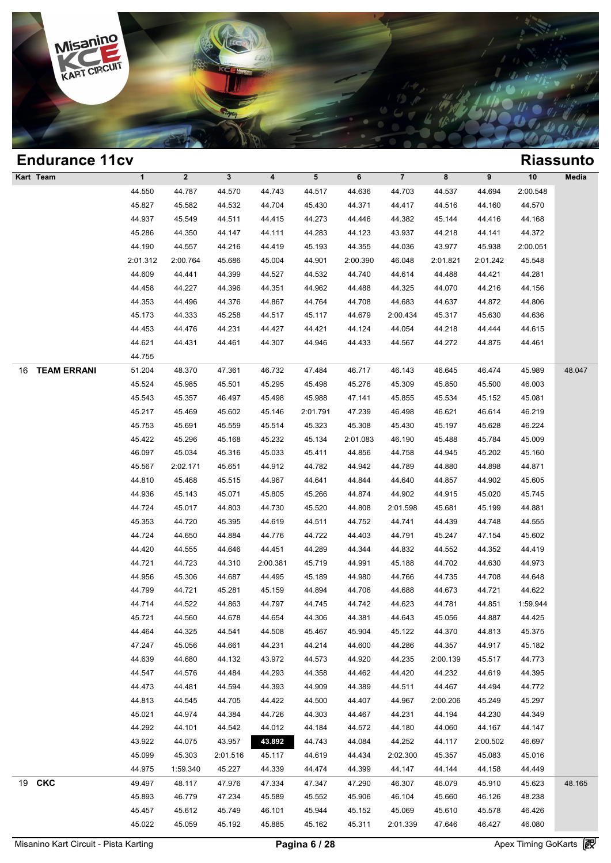

| <b>Endurance 11cv</b>    |              |                |                |                         |                 |          |                |          |          |          | <b>Riassunto</b> |
|--------------------------|--------------|----------------|----------------|-------------------------|-----------------|----------|----------------|----------|----------|----------|------------------|
| Kart Team                | $\mathbf{1}$ | $\overline{2}$ | 3 <sup>1</sup> | $\overline{\mathbf{4}}$ | $5\phantom{.0}$ | 6        | $\overline{7}$ | 8        | 9        | 10       | Media            |
|                          | 44.550       | 44.787         | 44.570         | 44.743                  | 44.517          | 44.636   | 44.703         | 44.537   | 44.694   | 2:00.548 |                  |
|                          | 45.827       | 45.582         | 44.532         | 44.704                  | 45.430          | 44.371   | 44.417         | 44.516   | 44.160   | 44.570   |                  |
|                          | 44.937       | 45.549         | 44.511         | 44.415                  | 44.273          | 44.446   | 44.382         | 45.144   | 44.416   | 44.168   |                  |
|                          | 45.286       | 44.350         | 44.147         | 44.111                  | 44.283          | 44.123   | 43.937         | 44.218   | 44.141   | 44.372   |                  |
|                          | 44.190       | 44.557         | 44.216         | 44.419                  | 45.193          | 44.355   | 44.036         | 43.977   | 45.938   | 2:00.051 |                  |
|                          | 2:01.312     | 2:00.764       | 45.686         | 45.004                  | 44.901          | 2:00.390 | 46.048         | 2:01.821 | 2:01.242 | 45.548   |                  |
|                          | 44.609       | 44.441         | 44.399         | 44.527                  | 44.532          | 44.740   | 44.614         | 44.488   | 44.421   | 44.281   |                  |
|                          | 44.458       | 44.227         | 44.396         | 44.351                  | 44.962          | 44.488   | 44.325         | 44.070   | 44.216   | 44.156   |                  |
|                          | 44.353       | 44.496         | 44.376         | 44.867                  | 44.764          | 44.708   | 44.683         | 44.637   | 44.872   | 44.806   |                  |
|                          | 45.173       | 44.333         | 45.258         | 44.517                  | 45.117          | 44.679   | 2:00.434       | 45.317   | 45.630   | 44.636   |                  |
|                          | 44.453       | 44.476         | 44.231         | 44.427                  | 44.421          | 44.124   | 44.054         | 44.218   | 44.444   | 44.615   |                  |
|                          | 44.621       | 44.431         | 44.461         | 44.307                  | 44.946          | 44.433   | 44.567         | 44.272   | 44.875   | 44.461   |                  |
|                          | 44.755       |                |                |                         |                 |          |                |          |          |          |                  |
| <b>TEAM ERRANI</b><br>16 | 51.204       | 48.370         | 47.361         | 46.732                  | 47.484          | 46.717   | 46.143         | 46.645   | 46.474   | 45.989   | 48.047           |
|                          | 45.524       | 45.985         | 45.501         | 45.295                  | 45.498          | 45.276   | 45.309         | 45.850   | 45.500   | 46.003   |                  |
|                          | 45.543       | 45.357         | 46.497         | 45.498                  | 45.988          | 47.141   | 45.855         | 45.534   | 45.152   | 45.081   |                  |
|                          | 45.217       | 45.469         | 45.602         | 45.146                  | 2:01.791        | 47.239   | 46.498         | 46.621   | 46.614   | 46.219   |                  |
|                          | 45.753       | 45.691         | 45.559         | 45.514                  | 45.323          | 45.308   | 45.430         | 45.197   | 45.628   | 46.224   |                  |
|                          | 45.422       | 45.296         | 45.168         | 45.232                  | 45.134          | 2:01.083 | 46.190         | 45.488   | 45.784   | 45.009   |                  |
|                          | 46.097       | 45.034         | 45.316         | 45.033                  | 45.411          | 44.856   | 44.758         | 44.945   | 45.202   | 45.160   |                  |
|                          | 45.567       | 2:02.171       | 45.651         | 44.912                  | 44.782          | 44.942   | 44.789         | 44.880   | 44.898   | 44.871   |                  |
|                          | 44.810       | 45.468         | 45.515         | 44.967                  | 44.641          | 44.844   | 44.640         | 44.857   | 44.902   | 45.605   |                  |
|                          | 44.936       | 45.143         | 45.071         | 45.805                  | 45.266          | 44.874   | 44.902         | 44.915   | 45.020   | 45.745   |                  |
|                          | 44.724       | 45.017         | 44.803         | 44.730                  | 45.520          | 44.808   | 2:01.598       | 45.681   | 45.199   | 44.881   |                  |
|                          | 45.353       | 44.720         | 45.395         | 44.619                  | 44.511          | 44.752   | 44.741         | 44.439   | 44.748   | 44.555   |                  |
|                          | 44.724       | 44.650         | 44.884         | 44.776                  | 44.722          | 44.403   | 44.791         | 45.247   | 47.154   | 45.602   |                  |
|                          | 44.420       | 44.555         | 44.646         | 44.451                  | 44.289          | 44.344   | 44.832         | 44.552   | 44.352   | 44.419   |                  |
|                          | 44.721       | 44.723         | 44.310         | 2:00.381                | 45.719          | 44.991   | 45.188         | 44.702   | 44.630   | 44.973   |                  |
|                          | 44.956       | 45.306         | 44.687         | 44.495                  | 45.189          | 44.980   | 44.766         | 44.735   | 44.708   | 44.648   |                  |
|                          | 44.799       | 44.721         | 45.281         | 45.159                  | 44.894          | 44.706   | 44.688         | 44.673   | 44.721   | 44.622   |                  |
|                          | 44.714       | 44.522         | 44.863         | 44.797                  | 44.745          | 44.742   | 44.623         | 44.781   | 44.851   | 1:59.944 |                  |
|                          | 45.721       | 44.560         | 44.678         | 44.654                  | 44.306          | 44.381   | 44.643         | 45.056   | 44.887   | 44.425   |                  |
|                          | 44.464       | 44.325         | 44.541         | 44.508                  | 45.467          | 45.904   | 45.122         | 44.370   | 44.813   | 45.375   |                  |
|                          | 47.247       | 45.056         | 44.661         | 44.231                  | 44.214          | 44.600   | 44.286         | 44.357   | 44.917   | 45.182   |                  |
|                          | 44.639       | 44.680         | 44.132         | 43.972                  | 44.573          | 44.920   | 44.235         | 2:00.139 | 45.517   | 44.773   |                  |
|                          | 44.547       | 44.576         | 44.484         | 44.293                  | 44.358          | 44.462   | 44.420         | 44.232   | 44.619   | 44.395   |                  |
|                          | 44.473       | 44.481         | 44.594         | 44.393                  | 44.909          | 44.389   | 44.511         | 44.467   | 44.494   | 44.772   |                  |
|                          | 44.813       | 44.545         | 44.705         | 44.422                  | 44.500          | 44.407   | 44.967         | 2:00.206 | 45.249   | 45.297   |                  |
|                          | 45.021       | 44.974         | 44.384         | 44.726                  | 44.303          | 44.467   | 44.231         | 44.194   | 44.230   | 44.349   |                  |
|                          | 44.292       | 44.101         | 44.542         | 44.012                  | 44.184          | 44.572   | 44.180         | 44.060   | 44.167   | 44.147   |                  |
|                          | 43.922       | 44.075         | 43.957         | 43.892                  | 44.743          | 44.084   | 44.252         | 44.117   | 2:00.502 | 46.697   |                  |
|                          | 45.099       | 45.303         | 2:01.516       | 45.117                  | 44.619          | 44.434   | 2:02.300       | 45.357   | 45.083   | 45.016   |                  |
|                          | 44.975       | 1:59.340       | 45.227         | 44.339                  | 44.474          | 44.399   | 44.147         | 44.144   | 44.158   | 44.449   |                  |
| 19 CKC                   | 49.497       | 48.117         | 47.976         | 47.334                  | 47.347          | 47.290   | 46.307         | 46.079   | 45.910   | 45.623   | 48.165           |
|                          | 45.893       | 46.779         | 47.234         | 45.589                  | 45.552          | 45.906   | 46.104         | 45.660   | 46.126   | 48.238   |                  |
|                          | 45.457       | 45.612         | 45.749         | 46.101                  | 45.944          | 45.152   | 45.069         | 45.610   | 45.578   | 46.426   |                  |
|                          | 45.022       | 45.059         | 45.192         | 45.885                  | 45.162          | 45.311   | 2:01.339       | 47.646   | 46.427   | 46.080   |                  |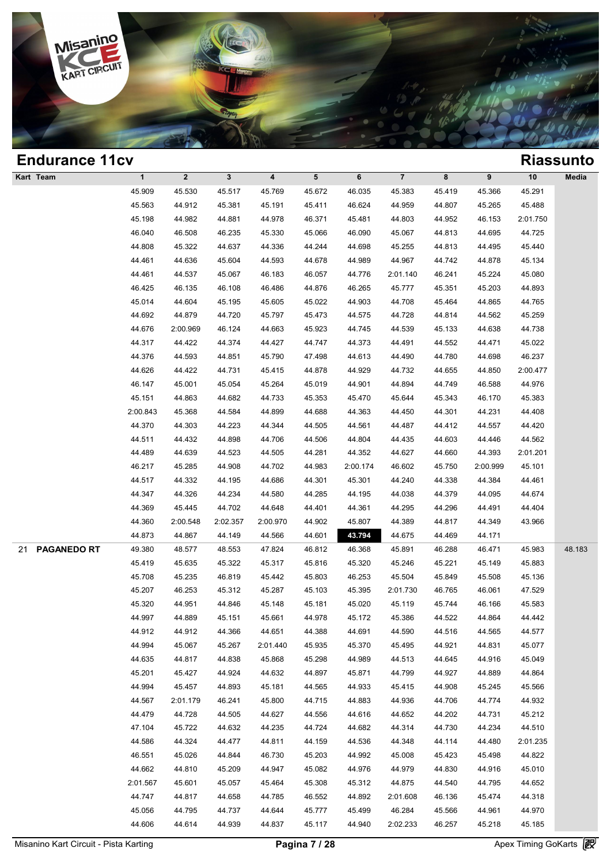

| $\mathbf 1$<br>$\overline{\mathbf{7}}$<br>$\mathbf{2}$<br>$\mathbf{3}$<br>$\overline{\mathbf{4}}$<br>5<br>6<br>8<br>9<br>$10$<br>Media<br>45.291<br>45.909<br>45.530<br>45.517<br>45.769<br>45.672<br>46.035<br>45.383<br>45.419<br>45.366<br>45.563<br>44.912<br>45.191<br>46.624<br>44.959<br>44.807<br>45.265<br>45.488<br>45.381<br>45.411<br>45.198<br>44.982<br>44.881<br>44.978<br>46.371<br>45.481<br>44.803<br>44.952<br>46.153<br>2:01.750<br>46.040<br>46.508<br>46.235<br>45.330<br>45.066<br>46.090<br>45.067<br>44.813<br>44.695<br>44.725<br>44.808<br>45.322<br>44.637<br>44.336<br>44.244<br>44.698<br>45.440<br>45.255<br>44.813<br>44.495<br>44.461<br>44.636<br>44.593<br>44.967<br>44.742<br>45.134<br>45.604<br>44.678<br>44.989<br>44.878<br>44.461<br>44.537<br>45.067<br>45.080<br>46.183<br>46.057<br>44.776<br>2:01.140<br>46.241<br>45.224<br>46.425<br>46.135<br>46.108<br>46.486<br>44.876<br>46.265<br>45.777<br>45.351<br>45.203<br>44.893<br>45.014<br>45.195<br>44.708<br>44.765<br>44.604<br>45.605<br>45.022<br>44.903<br>45.464<br>44.865<br>44.692<br>44.728<br>45.259<br>44.879<br>44.720<br>45.797<br>45.473<br>44.575<br>44.814<br>44.562<br>44.676<br>2:00.969<br>46.124<br>44.663<br>45.923<br>44.745<br>44.539<br>45.133<br>44.638<br>44.738<br>44.317<br>44.422<br>44.374<br>44.427<br>44.747<br>44.373<br>44.552<br>45.022<br>44.491<br>44.471<br>44.376<br>46.237<br>44.593<br>44.851<br>45.790<br>47.498<br>44.613<br>44.490<br>44.780<br>44.698<br>44.626<br>44.732<br>44.655<br>44.422<br>44.731<br>45.415<br>44.878<br>44.929<br>44.850<br>2:00.477<br>46.147<br>45.001<br>45.054<br>45.264<br>45.019<br>44.901<br>44.894<br>44.749<br>46.588<br>44.976<br>45.151<br>44.682<br>45.343<br>45.383<br>44.863<br>44.733<br>45.353<br>45.470<br>45.644<br>46.170<br>2:00.843<br>44.584<br>44.899<br>44.688<br>44.363<br>44.231<br>44.408<br>45.368<br>44.450<br>44.301<br>44.370<br>44.303<br>44.223<br>44.344<br>44.561<br>44.420<br>44.505<br>44.487<br>44.412<br>44.557<br>44.511<br>44.898<br>44.562<br>44.432<br>44.706<br>44.506<br>44.804<br>44.435<br>44.603<br>44.446<br>44.489<br>44.639<br>44.523<br>44.505<br>44.281<br>44.352<br>44.627<br>44.660<br>44.393<br>2:01.201<br>46.217<br>45.285<br>44.908<br>44.702<br>44.983<br>45.750<br>2:00.174<br>46.602<br>2:00.999<br>45.101<br>44.517<br>44.332<br>44.461<br>44.195<br>44.686<br>44.301<br>45.301<br>44.240<br>44.338<br>44.384<br>44.347<br>44.580<br>44.285<br>44.674<br>44.326<br>44.234<br>44.195<br>44.038<br>44.379<br>44.095<br>44.369<br>44.648<br>44.295<br>44.404<br>45.445<br>44.702<br>44.401<br>44.361<br>44.296<br>44.491<br>44.360<br>2:02.357<br>45.807<br>44.389<br>43.966<br>2:00.548<br>2:00.970<br>44.902<br>44.817<br>44.349<br>43.794<br>44.873<br>44.149<br>44.675<br>44.867<br>44.566<br>44.601<br>44.469<br>44.171<br><b>PAGANEDO RT</b><br>49.380<br>47.824<br>46.368<br>45.891<br>45.983<br>48.183<br>48.577<br>48.553<br>46.812<br>46.288<br>46.471<br>45.419<br>45.635<br>45.322<br>45.317<br>45.816<br>45.320<br>45.246<br>45.149<br>45.883<br>45.221<br>45.708<br>45.235<br>46.819<br>45.442<br>45.803<br>46.253<br>45.504<br>45.849<br>45.508<br>45.136<br>45.207<br>46.253<br>45.312<br>45.287<br>45.103<br>45.395<br>2:01.730<br>46.765<br>46.061<br>47.529<br>45.320<br>45.583<br>44.951<br>44.846<br>45.148<br>45.181<br>45.020<br>45.119<br>45.744<br>46.166<br>44.997<br>44.889<br>45.151<br>44.442<br>45.661<br>44.978<br>45.172<br>45.386<br>44.522<br>44.864<br>44.912<br>44.912<br>44.366<br>44.651<br>44.388<br>44.691<br>44.590<br>44.516<br>44.565<br>44.577<br>44.994<br>45.067<br>45.935<br>45.077<br>45.267<br>2:01.440<br>45.370<br>45.495<br>44.921<br>44.831<br>44.635<br>44.817<br>45.868<br>45.298<br>44.513<br>44.645<br>45.049<br>44.838<br>44.989<br>44.916<br>45.201<br>45.427<br>44.924<br>44.632<br>44.897<br>44.799<br>44.927<br>44.864<br>45.871<br>44.889<br>44.994<br>44.893<br>44.565<br>44.933<br>44.908<br>45.566<br>45.457<br>45.181<br>45.415<br>45.245<br>44.567<br>2:01.179<br>46.241<br>45.800<br>44.715<br>44.883<br>44.936<br>44.706<br>44.932<br>44.774<br>44.479<br>44.728<br>44.505<br>44.627<br>44.556<br>44.616<br>44.652<br>44.202<br>45.212<br>44.731<br>47.104<br>45.722<br>44.724<br>44.314<br>44.730<br>44.234<br>44.510<br>44.632<br>44.235<br>44.682<br>44.586<br>44.324<br>44.477<br>44.811<br>44.159<br>44.536<br>44.348<br>44.114<br>44.480<br>2:01.235<br>46.551<br>45.026<br>45.203<br>44.844<br>46.730<br>44.992<br>45.008<br>45.423<br>45.498<br>44.822<br>44.662<br>44.810<br>45.209<br>45.082<br>44.979<br>44.830<br>45.010<br>44.947<br>44.976<br>44.916<br>2:01.567<br>45.601<br>45.057<br>45.464<br>45.308<br>44.875<br>44.540<br>44.652<br>45.312<br>44.795<br>44.747<br>44.817<br>44.658<br>44.785<br>46.552<br>44.892<br>2:01.608<br>46.136<br>45.474<br>44.318<br>45.056<br>44.644<br>44.795<br>44.737<br>45.777<br>45.499<br>46.284<br>45.566<br>44.961<br>44.970 | <b>Endurance 11cv</b> |        |        |        |        |        |        |          |        |        |        | <b>Riassunto</b> |
|----------------------------------------------------------------------------------------------------------------------------------------------------------------------------------------------------------------------------------------------------------------------------------------------------------------------------------------------------------------------------------------------------------------------------------------------------------------------------------------------------------------------------------------------------------------------------------------------------------------------------------------------------------------------------------------------------------------------------------------------------------------------------------------------------------------------------------------------------------------------------------------------------------------------------------------------------------------------------------------------------------------------------------------------------------------------------------------------------------------------------------------------------------------------------------------------------------------------------------------------------------------------------------------------------------------------------------------------------------------------------------------------------------------------------------------------------------------------------------------------------------------------------------------------------------------------------------------------------------------------------------------------------------------------------------------------------------------------------------------------------------------------------------------------------------------------------------------------------------------------------------------------------------------------------------------------------------------------------------------------------------------------------------------------------------------------------------------------------------------------------------------------------------------------------------------------------------------------------------------------------------------------------------------------------------------------------------------------------------------------------------------------------------------------------------------------------------------------------------------------------------------------------------------------------------------------------------------------------------------------------------------------------------------------------------------------------------------------------------------------------------------------------------------------------------------------------------------------------------------------------------------------------------------------------------------------------------------------------------------------------------------------------------------------------------------------------------------------------------------------------------------------------------------------------------------------------------------------------------------------------------------------------------------------------------------------------------------------------------------------------------------------------------------------------------------------------------------------------------------------------------------------------------------------------------------------------------------------------------------------------------------------------------------------------------------------------------------------------------------------------------------------------------------------------------------------------------------------------------------------------------------------------------------------------------------------------------------------------------------------------------------------------------------------------------------------------------------------------------------------------------------------------------------------------------------------------------------------------------------------------------------------------------------------------------------------------------------------------------------------------------------------------------------------------------------------------------------------------------------------------------------------------------------------------------------------------------------------------------------------------------------------------------------------------------------------------------------------------------------------------------------------------------------------------------------------------------------------------------------------------------------------------------------------------------------------------------------------------------------|-----------------------|--------|--------|--------|--------|--------|--------|----------|--------|--------|--------|------------------|
|                                                                                                                                                                                                                                                                                                                                                                                                                                                                                                                                                                                                                                                                                                                                                                                                                                                                                                                                                                                                                                                                                                                                                                                                                                                                                                                                                                                                                                                                                                                                                                                                                                                                                                                                                                                                                                                                                                                                                                                                                                                                                                                                                                                                                                                                                                                                                                                                                                                                                                                                                                                                                                                                                                                                                                                                                                                                                                                                                                                                                                                                                                                                                                                                                                                                                                                                                                                                                                                                                                                                                                                                                                                                                                                                                                                                                                                                                                                                                                                                                                                                                                                                                                                                                                                                                                                                                                                                                                                                                                                                                                                                                                                                                                                                                                                                                                                                                                                                                                                        | Kart Team             |        |        |        |        |        |        |          |        |        |        |                  |
|                                                                                                                                                                                                                                                                                                                                                                                                                                                                                                                                                                                                                                                                                                                                                                                                                                                                                                                                                                                                                                                                                                                                                                                                                                                                                                                                                                                                                                                                                                                                                                                                                                                                                                                                                                                                                                                                                                                                                                                                                                                                                                                                                                                                                                                                                                                                                                                                                                                                                                                                                                                                                                                                                                                                                                                                                                                                                                                                                                                                                                                                                                                                                                                                                                                                                                                                                                                                                                                                                                                                                                                                                                                                                                                                                                                                                                                                                                                                                                                                                                                                                                                                                                                                                                                                                                                                                                                                                                                                                                                                                                                                                                                                                                                                                                                                                                                                                                                                                                                        |                       |        |        |        |        |        |        |          |        |        |        |                  |
|                                                                                                                                                                                                                                                                                                                                                                                                                                                                                                                                                                                                                                                                                                                                                                                                                                                                                                                                                                                                                                                                                                                                                                                                                                                                                                                                                                                                                                                                                                                                                                                                                                                                                                                                                                                                                                                                                                                                                                                                                                                                                                                                                                                                                                                                                                                                                                                                                                                                                                                                                                                                                                                                                                                                                                                                                                                                                                                                                                                                                                                                                                                                                                                                                                                                                                                                                                                                                                                                                                                                                                                                                                                                                                                                                                                                                                                                                                                                                                                                                                                                                                                                                                                                                                                                                                                                                                                                                                                                                                                                                                                                                                                                                                                                                                                                                                                                                                                                                                                        |                       |        |        |        |        |        |        |          |        |        |        |                  |
|                                                                                                                                                                                                                                                                                                                                                                                                                                                                                                                                                                                                                                                                                                                                                                                                                                                                                                                                                                                                                                                                                                                                                                                                                                                                                                                                                                                                                                                                                                                                                                                                                                                                                                                                                                                                                                                                                                                                                                                                                                                                                                                                                                                                                                                                                                                                                                                                                                                                                                                                                                                                                                                                                                                                                                                                                                                                                                                                                                                                                                                                                                                                                                                                                                                                                                                                                                                                                                                                                                                                                                                                                                                                                                                                                                                                                                                                                                                                                                                                                                                                                                                                                                                                                                                                                                                                                                                                                                                                                                                                                                                                                                                                                                                                                                                                                                                                                                                                                                                        |                       |        |        |        |        |        |        |          |        |        |        |                  |
|                                                                                                                                                                                                                                                                                                                                                                                                                                                                                                                                                                                                                                                                                                                                                                                                                                                                                                                                                                                                                                                                                                                                                                                                                                                                                                                                                                                                                                                                                                                                                                                                                                                                                                                                                                                                                                                                                                                                                                                                                                                                                                                                                                                                                                                                                                                                                                                                                                                                                                                                                                                                                                                                                                                                                                                                                                                                                                                                                                                                                                                                                                                                                                                                                                                                                                                                                                                                                                                                                                                                                                                                                                                                                                                                                                                                                                                                                                                                                                                                                                                                                                                                                                                                                                                                                                                                                                                                                                                                                                                                                                                                                                                                                                                                                                                                                                                                                                                                                                                        |                       |        |        |        |        |        |        |          |        |        |        |                  |
|                                                                                                                                                                                                                                                                                                                                                                                                                                                                                                                                                                                                                                                                                                                                                                                                                                                                                                                                                                                                                                                                                                                                                                                                                                                                                                                                                                                                                                                                                                                                                                                                                                                                                                                                                                                                                                                                                                                                                                                                                                                                                                                                                                                                                                                                                                                                                                                                                                                                                                                                                                                                                                                                                                                                                                                                                                                                                                                                                                                                                                                                                                                                                                                                                                                                                                                                                                                                                                                                                                                                                                                                                                                                                                                                                                                                                                                                                                                                                                                                                                                                                                                                                                                                                                                                                                                                                                                                                                                                                                                                                                                                                                                                                                                                                                                                                                                                                                                                                                                        |                       |        |        |        |        |        |        |          |        |        |        |                  |
|                                                                                                                                                                                                                                                                                                                                                                                                                                                                                                                                                                                                                                                                                                                                                                                                                                                                                                                                                                                                                                                                                                                                                                                                                                                                                                                                                                                                                                                                                                                                                                                                                                                                                                                                                                                                                                                                                                                                                                                                                                                                                                                                                                                                                                                                                                                                                                                                                                                                                                                                                                                                                                                                                                                                                                                                                                                                                                                                                                                                                                                                                                                                                                                                                                                                                                                                                                                                                                                                                                                                                                                                                                                                                                                                                                                                                                                                                                                                                                                                                                                                                                                                                                                                                                                                                                                                                                                                                                                                                                                                                                                                                                                                                                                                                                                                                                                                                                                                                                                        |                       |        |        |        |        |        |        |          |        |        |        |                  |
|                                                                                                                                                                                                                                                                                                                                                                                                                                                                                                                                                                                                                                                                                                                                                                                                                                                                                                                                                                                                                                                                                                                                                                                                                                                                                                                                                                                                                                                                                                                                                                                                                                                                                                                                                                                                                                                                                                                                                                                                                                                                                                                                                                                                                                                                                                                                                                                                                                                                                                                                                                                                                                                                                                                                                                                                                                                                                                                                                                                                                                                                                                                                                                                                                                                                                                                                                                                                                                                                                                                                                                                                                                                                                                                                                                                                                                                                                                                                                                                                                                                                                                                                                                                                                                                                                                                                                                                                                                                                                                                                                                                                                                                                                                                                                                                                                                                                                                                                                                                        |                       |        |        |        |        |        |        |          |        |        |        |                  |
|                                                                                                                                                                                                                                                                                                                                                                                                                                                                                                                                                                                                                                                                                                                                                                                                                                                                                                                                                                                                                                                                                                                                                                                                                                                                                                                                                                                                                                                                                                                                                                                                                                                                                                                                                                                                                                                                                                                                                                                                                                                                                                                                                                                                                                                                                                                                                                                                                                                                                                                                                                                                                                                                                                                                                                                                                                                                                                                                                                                                                                                                                                                                                                                                                                                                                                                                                                                                                                                                                                                                                                                                                                                                                                                                                                                                                                                                                                                                                                                                                                                                                                                                                                                                                                                                                                                                                                                                                                                                                                                                                                                                                                                                                                                                                                                                                                                                                                                                                                                        |                       |        |        |        |        |        |        |          |        |        |        |                  |
|                                                                                                                                                                                                                                                                                                                                                                                                                                                                                                                                                                                                                                                                                                                                                                                                                                                                                                                                                                                                                                                                                                                                                                                                                                                                                                                                                                                                                                                                                                                                                                                                                                                                                                                                                                                                                                                                                                                                                                                                                                                                                                                                                                                                                                                                                                                                                                                                                                                                                                                                                                                                                                                                                                                                                                                                                                                                                                                                                                                                                                                                                                                                                                                                                                                                                                                                                                                                                                                                                                                                                                                                                                                                                                                                                                                                                                                                                                                                                                                                                                                                                                                                                                                                                                                                                                                                                                                                                                                                                                                                                                                                                                                                                                                                                                                                                                                                                                                                                                                        |                       |        |        |        |        |        |        |          |        |        |        |                  |
|                                                                                                                                                                                                                                                                                                                                                                                                                                                                                                                                                                                                                                                                                                                                                                                                                                                                                                                                                                                                                                                                                                                                                                                                                                                                                                                                                                                                                                                                                                                                                                                                                                                                                                                                                                                                                                                                                                                                                                                                                                                                                                                                                                                                                                                                                                                                                                                                                                                                                                                                                                                                                                                                                                                                                                                                                                                                                                                                                                                                                                                                                                                                                                                                                                                                                                                                                                                                                                                                                                                                                                                                                                                                                                                                                                                                                                                                                                                                                                                                                                                                                                                                                                                                                                                                                                                                                                                                                                                                                                                                                                                                                                                                                                                                                                                                                                                                                                                                                                                        |                       |        |        |        |        |        |        |          |        |        |        |                  |
|                                                                                                                                                                                                                                                                                                                                                                                                                                                                                                                                                                                                                                                                                                                                                                                                                                                                                                                                                                                                                                                                                                                                                                                                                                                                                                                                                                                                                                                                                                                                                                                                                                                                                                                                                                                                                                                                                                                                                                                                                                                                                                                                                                                                                                                                                                                                                                                                                                                                                                                                                                                                                                                                                                                                                                                                                                                                                                                                                                                                                                                                                                                                                                                                                                                                                                                                                                                                                                                                                                                                                                                                                                                                                                                                                                                                                                                                                                                                                                                                                                                                                                                                                                                                                                                                                                                                                                                                                                                                                                                                                                                                                                                                                                                                                                                                                                                                                                                                                                                        |                       |        |        |        |        |        |        |          |        |        |        |                  |
|                                                                                                                                                                                                                                                                                                                                                                                                                                                                                                                                                                                                                                                                                                                                                                                                                                                                                                                                                                                                                                                                                                                                                                                                                                                                                                                                                                                                                                                                                                                                                                                                                                                                                                                                                                                                                                                                                                                                                                                                                                                                                                                                                                                                                                                                                                                                                                                                                                                                                                                                                                                                                                                                                                                                                                                                                                                                                                                                                                                                                                                                                                                                                                                                                                                                                                                                                                                                                                                                                                                                                                                                                                                                                                                                                                                                                                                                                                                                                                                                                                                                                                                                                                                                                                                                                                                                                                                                                                                                                                                                                                                                                                                                                                                                                                                                                                                                                                                                                                                        |                       |        |        |        |        |        |        |          |        |        |        |                  |
|                                                                                                                                                                                                                                                                                                                                                                                                                                                                                                                                                                                                                                                                                                                                                                                                                                                                                                                                                                                                                                                                                                                                                                                                                                                                                                                                                                                                                                                                                                                                                                                                                                                                                                                                                                                                                                                                                                                                                                                                                                                                                                                                                                                                                                                                                                                                                                                                                                                                                                                                                                                                                                                                                                                                                                                                                                                                                                                                                                                                                                                                                                                                                                                                                                                                                                                                                                                                                                                                                                                                                                                                                                                                                                                                                                                                                                                                                                                                                                                                                                                                                                                                                                                                                                                                                                                                                                                                                                                                                                                                                                                                                                                                                                                                                                                                                                                                                                                                                                                        |                       |        |        |        |        |        |        |          |        |        |        |                  |
|                                                                                                                                                                                                                                                                                                                                                                                                                                                                                                                                                                                                                                                                                                                                                                                                                                                                                                                                                                                                                                                                                                                                                                                                                                                                                                                                                                                                                                                                                                                                                                                                                                                                                                                                                                                                                                                                                                                                                                                                                                                                                                                                                                                                                                                                                                                                                                                                                                                                                                                                                                                                                                                                                                                                                                                                                                                                                                                                                                                                                                                                                                                                                                                                                                                                                                                                                                                                                                                                                                                                                                                                                                                                                                                                                                                                                                                                                                                                                                                                                                                                                                                                                                                                                                                                                                                                                                                                                                                                                                                                                                                                                                                                                                                                                                                                                                                                                                                                                                                        |                       |        |        |        |        |        |        |          |        |        |        |                  |
|                                                                                                                                                                                                                                                                                                                                                                                                                                                                                                                                                                                                                                                                                                                                                                                                                                                                                                                                                                                                                                                                                                                                                                                                                                                                                                                                                                                                                                                                                                                                                                                                                                                                                                                                                                                                                                                                                                                                                                                                                                                                                                                                                                                                                                                                                                                                                                                                                                                                                                                                                                                                                                                                                                                                                                                                                                                                                                                                                                                                                                                                                                                                                                                                                                                                                                                                                                                                                                                                                                                                                                                                                                                                                                                                                                                                                                                                                                                                                                                                                                                                                                                                                                                                                                                                                                                                                                                                                                                                                                                                                                                                                                                                                                                                                                                                                                                                                                                                                                                        |                       |        |        |        |        |        |        |          |        |        |        |                  |
|                                                                                                                                                                                                                                                                                                                                                                                                                                                                                                                                                                                                                                                                                                                                                                                                                                                                                                                                                                                                                                                                                                                                                                                                                                                                                                                                                                                                                                                                                                                                                                                                                                                                                                                                                                                                                                                                                                                                                                                                                                                                                                                                                                                                                                                                                                                                                                                                                                                                                                                                                                                                                                                                                                                                                                                                                                                                                                                                                                                                                                                                                                                                                                                                                                                                                                                                                                                                                                                                                                                                                                                                                                                                                                                                                                                                                                                                                                                                                                                                                                                                                                                                                                                                                                                                                                                                                                                                                                                                                                                                                                                                                                                                                                                                                                                                                                                                                                                                                                                        |                       |        |        |        |        |        |        |          |        |        |        |                  |
|                                                                                                                                                                                                                                                                                                                                                                                                                                                                                                                                                                                                                                                                                                                                                                                                                                                                                                                                                                                                                                                                                                                                                                                                                                                                                                                                                                                                                                                                                                                                                                                                                                                                                                                                                                                                                                                                                                                                                                                                                                                                                                                                                                                                                                                                                                                                                                                                                                                                                                                                                                                                                                                                                                                                                                                                                                                                                                                                                                                                                                                                                                                                                                                                                                                                                                                                                                                                                                                                                                                                                                                                                                                                                                                                                                                                                                                                                                                                                                                                                                                                                                                                                                                                                                                                                                                                                                                                                                                                                                                                                                                                                                                                                                                                                                                                                                                                                                                                                                                        |                       |        |        |        |        |        |        |          |        |        |        |                  |
|                                                                                                                                                                                                                                                                                                                                                                                                                                                                                                                                                                                                                                                                                                                                                                                                                                                                                                                                                                                                                                                                                                                                                                                                                                                                                                                                                                                                                                                                                                                                                                                                                                                                                                                                                                                                                                                                                                                                                                                                                                                                                                                                                                                                                                                                                                                                                                                                                                                                                                                                                                                                                                                                                                                                                                                                                                                                                                                                                                                                                                                                                                                                                                                                                                                                                                                                                                                                                                                                                                                                                                                                                                                                                                                                                                                                                                                                                                                                                                                                                                                                                                                                                                                                                                                                                                                                                                                                                                                                                                                                                                                                                                                                                                                                                                                                                                                                                                                                                                                        |                       |        |        |        |        |        |        |          |        |        |        |                  |
|                                                                                                                                                                                                                                                                                                                                                                                                                                                                                                                                                                                                                                                                                                                                                                                                                                                                                                                                                                                                                                                                                                                                                                                                                                                                                                                                                                                                                                                                                                                                                                                                                                                                                                                                                                                                                                                                                                                                                                                                                                                                                                                                                                                                                                                                                                                                                                                                                                                                                                                                                                                                                                                                                                                                                                                                                                                                                                                                                                                                                                                                                                                                                                                                                                                                                                                                                                                                                                                                                                                                                                                                                                                                                                                                                                                                                                                                                                                                                                                                                                                                                                                                                                                                                                                                                                                                                                                                                                                                                                                                                                                                                                                                                                                                                                                                                                                                                                                                                                                        |                       |        |        |        |        |        |        |          |        |        |        |                  |
|                                                                                                                                                                                                                                                                                                                                                                                                                                                                                                                                                                                                                                                                                                                                                                                                                                                                                                                                                                                                                                                                                                                                                                                                                                                                                                                                                                                                                                                                                                                                                                                                                                                                                                                                                                                                                                                                                                                                                                                                                                                                                                                                                                                                                                                                                                                                                                                                                                                                                                                                                                                                                                                                                                                                                                                                                                                                                                                                                                                                                                                                                                                                                                                                                                                                                                                                                                                                                                                                                                                                                                                                                                                                                                                                                                                                                                                                                                                                                                                                                                                                                                                                                                                                                                                                                                                                                                                                                                                                                                                                                                                                                                                                                                                                                                                                                                                                                                                                                                                        |                       |        |        |        |        |        |        |          |        |        |        |                  |
|                                                                                                                                                                                                                                                                                                                                                                                                                                                                                                                                                                                                                                                                                                                                                                                                                                                                                                                                                                                                                                                                                                                                                                                                                                                                                                                                                                                                                                                                                                                                                                                                                                                                                                                                                                                                                                                                                                                                                                                                                                                                                                                                                                                                                                                                                                                                                                                                                                                                                                                                                                                                                                                                                                                                                                                                                                                                                                                                                                                                                                                                                                                                                                                                                                                                                                                                                                                                                                                                                                                                                                                                                                                                                                                                                                                                                                                                                                                                                                                                                                                                                                                                                                                                                                                                                                                                                                                                                                                                                                                                                                                                                                                                                                                                                                                                                                                                                                                                                                                        |                       |        |        |        |        |        |        |          |        |        |        |                  |
|                                                                                                                                                                                                                                                                                                                                                                                                                                                                                                                                                                                                                                                                                                                                                                                                                                                                                                                                                                                                                                                                                                                                                                                                                                                                                                                                                                                                                                                                                                                                                                                                                                                                                                                                                                                                                                                                                                                                                                                                                                                                                                                                                                                                                                                                                                                                                                                                                                                                                                                                                                                                                                                                                                                                                                                                                                                                                                                                                                                                                                                                                                                                                                                                                                                                                                                                                                                                                                                                                                                                                                                                                                                                                                                                                                                                                                                                                                                                                                                                                                                                                                                                                                                                                                                                                                                                                                                                                                                                                                                                                                                                                                                                                                                                                                                                                                                                                                                                                                                        |                       |        |        |        |        |        |        |          |        |        |        |                  |
|                                                                                                                                                                                                                                                                                                                                                                                                                                                                                                                                                                                                                                                                                                                                                                                                                                                                                                                                                                                                                                                                                                                                                                                                                                                                                                                                                                                                                                                                                                                                                                                                                                                                                                                                                                                                                                                                                                                                                                                                                                                                                                                                                                                                                                                                                                                                                                                                                                                                                                                                                                                                                                                                                                                                                                                                                                                                                                                                                                                                                                                                                                                                                                                                                                                                                                                                                                                                                                                                                                                                                                                                                                                                                                                                                                                                                                                                                                                                                                                                                                                                                                                                                                                                                                                                                                                                                                                                                                                                                                                                                                                                                                                                                                                                                                                                                                                                                                                                                                                        |                       |        |        |        |        |        |        |          |        |        |        |                  |
|                                                                                                                                                                                                                                                                                                                                                                                                                                                                                                                                                                                                                                                                                                                                                                                                                                                                                                                                                                                                                                                                                                                                                                                                                                                                                                                                                                                                                                                                                                                                                                                                                                                                                                                                                                                                                                                                                                                                                                                                                                                                                                                                                                                                                                                                                                                                                                                                                                                                                                                                                                                                                                                                                                                                                                                                                                                                                                                                                                                                                                                                                                                                                                                                                                                                                                                                                                                                                                                                                                                                                                                                                                                                                                                                                                                                                                                                                                                                                                                                                                                                                                                                                                                                                                                                                                                                                                                                                                                                                                                                                                                                                                                                                                                                                                                                                                                                                                                                                                                        |                       |        |        |        |        |        |        |          |        |        |        |                  |
|                                                                                                                                                                                                                                                                                                                                                                                                                                                                                                                                                                                                                                                                                                                                                                                                                                                                                                                                                                                                                                                                                                                                                                                                                                                                                                                                                                                                                                                                                                                                                                                                                                                                                                                                                                                                                                                                                                                                                                                                                                                                                                                                                                                                                                                                                                                                                                                                                                                                                                                                                                                                                                                                                                                                                                                                                                                                                                                                                                                                                                                                                                                                                                                                                                                                                                                                                                                                                                                                                                                                                                                                                                                                                                                                                                                                                                                                                                                                                                                                                                                                                                                                                                                                                                                                                                                                                                                                                                                                                                                                                                                                                                                                                                                                                                                                                                                                                                                                                                                        |                       |        |        |        |        |        |        |          |        |        |        |                  |
|                                                                                                                                                                                                                                                                                                                                                                                                                                                                                                                                                                                                                                                                                                                                                                                                                                                                                                                                                                                                                                                                                                                                                                                                                                                                                                                                                                                                                                                                                                                                                                                                                                                                                                                                                                                                                                                                                                                                                                                                                                                                                                                                                                                                                                                                                                                                                                                                                                                                                                                                                                                                                                                                                                                                                                                                                                                                                                                                                                                                                                                                                                                                                                                                                                                                                                                                                                                                                                                                                                                                                                                                                                                                                                                                                                                                                                                                                                                                                                                                                                                                                                                                                                                                                                                                                                                                                                                                                                                                                                                                                                                                                                                                                                                                                                                                                                                                                                                                                                                        |                       |        |        |        |        |        |        |          |        |        |        |                  |
|                                                                                                                                                                                                                                                                                                                                                                                                                                                                                                                                                                                                                                                                                                                                                                                                                                                                                                                                                                                                                                                                                                                                                                                                                                                                                                                                                                                                                                                                                                                                                                                                                                                                                                                                                                                                                                                                                                                                                                                                                                                                                                                                                                                                                                                                                                                                                                                                                                                                                                                                                                                                                                                                                                                                                                                                                                                                                                                                                                                                                                                                                                                                                                                                                                                                                                                                                                                                                                                                                                                                                                                                                                                                                                                                                                                                                                                                                                                                                                                                                                                                                                                                                                                                                                                                                                                                                                                                                                                                                                                                                                                                                                                                                                                                                                                                                                                                                                                                                                                        | 21                    |        |        |        |        |        |        |          |        |        |        |                  |
|                                                                                                                                                                                                                                                                                                                                                                                                                                                                                                                                                                                                                                                                                                                                                                                                                                                                                                                                                                                                                                                                                                                                                                                                                                                                                                                                                                                                                                                                                                                                                                                                                                                                                                                                                                                                                                                                                                                                                                                                                                                                                                                                                                                                                                                                                                                                                                                                                                                                                                                                                                                                                                                                                                                                                                                                                                                                                                                                                                                                                                                                                                                                                                                                                                                                                                                                                                                                                                                                                                                                                                                                                                                                                                                                                                                                                                                                                                                                                                                                                                                                                                                                                                                                                                                                                                                                                                                                                                                                                                                                                                                                                                                                                                                                                                                                                                                                                                                                                                                        |                       |        |        |        |        |        |        |          |        |        |        |                  |
|                                                                                                                                                                                                                                                                                                                                                                                                                                                                                                                                                                                                                                                                                                                                                                                                                                                                                                                                                                                                                                                                                                                                                                                                                                                                                                                                                                                                                                                                                                                                                                                                                                                                                                                                                                                                                                                                                                                                                                                                                                                                                                                                                                                                                                                                                                                                                                                                                                                                                                                                                                                                                                                                                                                                                                                                                                                                                                                                                                                                                                                                                                                                                                                                                                                                                                                                                                                                                                                                                                                                                                                                                                                                                                                                                                                                                                                                                                                                                                                                                                                                                                                                                                                                                                                                                                                                                                                                                                                                                                                                                                                                                                                                                                                                                                                                                                                                                                                                                                                        |                       |        |        |        |        |        |        |          |        |        |        |                  |
|                                                                                                                                                                                                                                                                                                                                                                                                                                                                                                                                                                                                                                                                                                                                                                                                                                                                                                                                                                                                                                                                                                                                                                                                                                                                                                                                                                                                                                                                                                                                                                                                                                                                                                                                                                                                                                                                                                                                                                                                                                                                                                                                                                                                                                                                                                                                                                                                                                                                                                                                                                                                                                                                                                                                                                                                                                                                                                                                                                                                                                                                                                                                                                                                                                                                                                                                                                                                                                                                                                                                                                                                                                                                                                                                                                                                                                                                                                                                                                                                                                                                                                                                                                                                                                                                                                                                                                                                                                                                                                                                                                                                                                                                                                                                                                                                                                                                                                                                                                                        |                       |        |        |        |        |        |        |          |        |        |        |                  |
|                                                                                                                                                                                                                                                                                                                                                                                                                                                                                                                                                                                                                                                                                                                                                                                                                                                                                                                                                                                                                                                                                                                                                                                                                                                                                                                                                                                                                                                                                                                                                                                                                                                                                                                                                                                                                                                                                                                                                                                                                                                                                                                                                                                                                                                                                                                                                                                                                                                                                                                                                                                                                                                                                                                                                                                                                                                                                                                                                                                                                                                                                                                                                                                                                                                                                                                                                                                                                                                                                                                                                                                                                                                                                                                                                                                                                                                                                                                                                                                                                                                                                                                                                                                                                                                                                                                                                                                                                                                                                                                                                                                                                                                                                                                                                                                                                                                                                                                                                                                        |                       |        |        |        |        |        |        |          |        |        |        |                  |
|                                                                                                                                                                                                                                                                                                                                                                                                                                                                                                                                                                                                                                                                                                                                                                                                                                                                                                                                                                                                                                                                                                                                                                                                                                                                                                                                                                                                                                                                                                                                                                                                                                                                                                                                                                                                                                                                                                                                                                                                                                                                                                                                                                                                                                                                                                                                                                                                                                                                                                                                                                                                                                                                                                                                                                                                                                                                                                                                                                                                                                                                                                                                                                                                                                                                                                                                                                                                                                                                                                                                                                                                                                                                                                                                                                                                                                                                                                                                                                                                                                                                                                                                                                                                                                                                                                                                                                                                                                                                                                                                                                                                                                                                                                                                                                                                                                                                                                                                                                                        |                       |        |        |        |        |        |        |          |        |        |        |                  |
|                                                                                                                                                                                                                                                                                                                                                                                                                                                                                                                                                                                                                                                                                                                                                                                                                                                                                                                                                                                                                                                                                                                                                                                                                                                                                                                                                                                                                                                                                                                                                                                                                                                                                                                                                                                                                                                                                                                                                                                                                                                                                                                                                                                                                                                                                                                                                                                                                                                                                                                                                                                                                                                                                                                                                                                                                                                                                                                                                                                                                                                                                                                                                                                                                                                                                                                                                                                                                                                                                                                                                                                                                                                                                                                                                                                                                                                                                                                                                                                                                                                                                                                                                                                                                                                                                                                                                                                                                                                                                                                                                                                                                                                                                                                                                                                                                                                                                                                                                                                        |                       |        |        |        |        |        |        |          |        |        |        |                  |
|                                                                                                                                                                                                                                                                                                                                                                                                                                                                                                                                                                                                                                                                                                                                                                                                                                                                                                                                                                                                                                                                                                                                                                                                                                                                                                                                                                                                                                                                                                                                                                                                                                                                                                                                                                                                                                                                                                                                                                                                                                                                                                                                                                                                                                                                                                                                                                                                                                                                                                                                                                                                                                                                                                                                                                                                                                                                                                                                                                                                                                                                                                                                                                                                                                                                                                                                                                                                                                                                                                                                                                                                                                                                                                                                                                                                                                                                                                                                                                                                                                                                                                                                                                                                                                                                                                                                                                                                                                                                                                                                                                                                                                                                                                                                                                                                                                                                                                                                                                                        |                       |        |        |        |        |        |        |          |        |        |        |                  |
|                                                                                                                                                                                                                                                                                                                                                                                                                                                                                                                                                                                                                                                                                                                                                                                                                                                                                                                                                                                                                                                                                                                                                                                                                                                                                                                                                                                                                                                                                                                                                                                                                                                                                                                                                                                                                                                                                                                                                                                                                                                                                                                                                                                                                                                                                                                                                                                                                                                                                                                                                                                                                                                                                                                                                                                                                                                                                                                                                                                                                                                                                                                                                                                                                                                                                                                                                                                                                                                                                                                                                                                                                                                                                                                                                                                                                                                                                                                                                                                                                                                                                                                                                                                                                                                                                                                                                                                                                                                                                                                                                                                                                                                                                                                                                                                                                                                                                                                                                                                        |                       |        |        |        |        |        |        |          |        |        |        |                  |
|                                                                                                                                                                                                                                                                                                                                                                                                                                                                                                                                                                                                                                                                                                                                                                                                                                                                                                                                                                                                                                                                                                                                                                                                                                                                                                                                                                                                                                                                                                                                                                                                                                                                                                                                                                                                                                                                                                                                                                                                                                                                                                                                                                                                                                                                                                                                                                                                                                                                                                                                                                                                                                                                                                                                                                                                                                                                                                                                                                                                                                                                                                                                                                                                                                                                                                                                                                                                                                                                                                                                                                                                                                                                                                                                                                                                                                                                                                                                                                                                                                                                                                                                                                                                                                                                                                                                                                                                                                                                                                                                                                                                                                                                                                                                                                                                                                                                                                                                                                                        |                       |        |        |        |        |        |        |          |        |        |        |                  |
|                                                                                                                                                                                                                                                                                                                                                                                                                                                                                                                                                                                                                                                                                                                                                                                                                                                                                                                                                                                                                                                                                                                                                                                                                                                                                                                                                                                                                                                                                                                                                                                                                                                                                                                                                                                                                                                                                                                                                                                                                                                                                                                                                                                                                                                                                                                                                                                                                                                                                                                                                                                                                                                                                                                                                                                                                                                                                                                                                                                                                                                                                                                                                                                                                                                                                                                                                                                                                                                                                                                                                                                                                                                                                                                                                                                                                                                                                                                                                                                                                                                                                                                                                                                                                                                                                                                                                                                                                                                                                                                                                                                                                                                                                                                                                                                                                                                                                                                                                                                        |                       |        |        |        |        |        |        |          |        |        |        |                  |
|                                                                                                                                                                                                                                                                                                                                                                                                                                                                                                                                                                                                                                                                                                                                                                                                                                                                                                                                                                                                                                                                                                                                                                                                                                                                                                                                                                                                                                                                                                                                                                                                                                                                                                                                                                                                                                                                                                                                                                                                                                                                                                                                                                                                                                                                                                                                                                                                                                                                                                                                                                                                                                                                                                                                                                                                                                                                                                                                                                                                                                                                                                                                                                                                                                                                                                                                                                                                                                                                                                                                                                                                                                                                                                                                                                                                                                                                                                                                                                                                                                                                                                                                                                                                                                                                                                                                                                                                                                                                                                                                                                                                                                                                                                                                                                                                                                                                                                                                                                                        |                       |        |        |        |        |        |        |          |        |        |        |                  |
|                                                                                                                                                                                                                                                                                                                                                                                                                                                                                                                                                                                                                                                                                                                                                                                                                                                                                                                                                                                                                                                                                                                                                                                                                                                                                                                                                                                                                                                                                                                                                                                                                                                                                                                                                                                                                                                                                                                                                                                                                                                                                                                                                                                                                                                                                                                                                                                                                                                                                                                                                                                                                                                                                                                                                                                                                                                                                                                                                                                                                                                                                                                                                                                                                                                                                                                                                                                                                                                                                                                                                                                                                                                                                                                                                                                                                                                                                                                                                                                                                                                                                                                                                                                                                                                                                                                                                                                                                                                                                                                                                                                                                                                                                                                                                                                                                                                                                                                                                                                        |                       |        |        |        |        |        |        |          |        |        |        |                  |
|                                                                                                                                                                                                                                                                                                                                                                                                                                                                                                                                                                                                                                                                                                                                                                                                                                                                                                                                                                                                                                                                                                                                                                                                                                                                                                                                                                                                                                                                                                                                                                                                                                                                                                                                                                                                                                                                                                                                                                                                                                                                                                                                                                                                                                                                                                                                                                                                                                                                                                                                                                                                                                                                                                                                                                                                                                                                                                                                                                                                                                                                                                                                                                                                                                                                                                                                                                                                                                                                                                                                                                                                                                                                                                                                                                                                                                                                                                                                                                                                                                                                                                                                                                                                                                                                                                                                                                                                                                                                                                                                                                                                                                                                                                                                                                                                                                                                                                                                                                                        |                       |        |        |        |        |        |        |          |        |        |        |                  |
|                                                                                                                                                                                                                                                                                                                                                                                                                                                                                                                                                                                                                                                                                                                                                                                                                                                                                                                                                                                                                                                                                                                                                                                                                                                                                                                                                                                                                                                                                                                                                                                                                                                                                                                                                                                                                                                                                                                                                                                                                                                                                                                                                                                                                                                                                                                                                                                                                                                                                                                                                                                                                                                                                                                                                                                                                                                                                                                                                                                                                                                                                                                                                                                                                                                                                                                                                                                                                                                                                                                                                                                                                                                                                                                                                                                                                                                                                                                                                                                                                                                                                                                                                                                                                                                                                                                                                                                                                                                                                                                                                                                                                                                                                                                                                                                                                                                                                                                                                                                        |                       |        |        |        |        |        |        |          |        |        |        |                  |
|                                                                                                                                                                                                                                                                                                                                                                                                                                                                                                                                                                                                                                                                                                                                                                                                                                                                                                                                                                                                                                                                                                                                                                                                                                                                                                                                                                                                                                                                                                                                                                                                                                                                                                                                                                                                                                                                                                                                                                                                                                                                                                                                                                                                                                                                                                                                                                                                                                                                                                                                                                                                                                                                                                                                                                                                                                                                                                                                                                                                                                                                                                                                                                                                                                                                                                                                                                                                                                                                                                                                                                                                                                                                                                                                                                                                                                                                                                                                                                                                                                                                                                                                                                                                                                                                                                                                                                                                                                                                                                                                                                                                                                                                                                                                                                                                                                                                                                                                                                                        |                       |        |        |        |        |        |        |          |        |        |        |                  |
|                                                                                                                                                                                                                                                                                                                                                                                                                                                                                                                                                                                                                                                                                                                                                                                                                                                                                                                                                                                                                                                                                                                                                                                                                                                                                                                                                                                                                                                                                                                                                                                                                                                                                                                                                                                                                                                                                                                                                                                                                                                                                                                                                                                                                                                                                                                                                                                                                                                                                                                                                                                                                                                                                                                                                                                                                                                                                                                                                                                                                                                                                                                                                                                                                                                                                                                                                                                                                                                                                                                                                                                                                                                                                                                                                                                                                                                                                                                                                                                                                                                                                                                                                                                                                                                                                                                                                                                                                                                                                                                                                                                                                                                                                                                                                                                                                                                                                                                                                                                        |                       |        |        |        |        |        |        |          |        |        |        |                  |
|                                                                                                                                                                                                                                                                                                                                                                                                                                                                                                                                                                                                                                                                                                                                                                                                                                                                                                                                                                                                                                                                                                                                                                                                                                                                                                                                                                                                                                                                                                                                                                                                                                                                                                                                                                                                                                                                                                                                                                                                                                                                                                                                                                                                                                                                                                                                                                                                                                                                                                                                                                                                                                                                                                                                                                                                                                                                                                                                                                                                                                                                                                                                                                                                                                                                                                                                                                                                                                                                                                                                                                                                                                                                                                                                                                                                                                                                                                                                                                                                                                                                                                                                                                                                                                                                                                                                                                                                                                                                                                                                                                                                                                                                                                                                                                                                                                                                                                                                                                                        |                       |        |        |        |        |        |        |          |        |        |        |                  |
|                                                                                                                                                                                                                                                                                                                                                                                                                                                                                                                                                                                                                                                                                                                                                                                                                                                                                                                                                                                                                                                                                                                                                                                                                                                                                                                                                                                                                                                                                                                                                                                                                                                                                                                                                                                                                                                                                                                                                                                                                                                                                                                                                                                                                                                                                                                                                                                                                                                                                                                                                                                                                                                                                                                                                                                                                                                                                                                                                                                                                                                                                                                                                                                                                                                                                                                                                                                                                                                                                                                                                                                                                                                                                                                                                                                                                                                                                                                                                                                                                                                                                                                                                                                                                                                                                                                                                                                                                                                                                                                                                                                                                                                                                                                                                                                                                                                                                                                                                                                        |                       |        |        |        |        |        |        |          |        |        |        |                  |
|                                                                                                                                                                                                                                                                                                                                                                                                                                                                                                                                                                                                                                                                                                                                                                                                                                                                                                                                                                                                                                                                                                                                                                                                                                                                                                                                                                                                                                                                                                                                                                                                                                                                                                                                                                                                                                                                                                                                                                                                                                                                                                                                                                                                                                                                                                                                                                                                                                                                                                                                                                                                                                                                                                                                                                                                                                                                                                                                                                                                                                                                                                                                                                                                                                                                                                                                                                                                                                                                                                                                                                                                                                                                                                                                                                                                                                                                                                                                                                                                                                                                                                                                                                                                                                                                                                                                                                                                                                                                                                                                                                                                                                                                                                                                                                                                                                                                                                                                                                                        |                       |        |        |        |        |        |        |          |        |        |        |                  |
|                                                                                                                                                                                                                                                                                                                                                                                                                                                                                                                                                                                                                                                                                                                                                                                                                                                                                                                                                                                                                                                                                                                                                                                                                                                                                                                                                                                                                                                                                                                                                                                                                                                                                                                                                                                                                                                                                                                                                                                                                                                                                                                                                                                                                                                                                                                                                                                                                                                                                                                                                                                                                                                                                                                                                                                                                                                                                                                                                                                                                                                                                                                                                                                                                                                                                                                                                                                                                                                                                                                                                                                                                                                                                                                                                                                                                                                                                                                                                                                                                                                                                                                                                                                                                                                                                                                                                                                                                                                                                                                                                                                                                                                                                                                                                                                                                                                                                                                                                                                        |                       | 44.606 | 44.614 | 44.939 | 44.837 | 45.117 | 44.940 | 2:02.233 | 46.257 | 45.218 | 45.185 |                  |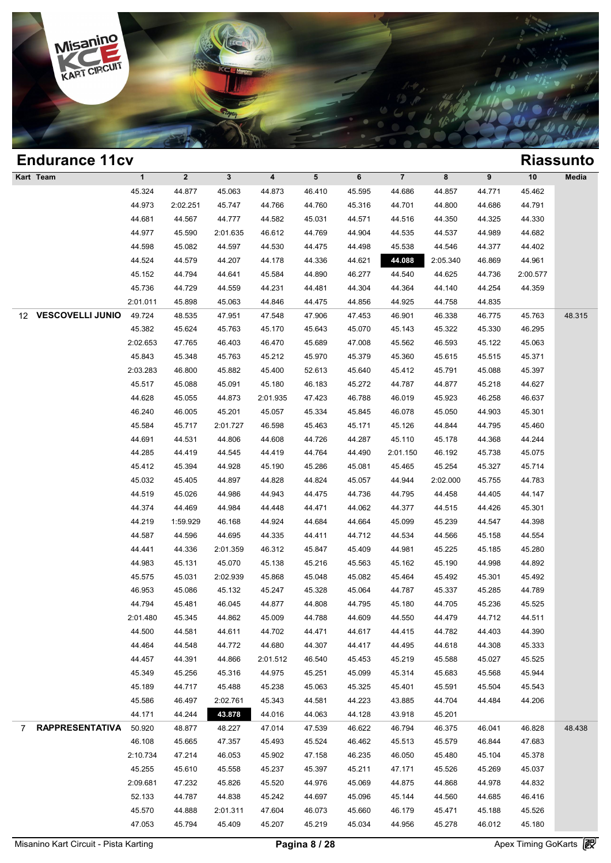

| <b>Endurance 11cv</b>                 |              |              |              |                         |                 |        |          |          |        |          | <b>Riassunto</b> |
|---------------------------------------|--------------|--------------|--------------|-------------------------|-----------------|--------|----------|----------|--------|----------|------------------|
| Kart Team                             | $\mathbf{1}$ | $\mathbf{2}$ | $\mathbf{3}$ | $\overline{\mathbf{4}}$ | $5\phantom{.0}$ | 6      | $\bf 7$  | 8        | 9      | $10$     | Media            |
|                                       | 45.324       | 44.877       | 45.063       | 44.873                  | 46.410          | 45.595 | 44.686   | 44.857   | 44.771 | 45.462   |                  |
|                                       | 44.973       | 2:02.251     | 45.747       | 44.766                  | 44.760          | 45.316 | 44.701   | 44.800   | 44.686 | 44.791   |                  |
|                                       | 44.681       | 44.567       | 44.777       | 44.582                  | 45.031          | 44.571 | 44.516   | 44.350   | 44.325 | 44.330   |                  |
|                                       | 44.977       | 45.590       | 2:01.635     | 46.612                  | 44.769          | 44.904 | 44.535   | 44.537   | 44.989 | 44.682   |                  |
|                                       | 44.598       | 45.082       | 44.597       | 44.530                  | 44.475          | 44.498 | 45.538   | 44.546   | 44.377 | 44.402   |                  |
|                                       | 44.524       | 44.579       | 44.207       | 44.178                  | 44.336          | 44.621 | 44.088   | 2:05.340 | 46.869 | 44.961   |                  |
|                                       | 45.152       | 44.794       | 44.641       | 45.584                  | 44.890          | 46.277 | 44.540   | 44.625   | 44.736 | 2:00.577 |                  |
|                                       | 45.736       | 44.729       | 44.559       | 44.231                  | 44.481          | 44.304 | 44.364   | 44.140   | 44.254 | 44.359   |                  |
|                                       | 2:01.011     | 45.898       | 45.063       | 44.846                  | 44.475          | 44.856 | 44.925   | 44.758   | 44.835 |          |                  |
| 12 VESCOVELLI JUNIO                   | 49.724       | 48.535       | 47.951       | 47.548                  | 47.906          | 47.453 | 46.901   | 46.338   | 46.775 | 45.763   | 48.315           |
|                                       | 45.382       | 45.624       | 45.763       | 45.170                  | 45.643          | 45.070 | 45.143   | 45.322   | 45.330 | 46.295   |                  |
|                                       | 2:02.653     | 47.765       | 46.403       | 46.470                  | 45.689          | 47.008 | 45.562   | 46.593   | 45.122 | 45.063   |                  |
|                                       | 45.843       | 45.348       | 45.763       | 45.212                  | 45.970          | 45.379 | 45.360   | 45.615   | 45.515 | 45.371   |                  |
|                                       | 2:03.283     | 46.800       | 45.882       | 45.400                  | 52.613          | 45.640 | 45.412   | 45.791   | 45.088 | 45.397   |                  |
|                                       | 45.517       | 45.088       | 45.091       | 45.180                  | 46.183          | 45.272 | 44.787   | 44.877   | 45.218 | 44.627   |                  |
|                                       | 44.628       | 45.055       | 44.873       | 2:01.935                | 47.423          | 46.788 | 46.019   | 45.923   | 46.258 | 46.637   |                  |
|                                       | 46.240       | 46.005       | 45.201       | 45.057                  | 45.334          | 45.845 | 46.078   | 45.050   | 44.903 | 45.301   |                  |
|                                       | 45.584       | 45.717       | 2:01.727     | 46.598                  | 45.463          | 45.171 | 45.126   | 44.844   | 44.795 | 45.460   |                  |
|                                       | 44.691       | 44.531       | 44.806       | 44.608                  | 44.726          | 44.287 | 45.110   | 45.178   | 44.368 | 44.244   |                  |
|                                       | 44.285       | 44.419       | 44.545       | 44.419                  | 44.764          | 44.490 | 2:01.150 | 46.192   | 45.738 | 45.075   |                  |
|                                       | 45.412       | 45.394       | 44.928       | 45.190                  | 45.286          | 45.081 | 45.465   | 45.254   | 45.327 | 45.714   |                  |
|                                       | 45.032       | 45.405       | 44.897       | 44.828                  | 44.824          | 45.057 | 44.944   | 2:02.000 | 45.755 | 44.783   |                  |
|                                       | 44.519       | 45.026       | 44.986       | 44.943                  | 44.475          | 44.736 | 44.795   | 44.458   | 44.405 | 44.147   |                  |
|                                       | 44.374       | 44.469       | 44.984       | 44.448                  | 44.471          | 44.062 | 44.377   | 44.515   | 44.426 | 45.301   |                  |
|                                       | 44.219       | 1:59.929     | 46.168       | 44.924                  | 44.684          | 44.664 | 45.099   | 45.239   | 44.547 | 44.398   |                  |
|                                       | 44.587       | 44.596       | 44.695       | 44.335                  | 44.411          | 44.712 | 44.534   | 44.566   | 45.158 | 44.554   |                  |
|                                       | 44.441       | 44.336       | 2:01.359     | 46.312                  | 45.847          | 45.409 | 44.981   | 45.225   | 45.185 | 45.280   |                  |
|                                       | 44.983       | 45.131       | 45.070       | 45.138                  | 45.216          | 45.563 | 45.162   | 45.190   | 44.998 | 44.892   |                  |
|                                       | 45.575       | 45.031       | 2:02.939     | 45.868                  | 45.048          | 45.082 | 45.464   | 45.492   | 45.301 | 45.492   |                  |
|                                       | 46.953       | 45.086       | 45.132       | 45.247                  | 45.328          | 45.064 | 44.787   | 45.337   | 45.285 | 44.789   |                  |
|                                       | 44.794       | 45.481       | 46.045       | 44.877                  | 44.808          | 44.795 | 45.180   | 44.705   | 45.236 | 45.525   |                  |
|                                       | 2:01.480     | 45.345       | 44.862       | 45.009                  | 44.788          | 44.609 | 44.550   | 44.479   | 44.712 | 44.511   |                  |
|                                       | 44.500       | 44.581       | 44.611       | 44.702                  | 44.471          | 44.617 | 44.415   | 44.782   | 44.403 | 44.390   |                  |
|                                       | 44.464       | 44.548       | 44.772       | 44.680                  | 44.307          | 44.417 | 44.495   | 44.618   | 44.308 | 45.333   |                  |
|                                       | 44.457       | 44.391       | 44.866       | 2:01.512                | 46.540          | 45.453 | 45.219   | 45.588   | 45.027 | 45.525   |                  |
|                                       | 45.349       | 45.256       | 45.316       | 44.975                  | 45.251          | 45.099 | 45.314   | 45.683   | 45.568 | 45.944   |                  |
|                                       | 45.189       | 44.717       | 45.488       | 45.238                  | 45.063          | 45.325 | 45.401   | 45.591   | 45.504 | 45.543   |                  |
|                                       | 45.586       | 46.497       | 2:02.761     | 45.343                  | 44.581          | 44.223 | 43.885   | 44.704   | 44.484 | 44.206   |                  |
|                                       | 44.171       | 44.244       | 43.878       | 44.016                  | 44.063          | 44.128 | 43.918   | 45.201   |        |          |                  |
| <b>RAPPRESENTATIVA</b><br>$7^{\circ}$ | 50.920       | 48.877       | 48.227       | 47.014                  | 47.539          | 46.622 | 46.794   | 46.375   | 46.041 | 46.828   | 48.438           |
|                                       | 46.108       | 45.665       | 47.357       | 45.493                  | 45.524          | 46.462 | 45.513   | 45.579   | 46.844 | 47.683   |                  |
|                                       | 2:10.734     | 47.214       | 46.053       | 45.902                  | 47.158          | 46.235 | 46.050   | 45.480   | 45.104 | 45.378   |                  |
|                                       | 45.255       | 45.610       | 45.558       | 45.237                  | 45.397          | 45.211 | 47.171   | 45.526   | 45.269 | 45.037   |                  |
|                                       | 2:09.681     | 47.232       | 45.826       | 45.520                  | 44.976          | 45.069 | 44.875   | 44.868   | 44.978 | 44.832   |                  |
|                                       | 52.133       | 44.787       | 44.838       | 45.242                  | 44.697          | 45.096 | 45.144   | 44.560   | 44.685 | 46.416   |                  |
|                                       | 45.570       | 44.888       | 2:01.311     | 47.604                  | 46.073          | 45.660 | 46.179   | 45.471   | 45.188 | 45.526   |                  |
|                                       | 47.053       | 45.794       | 45.409       | 45.207                  | 45.219          | 45.034 | 44.956   | 45.278   | 46.012 | 45.180   |                  |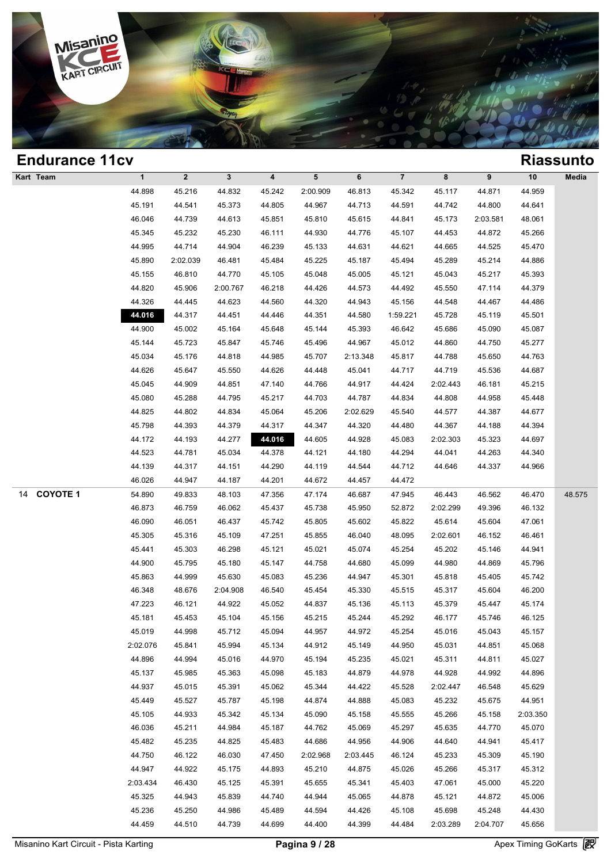

| <b>Endurance 11cv</b> |              |              |              |                         |          |          |                         |          |          |          | <b>Riassunto</b> |
|-----------------------|--------------|--------------|--------------|-------------------------|----------|----------|-------------------------|----------|----------|----------|------------------|
| Kart Team             | $\mathbf{1}$ | $\mathbf{2}$ | $\mathbf{3}$ | $\overline{\mathbf{4}}$ | 5        | 6        | $\overline{\mathbf{7}}$ | 8        | 9        | $10$     | Media            |
|                       | 44.898       | 45.216       | 44.832       | 45.242                  | 2:00.909 | 46.813   | 45.342                  | 45.117   | 44.871   | 44.959   |                  |
|                       | 45.191       | 44.541       | 45.373       | 44.805                  | 44.967   | 44.713   | 44.591                  | 44.742   | 44.800   | 44.641   |                  |
|                       | 46.046       | 44.739       | 44.613       | 45.851                  | 45.810   | 45.615   | 44.841                  | 45.173   | 2:03.581 | 48.061   |                  |
|                       | 45.345       | 45.232       | 45.230       | 46.111                  | 44.930   | 44.776   | 45.107                  | 44.453   | 44.872   | 45.266   |                  |
|                       | 44.995       | 44.714       | 44.904       | 46.239                  | 45.133   | 44.631   | 44.621                  | 44.665   | 44.525   | 45.470   |                  |
|                       | 45.890       | 2:02.039     | 46.481       | 45.484                  | 45.225   | 45.187   | 45.494                  | 45.289   | 45.214   | 44.886   |                  |
|                       | 45.155       | 46.810       | 44.770       | 45.105                  | 45.048   | 45.005   | 45.121                  | 45.043   | 45.217   | 45.393   |                  |
|                       | 44.820       | 45.906       | 2:00.767     | 46.218                  | 44.426   | 44.573   | 44.492                  | 45.550   | 47.114   | 44.379   |                  |
|                       | 44.326       | 44.445       | 44.623       | 44.560                  | 44.320   | 44.943   | 45.156                  | 44.548   | 44.467   | 44.486   |                  |
|                       | 44.016       | 44.317       | 44.451       | 44.446                  | 44.351   | 44.580   | 1:59.221                | 45.728   | 45.119   | 45.501   |                  |
|                       | 44.900       | 45.002       | 45.164       | 45.648                  | 45.144   | 45.393   | 46.642                  | 45.686   | 45.090   | 45.087   |                  |
|                       | 45.144       | 45.723       | 45.847       | 45.746                  | 45.496   | 44.967   | 45.012                  | 44.860   | 44.750   | 45.277   |                  |
|                       | 45.034       | 45.176       | 44.818       | 44.985                  | 45.707   | 2:13.348 | 45.817                  | 44.788   | 45.650   | 44.763   |                  |
|                       | 44.626       | 45.647       | 45.550       | 44.626                  | 44.448   | 45.041   | 44.717                  | 44.719   | 45.536   | 44.687   |                  |
|                       | 45.045       | 44.909       | 44.851       | 47.140                  | 44.766   | 44.917   | 44.424                  | 2:02.443 | 46.181   | 45.215   |                  |
|                       | 45.080       | 45.288       | 44.795       | 45.217                  | 44.703   | 44.787   | 44.834                  | 44.808   | 44.958   | 45.448   |                  |
|                       | 44.825       | 44.802       | 44.834       | 45.064                  | 45.206   | 2:02.629 | 45.540                  | 44.577   | 44.387   | 44.677   |                  |
|                       | 45.798       | 44.393       | 44.379       | 44.317                  | 44.347   | 44.320   | 44.480                  | 44.367   | 44.188   | 44.394   |                  |
|                       | 44.172       | 44.193       | 44.277       | 44.016                  | 44.605   | 44.928   | 45.083                  | 2:02.303 | 45.323   | 44.697   |                  |
|                       | 44.523       | 44.781       | 45.034       | 44.378                  | 44.121   | 44.180   | 44.294                  | 44.041   | 44.263   | 44.340   |                  |
|                       | 44.139       | 44.317       | 44.151       | 44.290                  | 44.119   | 44.544   | 44.712                  | 44.646   | 44.337   | 44.966   |                  |
|                       | 46.026       | 44.947       | 44.187       | 44.201                  | 44.672   | 44.457   | 44.472                  |          |          |          |                  |
| <b>COYOTE 1</b><br>14 | 54.890       | 49.833       | 48.103       | 47.356                  | 47.174   | 46.687   | 47.945                  | 46.443   | 46.562   | 46.470   | 48.575           |
|                       | 46.873       | 46.759       | 46.062       | 45.437                  | 45.738   | 45.950   | 52.872                  | 2:02.299 | 49.396   | 46.132   |                  |
|                       | 46.090       | 46.051       | 46.437       | 45.742                  | 45.805   | 45.602   | 45.822                  | 45.614   | 45.604   | 47.061   |                  |
|                       | 45.305       | 45.316       | 45.109       | 47.251                  | 45.855   | 46.040   | 48.095                  | 2:02.601 | 46.152   | 46.461   |                  |
|                       | 45.441       | 45.303       | 46.298       | 45.121                  | 45.021   | 45.074   | 45.254                  | 45.202   | 45.146   | 44.941   |                  |
|                       | 44.900       | 45.795       | 45.180       | 45.147                  | 44.758   | 44.680   | 45.099                  | 44.980   | 44.869   | 45.796   |                  |
|                       | 45.863       | 44.999       | 45.630       | 45.083                  | 45.236   | 44.947   | 45.301                  | 45.818   | 45.405   | 45.742   |                  |
|                       | 46.348       | 48.676       | 2:04.908     | 46.540                  | 45.454   | 45.330   | 45.515                  | 45.317   | 45.604   | 46.200   |                  |
|                       | 47.223       | 46.121       | 44.922       | 45.052                  | 44.837   | 45.136   | 45.113                  | 45.379   | 45.447   | 45.174   |                  |
|                       | 45.181       | 45.453       | 45.104       | 45.156                  | 45.215   | 45.244   | 45.292                  | 46.177   | 45.746   | 46.125   |                  |
|                       | 45.019       | 44.998       | 45.712       | 45.094                  | 44.957   | 44.972   | 45.254                  | 45.016   | 45.043   | 45.157   |                  |
|                       | 2:02.076     | 45.841       | 45.994       | 45.134                  | 44.912   | 45.149   | 44.950                  | 45.031   | 44.851   | 45.068   |                  |
|                       | 44.896       | 44.994       | 45.016       | 44.970                  | 45.194   | 45.235   | 45.021                  | 45.311   | 44.811   | 45.027   |                  |
|                       | 45.137       | 45.985       | 45.363       | 45.098                  | 45.183   | 44.879   | 44.978                  | 44.928   | 44.992   | 44.896   |                  |
|                       | 44.937       | 45.015       | 45.391       | 45.062                  | 45.344   | 44.422   | 45.528                  | 2:02.447 | 46.548   | 45.629   |                  |
|                       | 45.449       | 45.527       | 45.787       | 45.198                  | 44.874   | 44.888   | 45.083                  | 45.232   | 45.675   | 44.951   |                  |
|                       | 45.105       | 44.933       | 45.342       | 45.134                  | 45.090   | 45.158   | 45.555                  | 45.266   | 45.158   | 2:03.350 |                  |
|                       | 46.036       | 45.211       | 44.984       | 45.187                  | 44.762   | 45.069   | 45.297                  | 45.635   | 44.770   | 45.070   |                  |
|                       | 45.482       | 45.235       | 44.825       | 45.483                  | 44.686   | 44.956   | 44.906                  | 44.640   | 44.941   | 45.417   |                  |
|                       | 44.750       | 46.122       |              |                         |          |          |                         |          |          | 45.190   |                  |
|                       |              |              | 46.030       | 47.450                  | 2:02.968 | 2:03.445 | 46.124                  | 45.233   | 45.309   |          |                  |
|                       | 44.947       | 44.922       | 45.175       | 44.893                  | 45.210   | 44.875   | 45.026                  | 45.266   | 45.317   | 45.312   |                  |
|                       | 2:03.434     | 46.430       | 45.125       | 45.391                  | 45.655   | 45.341   | 45.403                  | 47.061   | 45.000   | 45.220   |                  |
|                       | 45.325       | 44.943       | 45.839       | 44.740                  | 44.944   | 45.065   | 44.878                  | 45.121   | 44.872   | 45.006   |                  |
|                       | 45.236       | 45.250       | 44.986       | 45.489                  | 44.594   | 44.426   | 45.108                  | 45.698   | 45.248   | 44.430   |                  |
|                       | 44.459       | 44.510       | 44.739       | 44.699                  | 44.400   | 44.399   | 44.484                  | 2:03.289 | 2:04.707 | 45.656   |                  |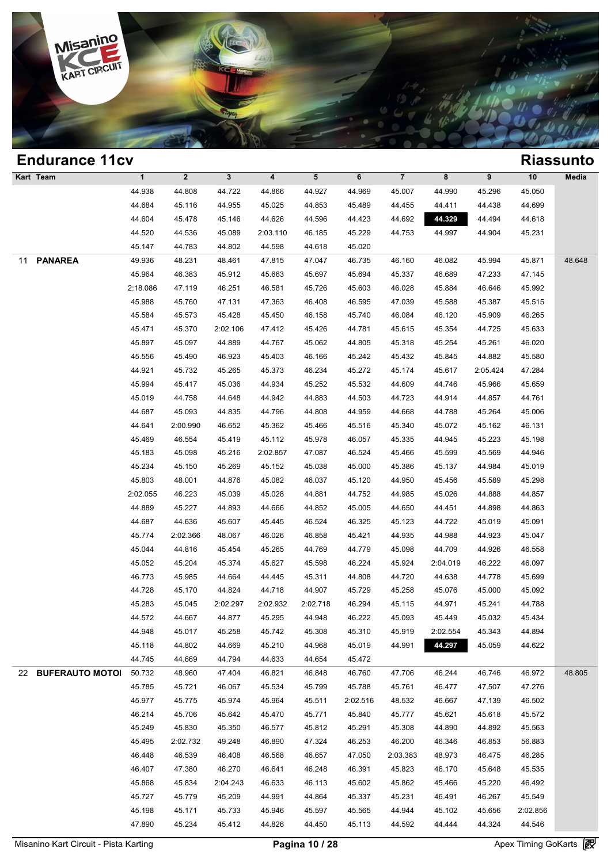

### **Endurance 11cv Riassunto Kart Team 1 2 3 4 5 6 7 8 9 10 Media 1**<br> **1**<br>
44.938 44.808 44.722 44.866 44.927 44.969 45.007 44.990 45.296 45.050<br>
44.684 45.116 44.955 45.025 44.852 45.480 44.455 44.411 44.428 44.600 1 2 3 4 5 6 7 8 9 10 Med<br>44.938 44.808 44.722 44.866 44.927 44.969 45.007 44.990 45.296 45.050<br>44.684 45.116 44.955 45.025 44.853 45.489 44.455 44.411 44.438 44.699<br>44.604 45.116 44.955 45.025 44.853 45.489 44.455 44.411 4 1 2 3 4 5 6 7 8 9 10 Med<br>
44.938 44.808 44.722 44.866 44.927 44.969 45.007 44.990 45.296 45.050<br>
44.684 45.116 44.955 45.025 44.853 45.489 44.455 44.411 44.438 44.699<br>
44.604 45.478 45.146 44.626 44.596 44.423 44.692 44.32 44.938 44.808 44.722 44.866 44.927 44.969 45.007 44.990 45.296 45.050<br>44.684 45.116 44.955 45.025 44.853 45.489 44.455 44.411 44.438 44.699<br>44.604 45.478 45.146 44.626 44.596 44.423 44.692 44.692 44.894 44.618<br>44.520 44.53 44.684 45.116 44.955 45.025 44.853 45.489 44.41<br>44.604 45.478 45.146 44.626 44.596 44.423 44.61<br>44.520 44.536 45.089 2:03.110 46.185 45.229 44.71<br>45.147 44.783 44.802 44.598 44.618 45.020 11 **PANAREA** 49.936 48.231 48.461 47.815 47.047 46.735 46.160 46.082 45.994 45.871 48.648 44.520 44.536 45.089 2:03.110 46.185 45.229 44.753 44.997 44.904 45.231<br>45.147 44.783 44.802 44.598 44.618 45.020<br>49.936 48.231 48.461 47.815 47.047 46.735 46.160 46.082 45.994 45.871 48.6<br>45.964 46.383 45.912 45.663 45.69 46.147 44.783 44.802 44.598 44.618 45.020<br>49.936 48.231 48.461 47.815 47.047 46.735 46.160 46.082 45.994 45.871 48.6<br>45.964 46.383 45.912 45.663 45.697 45.694 45.337 46.689 47.233 47.145<br>2:18.086 47.119 46.251 46.581 45.72 46.936 48.231 48.461 47.815 47.047 46.735 46.160 46.082 45.994 45.871 48.6<br>45.964 46.383 45.912 45.663 45.697 45.694 45.337 46.689 47.233 47.145<br>1:18.086 47.119 46.251 46.581 45.726 45.603 46.028 45.884 46.646 45.992<br>45.98 45.964 46.383 45.912 45.663 45.697 45.694 45.337 46.689 47.233 47.145<br>
2:18.086 47.119 46.251 46.581 45.726 45.603 46.028 45.884 46.646 45.992<br>
45.988 45.760 47.131 47.363 46.408 46.595 47.039 45.588 45.387 45.515<br>
45.584 45.986 47.119 46.251 46.581 45.726 45.603 46.028 45.884 46.646 45.992<br>45.988 45.760 47.131 47.363 46.408 46.595 47.039 45.588 45.387 45.515<br>45.584 45.573 45.428 45.450 46.158 45.740 46.084 46.120 45.909 46.265<br>45.471 45.3 45.988 45.760 47.131 47.363 46.408 46.595 47.039 45.588 45.387 45.515<br>45.584 45.573 45.428 45.450 46.158 45.740 46.084 46.120 45.909 46.265<br>45.471 45.370 2:02.106 47.412 45.426 44.781 45.615 45.354 44.725 45.633<br>45.897 45. 45.584 45.573 45.428 45.450 46.158 45.740 46.084 46.120 45.909 46.265<br>45.471 45.370 2:02.106 47.412 45.426 44.781 45.615 45.354 44.725 45.633<br>45.897 45.097 44.889 44.767 45.062 44.805 45.318 45.254 45.261 46.020<br>45.556 45.4 45.471 45.370 2:02.106 47.412 45.426 44.781 45.615 45.354 44.725 45.633<br>45.897 45.097 44.889 44.767 45.062 44.805 45.318 45.254 45.261 46.020<br>45.556 45.490 46.923 45.403 46.166 45.242 45.432 45.845 44.882 45.580<br>44.921 45. 45.897 46.097 44.889 44.767 45.062 44.805 45.318 45.254 45.261 46.020<br>45.556 45.490 46.923 45.403 46.166 45.242 45.432 45.845 44.882 45.580<br>44.921 45.732 45.265 45.373 46.234 45.272 45.174 45.617 2:05.424 47.284<br>45.994 45. 45.556 45.490 46.923 45.403 46.166 45.242 45.432 45.845 44.882 45.580<br>44.921 45.732 45.265 45.373 46.234 45.272 45.174 45.617 2:05.424 47.284<br>45.994 45.417 45.036 44.934 45.252 45.532 44.609 44.746 45.966 45.659<br>45.019 44. 44.921 45.732 45.265 45.373 46.234 45.272 45.174 45.617 2:05.424 47.284<br>45.994 45.417 45.036 44.934 45.252 45.532 44.609 44.746 45.966 45.659<br>45.019 44.758 44.648 44.942 44.883 44.503 44.723 44.914 44.857 44.761<br>44.687 45. 45.994 45.417 45.036 44.934 45.252 45.532 44.609 44.746 45.966 45.659<br>45.019 44.758 44.648 44.942 44.883 44.503 44.723 44.914 44.857 44.761<br>44.687 45.093 44.835 44.796 44.808 44.959 44.668 44.788 45.264 45.006<br>44.641 2:00.9 46.687 46.69 44.648 44.942 44.883 44.503 44.723 44.914 44.857 44.761<br>44.687 45.093 44.835 44.796 44.808 44.959 44.668 44.788 45.264 45.006<br>44.641 2:00.990 46.652 45.362 45.466 45.516 45.340 45.072 45.162 46.131<br>45.469 46.5 44.687 45.093 44.835 44.796 44.808 44.959 44.668 44.788 45.264 45.006<br>44.641 2:00.990 46.652 45.362 45.466 45.516 45.340 45.072 45.162 46.131<br>45.469 46.554 45.419 45.112 45.978 46.057 45.335 44.945 45.223 45.198<br>45.183 45. 46.641 2:00.990 46.652 45.362 45.466 45.516 45.340 45.072 45.162 46.131<br>45.469 46.554 45.419 45.112 45.978 46.057 45.335 44.945 45.223 45.198<br>45.183 45.098 45.216 2:02.857 47.087 46.524 45.466 45.599 45.569 44.946<br>45.234 4 45.469 46.554 45.419 45.112 45.978 46.057 45.335 44.945 45.223 45.198<br>45.183 45.098 45.216 2:02.857 47.087 46.524 45.466 45.599 45.569 44.946<br>45.234 45.150 45.269 45.152 45.038 45.000 45.386 45.137 44.984 45.019<br>45.803 48. 45.183 45.098 45.216 2:02.857 47.087 46.524 45.466 45.599 45.569 44.946<br>45.234 45.150 45.269 45.152 45.038 45.000 45.386 45.137 44.984 45.019<br>45.803 48.001 44.876 45.082 46.037 45.120 44.950 45.456 45.589 45.298<br>2:02.055 4 45.234 45.150 45.269 45.152 45.038 45.000 45.386 45.137 44.984 45.019<br>45.803 48.001 44.876 45.082 46.037 45.120 44.950 45.456 45.589 45.298<br>1:02.055 46.223 45.039 45.028 44.881 44.752 44.985 45.026 44.888 44.857<br>44.889 45.2 45.803 48.001 44.876 45.082 46.037 45.120 44.950 45.456 45.589 45.298<br>
2:02.055 46.223 45.039 45.028 44.881 44.752 44.985 45.026 44.888 44.857<br>
44.889 45.227 44.893 44.666 44.852 45.005 44.650 44.451 44.898 44.863<br>
44.687 2:02.055 46.223 45.039 45.028 44.881 44.752 44.985 45.026 44.888 44.857<br>44.889 45.227 44.893 44.666 44.852 45.005 44.650 44.451 44.898 44.863<br>44.687 44.636 45.607 45.445 46.524 46.325 45.123 44.722 45.019 45.091<br>45.774 2: 44.889 45.227 44.893 44.666 44.852 45.005 44.650 44.451 44.898 44.863<br>44.687 44.636 45.607 45.445 46.524 46.325 45.123 44.722 45.019 45.091<br>45.774 2:02.366 48.067 46.026 46.858 45.421 44.935 44.988 44.923 45.047<br>45.044 44. 44.687 44.636 45.607 45.445 46.524 46.325 45.123 44.722 45.019 45.091<br>45.774 2:02.366 48.067 46.026 46.858 45.421 44.935 44.988 44.923 45.047<br>45.044 44.816 45.454 45.265 44.769 44.779 45.098 44.709 44.926 46.558<br>45.052 45. 46.774 2:02.366 48.067 46.026 46.858 45.421 44.935 44.988 44.923 45.047<br>45.044 44.816 45.454 45.265 44.769 44.779 45.098 44.709 44.926 46.558<br>45.052 45.204 45.374 45.627 45.598 46.224 45.924 2:04.019 46.222 46.097<br>46.773 4 46.044 44.816 45.454 45.265 44.769 44.779 45.098 44.709 44.926 46.558<br>45.052 45.204 45.374 45.627 45.598 46.224 45.924 2:04.019 46.222 46.097<br>46.773 45.985 44.664 44.445 45.311 44.808 44.720 44.638 44.778 45.699<br>44.728 45. 46.282 46.294 45.374 45.627 45.598 46.224 45.924 2:04.019 46.222 46.097<br>46.773 45.985 44.664 44.445 45.311 44.808 44.720 44.638 44.778 45.699<br>44.728 45.170 44.824 44.718 44.907 45.729 45.258 45.076 45.000 45.092<br>45.283 45. 46.773 45.985 44.664 44.445 45.311 44.808 44.720 44.638 44.778 45.699<br>44.728 45.170 44.824 44.718 44.907 45.729 45.258 45.076 45.000 45.092<br>45.283 45.045 2:02.297 2:02.932 2:02.718 46.294 45.115 44.971 45.241 44.788<br>44.572 44.728 45.170 44.824 44.718 44.907 45.729 45.258 45.076 45.000 45.092<br>45.283 45.045 2:02.297 2:02.932 2:02.718 46.294 45.115 44.971 45.241 44.788<br>44.572 44.667 44.877 45.295 44.948 46.222 45.093 45.449 45.032 45.434<br>44.948 45.283 45.045 2:02.297 2:02.932 2:02.718 46.294 45.115 44.971 45.241 44.788<br>44.572 44.667 44.877 45.295 44.948 46.222 45.093 45.449 45.032 45.434<br>44.948 45.017 45.258 45.742 45.308 45.310 45.919 2:02.554 45.343 44.894<br>45.1 44.572 44.667 44.877 45.295 44.948 46.222 45.01<br>44.948 45.017 45.258 45.742 45.308 45.310 45.9<br>45.118 44.802 44.669 45.210 44.968 45.019 44.91<br>44.745 44.669 44.794 44.633 44.654 45.472 22 **BUFERAUTO MOTORSPORT** 50.732 48.960 47.404 46.821 46.848 46.760 47.706 46.244 46.746 46.972 48.805 45.118 44.802 44.669 45.210 44.968 45.019 44.991 44.297 45.059 44.622<br>44.745 44.669 44.794 44.633 44.654 45.472<br>50.732 48.960 47.404 46.821 46.848 46.760 47.706 46.244 46.746 46.972 48.8<br>45.785 45.721 46.067 45.534 45.799 44.745 44.669 44.794 44.633 44.654 45.472<br>
50.732 48.960 47.404 46.821 46.848 46.760 47.706 46.244 46.746 46.972 48.8<br>
45.785 45.721 46.067 45.534 45.799 45.788 45.761 46.477 47.507 47.276<br>
45.977 45.775 45.974 45.964 45.5 46.785 46.960 47.404 46.821 46.848 46.760 47.706 46.244 46.746 46.972 48.8<br>45.785 45.721 46.067 45.534 45.799 45.788 45.761 46.477 47.507 47.276<br>45.977 45.775 45.974 45.964 45.511 2:02.516 48.532 46.667 47.139 46.502<br>46.21 45.785 45.721 46.067 45.534 45.799 45.788 45.761 46.477 47.507 47.276<br>45.977 45.775 45.974 45.964 45.511 2:02.516 48.532 46.667 47.139 46.502<br>46.214 45.706 45.642 45.470 45.771 45.840 45.777 45.621 45.618 45.572<br>45.249 45. 46.214 45.775 45.974 45.964 45.511 2:02.516 48.532 46.667 47.139 46.502<br>46.214 45.706 45.642 45.470 45.771 45.840 45.777 45.621 45.618 45.572<br>45.249 45.830 45.350 46.577 45.812 45.291 45.308 44.890 44.892 45.563<br>45.495 2:02 46.214 45.706 45.642 45.470 45.771 45.840 45.777 45.621 45.618 45.572<br>45.249 45.830 45.350 46.577 45.812 45.291 45.308 44.890 44.892 45.563<br>45.495 2:02.732 49.248 46.890 47.324 46.253 46.200 46.346 46.853 56.883<br>46.448 46. 46.249 45.830 45.350 46.577 45.812 45.291 45.308 44.890 44.892 45.563<br>45.495 2:02.732 49.248 46.890 47.324 46.253 46.200 46.346 46.853 56.883<br>46.448 46.539 46.408 46.568 46.657 47.050 2:03.383 48.973 46.475 46.285<br>46.407 47 45.495 2:02.732 49.248 46.890 47.324 46.253 46.200 46.346 46.853 56.883<br>46.448 46.539 46.408 46.568 46.657 47.050 2:03.383 48.973 46.475 46.285<br>46.407 47.380 46.270 46.641 46.248 46.391 45.823 46.170 45.648 45.535<br>45.868 4 46.448 46.539 46.408 46.568 46.657 47.050 2:03.383 48.973 46.475 46.285<br>46.407 47.380 46.270 46.641 46.248 46.391 45.823 46.170 45.648 45.535<br>45.868 45.834 2:04.243 46.633 46.113 45.602 45.862 45.466 45.220 46.492<br>45.727 4 46.407 47.380 46.270 46.641 46.248 46.391 45.823 46.170 45.648 45.535<br>45.868 45.834 2:04.243 46.633 46.113 45.602 45.862 45.466 45.220 46.492<br>45.727 45.779 45.209 44.991 44.864 45.337 45.231 46.491 46.267 45.549<br>45.198 45.1 45.868 45.834 2:04.243 46.633 46.113 45.602 45.862 45.466 45.220 46.492<br>45.727 45.779 45.209 44.991 44.864 45.337 45.231 46.491 46.267 45.549<br>45.198 45.171 45.733 45.946 45.597 45.565 44.944 45.102 45.656 2:02.856<br>47.890 4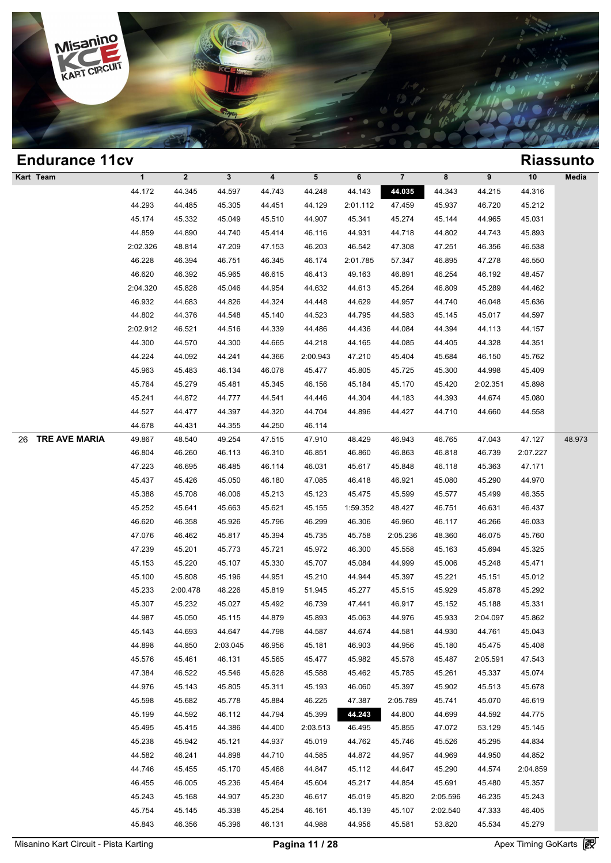

| <b>Endurance 11cv</b>      |              |              |              |        |          |          |          |          |          |          | <b>Riassunto</b> |
|----------------------------|--------------|--------------|--------------|--------|----------|----------|----------|----------|----------|----------|------------------|
| Kart Team                  | $\mathbf{1}$ | $\mathbf{2}$ | $\mathbf{3}$ | 4      | 5        | 6        | $\bf 7$  | 8        | 9        | $10$     | Media            |
|                            | 44.172       | 44.345       | 44.597       | 44.743 | 44.248   | 44.143   | 44.035   | 44.343   | 44.215   | 44.316   |                  |
|                            | 44.293       | 44.485       | 45.305       | 44.451 | 44.129   | 2:01.112 | 47.459   | 45.937   | 46.720   | 45.212   |                  |
|                            | 45.174       | 45.332       | 45.049       | 45.510 | 44.907   | 45.341   | 45.274   | 45.144   | 44.965   | 45.031   |                  |
|                            | 44.859       | 44.890       | 44.740       | 45.414 | 46.116   | 44.931   | 44.718   | 44.802   | 44.743   | 45.893   |                  |
|                            | 2:02.326     | 48.814       | 47.209       | 47.153 | 46.203   | 46.542   | 47.308   | 47.251   | 46.356   | 46.538   |                  |
|                            | 46.228       | 46.394       | 46.751       | 46.345 | 46.174   | 2:01.785 | 57.347   | 46.895   | 47.278   | 46.550   |                  |
|                            | 46.620       | 46.392       | 45.965       | 46.615 | 46.413   | 49.163   | 46.891   | 46.254   | 46.192   | 48.457   |                  |
|                            | 2:04.320     | 45.828       | 45.046       | 44.954 | 44.632   | 44.613   | 45.264   | 46.809   | 45.289   | 44.462   |                  |
|                            | 46.932       | 44.683       | 44.826       | 44.324 | 44.448   | 44.629   | 44.957   | 44.740   | 46.048   | 45.636   |                  |
|                            | 44.802       | 44.376       | 44.548       | 45.140 | 44.523   | 44.795   | 44.583   | 45.145   | 45.017   | 44.597   |                  |
|                            | 2:02.912     | 46.521       | 44.516       | 44.339 | 44.486   | 44.436   | 44.084   | 44.394   | 44.113   | 44.157   |                  |
|                            | 44.300       | 44.570       | 44.300       | 44.665 | 44.218   | 44.165   | 44.085   | 44.405   | 44.328   | 44.351   |                  |
|                            | 44.224       | 44.092       | 44.241       | 44.366 | 2:00.943 | 47.210   | 45.404   | 45.684   | 46.150   | 45.762   |                  |
|                            | 45.963       | 45.483       | 46.134       | 46.078 | 45.477   | 45.805   | 45.725   | 45.300   | 44.998   | 45.409   |                  |
|                            | 45.764       | 45.279       | 45.481       | 45.345 | 46.156   | 45.184   | 45.170   | 45.420   | 2:02.351 | 45.898   |                  |
|                            | 45.241       | 44.872       | 44.777       | 44.541 | 44.446   | 44.304   | 44.183   | 44.393   | 44.674   | 45.080   |                  |
|                            | 44.527       | 44.477       | 44.397       | 44.320 | 44.704   | 44.896   | 44.427   | 44.710   | 44.660   | 44.558   |                  |
|                            | 44.678       | 44.431       | 44.355       | 44.250 | 46.114   |          |          |          |          |          |                  |
| <b>TRE AVE MARIA</b><br>26 | 49.867       | 48.540       | 49.254       | 47.515 | 47.910   | 48.429   | 46.943   | 46.765   | 47.043   | 47.127   | 48.973           |
|                            | 46.804       | 46.260       | 46.113       | 46.310 | 46.851   | 46.860   | 46.863   | 46.818   | 46.739   | 2:07.227 |                  |
|                            | 47.223       | 46.695       | 46.485       | 46.114 | 46.031   | 45.617   | 45.848   | 46.118   | 45.363   | 47.171   |                  |
|                            | 45.437       | 45.426       | 45.050       | 46.180 | 47.085   | 46.418   | 46.921   | 45.080   | 45.290   | 44.970   |                  |
|                            | 45.388       | 45.708       | 46.006       | 45.213 | 45.123   | 45.475   | 45.599   | 45.577   | 45.499   | 46.355   |                  |
|                            | 45.252       | 45.641       | 45.663       | 45.621 | 45.155   | 1:59.352 | 48.427   | 46.751   | 46.631   | 46.437   |                  |
|                            | 46.620       | 46.358       | 45.926       | 45.796 | 46.299   | 46.306   | 46.960   | 46.117   | 46.266   | 46.033   |                  |
|                            | 47.076       | 46.462       | 45.817       | 45.394 | 45.735   | 45.758   | 2:05.236 | 48.360   | 46.075   | 45.760   |                  |
|                            | 47.239       | 45.201       | 45.773       | 45.721 | 45.972   | 46.300   | 45.558   | 45.163   | 45.694   | 45.325   |                  |
|                            | 45.153       | 45.220       | 45.107       | 45.330 | 45.707   | 45.084   | 44.999   | 45.006   | 45.248   | 45.471   |                  |
|                            | 45.100       | 45.808       | 45.196       | 44.951 | 45.210   | 44.944   | 45.397   | 45.221   | 45.151   | 45.012   |                  |
|                            | 45.233       | 2:00.478     | 48.226       | 45.819 | 51.945   | 45.277   | 45.515   | 45.929   | 45.878   | 45.292   |                  |
|                            | 45.307       | 45.232       | 45.027       | 45.492 | 46.739   | 47.441   | 46.917   | 45.152   | 45.188   | 45.331   |                  |
|                            | 44.987       | 45.050       | 45.115       | 44.879 | 45.893   | 45.063   | 44.976   | 45.933   | 2:04.097 | 45.862   |                  |
|                            | 45.143       | 44.693       | 44.647       | 44.798 | 44.587   | 44.674   | 44.581   | 44.930   | 44.761   | 45.043   |                  |
|                            | 44.898       | 44.850       | 2:03.045     | 46.956 | 45.181   | 46.903   | 44.956   | 45.180   | 45.475   | 45.408   |                  |
|                            | 45.576       | 45.461       | 46.131       | 45.565 | 45.477   | 45.982   | 45.578   | 45.487   | 2:05.591 | 47.543   |                  |
|                            | 47.384       | 46.522       | 45.546       | 45.628 | 45.588   | 45.462   | 45.785   | 45.261   | 45.337   | 45.074   |                  |
|                            | 44.976       | 45.143       | 45.805       | 45.311 | 45.193   | 46.060   | 45.397   | 45.902   | 45.513   | 45.678   |                  |
|                            | 45.598       | 45.682       | 45.778       | 45.884 | 46.225   | 47.387   | 2:05.789 | 45.741   | 45.070   | 46.619   |                  |
|                            | 45.199       | 44.592       | 46.112       | 44.794 | 45.399   | 44.243   | 44.800   | 44.699   | 44.592   | 44.775   |                  |
|                            | 45.495       | 45.415       | 44.386       | 44.400 | 2:03.513 | 46.495   | 45.855   | 47.072   | 53.129   | 45.145   |                  |
|                            | 45.238       | 45.942       | 45.121       | 44.937 | 45.019   | 44.762   | 45.746   | 45.526   | 45.295   | 44.834   |                  |
|                            | 44.582       | 46.241       | 44.898       | 44.710 | 44.585   | 44.872   | 44.957   | 44.969   | 44.950   | 44.852   |                  |
|                            | 44.746       | 45.455       | 45.170       | 45.468 | 44.847   | 45.112   | 44.647   | 45.290   | 44.574   | 2:04.859 |                  |
|                            | 46.455       | 46.005       | 45.236       | 45.464 | 45.604   | 45.217   | 44.854   | 45.691   | 45.480   | 45.357   |                  |
|                            | 45.243       | 45.168       | 44.907       | 45.230 | 46.617   | 45.019   | 45.820   | 2:05.596 | 46.235   | 45.243   |                  |
|                            | 45.754       | 45.145       | 45.338       | 45.254 | 46.161   | 45.139   | 45.107   | 2:02.540 | 47.333   | 46.405   |                  |
|                            | 45.843       | 46.356       | 45.396       | 46.131 | 44.988   | 44.956   | 45.581   | 53.820   | 45.534   | 45.279   |                  |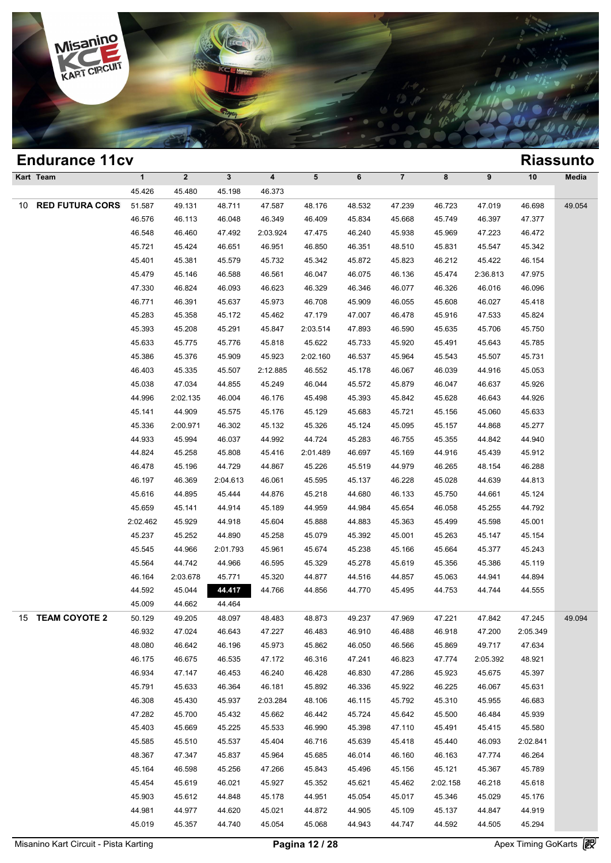

|    | <b>Endurance 11cv</b>   |              |              |              |                         |          |        |                |          |          |          | <b>Riassunto</b> |
|----|-------------------------|--------------|--------------|--------------|-------------------------|----------|--------|----------------|----------|----------|----------|------------------|
|    | Kart Team               | $\mathbf{1}$ | $\mathbf{2}$ | $\mathbf{3}$ | $\overline{\mathbf{4}}$ | 5        | 6      | $\overline{7}$ | 8        | 9        | 10       | Media            |
|    |                         | 45.426       | 45.480       | 45.198       | 46.373                  |          |        |                |          |          |          |                  |
| 10 | <b>RED FUTURA CORSI</b> | 51.587       | 49.131       | 48.711       | 47.587                  | 48.176   | 48.532 | 47.239         | 46.723   | 47.019   | 46.698   | 49.054           |
|    |                         | 46.576       | 46.113       | 46.048       | 46.349                  | 46.409   | 45.834 | 45.668         | 45.749   | 46.397   | 47.377   |                  |
|    |                         | 46.548       | 46.460       | 47.492       | 2:03.924                | 47.475   | 46.240 | 45.938         | 45.969   | 47.223   | 46.472   |                  |
|    |                         | 45.721       | 45.424       | 46.651       | 46.951                  | 46.850   | 46.351 | 48.510         | 45.831   | 45.547   | 45.342   |                  |
|    |                         | 45.401       | 45.381       | 45.579       | 45.732                  | 45.342   | 45.872 | 45.823         | 46.212   | 45.422   | 46.154   |                  |
|    |                         | 45.479       | 45.146       | 46.588       | 46.561                  | 46.047   | 46.075 | 46.136         | 45.474   | 2:36.813 | 47.975   |                  |
|    |                         | 47.330       | 46.824       | 46.093       | 46.623                  | 46.329   | 46.346 | 46.077         | 46.326   | 46.016   | 46.096   |                  |
|    |                         | 46.771       | 46.391       | 45.637       | 45.973                  | 46.708   | 45.909 | 46.055         | 45.608   | 46.027   | 45.418   |                  |
|    |                         | 45.283       | 45.358       | 45.172       | 45.462                  | 47.179   | 47.007 | 46.478         | 45.916   | 47.533   | 45.824   |                  |
|    |                         | 45.393       | 45.208       | 45.291       | 45.847                  | 2:03.514 | 47.893 | 46.590         | 45.635   | 45.706   | 45.750   |                  |
|    |                         | 45.633       | 45.775       | 45.776       | 45.818                  | 45.622   | 45.733 | 45.920         | 45.491   | 45.643   | 45.785   |                  |
|    |                         | 45.386       | 45.376       | 45.909       | 45.923                  | 2:02.160 | 46.537 | 45.964         | 45.543   | 45.507   | 45.731   |                  |
|    |                         | 46.403       | 45.335       | 45.507       | 2:12.885                | 46.552   | 45.178 | 46.067         | 46.039   | 44.916   | 45.053   |                  |
|    |                         | 45.038       | 47.034       | 44.855       | 45.249                  | 46.044   | 45.572 | 45.879         | 46.047   | 46.637   | 45.926   |                  |
|    |                         | 44.996       | 2:02.135     | 46.004       | 46.176                  | 45.498   | 45.393 | 45.842         | 45.628   | 46.643   | 44.926   |                  |
|    |                         | 45.141       | 44.909       | 45.575       | 45.176                  | 45.129   | 45.683 | 45.721         | 45.156   | 45.060   | 45.633   |                  |
|    |                         | 45.336       | 2:00.971     | 46.302       | 45.132                  | 45.326   | 45.124 | 45.095         | 45.157   | 44.868   | 45.277   |                  |
|    |                         | 44.933       | 45.994       | 46.037       | 44.992                  | 44.724   | 45.283 | 46.755         | 45.355   | 44.842   | 44.940   |                  |
|    |                         | 44.824       | 45.258       | 45.808       | 45.416                  | 2:01.489 | 46.697 | 45.169         | 44.916   | 45.439   | 45.912   |                  |
|    |                         | 46.478       | 45.196       | 44.729       | 44.867                  | 45.226   | 45.519 | 44.979         | 46.265   | 48.154   | 46.288   |                  |
|    |                         | 46.197       | 46.369       | 2:04.613     | 46.061                  | 45.595   | 45.137 | 46.228         | 45.028   | 44.639   | 44.813   |                  |
|    |                         | 45.616       | 44.895       | 45.444       | 44.876                  | 45.218   | 44.680 | 46.133         | 45.750   | 44.661   | 45.124   |                  |
|    |                         | 45.659       | 45.141       | 44.914       | 45.189                  | 44.959   | 44.984 | 45.654         | 46.058   | 45.255   | 44.792   |                  |
|    |                         | 2:02.462     | 45.929       | 44.918       | 45.604                  | 45.888   | 44.883 | 45.363         | 45.499   | 45.598   | 45.001   |                  |
|    |                         | 45.237       | 45.252       | 44.890       | 45.258                  | 45.079   | 45.392 | 45.001         | 45.263   | 45.147   | 45.154   |                  |
|    |                         | 45.545       | 44.966       | 2:01.793     | 45.961                  | 45.674   | 45.238 | 45.166         | 45.664   | 45.377   | 45.243   |                  |
|    |                         | 45.564       | 44.742       | 44.966       | 46.595                  | 45.329   | 45.278 | 45.619         | 45.356   | 45.386   | 45.119   |                  |
|    |                         | 46.164       | 2:03.678     | 45.771       | 45.320                  | 44.877   | 44.516 | 44.857         | 45.063   | 44.941   | 44.894   |                  |
|    |                         | 44.592       | 45.044       | 44.417       | 44.766                  | 44.856   | 44.770 | 45.495         | 44.753   | 44.744   | 44.555   |                  |
|    |                         | 45.009       | 44.662       | 44.464       |                         |          |        |                |          |          |          |                  |
|    | 15 TEAM COYOTE 2        | 50.129       | 49.205       | 48.097       | 48.483                  | 48.873   | 49.237 | 47.969         | 47.221   | 47.842   | 47.245   | 49.094           |
|    |                         | 46.932       | 47.024       | 46.643       | 47.227                  | 46.483   | 46.910 | 46.488         | 46.918   | 47.200   | 2:05.349 |                  |
|    |                         | 48.080       | 46.642       | 46.196       | 45.973                  | 45.862   | 46.050 | 46.566         | 45.869   | 49.717   | 47.634   |                  |
|    |                         | 46.175       | 46.675       | 46.535       | 47.172                  | 46.316   | 47.241 | 46.823         | 47.774   | 2:05.392 | 48.921   |                  |
|    |                         | 46.934       | 47.147       | 46.453       | 46.240                  | 46.428   | 46.830 | 47.286         | 45.923   | 45.675   | 45.397   |                  |
|    |                         | 45.791       | 45.633       | 46.364       | 46.181                  | 45.892   | 46.336 | 45.922         | 46.225   | 46.067   | 45.631   |                  |
|    |                         | 46.308       | 45.430       | 45.937       | 2:03.284                | 48.106   | 46.115 | 45.792         | 45.310   | 45.955   | 46.683   |                  |
|    |                         | 47.282       | 45.700       | 45.432       | 45.662                  | 46.442   | 45.724 | 45.642         | 45.500   | 46.484   | 45.939   |                  |
|    |                         | 45.403       | 45.669       | 45.225       | 45.533                  | 46.990   | 45.398 | 47.110         | 45.491   | 45.415   | 45.580   |                  |
|    |                         | 45.585       | 45.510       | 45.537       | 45.404                  | 46.716   | 45.639 | 45.418         | 45.440   | 46.093   | 2:02.841 |                  |
|    |                         | 48.367       | 47.347       | 45.837       |                         | 45.685   |        |                |          |          |          |                  |
|    |                         |              |              |              | 45.964                  |          | 46.014 | 46.160         | 46.163   | 47.774   | 46.264   |                  |
|    |                         | 45.164       | 46.598       | 45.256       | 47.266                  | 45.843   | 45.496 | 45.156         | 45.121   | 45.367   | 45.789   |                  |
|    |                         | 45.454       | 45.619       | 46.021       | 45.927                  | 45.352   | 45.621 | 45.462         | 2:02.158 | 46.218   | 45.618   |                  |
|    |                         | 45.903       | 45.612       | 44.848       | 45.178                  | 44.951   | 45.054 | 45.017         | 45.346   | 45.029   | 45.176   |                  |
|    |                         | 44.981       | 44.977       | 44.620       | 45.021                  | 44.872   | 44.905 | 45.109         | 45.137   | 44.847   | 44.919   |                  |
|    |                         | 45.019       | 45.357       | 44.740       | 45.054                  | 45.068   | 44.943 | 44.747         | 44.592   | 44.505   | 45.294   |                  |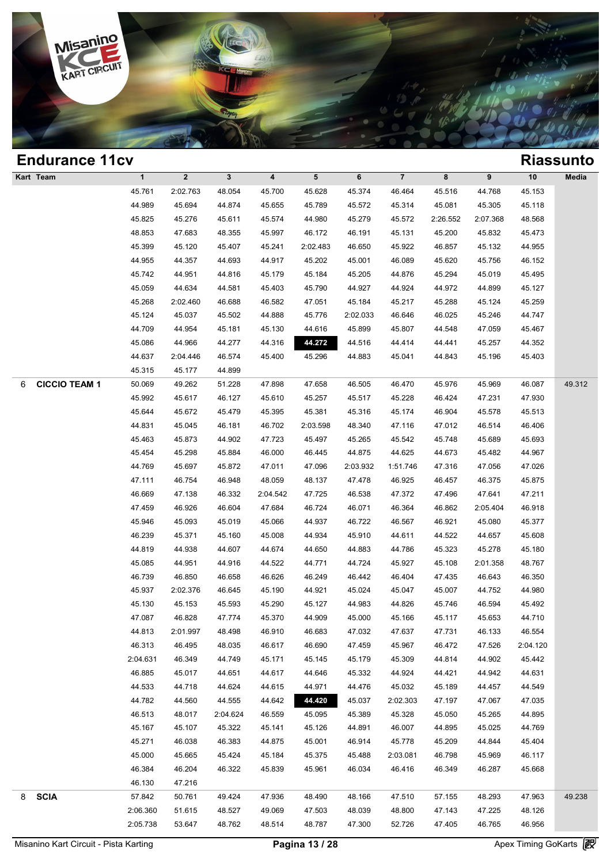

| <b>Endurance 11cv</b>     |              |              |              |                         |                 |          |                |          |          |          | <b>Riassunto</b> |
|---------------------------|--------------|--------------|--------------|-------------------------|-----------------|----------|----------------|----------|----------|----------|------------------|
| Kart Team                 | $\mathbf{1}$ | $\mathbf{2}$ | $\mathbf{3}$ | $\overline{\mathbf{4}}$ | $5\phantom{.0}$ | 6        | $\overline{7}$ | 8        | 9        | 10       | Media            |
|                           | 45.761       | 2:02.763     | 48.054       | 45.700                  | 45.628          | 45.374   | 46.464         | 45.516   | 44.768   | 45.153   |                  |
|                           | 44.989       | 45.694       | 44.874       | 45.655                  | 45.789          | 45.572   | 45.314         | 45.081   | 45.305   | 45.118   |                  |
|                           | 45.825       | 45.276       | 45.611       | 45.574                  | 44.980          | 45.279   | 45.572         | 2:26.552 | 2:07.368 | 48.568   |                  |
|                           | 48.853       | 47.683       | 48.355       | 45.997                  | 46.172          | 46.191   | 45.131         | 45.200   | 45.832   | 45.473   |                  |
|                           | 45.399       | 45.120       | 45.407       | 45.241                  | 2:02.483        | 46.650   | 45.922         | 46.857   | 45.132   | 44.955   |                  |
|                           | 44.955       | 44.357       | 44.693       | 44.917                  | 45.202          | 45.001   | 46.089         | 45.620   | 45.756   | 46.152   |                  |
|                           | 45.742       | 44.951       | 44.816       | 45.179                  | 45.184          | 45.205   | 44.876         | 45.294   | 45.019   | 45.495   |                  |
|                           | 45.059       | 44.634       | 44.581       | 45.403                  | 45.790          | 44.927   | 44.924         | 44.972   | 44.899   | 45.127   |                  |
|                           | 45.268       | 2:02.460     | 46.688       | 46.582                  | 47.051          | 45.184   | 45.217         | 45.288   | 45.124   | 45.259   |                  |
|                           | 45.124       | 45.037       | 45.502       | 44.888                  | 45.776          | 2:02.033 | 46.646         | 46.025   | 45.246   | 44.747   |                  |
|                           | 44.709       | 44.954       | 45.181       | 45.130                  | 44.616          | 45.899   | 45.807         | 44.548   | 47.059   | 45.467   |                  |
|                           | 45.086       | 44.966       | 44.277       | 44.316                  | 44.272          | 44.516   | 44.414         | 44.441   | 45.257   | 44.352   |                  |
|                           | 44.637       | 2:04.446     | 46.574       | 45.400                  | 45.296          | 44.883   | 45.041         | 44.843   | 45.196   | 45.403   |                  |
|                           | 45.315       | 45.177       | 44.899       |                         |                 |          |                |          |          |          |                  |
| <b>CICCIO TEAM 1</b><br>6 | 50.069       | 49.262       | 51.228       | 47.898                  | 47.658          | 46.505   | 46.470         | 45.976   | 45.969   | 46.087   | 49.312           |
|                           | 45.992       | 45.617       | 46.127       | 45.610                  | 45.257          | 45.517   | 45.228         | 46.424   | 47.231   | 47.930   |                  |
|                           | 45.644       | 45.672       | 45.479       | 45.395                  | 45.381          | 45.316   | 45.174         | 46.904   | 45.578   | 45.513   |                  |
|                           | 44.831       | 45.045       | 46.181       | 46.702                  | 2:03.598        | 48.340   | 47.116         | 47.012   | 46.514   | 46.406   |                  |
|                           | 45.463       | 45.873       | 44.902       | 47.723                  | 45.497          | 45.265   | 45.542         | 45.748   | 45.689   | 45.693   |                  |
|                           | 45.454       | 45.298       | 45.884       | 46.000                  | 46.445          | 44.875   | 44.625         | 44.673   | 45.482   | 44.967   |                  |
|                           | 44.769       | 45.697       | 45.872       | 47.011                  | 47.096          | 2:03.932 | 1:51.746       | 47.316   | 47.056   | 47.026   |                  |
|                           | 47.111       | 46.754       | 46.948       | 48.059                  | 48.137          | 47.478   | 46.925         | 46.457   | 46.375   | 45.875   |                  |
|                           | 46.669       | 47.138       | 46.332       | 2:04.542                | 47.725          | 46.538   | 47.372         | 47.496   | 47.641   | 47.211   |                  |
|                           | 47.459       | 46.926       | 46.604       | 47.684                  | 46.724          | 46.071   | 46.364         | 46.862   | 2:05.404 | 46.918   |                  |
|                           | 45.946       | 45.093       | 45.019       | 45.066                  | 44.937          | 46.722   | 46.567         | 46.921   | 45.080   | 45.377   |                  |
|                           | 46.239       | 45.371       | 45.160       | 45.008                  | 44.934          | 45.910   | 44.611         | 44.522   | 44.657   | 45.608   |                  |
|                           | 44.819       | 44.938       | 44.607       | 44.674                  | 44.650          | 44.883   | 44.786         | 45.323   | 45.278   | 45.180   |                  |
|                           | 45.085       | 44.951       | 44.916       | 44.522                  | 44.771          | 44.724   | 45.927         | 45.108   | 2:01.358 | 48.767   |                  |
|                           | 46.739       | 46.850       | 46.658       | 46.626                  | 46.249          | 46.442   | 46.404         | 47.435   | 46.643   | 46.350   |                  |
|                           | 45.937       | 2:02.376     | 46.645       | 45.190                  | 44.921          | 45.024   | 45.047         | 45.007   | 44.752   | 44.980   |                  |
|                           | 45.130       | 45.153       | 45.593       | 45.290                  | 45.127          | 44.983   | 44.826         | 45.746   | 46.594   | 45.492   |                  |
|                           | 47.087       | 46.828       | 47.774       | 45.370                  | 44.909          | 45.000   | 45.166         | 45.117   | 45.653   | 44.710   |                  |
|                           | 44.813       | 2:01.997     | 48.498       | 46.910                  | 46.683          | 47.032   | 47.637         | 47.731   | 46.133   | 46.554   |                  |
|                           | 46.313       | 46.495       | 48.035       | 46.617                  | 46.690          | 47.459   | 45.967         | 46.472   | 47.526   | 2:04.120 |                  |
|                           | 2:04.631     | 46.349       | 44.749       | 45.171                  | 45.145          | 45.179   | 45.309         | 44.814   | 44.902   | 45.442   |                  |
|                           | 46.885       | 45.017       | 44.651       | 44.617                  | 44.646          | 45.332   | 44.924         | 44.421   | 44.942   | 44.631   |                  |
|                           | 44.533       | 44.718       | 44.624       | 44.615                  | 44.971          | 44.476   | 45.032         | 45.189   | 44.457   | 44.549   |                  |
|                           | 44.782       | 44.560       | 44.555       | 44.642                  | 44.420          | 45.037   | 2:02.303       | 47.197   | 47.067   | 47.035   |                  |
|                           | 46.513       | 48.017       | 2:04.624     | 46.559                  | 45.095          | 45.389   | 45.328         | 45.050   | 45.265   | 44.895   |                  |
|                           | 45.167       | 45.107       | 45.322       | 45.141                  | 45.126          | 44.891   | 46.007         | 44.895   | 45.025   | 44.769   |                  |
|                           | 45.271       | 46.038       | 46.383       | 44.875                  | 45.001          | 46.914   | 45.778         | 45.209   | 44.844   | 45.404   |                  |
|                           | 45.000       | 45.665       | 45.424       | 45.184                  | 45.375          | 45.488   | 2:03.081       | 46.798   | 45.969   | 46.117   |                  |
|                           | 46.384       | 46.204       | 46.322       | 45.839                  | 45.961          | 46.034   | 46.416         | 46.349   | 46.287   | 45.668   |                  |
|                           | 46.130       | 47.216       |              |                         |                 |          |                |          |          |          |                  |
| <b>SCIA</b><br>8          | 57.842       | 50.761       | 49.424       | 47.936                  | 48.490          | 48.166   | 47.510         | 57.155   | 48.293   | 47.963   | 49.238           |
|                           | 2:06.360     | 51.615       | 48.527       | 49.069                  | 47.503          | 48.039   | 48.800         | 47.143   | 47.225   | 48.126   |                  |
|                           |              |              |              |                         |                 |          |                |          |          |          |                  |
|                           | 2:05.738     | 53.647       | 48.762       | 48.514                  | 48.787          | 47.300   | 52.726         | 47.405   | 46.765   | 46.956   |                  |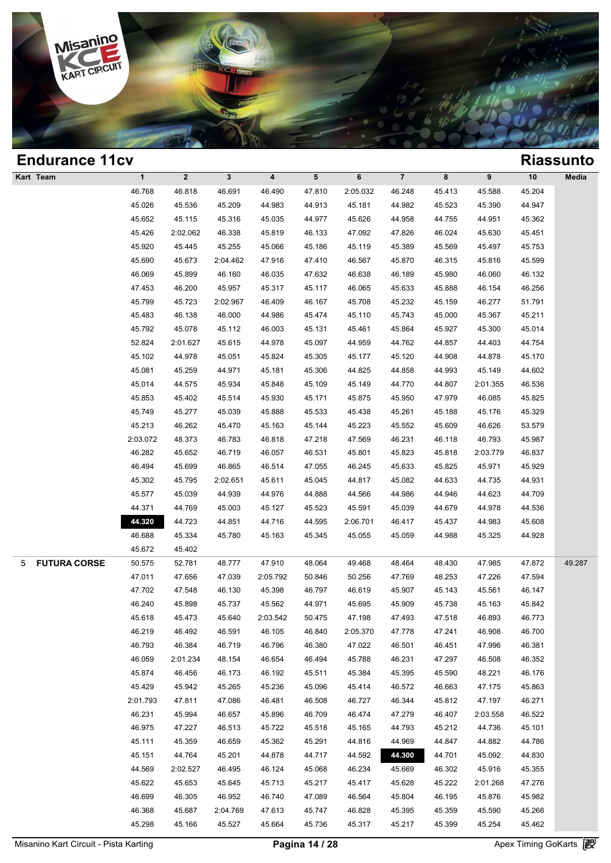

| <b>Endurance 11cv</b>    |              |              |              |                         |        |          |                |        |          |        | <b>Riassunto</b> |
|--------------------------|--------------|--------------|--------------|-------------------------|--------|----------|----------------|--------|----------|--------|------------------|
| Kart Team                | $\mathbf{1}$ | $\mathbf{2}$ | $\mathbf{3}$ | $\overline{\mathbf{4}}$ | 5      | 6        | $\overline{7}$ | 8      | 9        | 10     | Media            |
|                          | 46.768       | 46.818       | 46.691       | 46.490                  | 47.810 | 2:05.032 | 46.248         | 45.413 | 45.588   | 45.204 |                  |
|                          | 45.026       | 45.536       | 45.209       | 44.983                  | 44.913 | 45.181   | 44.982         | 45.523 | 45.390   | 44.947 |                  |
|                          | 45.652       | 45.115       | 45.316       | 45.035                  | 44.977 | 45.626   | 44.958         | 44.755 | 44.951   | 45.362 |                  |
|                          | 45.426       | 2:02.062     | 46.338       | 45.819                  | 46.133 | 47.092   | 47.826         | 46.024 | 45.630   | 45.451 |                  |
|                          | 45.920       | 45.445       | 45.255       | 45.066                  | 45.186 | 45.119   | 45.389         | 45.569 | 45.497   | 45.753 |                  |
|                          | 45.690       | 45.673       | 2:04.462     | 47.916                  | 47.410 | 46.567   | 45.870         | 46.315 | 45.816   | 45.599 |                  |
|                          | 46.069       | 45.899       | 46.160       | 46.035                  | 47.632 | 46.638   | 46.189         | 45.980 | 46.060   | 46.132 |                  |
|                          | 47.453       | 46.200       | 45.957       | 45.317                  | 45.117 | 46.065   | 45.633         | 45.888 | 46.154   | 46.256 |                  |
|                          | 45.799       | 45.723       | 2:02.967     | 46.409                  | 46.167 | 45.708   | 45.232         | 45.159 | 46.277   | 51.791 |                  |
|                          | 45.483       | 46.138       | 46.000       | 44.986                  | 45.474 | 45.110   | 45.743         | 45.000 | 45.367   | 45.211 |                  |
|                          | 45.792       | 45.078       | 45.112       | 46.003                  | 45.131 | 45.461   | 45.864         | 45.927 | 45.300   | 45.014 |                  |
|                          | 52.824       | 2:01.627     | 45.615       | 44.978                  | 45.097 | 44.959   | 44.762         | 44.857 | 44.403   | 44.754 |                  |
|                          | 45.102       | 44.978       | 45.051       | 45.824                  | 45.305 | 45.177   | 45.120         | 44.908 | 44.878   | 45.170 |                  |
|                          | 45.081       | 45.259       | 44.971       | 45.181                  | 45.306 | 44.825   | 44.858         | 44.993 | 45.149   | 44.602 |                  |
|                          | 45.014       | 44.575       | 45.934       | 45.848                  | 45.109 | 45.149   | 44.770         | 44.807 | 2:01.355 | 46.536 |                  |
|                          | 45.853       | 45.402       | 45.514       | 45.930                  | 45.171 | 45.875   | 45.950         | 47.979 | 46.085   | 45.825 |                  |
|                          | 45.749       | 45.277       | 45.039       | 45.888                  | 45.533 | 45.438   | 45.261         | 45.188 | 45.176   | 45.329 |                  |
|                          | 45.213       | 46.262       | 45.470       | 45.163                  | 45.144 | 45.223   | 45.552         | 45.609 | 46.626   | 53.579 |                  |
|                          | 2:03.072     | 48.373       | 46.783       | 46.818                  | 47.218 | 47.569   | 46.231         | 46.118 | 46.793   | 45.987 |                  |
|                          | 46.282       | 45.652       | 46.719       | 46.057                  | 46.531 | 45.801   | 45.823         | 45.818 | 2:03.779 | 46.837 |                  |
|                          | 46.494       | 45.699       | 46.865       | 46.514                  | 47.055 | 46.245   | 45.633         | 45.825 | 45.971   | 45.929 |                  |
|                          | 45.302       | 45.795       | 2:02.651     | 45.611                  | 45.045 | 44.817   | 45.082         | 44.633 | 44.735   | 44.931 |                  |
|                          | 45.577       | 45.039       | 44.939       | 44.976                  | 44.888 | 44.566   | 44.986         | 44.946 | 44.623   | 44.709 |                  |
|                          | 44.371       | 44.769       | 45.003       | 45.127                  | 45.523 | 45.591   | 45.039         | 44.679 | 44.978   | 44.536 |                  |
|                          | 44.320       | 44.723       | 44.851       | 44.716                  | 44.595 | 2:06.701 | 46.417         | 45.437 | 44.983   | 45.608 |                  |
|                          | 46.688       | 45.334       | 45.780       | 45.163                  | 45.345 | 45.055   | 45.059         | 44.988 | 45.325   | 44.928 |                  |
|                          | 45.672       | 45.402       |              |                         |        |          |                |        |          |        |                  |
| <b>FUTURA CORSE</b><br>5 | 50.575       | 52.781       | 48.777       | 47.910                  | 48.064 | 49.468   | 48.464         | 48.430 | 47.985   | 47.872 | 49.287           |
|                          | 47.011       | 47.656       | 47.039       | 2:05.792                | 50.846 | 50.256   | 47.769         | 48.253 | 47.226   | 47.594 |                  |
|                          | 47.702       | 47.548       | 46.130       | 45.398                  | 46.797 | 46.619   | 45.907         | 45.143 | 45.561   | 46.147 |                  |
|                          | 46.240       | 45.898       | 45.737       | 45.562                  | 44.971 | 45.695   | 45.909         | 45.738 | 45.163   | 45.842 |                  |
|                          | 45.618       | 45.473       | 45.640       | 2:03.542                | 50.475 | 47.198   | 47.493         | 47.518 | 46.893   | 46.773 |                  |
|                          | 46.219       | 46.492       | 46.591       | 46.105                  | 46.840 | 2:05.370 | 47.778         | 47.241 | 46.908   | 46.700 |                  |
|                          | 46.793       | 46.384       | 46.719       | 46.796                  | 46.380 | 47.022   | 46.501         | 46.451 | 47.996   | 46.381 |                  |
|                          | 46.059       | 2:01.234     | 48.154       | 46.654                  | 46.494 | 45.788   | 46.231         | 47.297 | 46.508   | 46.352 |                  |
|                          | 45.874       | 46.456       | 46.173       | 46.192                  | 45.511 | 45.384   | 45.395         | 45.590 | 48.221   | 46.176 |                  |
|                          | 45.429       | 45.942       | 45.265       | 45.236                  | 45.096 | 45.414   | 46.572         | 46.663 | 47.175   | 45.863 |                  |
|                          | 2:01.793     | 47.811       | 47.086       | 46.481                  | 46.508 | 46.727   | 46.344         | 45.812 | 47.197   | 46.271 |                  |
|                          | 46.231       | 45.994       | 46.657       | 45.896                  | 46.709 | 46.474   | 47.279         | 46.407 | 2:03.558 | 46.522 |                  |
|                          | 46.975       | 47.227       | 46.513       | 45.722                  | 45.518 | 45.165   | 44.793         | 45.212 | 44.736   | 45.101 |                  |
|                          | 45.111       | 45.359       | 46.659       | 45.362                  | 45.291 | 44.816   | 44.969         | 44.847 | 44.882   | 44.786 |                  |
|                          | 45.151       | 44.764       | 45.201       | 44.878                  | 44.717 | 44.592   | 44.300         | 44.701 | 45.092   | 44.830 |                  |
|                          | 44.569       | 2:02.527     | 46.495       | 46.124                  | 45.068 | 46.234   | 45.669         | 46.302 | 45.916   | 45.355 |                  |
|                          | 45.622       | 45.653       | 45.645       | 45.713                  | 45.217 | 45.417   | 45.628         | 45.222 | 2:01.268 | 47.276 |                  |
|                          | 46.699       | 46.305       | 46.952       | 46.740                  | 47.089 | 46.564   | 45.804         | 46.195 | 45.876   | 45.982 |                  |
|                          | 46.368       | 45.687       | 2:04.769     | 47.613                  | 45.747 | 46.828   | 45.395         | 45.359 | 45.590   | 45.266 |                  |
|                          | 45.298       | 45.166       | 45.527       | 45.664                  | 45.736 | 45.317   | 45.217         | 45.399 | 45.254   | 45.462 |                  |
|                          |              |              |              |                         |        |          |                |        |          |        |                  |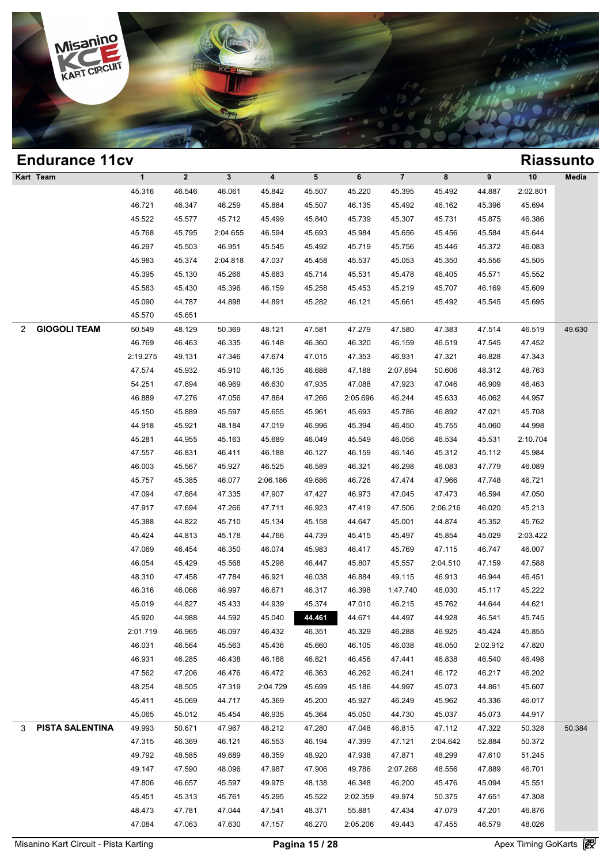

| <b>Endurance 11cv</b>       |              |              |              |                         |        |          |                |          |          |          | <b>Riassunto</b> |
|-----------------------------|--------------|--------------|--------------|-------------------------|--------|----------|----------------|----------|----------|----------|------------------|
| Kart Team                   | $\mathbf{1}$ | $\mathbf{2}$ | $\mathbf{3}$ | $\overline{\mathbf{4}}$ | 5      | 6        | $\overline{7}$ | 8        | 9        | 10       | Media            |
|                             | 45.316       | 46.546       | 46.061       | 45.842                  | 45.507 | 45.220   | 45.395         | 45.492   | 44.887   | 2:02.801 |                  |
|                             | 46.721       | 46.347       | 46.259       | 45.884                  | 45.507 | 46.135   | 45.492         | 46.162   | 45.396   | 45.694   |                  |
|                             | 45.522       | 45.577       | 45.712       | 45.499                  | 45.840 | 45.739   | 45.307         | 45.731   | 45.875   | 46.386   |                  |
|                             | 45.768       | 45.795       | 2:04.655     | 46.594                  | 45.693 | 45.984   | 45.656         | 45.456   | 45.584   | 45.644   |                  |
|                             | 46.297       | 45.503       | 46.951       | 45.545                  | 45.492 | 45.719   | 45.756         | 45.446   | 45.372   | 46.083   |                  |
|                             | 45.983       | 45.374       | 2:04.818     | 47.037                  | 45.458 | 45.537   | 45.053         | 45.350   | 45.556   | 45.505   |                  |
|                             | 45.395       | 45.130       | 45.266       | 45.683                  | 45.714 | 45.531   | 45.478         | 46.405   | 45.571   | 45.552   |                  |
|                             | 45.583       | 45.430       | 45.396       | 46.159                  | 45.258 | 45.453   | 45.219         | 45.707   | 46.169   | 45.609   |                  |
|                             | 45.090       | 44.787       | 44.898       | 44.891                  | 45.282 | 46.121   | 45.661         | 45.492   | 45.545   | 45.695   |                  |
|                             | 45.570       | 45.651       |              |                         |        |          |                |          |          |          |                  |
| <b>GIOGOLI TEAM</b><br>2    | 50.549       | 48.129       | 50.369       | 48.121                  | 47.581 | 47.279   | 47.580         | 47.383   | 47.514   | 46.519   | 49.630           |
|                             | 46.769       | 46.463       | 46.335       | 46.148                  | 46.360 | 46.320   | 46.159         | 46.519   | 47.545   | 47.452   |                  |
|                             | 2:19.275     | 49.131       | 47.346       | 47.674                  | 47.015 | 47.353   | 46.931         | 47.321   | 46.828   | 47.343   |                  |
|                             | 47.574       | 45.932       | 45.910       | 46.135                  | 46.688 | 47.188   | 2:07.694       | 50.606   | 48.312   | 48.763   |                  |
|                             | 54.251       | 47.894       | 46.969       | 46.630                  | 47.935 | 47.088   | 47.923         | 47.046   | 46.909   | 46.463   |                  |
|                             | 46.889       | 47.276       | 47.056       | 47.864                  | 47.266 | 2:05.696 | 46.244         | 45.633   | 46.062   | 44.957   |                  |
|                             | 45.150       | 45.889       | 45.597       | 45.655                  | 45.961 | 45.693   | 45.786         | 46.892   | 47.021   | 45.708   |                  |
|                             | 44.918       | 45.921       | 48.184       | 47.019                  | 46.996 | 45.394   | 46.450         | 45.755   | 45.060   | 44.998   |                  |
|                             | 45.281       | 44.955       | 45.163       | 45.689                  | 46.049 | 45.549   | 46.056         | 46.534   | 45.531   | 2:10.704 |                  |
|                             | 47.557       | 46.831       | 46.411       | 46.188                  | 46.127 | 46.159   | 46.146         | 45.312   | 45.112   | 45.984   |                  |
|                             | 46.003       | 45.567       | 45.927       | 46.525                  | 46.589 | 46.321   | 46.298         | 46.083   | 47.779   | 46.089   |                  |
|                             | 45.757       | 45.385       | 46.077       | 2:06.186                | 49.686 | 46.726   | 47.474         | 47.966   | 47.748   | 46.721   |                  |
|                             | 47.094       | 47.884       | 47.335       | 47.907                  | 47.427 | 46.973   | 47.045         | 47.473   | 46.594   | 47.050   |                  |
|                             | 47.917       | 47.694       | 47.266       | 47.711                  | 46.923 | 47.419   | 47.506         | 2:06.216 | 46.020   | 45.213   |                  |
|                             | 45.388       | 44.822       | 45.710       | 45.134                  | 45.158 | 44.647   | 45.001         | 44.874   | 45.352   | 45.762   |                  |
|                             | 45.424       | 44.813       | 45.178       | 44.766                  | 44.739 | 45.415   | 45.497         | 45.854   | 45.029   | 2:03.422 |                  |
|                             | 47.069       | 46.454       | 46.350       | 46.074                  | 45.983 | 46.417   | 45.769         | 47.115   | 46.747   | 46.007   |                  |
|                             | 46.054       | 45.429       | 45.568       | 45.298                  | 46.447 | 45.807   | 45.557         | 2:04.510 | 47.159   | 47.588   |                  |
|                             | 48.310       | 47.458       | 47.784       | 46.921                  | 46.038 | 46.884   | 49.115         | 46.913   | 46.944   | 46.451   |                  |
|                             | 46.316       | 46.066       | 46.997       | 46.671                  | 46.317 | 46.398   | 1:47.740       | 46.030   | 45.117   | 45.222   |                  |
|                             | 45.019       | 44.827       | 45.433       | 44.939                  | 45.374 | 47.010   | 46.215         | 45.762   | 44.644   | 44.621   |                  |
|                             | 45.920       | 44.988       | 44.592       | 45.040                  | 44.461 | 44.671   | 44.497         | 44.928   | 46.541   | 45.745   |                  |
|                             | 2:01.719     | 46.965       | 46.097       | 46.432                  | 46.351 | 45.329   | 46.288         | 46.925   | 45.424   | 45.855   |                  |
|                             | 46.031       | 46.564       | 45.563       | 45.436                  | 45.660 | 46.105   | 46.038         | 46.050   | 2:02.912 | 47.820   |                  |
|                             | 46.931       | 46.285       | 46.438       | 46.188                  | 46.821 | 46.456   | 47.441         | 46.838   | 46.540   | 46.498   |                  |
|                             | 47.562       | 47.206       | 46.476       | 46.472                  | 46.363 | 46.262   | 46.241         | 46.172   | 46.217   | 46.202   |                  |
|                             | 48.254       | 48.505       | 47.319       | 2:04.729                | 45.699 | 45.186   | 44.997         | 45.073   | 44.861   | 45.607   |                  |
|                             | 45.411       | 45.069       | 44.717       | 45.369                  | 45.200 | 45.927   | 46.249         | 45.962   | 45.336   | 46.017   |                  |
|                             | 45.065       | 45.012       | 45.454       | 46.935                  | 45.364 | 45.050   | 44.730         | 45.037   | 45.073   | 44.917   |                  |
| <b>PISTA SALENTINA</b><br>3 | 49.993       | 50.671       | 47.967       | 48.212                  | 47.280 | 47.048   | 46.815         | 47.112   | 47.322   | 50.328   | 50.384           |
|                             | 47.315       | 46.369       | 46.121       | 46.553                  | 46.194 | 47.399   | 47.121         | 2:04.642 | 52.884   | 50.372   |                  |
|                             | 49.792       | 48.585       | 49.689       | 48.359                  | 48.920 | 47.938   | 47.871         | 48.299   | 47.610   | 51.245   |                  |
|                             | 49.147       | 47.590       | 48.096       | 47.987                  | 47.906 | 49.786   | 2:07.268       | 48.556   | 47.889   | 46.701   |                  |
|                             | 47.806       | 46.657       | 45.597       | 49.975                  | 48.138 | 46.348   | 46.200         | 45.476   | 45.094   | 45.551   |                  |
|                             | 45.451       | 45.313       | 45.761       | 45.295                  | 45.522 | 2:02.359 | 49.974         | 50.375   | 47.651   | 47.308   |                  |
|                             | 48.473       | 47.781       | 47.044       | 47.541                  | 48.371 | 55.881   | 47.434         | 47.079   | 47.201   | 46.876   |                  |
|                             | 47.084       | 47.063       |              | 47.157                  | 46.270 |          | 49.443         | 47.455   |          | 48.026   |                  |
|                             |              |              | 47.630       |                         |        | 2:05.206 |                |          | 46.579   |          |                  |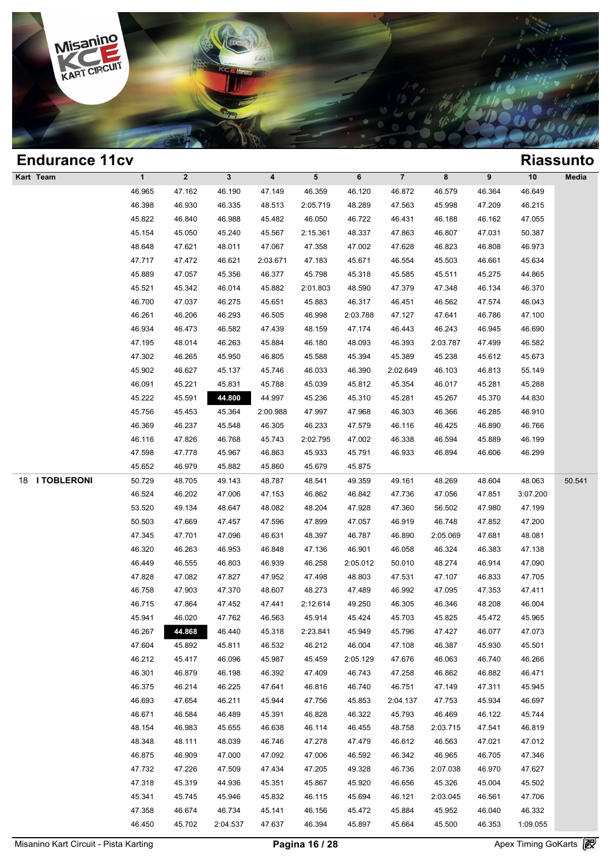

| <b>Endurance 11cv</b> |              |              |              |          |          |          |                |          |        |          | <b>Riassunto</b> |
|-----------------------|--------------|--------------|--------------|----------|----------|----------|----------------|----------|--------|----------|------------------|
| Kart Team             | $\mathbf{1}$ | $\mathbf{2}$ | $\mathbf{3}$ | 4        | 5        | 6        | $\overline{7}$ | 8        | 9      | $10$     | Media            |
|                       | 46.965       | 47.162       | 46.190       | 47.149   | 46.359   | 46.120   | 46.872         | 46.579   | 46.364 | 46.649   |                  |
|                       | 46.398       | 46.930       | 46.335       | 48.513   | 2:05.719 | 48.289   | 47.563         | 45.998   | 47.209 | 46.215   |                  |
|                       | 45.822       | 46.840       | 46.988       | 45.482   | 46.050   | 46.722   | 46.431         | 46.188   | 46.162 | 47.055   |                  |
|                       | 45.154       | 45.050       | 45.240       | 45.567   | 2:15.361 | 48.337   | 47.863         | 46.807   | 47.031 | 50.387   |                  |
|                       | 48.648       | 47.621       | 48.011       | 47.067   | 47.358   | 47.002   | 47.628         | 46.823   | 46.808 | 46.973   |                  |
|                       | 47.717       | 47.472       | 46.621       | 2:03.671 | 47.183   | 45.671   | 46.554         | 45.503   | 46.661 | 45.634   |                  |
|                       | 45.889       | 47.057       | 45.356       | 46.377   | 45.798   | 45.318   | 45.585         | 45.511   | 45.275 | 44.865   |                  |
|                       | 45.521       | 45.342       | 46.014       | 45.882   | 2:01.803 | 48.590   | 47.379         | 47.348   | 46.134 | 46.370   |                  |
|                       | 46.700       | 47.037       | 46.275       | 45.651   | 45.883   | 46.317   | 46.451         | 46.562   | 47.574 | 46.043   |                  |
|                       | 46.261       | 46.206       | 46.293       | 46.505   | 46.998   | 2:03.788 | 47.127         | 47.641   | 46.786 | 47.100   |                  |
|                       | 46.934       | 46.473       | 46.582       | 47.439   | 48.159   | 47.174   | 46.443         | 46.243   | 46.945 | 46.690   |                  |
|                       | 47.195       | 48.014       | 46.263       | 45.884   | 46.180   | 48.093   | 46.393         | 2:03.787 | 47.499 | 46.582   |                  |
|                       | 47.302       | 46.265       | 45.950       | 46.805   | 45.588   | 45.394   | 45.389         | 45.238   | 45.612 | 45.673   |                  |
|                       | 45.902       | 46.627       | 45.137       | 45.746   | 46.033   | 46.390   | 2:02.649       | 46.103   | 46.813 | 55.149   |                  |
|                       | 46.091       | 45.221       | 45.831       | 45.788   | 45.039   | 45.812   | 45.354         | 46.017   | 45.281 | 45.288   |                  |
|                       | 45.222       | 45.591       | 44.800       | 44.997   | 45.236   | 45.310   | 45.281         | 45.267   | 45.370 | 44.830   |                  |
|                       | 45.756       | 45.453       | 45.364       | 2:00.988 | 47.997   | 47.968   | 46.303         | 46.366   | 46.285 | 46.910   |                  |
|                       | 46.369       | 46.237       | 45.548       | 46.305   | 46.233   | 47.579   | 46.116         | 46.425   | 46.890 | 46.766   |                  |
|                       | 46.116       | 47.826       | 46.768       | 45.743   | 2:02.795 | 47.002   | 46.338         | 46.594   | 45.889 | 46.199   |                  |
|                       | 47.598       | 47.778       | 45.967       | 46.863   | 45.933   | 45.791   | 46.933         | 46.894   | 46.606 | 46.299   |                  |
|                       | 45.652       | 46.979       | 45.882       | 45.860   | 45.679   | 45.875   |                |          |        |          |                  |
| 18 I TOBLERONI        | 50.729       | 48.705       | 49.143       | 48.787   | 48.541   | 49.359   | 49.161         | 48.269   | 48.604 | 48.063   | 50.541           |
|                       | 46.524       | 46.202       | 47.006       | 47.153   | 46.862   | 46.842   | 47.736         | 47.056   | 47.851 | 3:07.200 |                  |
|                       | 53.520       | 49.134       | 48.647       | 48.082   | 48.204   | 47.928   | 47.360         | 56.502   | 47.980 | 47.199   |                  |
|                       | 50.503       | 47.669       | 47.457       | 47.596   | 47.899   | 47.057   | 46.919         | 46.748   | 47.852 | 47.200   |                  |
|                       | 47.345       | 47.701       | 47.096       | 46.631   | 48.397   | 46.787   | 46.890         | 2:05.069 | 47.681 | 48.081   |                  |
|                       | 46.320       | 46.263       | 46.953       | 46.848   | 47.136   | 46.901   | 46.058         | 46.324   | 46.383 | 47.138   |                  |
|                       | 46.449       | 46.555       | 46.803       | 46.939   | 46.258   | 2:05.012 | 50.010         | 48.274   | 46.914 | 47.090   |                  |
|                       | 47.828       | 47.082       | 47.827       | 47.952   | 47.498   | 48.803   | 47.531         | 47.107   | 46.833 | 47.705   |                  |
|                       | 46.758       | 47.903       | 47.370       | 48.607   | 48.273   | 47.489   | 46.992         | 47.095   | 47.353 | 47.411   |                  |
|                       | 46.715       | 47.864       | 47.452       | 47.441   | 2:12.614 | 49.250   | 46.305         | 46.346   | 48.208 | 46.004   |                  |
|                       | 45.941       | 46.020       | 47.762       | 46.563   | 45.914   | 45.424   | 45.703         | 45.825   | 45.472 | 45.965   |                  |
|                       | 46.267       | 44.868       | 46.440       | 45.318   | 2:23.841 | 45.949   | 45.796         | 47.427   | 46.077 | 47.073   |                  |
|                       | 47.604       | 45.892       | 45.811       | 46.532   | 46.212   | 46.004   | 47.108         | 46.387   | 45.930 | 45.501   |                  |
|                       | 46.212       | 45.417       | 46.096       | 45.987   | 45.459   | 2:05.129 | 47.676         | 46.063   | 46.740 | 46.266   |                  |
|                       | 46.301       | 46.879       | 46.198       | 46.392   | 47.409   | 46.743   | 47.258         | 46.862   | 46.882 | 46.471   |                  |
|                       | 46.375       | 46.214       | 46.225       | 47.641   | 46.816   | 46.740   | 46.751         | 47.149   | 47.311 | 45.945   |                  |
|                       | 46.693       | 47.654       | 46.211       | 45.944   | 47.756   | 45.853   | 2:04.137       | 47.753   | 45.934 | 46.697   |                  |
|                       | 46.671       | 46.584       | 46.489       | 45.391   | 46.828   | 46.322   | 45.793         | 46.469   | 46.122 | 45.744   |                  |
|                       | 48.154       | 46.983       | 45.655       | 46.638   | 46.114   | 46.455   | 48.758         | 2:03.715 | 47.541 | 46.819   |                  |
|                       | 48.348       | 48.111       | 48.039       | 46.746   | 47.278   | 47.479   | 46.612         | 46.563   | 47.021 | 47.012   |                  |
|                       | 46.875       | 46.909       | 47.000       | 47.092   | 47.006   | 46.592   | 46.342         | 46.965   | 46.705 | 47.346   |                  |
|                       | 47.732       | 47.226       | 47.509       | 47.434   | 47.205   | 49.328   | 46.736         | 2:07.038 | 46.970 | 47.627   |                  |
|                       | 47.318       | 45.319       | 44.936       | 45.351   | 45.867   | 45.920   | 46.656         | 45.326   | 45.004 | 45.502   |                  |
|                       | 45.341       | 45.745       | 45.946       | 45.832   | 46.115   | 45.694   | 46.121         | 2:03.045 | 46.561 | 47.706   |                  |
|                       | 47.358       | 46.674       | 46.734       | 45.141   | 46.156   | 45.472   | 45.884         | 45.952   | 46.040 | 46.332   |                  |
|                       | 46.450       | 45.702       | 2:04.537     | 47.637   | 46.394   | 45.897   | 45.664         | 45.500   | 46.353 | 1:09.055 |                  |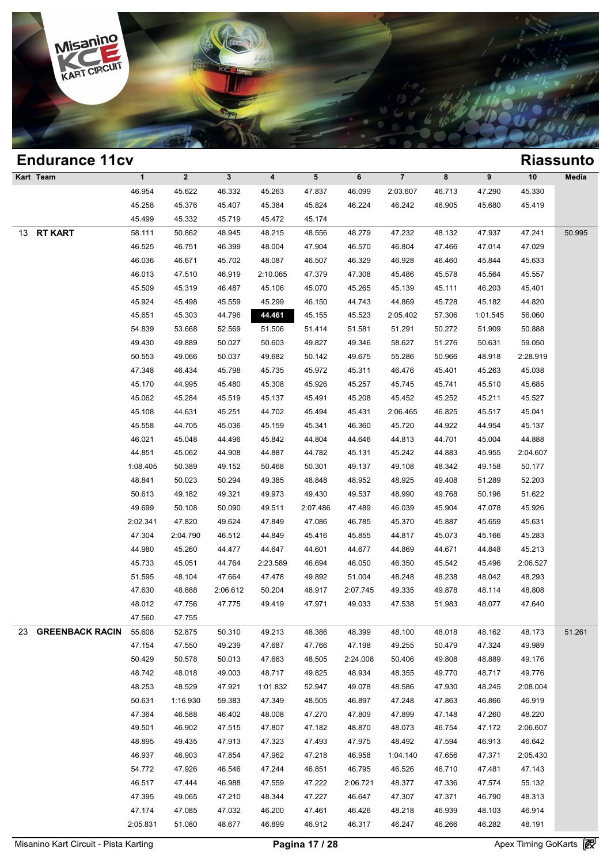

### **Endurance 11cv Riassunto Kart Team 1 2 3 4 5 6 7 8 9 10 Media 1**<br>
46.954 45.622 46.332 45.263 47.837 46.099 2:03.607 46.713 47.290 45.330<br>
46.258 45.376 45.407 45.384 45.384 46.334 46.330 46.330 1 2 3 4 5 6 7 8 9 10 Med<br>46.954 45.622 46.332 45.263 47.837 46.099 2:03.607 46.713 47.290 45.330<br>45.258 45.376 45.407 45.384 45.824 46.224 46.242 46.905 45.680 45.419<br>45.400 45.332 45.710 45.473 45.824 46.224 46.242 46.905 1 2 3 4 5 6<br>46.954 45.622 46.332 45.263 47.837 46.0<br>45.258 45.376 45.407 45.384 45.824 46.2<br>45.499 45.332 45.719 45.472 45.174 13 **RT KART** 58.111 50.862 48.945 48.215 48.556 48.279 47.232 48.132 47.937 47.241 50.995 46.258 45.376 45.407 45.384 45.824 46.224 46.242 46.905 45.680 45.419<br>45.499 45.332 45.719 45.472 45.174<br>58.111 50.862 48.945 48.215 48.556 48.279 47.232 48.132 47.937 47.241 50.9<br>46.525 46.751 46.399 48.004 47.904 46.570 46.499 45.332 45.719 45.472 45.174<br>
58.111 50.862 48.945 48.215 48.556 48.279 47.232 48.132 47.937 47.241 50.9<br>
46.525 46.751 46.399 48.004 47.904 46.570 46.804 47.466 47.014 47.029<br>
46.036 46.671 45.702 48.087 46.507 46.3 46.525 46.751 46.939 48.004 47.904 46.570 47.232 48.132 47.937 47.241 50.9<br>46.525 46.751 46.399 48.004 47.904 46.570 46.804 47.466 47.014 47.029<br>46.036 46.671 45.702 48.087 46.507 46.329 46.928 46.460 45.844 45.633<br>46.013 46.525 46.751 46.399 48.004 47.904 46.570 46.804 47.466 47.014 47.029<br>46.036 46.671 45.702 48.087 46.507 46.329 46.928 46.460 45.844 45.633<br>46.013 47.510 46.919 2:10.065 47.379 47.308 45.486 45.578 45.564 45.557<br>45.509 45. 46.036 46.671 45.702 48.087 46.507 46.329 46.928 46.460 45.844 45.633<br>46.013 47.510 46.919 2:10.065 47.379 47.308 45.486 45.578 45.564 45.557<br>45.509 45.319 46.487 45.106 45.070 45.265 45.139 45.111 46.203 45.401<br>45.924 45. 46.013 47.510 46.919 2:10.065 47.379 47.308 45.486 45.578 45.564 45.557<br>45.509 45.319 46.487 45.106 45.070 45.265 45.139 45.111 46.203 45.401<br>45.924 45.498 45.559 45.299 46.150 44.743 44.869 45.728 45.182 44.820<br>45.651 45. 45.509 45.319 46.487 45.106 45.070 45.265 45.139 45.111 46.203 45.401<br>45.924 45.498 45.559 45.299 46.150 44.743 44.869 45.728 45.182 44.820<br>45.651 45.303 44.796 44.451 45.155 45.523 2:05.402 57.306 1:01.545 56.060<br>54.839 5 45.924 45.498 45.559 45.299 46.150 44.743 44.869 45.728 45.182 44.820<br>45.651 45.303 44.796 44.461 45.155 45.523 2:05.402 57.306 1:01.545 56.060<br>54.839 53.668 52.569 51.506 51.414 51.581 51.291 50.272 51.909 50.888<br>49.430 49 45.651 45.303 44.796 44.461 45.155 45.523 2:05.402 57.306 1:01.545 56.060<br>
54.839 53.668 52.569 51.506 51.414 51.581 51.291 50.272 51.909 50.888<br>
49.430 49.889 50.027 50.603 49.827 49.346 58.627 51.276 50.631 59.050<br>
50.55 49.430 53.668 52.569 51.506 51.414 51.581 51.291 50.272 51.909 50.888<br>49.430 49.889 50.027 50.603 49.827 49.346 58.627 51.276 50.631 59.050<br>50.553 49.066 50.037 49.682 50.142 49.675 55.286 50.966 48.918 2:28.919<br>47.348 46. 49.430 49.889 50.027 50.603 49.827 49.346 58.627 51.276 50.631 59.050<br>
50.553 49.066 50.037 49.682 50.142 49.675 55.286 50.966 48.918 2:28.919<br>
47.348 46.434 45.798 45.735 45.972 45.311 46.476 45.401 45.263 45.038<br>
45.170 49.066 50.037 49.682 50.142 49.675 55.286 50.966 48.918 2:28.919<br>
47.348 46.434 45.798 45.735 45.972 45.311 46.476 45.401 45.263 45.038<br>
45.170 44.995 45.480 45.308 45.926 45.257 45.745 45.741 45.510 45.685<br>
45.062 45.284 47.348 46.434 45.798 45.735 45.972 45.311 46.476 45.401 45.263 45.038<br>45.170 44.995 45.480 45.308 45.926 45.257 45.745 45.741 45.510 45.685<br>45.062 45.284 45.519 45.137 45.491 45.208 45.452 45.252 45.211 45.527<br>45.108 44.63 45.170 44.995 45.480 45.308 45.926 45.257 45.745 45.741 45.510 45.685<br>45.062 45.284 45.519 45.137 45.491 45.208 45.452 45.252 45.211 45.527<br>45.108 44.631 45.251 44.702 45.494 45.431 2:06.465 46.825 45.517 45.041<br>45.558 44. 46.021 46.048 46.021 46.048 44.496 46.827 44.892 44.892 44.864 44.808 45.494 46.364 44.804 44.804 46.364 44.804 44.854 44.804 44.854 44.854 44.865 46.021 45.062 44.908 44.907 44.897 44.702 45.842 44.804 46.364 44.868 44.86 45.108 44.631 45.251 44.702 45.494 45.431 2:06.465 46.825 45.517 45.041<br>45.558 44.705 45.036 45.159 45.341 46.360 45.720 44.922 44.954 45.137<br>46.021 45.048 44.496 45.842 44.804 44.646 44.813 44.701 45.004 44.888<br>44.851 45.0 46.021 44.705 45.036 45.159 45.341 46.360 45.720 44.922 44.954 45.137<br>46.021 45.048 44.496 45.842 44.804 44.646 44.813 44.701 45.004 44.888<br>44.851 45.062 44.908 44.887 44.782 45.131 45.242 44.883 45.955 2:04.607<br>1:08.405 5 48.021 45.048 44.496 45.842 44.804 44.646 44.813 44.701 45.004 44.888<br>44.851 45.062 44.908 44.887 44.782 45.131 45.242 44.883 45.955 2:04.607<br>108.405 50.389 49.152 50.468 50.301 49.137 49.108 48.342 49.158 50.177<br>48.841 50 44.851 45.062 44.908 44.887 44.782 45.131 45.242 44.883 45.955 2:04.607<br>
50.389 49.152 50.468 50.301 49.137 49.108 48.342 49.158 50.177<br>
48.841 50.023 50.294 49.385 48.848 48.952 48.925 49.408 51.289 52.203<br>
50.613 49.182  $+0.645$  50.389 49.152 50.468 50.301 49.137 49.108 48.342 49.158 50.177<br>
48.841 50.023 50.294 49.385 48.848 48.952 48.925 49.408 51.289 52.203<br>
50.613 49.182 49.321 49.973 49.430 49.537 48.990 49.768 50.196 51.622<br>
49.699 48.841 50.023 50.294 49.385 48.848 48.952 48.925 49.408 51.289 52.203<br>50.613 49.182 49.321 49.973 49.430 49.537 48.990 49.768 50.196 51.622<br>49.699 50.108 50.090 49.511 2:07.486 47.489 46.039 45.904 47.078 45.926<br>2:02.341 4 49.699 50.108 50.090 49.511 2:07.486 47.489 46.039 49.768 50.196 51.622<br>
49.699 50.108 50.090 49.511 2:07.486 47.489 46.039 45.904 47.078 45.926<br>
47.304 2:04.790 46.512 44.849 45.416 45.855 44.817 45.073 45.166 45.283<br>
44. 49.699 50.108 50.090 49.511 2:07.486 47.489 46.039 45.904 47.078 45.926<br>
2:02.341 47.820 49.624 47.849 47.086 46.785 45.370 45.887 45.659 45.631<br>
47.304 2:04.790 46.512 44.849 45.416 45.855 44.817 45.073 45.166 45.283<br>
44. 47.304 47.820 49.624 47.849 47.086 46.785 45.370 45.887 45.659 45.631<br>47.304 2:04.790 46.512 44.849 45.416 45.855 44.817 45.073 45.166 45.283<br>44.980 45.260 44.477 44.647 44.601 44.677 44.869 44.671 44.848 45.213<br>45.733 45 47.304 2:04.790 46.512 44.849 45.416 45.855 44.817 45.073 45.166 45.283<br>44.980 45.260 44.477 44.647 44.601 44.677 44.869 44.671 44.848 45.213<br>45.733 45.051 44.764 2:23.589 46.694 46.050 46.350 45.542 45.496 2:06.527<br>51.595 44.980 45.260 44.477 44.647 44.601 44.677 44.869 44.671 44.848 45.213<br>45.733 45.051 44.764 2:23.589 46.694 46.050 46.350 45.542 45.496 2:06.527<br>51.595 48.104 47.664 47.478 49.892 51.004 48.248 48.238 48.042 48.293<br>47.630 4 45.733 45.051 44.764 2:23.589 46.694 46.050 46.350 45.542 45.496 2:06.527<br>
51.595 48.104 47.664 47.478 49.892 51.004 48.248 48.238 48.042 48.293<br>
47.630 48.888 2:06.612 50.204 48.917 2:07.745 49.335 49.878 48.114 48.808<br>
4 48.104 47.61<br>47.630 48.888 2:06.6<br>48.012 47.756 47.77<br>47.560 47.755 23 **GREENBACK RACING** 55.608 52.875 50.310 49.213 48.386 48.399 48.100 48.018 48.162 48.173 51.261 48.012 47.756 47.775 49.419 47.971 49.033 47.538 51.983 48.077 47.640<br>47.560 47.755<br>55.608 52.875 50.310 49.213 48.386 48.399 48.100 48.018 48.162 48.173 51.2<br>47.154 47.550 49.239 47.687 47.766 47.198 49.255 50.479 47.324 47.560 47.755<br>
55.608 52.875 50.310 49.213 48.386 48.399 48.100 48.018 48.162 48.173 51.2<br>
47.154 47.550 49.239 47.687 47.766 47.198 49.255 50.479 47.324 49.989<br>
50.429 50.578 50.013 47.663 48.505 2:24.008 50.406 49.808 4 48.742 48.018 49.203 42.203 48.386 48.399 48.100 48.018 48.162 48.173 51.2<br>
47.154 47.550 49.239 47.687 47.766 47.198 49.255 50.479 47.324 49.989<br>
50.429 50.578 50.013 47.663 48.505 2:24.008 50.406 49.808 48.889 49.176<br>
48 47.154 47.550 49.239 47.687 47.766 47.198 49.255 50.479 47.324 49.989<br>
50.429 50.578 50.013 47.663 48.505 2:24.008 50.406 49.808 48.889 49.176<br>
48.742 48.018 49.003 48.717 49.825 48.934 48.355 49.770 48.717 49.776<br>
48.253 50.429 50.578 50.013 47.663 48.505 2:24.008 50.406 49.808 48.889 49.176<br>
48.742 48.018 49.003 48.717 49.825 48.934 48.355 49.770 48.717 49.776<br>
48.253 48.529 47.921 1:01.832 52.947 49.078 48.586 47.930 48.245 2:08.004<br>
50. 48.742 48.018 49.003 48.717 49.825 48.934 48.355 49.770 48.717 49.776<br>48.253 48.529 47.921 1:01.832 52.947 49.078 48.586 47.930 48.245 2:08.004<br>50.631 1:16.930 59.383 47.349 48.505 46.897 47.248 47.863 46.866 46.919<br>47.364 48.253 48.529 47.921 1:01.832 52.947 49.078 48.586 47.930 48.245 2:08.004<br>
50.631 1:16.930 59.383 47.349 48.505 46.897 47.248 47.863 46.866 46.919<br>
47.364 46.588 46.402 48.008 47.270 47.809 47.899 47.148 47.260 48.220<br>
49. 48.895 49.435 47.913 47.962 47.962 47.962 47.962 47.962 47.962 47.962 47.962 47.973 47.974 47.975 48.97<br>
48.895 49.435 47.913 47.323 47.493 47.975 48.492 47.594 46.913 46.642<br>
48.895 49.435 47.913 47.323 47.493 47.975 48.4 47.364 46.588 46.402 48.008 47.270 47.809 47.899 47.148 47.260 48.220<br>49.501 46.902 47.515 47.807 47.182 48.870 48.073 46.754 47.172 2:06.607<br>48.895 49.435 47.913 47.323 47.493 47.975 48.492 47.594 46.913 46.642<br>46.937 46. 46.772 46.902 47.515 47.807 47.182 48.870 48.073 46.754 47.172 2:06.607<br>48.895 49.435 47.913 47.323 47.493 47.975 48.492 47.594 46.913 46.642<br>46.937 46.903 47.854 47.962 47.218 46.958 1:04.140 47.656 47.371 2:05.430<br>54.772 46.895 49.435 47.913 47.323 47.493 47.975 48.492 47.594 46.913 46.642<br>46.937 46.903 47.854 47.962 47.218 46.958 1:04.140 47.656 47.371 2:05.430<br>54.772 47.926 46.546 47.244 46.851 46.795 46.526 46.710 47.481 47.143<br>46.517 4 46.937 46.903 47.854 47.962 47.218 46.958 1:04.140 47.656 47.371 2:05.430<br>
54.772 47.926 46.546 47.244 46.851 46.795 46.526 46.710 47.481 47.143<br>
46.517 47.444 46.988 47.559 47.222 2:06.721 48.377 47.336 47.574 55.132<br>
47. 46.772 47.926 46.546 47.244 46.851 46.795 46.526 46.710 47.481 47.143<br>46.517 47.444 46.988 47.559 47.222 2:06.721 48.377 47.336 47.574 55.132<br>47.395 49.065 47.210 48.344 47.227 46.647 47.307 47.371 46.790 48.313<br>47.174 47. 46.517 47.444 46.988 47.559 47.222 2:06.721 48.377 47.336 47.574 55.132<br>47.395 49.065 47.210 48.344 47.227 46.647 47.307 47.371 46.790 48.313<br>47.174 47.085 47.032 46.200 47.461 46.426 48.218 46.939 48.103 46.914<br>2:05.831 5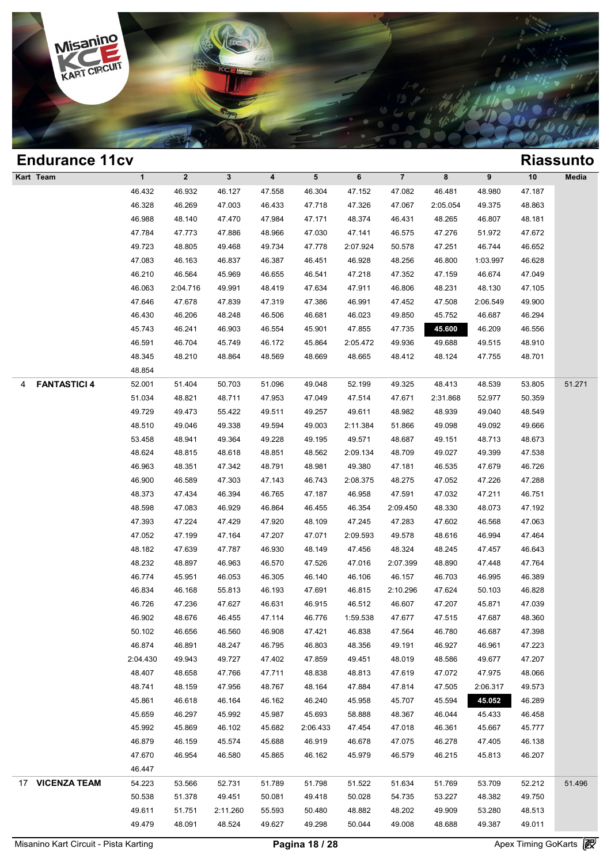

### **Endurance 11cv Riassunto Kart Team 1 2 3 4 5 6 7 8 9 10 Media 1**<br>
46.432 46.932 46.127 47.558 46.304 47.152 47.082 46.481 48.980 47.187<br>
46.32 46.360 47.002 46.432 47.719 47.326 47.082 3.05.054 40.375 48.982 1 2 3 4 5 6 7 8 9 10 Med<br>46.432 46.932 46.127 47.558 46.304 47.152 47.082 46.481 48.980 47.187<br>46.328 46.269 47.003 46.433 47.718 47.326 47.067 2:05.054 49.375 48.863<br>46.988 48.863 48.863 48.863 47.470 47.984 47.171 48.374 46.432 46.932 46.127 47.558 46.304 47.152 47.082 46.481 48.980 47.187<br>46.328 46.269 47.003 46.433 47.718 47.326 47.067 2:05.054 49.375 48.863<br>46.988 48.140 47.470 47.984 47.171 48.374 46.431 48.265 46.807 48.181<br>47.784 47 46.432 46.932 46.127 47.558 46.304 47.152 47.082 46.481 48.980 47.187<br>46.328 46.269 47.003 46.433 47.718 47.326 47.067 2:05.054 49.375 48.863<br>46.988 48.140 47.470 47.984 47.171 48.374 46.431 48.265 46.807 48.181<br>47.784 47. 46.328 46.269 47.003 46.433 47.718 47.326 47.067 2:05.054 49.375 48.863<br>46.988 48.140 47.470 47.984 47.171 48.374 46.431 48.265 46.807 48.181<br>47.784 47.773 47.886 48.966 47.030 47.141 46.575 47.276 51.972 47.672<br>49.723 48. 46.988 48.140 47.470 47.984 47.171 48.374 46.431 48.265 46.807 48.181<br>47.784 47.773 47.886 48.966 47.030 47.141 46.575 47.276 51.972 47.672<br>49.723 48.805 49.468 49.734 47.778 2:07.924 50.578 47.251 46.744 46.652<br>47.083 46. 47.784 47.773 47.886 48.966 47.030 47.141 46.575 47.276 51.972 47.672<br>49.723 48.805 49.468 49.734 47.778 2:07.924 50.578 47.251 46.744 46.652<br>47.083 46.163 46.837 46.387 46.451 46.928 48.256 46.800 1:03.997 46.628<br>46.210 4 46.723 48.805 49.468 49.734 47.778 2:07.924 50.578 47.251 46.744 46.652<br>47.083 46.163 46.837 46.387 46.451 46.928 48.256 46.800 1:03.997 46.628<br>46.210 46.564 45.969 46.655 46.541 47.218 47.352 47.159 46.674 47.049<br>46.063 2 46.210 46.564 45.969 46.655 46.541 47.218 47.352 47.159 46.674 47.049<br>46.063 2:04.716 49.991 48.419 47.634 47.911 46.806 48.231 48.130 47.105<br>47.646 47.678 47.839 47.319 47.386 46.991 47.452 47.508 2:06.549 49.900<br>46.420 4 46.210 46.564 45.969 46.655 46.541 47.218 47.352 47.159 46.674 47.049<br>46.063 2:04.716 49.991 48.419 47.634 47.911 46.806 48.231 48.130 47.105<br>47.646 47.678 47.839 47.319 47.386 46.991 47.452 47.508 2:06.549 49.900<br>46.430 4 46.063 2:04.716 49.991 48.419 47.634 47.911 46.806 48.231 48.130 47.105<br>47.646 47.678 47.839 47.319 47.386 46.991 47.452 47.508 2:06.549 49.900<br>46.430 46.206 48.248 46.506 46.681 46.023 49.850 45.752 46.687 46.294<br>45.743 4 47.646 47.678 47.839 47.319 47.386 46.991 47.452 47.508 2:06.549 49.900<br>46.430 46.206 48.248 46.506 46.681 46.023 49.850 45.752 46.687 46.294<br>45.743 46.241 46.903 46.554 45.901 47.855 47.735 45.600 46.209 46.556<br>46.591 46. 46.430 46.206 48.248 46.506 46.681 46.023 49.850 45.752 46.687 46.294<br>45.743 46.241 46.903 46.554 45.901 47.855 47.735 45.600 46.209 46.556<br>46.591 46.704 45.749 46.172 45.864 2:05.472 49.936 49.688 49.515 48.910<br>48.345 48. 48.854 4 **FANTASTICI 4** 52.001 51.404 50.703 51.096 49.048 52.199 49.325 48.413 48.539 53.805 51.271 48.345 48.210 48.864 48.569 48.669 48.665 48.412 48.124 47.755 48.701<br>48.854<br>52.001 51.404 50.703 51.096 49.048 52.199 49.325 48.413 48.539 53.805 51.2<br>51.034 48.821 48.711 47.953 47.049 47.514 47.671 2:31.868 52.977 50.35 48.854<br>52.001 51.404 50.703 51.096 49.048 52.199 49.325 48.413 48.539 53.805 51.2<br>51.034 48.821 48.711 47.953 47.049 47.514 47.671 2:31.868 52.977 50.359<br>49.729 49.473 55.422 49.511 49.257 49.611 48.982 48.939 49.040 48.54 49.046 51.096 49.048 52.199 49.325 48.413 48.539 53.805 51.2<br>
48.711 47.953 47.049 47.514 47.671 2:31.868 52.977 50.359<br>
49.729 49.473 55.422 49.511 49.257 49.611 48.982 48.939 49.040 48.549<br>
48.510 49.046 49.338 49.594 49 48.821 48.711 47.953 47.049 47.514 47.671 2:31.868 52.977 50.359<br>49.729 49.473 55.422 49.511 49.257 49.611 48.982 48.939 49.040 48.549<br>48.510 49.046 49.338 49.594 49.003 2:11.384 51.866 49.098 49.092 49.666<br>53.458 48.941 4 48.729 49.473 55.422 49.511 49.257 49.611 48.982 48.939 49.040 48.549<br>48.510 49.046 49.338 49.594 49.003 2:11.384 51.866 49.098 49.092 49.666<br>53.458 48.941 49.364 49.228 49.195 49.571 48.687 49.151 48.713 48.673<br>48.624 48. 48.510 49.046 49.338 49.594 49.003 2:11.384 51.866 49.098 49.092 49.666<br>53.458 48.941 49.364 49.228 49.195 49.571 48.687 49.151 48.713 48.673<br>48.624 48.815 48.618 48.851 48.562 2:09.134 48.709 49.027 49.399 47.538<br>46.963 4 46.624 48.941 49.364 49.228 49.195 49.571 48.687 49.151 48.713 48.673<br>48.624 48.815 48.618 48.851 48.562 2:09.134 48.709 49.027 49.399 47.538<br>46.963 48.351 47.342 48.791 48.981 49.380 47.181 46.535 47.679 46.726<br>46.900 46. 48.624 48.815 48.618 48.851 48.562 2:09.134 48.709 49.027 49.399 47.538<br>46.963 48.351 47.342 48.791 48.981 49.380 47.181 46.535 47.679 46.726<br>46.900 46.589 47.303 47.143 46.743 2:08.375 48.275 47.052 47.226 47.288<br>48.373 4 48.963 48.351 47.342 48.791 48.981 49.380 47.181 46.535 47.679 46.726<br>46.900 46.589 47.303 47.143 46.743 2:08.375 48.275 47.052 47.226 47.288<br>48.373 47.434 46.394 46.765 47.187 46.958 47.591 47.032 47.211 46.751<br>48.598 47. 46.900 46.589 47.303 47.143 46.743 2:08.375 48.275 47.052 47.226 47.288<br>48.373 47.434 46.394 46.765 47.187 46.958 47.591 47.032 47.211 46.751<br>48.598 47.083 46.929 46.864 46.455 46.354 2:09.450 48.330 48.073 47.192<br>47.393 4 48.373 47.434 46.394 46.765 47.187 46.958 47.591 47.032 47.211 46.751<br>48.598 47.083 46.929 46.864 46.455 46.354 2:09.450 48.330 48.073 47.192<br>47.393 47.224 47.429 47.920 48.109 47.245 47.283 47.602 46.568 47.063<br>47.052 47. 48.598 47.083 46.929 46.864 46.455 46.354 2:09.450 48.330 48.073 47.192<br>47.393 47.224 47.429 47.920 48.109 47.245 47.283 47.602 46.568 47.063<br>47.052 47.199 47.164 47.207 47.071 2:09.593 49.578 48.616 46.994 47.464<br>48.182 4 47.393 47.224 47.429 47.920 48.109 47.245 47.283 47.602 46.568 47.063<br>47.052 47.199 47.164 47.207 47.071 2:09.593 49.578 48.616 46.994 47.464<br>48.182 47.639 47.787 46.930 48.149 47.456 48.324 48.245 47.457 46.643<br>48.232 48. 47.052 47.199 47.164 47.207 47.071 2:09.593 49.578 48.616 46.994 47.464<br>48.182 47.639 47.787 46.930 48.149 47.456 48.324 48.245 47.457 46.643<br>48.232 48.897 46.963 46.570 47.526 47.016 2:07.399 48.890 47.448 47.764<br>46.774 4 46.182 47.639 47.787 46.930 48.149 47.456 48.324 48.245 47.457 46.643<br>48.232 48.897 46.963 46.570 47.526 47.016 2:07.399 48.890 47.448 47.764<br>46.774 45.951 46.053 46.305 46.140 46.106 46.157 46.703 46.995 46.389<br>46.834 46. 46.232 48.897 46.963 46.570 47.526 47.016 2:07.399 48.890 47.448 47.764<br>46.774 45.951 46.053 46.305 46.140 46.106 46.157 46.703 46.995 46.389<br>46.834 46.168 55.813 46.193 47.691 46.815 2:10.296 47.624 50.103 46.828<br>46.726 4 46.774 45.951 46.053 46.305 46.140 46.106 46.157 46.703 46.995 46.389<br>46.834 46.168 55.813 46.193 47.691 46.815 2:10.296 47.624 50.103 46.828<br>46.726 47.236 47.627 46.631 46.915 46.512 46.607 47.207 45.871 47.039<br>46.902 48. 46.834 46.168 55.813 46.193 47.691 46.815 2:10.296 47.624 50.103 46.828<br>46.726 47.236 47.627 46.631 46.915 46.512 46.607 47.207 45.871 47.039<br>46.902 48.676 46.455 47.114 46.776 1:59.538 47.677 47.515 47.687 48.360<br>50.102 4 46.726 47.236 47.627 46.631 46.915 46.512 46.607 47.207 45.871 47.039<br>46.902 48.676 46.455 47.114 46.776 1:59.538 47.677 47.515 47.687 48.360<br>50.102 46.656 46.560 46.908 47.421 46.838 47.564 46.780 46.687 47.398<br>46.874 46. 46.902 48.676 46.455 47.114 46.776 1:59.538 47.677 47.515 47.687 48.360<br>
50.102 46.656 46.560 46.908 47.421 46.838 47.564 46.780 46.687 47.398<br>
46.874 46.891 48.247 46.795 46.803 48.356 49.191 46.927 46.961 47.223<br>
2:04.43 48.874 46.856 48.560 46.908 47.421 46.838 47.564 46.780 46.687 47.398<br>46.874 46.891 48.247 46.795 46.803 48.356 49.191 46.927 46.961 47.223<br>42:04.430 49.943 49.727 47.402 47.859 49.451 48.019 48.586 49.677 47.207<br>48.407 48 48.874 46.891 48.247 46.795 46.803 48.356 49.191 46.927 46.961 47.223<br>
2:04.430 49.943 49.727 47.402 47.859 49.451 48.019 48.586 49.677 47.207<br>
48.407 48.658 47.766 47.711 48.838 48.813 47.619 47.072 47.975 48.066<br>
48.741 45.861 46.868 47.766 47.711 48.838 48.813 47.619 47.072 47.975 48.066 48.741 48.658 47.766 47.711 48.838 48.813 47.619 47.072 47.975 48.066 48.741 48.159 47.956 48.767 48.164 47.884 47.814 47.505 2:06.317 49.573 45.861 46. 46.407 48.658 47.766 47.711 48.838 48.813 47.619 47.072 47.975 48.066<br>48.741 48.159 47.956 48.767 48.164 47.884 47.814 47.505 2:06.317 49.573<br>45.861 46.618 46.164 46.162 46.240 45.958 45.707 45.594 45.052 46.289<br>45.659 46. 46.741 48.159 47.956 48.767 48.164 47.884 47.814 47.505 2:06.317 49.573<br>45.861 46.618 46.164 46.162 46.240 45.958 45.707 45.594 45.052 46.289<br>45.659 46.297 45.992 45.987 45.693 58.888 48.367 46.044 45.433 46.458<br>45.992 45. 45.861 46.618 46.164 46.162 46.240 45.958 45.707 45.594 45.052 46.289<br>45.659 46.297 45.992 45.987 45.693 58.888 48.367 46.044 45.433 46.458<br>45.992 45.869 46.102 45.682 2:06.433 47.454 47.018 46.361 45.667 45.777<br>46.879 46.1 46.659 46.297 45.992 45.987 45.693 58.888 48.367 46.044 45.433 46.458<br>45.992 45.869 46.102 45.682 2:06.433 47.454 47.018 46.361 45.667 45.777<br>46.879 46.159 45.574 45.688 46.919 46.678 47.075 46.278 47.405 46.138<br>47.670 46. 46.447 17 **VICENZA TEAM** 54.223 53.566 52.731 51.789 51.798 51.522 51.634 51.769 53.709 52.212 51.496 46.447<br>
51.223 53.566 52.731 51.789 51.798 51.522 51.634 51.769 53.709 52.212 51.4<br>
50.538 51.378 49.451 50.081 49.418 50.028 54.735 53.227 48.382 49.750<br>
40.611 51.751 211.260 55.502 50.480 49.882 49.227 48.382 49.750 46.447<br>54.223 53.566 52.731 51.789 51.798 51.522 51.634 51.769 53.709 52.212 51.4<br>50.538 51.378 49.451 50.081 49.418 50.028 54.735 53.227 48.382 49.750<br>49.611 51.751 2:11.260 55.593 50.480 48.882 48.202 49.909 53.280 48.51 49.479 48.091 48.524 49.627 49.298 50.044 49.008 48.688 49.387 49.011 49.479 48.091 48.524 49.627 49.298 50.044 49.008 48.688 49.387 49.011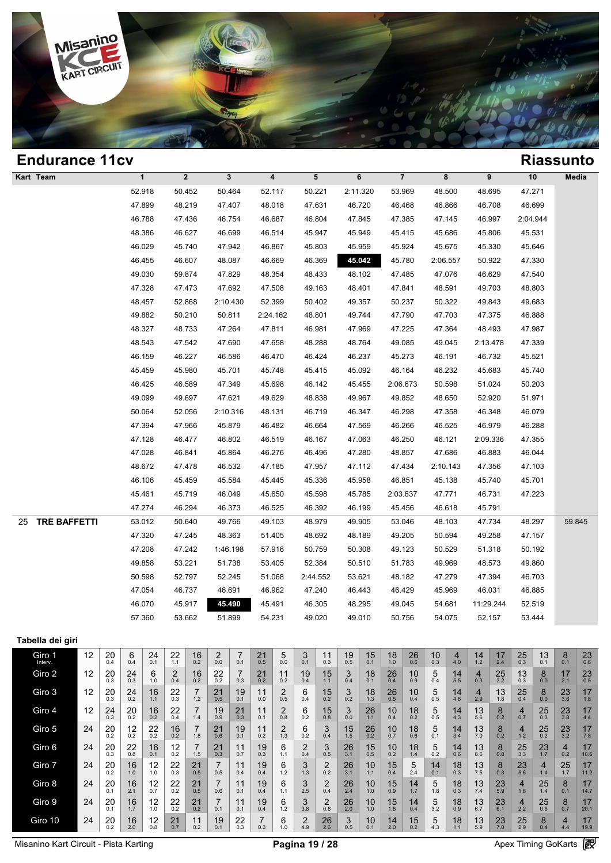

| <b>Endurance 11cv</b>                 |    |               |                     |                |               |                       |                       |                     |               |                         |                       |                      |                  |                     |                |                     |                 |                  |                        |                     |                     | <b>Riassunto</b>                        |                     |               |
|---------------------------------------|----|---------------|---------------------|----------------|---------------|-----------------------|-----------------------|---------------------|---------------|-------------------------|-----------------------|----------------------|------------------|---------------------|----------------|---------------------|-----------------|------------------|------------------------|---------------------|---------------------|-----------------------------------------|---------------------|---------------|
| Kart Team                             |    |               |                     | $\mathbf 1$    |               | $\mathbf{2}$          |                       | 3                   |               | $\overline{\mathbf{4}}$ |                       | ${\bf 5}$            |                  | 6                   |                | $\overline{7}$      |                 | 8                |                        | 9                   |                     | 10                                      | Media               |               |
|                                       |    |               | 52.918              |                |               | 50.452                |                       | 50.464              |               | 52.117                  |                       | 50.221               |                  | 2:11.320            |                | 53.969              |                 | 48.500           |                        | 48.695              | 47.271              |                                         |                     |               |
|                                       |    |               | 47.899              |                |               | 48.219                |                       | 47.407              |               | 48.018                  |                       | 47.631               |                  | 46.720              |                | 46.468              | 46.866          |                  |                        | 46.708              |                     | 46.699                                  |                     |               |
|                                       |    |               | 46.788              |                |               | 47.436                |                       | 46.754              |               | 46.687                  |                       | 46.804               |                  | 47.845              |                | 47.385              |                 | 47.145           |                        | 46.997              |                     | 2:04.944                                |                     |               |
|                                       |    |               | 48.386              |                |               | 46.627                | 46.699                |                     |               | 46.514                  |                       | 45.947               |                  | 45.949              |                | 45.415              |                 | 45.686           |                        | 45.806              | 45.531              |                                         |                     |               |
|                                       |    |               | 46.029              |                |               | 45.740                |                       | 47.942              |               | 46.867                  |                       | 45.803               |                  | 45.959              |                | 45.924              |                 | 45.675           |                        | 45.330              |                     | 45.646                                  |                     |               |
|                                       |    |               | 46.455              |                |               | 46.607                |                       | 48.087              |               | 46.669                  |                       | 46.369               |                  | 45.042              |                | 45.780              |                 | 2:06.557         |                        | 50.922              | 47.330              |                                         |                     |               |
|                                       |    |               | 49.030              |                |               | 59.874                |                       | 47.829              |               | 48.354                  |                       | 48.433               |                  | 48.102              |                | 47.485              |                 | 47.076           |                        | 46.629              |                     | 47.540                                  |                     |               |
|                                       |    |               | 47.328              |                |               | 47.473                |                       | 47.692              |               | 47.508                  |                       | 49.163               |                  | 48.401              |                | 47.841              | 48.591          |                  |                        | 49.703              |                     | 48.803                                  |                     |               |
|                                       |    |               | 48.457              |                |               | 52.868                | 2:10.430              |                     |               | 52.399                  |                       | 50.402               |                  | 49.357              |                | 50.237              |                 | 50.322           |                        | 49.843              |                     | 49.683                                  |                     |               |
|                                       |    |               | 49.882              |                |               | 50.210                |                       | 50.811              |               | 2:24.162                |                       | 48.801               |                  | 49.744              |                | 47.790              |                 | 47.703           |                        | 47.375              | 46.888              |                                         |                     |               |
|                                       |    |               | 48.327              |                |               | 48.733                |                       | 47.264              |               | 47.811                  |                       | 46.981               |                  | 47.969              |                | 47.225              |                 | 47.364           |                        | 48.493              |                     | 47.987                                  |                     |               |
|                                       |    |               | 48.543              |                |               | 47.542                |                       | 47.690              |               | 47.658                  |                       | 48.288               |                  | 48.764              |                | 49.085              |                 | 49.045           |                        | 2:13.478            |                     | 47.339                                  |                     |               |
|                                       |    |               | 46.159              |                |               | 46.227                |                       | 46.586              |               | 46.470                  |                       | 46.424               |                  | 46.237              |                | 45.273              | 46.191          |                  |                        | 46.732              | 45.521              |                                         |                     |               |
|                                       |    |               | 45.459              |                |               | 45.980                |                       | 45.701              |               | 45.748                  |                       | 45.415               |                  | 45.092              |                | 46.164              |                 | 46.232           |                        | 45.683              |                     | 45.740                                  |                     |               |
|                                       |    |               | 46.425              |                |               | 46.589                |                       | 47.349              |               | 45.698                  |                       | 46.142               |                  | 45.455              |                | 2:06.673            | 50.598          |                  |                        | 51.024              |                     | 50.203                                  |                     |               |
|                                       |    |               | 49.099              |                |               | 49.697                | 47.621                |                     |               | 49.629                  |                       | 48.838               |                  | 49.967              |                | 49.852              | 48.650          |                  |                        | 52.920              | 51.971              |                                         |                     |               |
|                                       |    |               | 50.064              |                |               | 52.056                | 2:10.316              |                     |               | 48.131                  |                       | 46.719               |                  | 46.347              |                | 46.298              |                 | 47.358           |                        | 46.348              |                     | 46.079                                  |                     |               |
|                                       |    |               | 47.394              |                |               | 47.966                |                       | 45.879              |               | 46.482                  |                       | 46.664               |                  | 47.569              |                | 46.266              |                 | 46.525           |                        | 46.979              |                     | 46.288                                  |                     |               |
|                                       |    |               | 47.128              |                |               | 46.477                |                       | 46.802              |               | 46.519                  |                       | 46.167               |                  | 47.063              |                | 46.250              | 46.121          |                  |                        | 2:09.336            | 47.355<br>46.044    |                                         |                     |               |
|                                       |    |               | 47.028              |                |               | 46.841                | 45.864                |                     |               | 46.276                  |                       | 46.496               |                  | 47.280              |                | 48.857              |                 | 47.686           |                        | 46.883              |                     |                                         |                     |               |
|                                       |    |               | 48.672              |                |               | 47.478                | 46.532                |                     |               | 47.185                  |                       | 47.957               |                  | 47.112              |                | 47.434              | 2:10.143        |                  |                        | 47.356              | 47.103              |                                         |                     |               |
|                                       |    |               | 46.106              |                |               | 45.459                |                       | 45.584              |               | 45.445                  |                       | 45.336               |                  | 45.958              |                | 46.851              |                 | 45.138           |                        | 45.740              | 45.701              |                                         |                     |               |
|                                       |    |               | 45.461              |                |               | 45.719                |                       | 46.049              |               | 45.650                  |                       | 45.598               |                  | 45.785              |                | 2:03.637            | 47.771          |                  |                        | 46.731              |                     | 47.223                                  |                     |               |
|                                       |    |               | 47.274              |                |               | 46.294                |                       | 46.373              |               | 46.525                  |                       | 46.392               |                  | 46.199              |                | 45.456              |                 | 46.618           |                        | 45.791              |                     |                                         |                     |               |
| <b>TRE BAFFETTI</b><br>25             |    |               | 53.012              |                |               | 50.640                |                       | 49.766              |               | 49.103                  |                       | 48.979               |                  | 49.905              |                | 53.046              | 48.103          |                  |                        | 47.734              |                     | 48.297                                  | 59.845              |               |
|                                       |    |               | 47.320              |                |               | 47.245                |                       | 48.363              |               | 51.405                  |                       | 48.692               |                  | 48.189              |                | 49.205              |                 | 50.594           |                        | 49.258              | 47.157              |                                         |                     |               |
|                                       |    |               | 47.208              |                |               | 47.242                | 1:46.198              |                     |               | 57.916                  |                       | 50.759               |                  | 50.308              |                | 49.123              |                 | 50.529           |                        | 51.318              |                     | 50.192                                  |                     |               |
|                                       |    |               | 49.858              |                |               | 53.221                |                       | 51.738              |               | 53.405                  |                       | 52.384               |                  | 50.510              |                | 51.783              | 49.969          |                  |                        | 48.573              |                     | 49.860                                  |                     |               |
|                                       |    |               | 50.598              |                |               | 52.797                |                       | 52.245              |               | 51.068                  |                       | 2:44.552             |                  | 53.621              |                | 48.182              | 47.279          |                  |                        | 47.394              |                     | 46.703                                  |                     |               |
|                                       |    |               | 47.054              |                |               | 46.737                |                       | 46.691              |               | 46.962                  |                       | 47.240               |                  | 46.443              |                | 46.429              |                 | 45.969           |                        | 46.031              |                     | 46.885                                  |                     |               |
|                                       |    |               | 46.070              |                |               | 45.917                |                       | 45.490              |               | 45.491                  |                       | 46.305               |                  | 48.295              |                | 49.045              |                 | 54.681           |                        | 11:29.244           |                     | 52.519                                  |                     |               |
|                                       |    |               | 57.360              |                |               | 53.662                |                       | 51.899              |               | 54.231                  |                       | 49.020               |                  | 49.010              |                | 50.756              |                 | 54.075           |                        | 52.157              |                     | 53.444                                  |                     |               |
| Tabella dei giri                      |    |               |                     |                |               |                       |                       |                     |               |                         |                       |                      |                  |                     |                |                     |                 |                  |                        |                     |                     |                                         |                     |               |
| Giro 1<br>Interv.                     | 12 | 20<br>0.4     | 6<br>0.4            | 24<br>0.1      | 22<br>1.1     | $16_{0.2}$            | $_{0.0}^{2}$          | $^{7}_{0.1}$        | $^{21}_{0.5}$ | 5<br>$0.0\,$            | 3 <sub>0.1</sub>      | 11<br>0.3            | 19<br>0.5        | $15$ <sub>0.1</sub> | 18<br>$1.0$    | $^{26}_{0.6}$       | $10_{0.3}$      | $\frac{4}{4.0}$  | $14 \atop 1.2$         | $\frac{17}{2.4}$    | $25$ <sub>0.3</sub> | $13_{0.1}$                              | $8_{0.1}$           | $^{23}_{0.6}$ |
| Giro 2                                | 12 | $^{20}_{0.3}$ | $^{24}_{0.3}$       | 6              | $^{2}_{0.4}$  | $16_{0.2}$            | $^{22}_{0.2}$         | $\underset{0.3}{7}$ | $^{21}_{0.2}$ | 11                      | $^{19}_{0.4}$         | $15$ <sub>1.1</sub>  | $3_{0.4}$        | 18                  | $^{26}_{0.4}$  | $^{10}_{0.9}$       | 5               | $14 \n5.5$       | $\frac{4}{0.3}$        | $\frac{25}{3.2}$    | $13_{0.3}$          | $\begin{array}{c} 8 \\ 0.0 \end{array}$ | $17_{2.1}$          | $^{23}_{0.5}$ |
| Giro 3                                | 12 |               |                     | 1.0<br>16      | 22            | $\overline{7}$        |                       | 19                  | 11            | 0.2<br>$\overline{2}$   | 6                     | 15                   | 3                | 0.1<br>18           |                | 10                  | 0.4<br>5        | 14               | 4                      | 13                  | 25                  | 8                                       |                     | 17            |
|                                       |    | $^{20}_{0.3}$ | $^{24}_{0.2}$       | 1.1            | 0.3           | $1.2$                 | $^{21}_{0.5}$         | 0.1                 | 0.0           | 0.5                     | 0.4                   | 0.2                  | 0.2              | 1.3                 | $^{26}_{0.5}$  | 0.4                 | 0.5             | 4.8              | 2.9                    | 1.8                 | 0.4                 | $0.0\,$                                 | $^{23}_{3.6}$       | 1.8           |
| Giro 4                                | 12 | $^{24}_{0.3}$ | $^{20}_{0.2}$       | 16<br>0.2      | 22<br>0.4     | $\overline{7}$<br>1.4 | 19<br>0.9             | 21<br>0.3           | 11<br>0.1     | $\overline{c}$<br>0.8   | 6<br>0.2              | 15<br>0.8            | 3<br>0.0         | 26<br>1.1           | 10<br>0.4      | 18<br>0.2           | 5<br>0.5        | 14<br>4.3        | 13<br>5.6              | 8<br>0.2            | 4<br>0.7            | $25$ <sub>0.3</sub>                     | $^{23}_{3.8}$       | 17<br>4.4     |
| Giro 5                                | 24 | $^{20}_{0.2}$ | $12_{0.2}$          | $^{22}_{0.2}$  | $16_{0.2}$    | 7<br>1.8              | 21<br>0.6             | 19<br>0.1           | $11_{0.2}$    | $\frac{2}{1.3}$         | 6<br>0.2              | 3<br>0.4             | $15 \atop 1.5$   | $^{26}_{0.2}$       | $^{10}_{0.7}$  | $^{18}_{0.6}$       | 5<br>0.1        | $14 \choose 3.4$ | $13 \atop 7.0$         | 8<br>0.2            | $\frac{4}{1.2}$     | $25$ <sub>0.2</sub>                     | $^{23}_{3.2}$       | 17<br>7.8     |
| Giro 6                                | 24 | $^{20}_{0.3}$ | $^{22}_{0.8}$       | $16_{0.1}$     | $12_{0.2}$    | 7                     | $^{21}_{0.3}$         | 11                  | $^{19}_{0.3}$ | 6                       | $^{2}_{0.4}$          | $\mathfrak{Z}_{0.5}$ | $\frac{26}{3.1}$ | $15$ <sub>0.5</sub> | $10_{0.2}$     | $18$ <sub>1.4</sub> | $\frac{5}{0.2}$ | $^{14}_{0.6}$    | 13                     | 8                   | $\frac{25}{3.3}$    | $23 \atop 1.7$                          | $^{4}_{0.2}$        | 17            |
| Giro 7                                | 24 | 20            | 16                  | 12             | 22            | 1.5<br>21             | 7                     | 0.7<br>11           | 19            | 1.1<br>6                | 3                     | $\overline{2}$       | 26               | 10                  | 15             | 5                   | 14              | 18               | $8.\overline{6}$<br>13 | 0.0<br>8            | 23                  | 4                                       |                     | 10.6<br>17    |
|                                       |    | 0.2           | 1.0                 | 1.0            | 0.3           | 0.5                   | 0.5                   | 0.4                 | 0.4           | $1.2$                   | 1.3                   | 0.2                  | 3.1              | 1.1                 | 0.4            | 2.4                 | 0.1             | 0.3              | $7.5\,$                | 0.3                 | 5.6                 | $1.4$                                   | $25$ <sub>1.7</sub> | 11.2          |
| Giro 8                                | 24 | $^{20}_{0.1}$ | 16<br>2.1           | $12_{0.7}$     | $^{22}_{0.2}$ | $^{21}_{0.5}$         | $\overline{7}$<br>0.6 | 11<br>0.1           | 19<br>0.4     | 6<br>1.1                | 3<br>$2.5\,$          | $^{2}_{0.4}$         | 26<br>2.4        | 10<br>1.0           | 15<br>0.9      | $14 \atop 1.7$      | 5<br>$1.8\,$    | 18<br>0.3        | $^{13}_{7.4}$          | $^{23}_{\,5.9}$     | $\frac{4}{1.8}$     | $25$ <sub>1.4</sub>                     | 8<br>0.1            | 17<br>14.7    |
| Giro 9                                | 24 | $^{20}_{0.1}$ | $16$ <sub>1.7</sub> | $12 \atop 1.0$ | $^{22}_{0.2}$ | $^{21}_{0.2}$         | 7<br>0.1              | 11<br>0.1           | $^{19}_{0.4}$ | 6<br>$1.2$              | 3<br>3.8              | $^{2}_{0.6}$         | $\frac{26}{2.0}$ | 10<br>1.0           | $15 \atop 1.8$ | $^{14}_{0.4}$       | $\frac{5}{3.2}$ | 18<br>0.9        | $13 \n6.7$             | $23$ <sub>6.1</sub> | $\frac{4}{2.2}$     | $\frac{25}{0.6}$                        | 8<br>0.7            | 17<br>20.1    |
| Giro 10                               | 24 | 20<br>0.2     | $\frac{16}{2.0}$    | 12<br>0.8      | $^{21}_{0.7}$ | 11<br>0.2             | $19$ <sub>0.1</sub>   | $^{22}_{0.3}$       | 7<br>$0.3\,$  | 6<br>1.0                | $\overline{c}$<br>4.9 | $\frac{26}{2.6}$     | 3<br>0.5         | 10<br>0.1           | $14 \over 2.0$ | $15$ <sub>0.2</sub> | $\frac{5}{4.3}$ | 18<br>1.1        | 13<br>5.9              | $^{23}_{7.0}$       | $\frac{25}{2.9}$    | 8<br>0.4                                | 4<br>4.4            | 17<br>19.9    |
| Misanino Kart Circuit - Pista Karting |    |               |                     |                |               |                       |                       |                     |               |                         |                       | Pagina 19 / 28       |                  |                     |                |                     |                 |                  |                        | Apex Timing GoKarts |                     | 飮                                       |                     |               |
|                                       |    |               |                     |                |               |                       |                       |                     |               |                         |                       |                      |                  |                     |                |                     |                 |                  |                        |                     |                     |                                         |                     |               |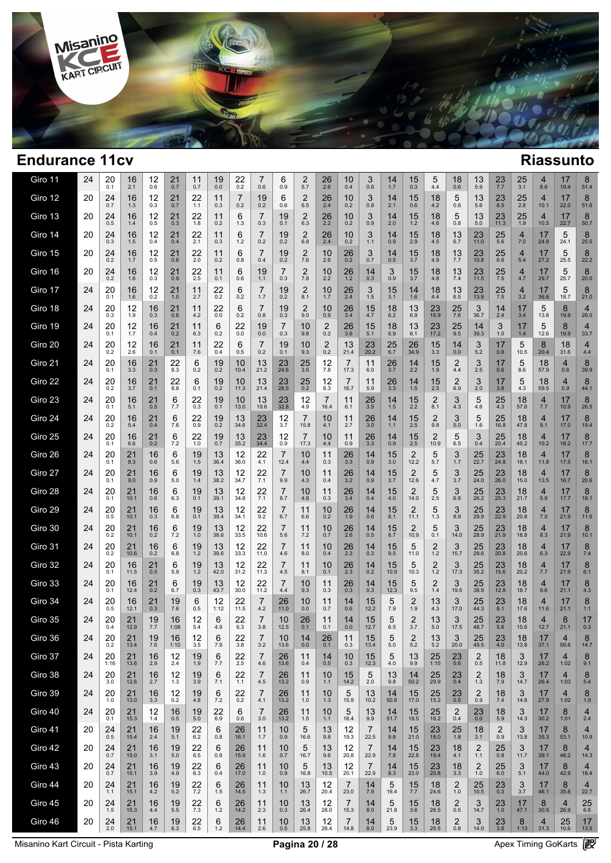

÷

| Giro 11 | 24 | 20<br>0.1     | 16<br>2.1            | 12<br>0.6     | $^{21}_{0.7}$ | 11<br>0.7        | 19<br>0.0     | 22<br>0.2             | 7<br>0.6             | 6<br>0.9   | 2<br>5.7              | 26<br>2.6    | 10<br>0.4              | 3<br>0.6               | 14<br>1.7           | 15<br>0.3              | 5<br>4.4              | 18<br>0.6                 | 13<br>5.9             | $^{23}_{7.7}$        | $25$ <sub>3.1</sub> | $\overline{4}$<br>8.6  | 17<br>19.4             | 8<br>51.4              |
|---------|----|---------------|----------------------|---------------|---------------|------------------|---------------|-----------------------|----------------------|------------|-----------------------|--------------|------------------------|------------------------|---------------------|------------------------|-----------------------|---------------------------|-----------------------|----------------------|---------------------|------------------------|------------------------|------------------------|
| Giro 12 | 20 | 24<br>0.7     | 16<br>1.3            | 12<br>0.3     | 21<br>0.7     | 22<br>1.1        | 11<br>0.3     | $\overline{7}$<br>0.2 | 19<br>0.2            | 6<br>0.6   | 2<br>6.5              | 26<br>2.4    | 10<br>0.2              | 3<br>0.8               | 14<br>2.1           | 15<br>0.6              | 18<br>4.2             | 5<br>0.8                  | 13<br>5.6             | 23<br>8.5            | $\frac{25}{2.8}$    | $\overline{4}$<br>10.1 | 17<br>22.0             | 8<br>51.6              |
| Giro 13 | 20 | 24<br>0.5     | 16<br>1.4            | 12<br>0.5     | 21<br>0.3     | 22<br>1.8        | 11<br>0.2     | 6<br>1.3              | 7<br>0.3             | 19<br>0.1  | $\overline{2}$<br>6.3 | 26<br>2.2    | 10<br>0.2              | 3<br>0.9               | 14<br>2.0           | 15<br>$1.2$            | 18<br>4.6             | 5<br>0.8                  | 13<br>5.0             | 23<br>11.3           | 25<br>1.9           | $\overline{4}$<br>10.5 | 17<br>22.7             | 8<br>50.7              |
| Giro 14 | 20 | 24<br>0.3     | 16<br>1.5            | 12<br>0.4     | 21<br>0.4     | 22<br>2.1        | 11<br>0.3     | 6<br>1.2              | 7<br>0.2             | 19<br>0.2  | $\overline{2}$<br>6.8 | 26<br>2.4    | 10<br>0.2              | 3<br>1.1               | 14<br>0.9           | 15<br>2.9              | 18<br>4.5             | 13<br>6.7                 | 23<br>11.0            | 25<br>5.6            | 4<br>7.0            | 17<br>24.8             | 5<br>24.1              | 8<br>25.5              |
| Giro 15 | 20 | 24<br>0.2     | 16<br>1.7            | 12<br>0.5     | 21<br>0.6     | 22<br>2.0        | 11<br>0.2     | 6<br>0.8              | 7<br>0.4             | 19<br>0.2  | 2<br>7.6              | 10<br>2.6    | 26<br>0.2              | 3<br>0.7               | 14<br>0.5           | 15<br>3.7              | 18<br>4.9             | 13<br>7.7                 | 23<br>10.8            | 25<br>6.6            | 4<br>5.4            | 17<br>27.2             | 5<br>25.5              | 8<br>22.2              |
| Giro 16 | 20 | 24<br>0.2     | 16<br>1.6            | 12<br>0.3     | 21<br>0.9     | $^{22}_{2.5}$    | 11<br>0.1     | 6<br>0.6              | 19<br>1.1            | 7<br>0.3   | 2<br>7.8              | 10<br>2.2    | 26<br>$1.2$            | 14<br>0.3              | 3<br>0.9            | 15<br>3.7              | 18<br>4.8             | $^{13}_{7.4}$             | $^{23}_{11.5}$        | $\frac{25}{7.5}$     | 4<br>4.7            | 17<br>29.7             | 5<br>25.7              | 8<br>20.0              |
| Giro 17 | 24 | 20<br>0.1     | 16<br>1.6            | 12<br>0.2     | 21<br>$1.0$   | 11<br>2.7        | 22<br>0.2     | 6<br>0.2              | 7<br>1.7             | 19<br>0.2  | $\overline{2}$<br>8.1 | 10<br>1.7    | 26<br>2.4              | 3<br>1.5               | 15<br>3.1           | 14<br>1.6              | 18<br>4.4             | 13<br>6.5                 | 23<br>13.9            | 25<br>7.5            | 4<br>3.2            | 17<br>36.8             | 5<br>18.7              | 8<br>21.0              |
| Giro 18 | 24 | 20<br>0.3     | 12<br>1.9            | 16<br>0.3     | 21<br>0.6     | 11<br>4.2        | 22<br>0.0     | 6<br>0.2              | 7<br>0.8             | 19<br>0.3  | $\overline{2}$<br>9.0 | 10<br>0.9    | 26<br>3.4              | 15<br>4.7              | 18<br>6.2           | 13<br>6.9              | 23<br>16.9            | $\frac{25}{7.6}$          | 3<br>36.7             | 14<br>2.4            | 17<br>3.4           | 5<br>13.8              | 8<br>19.9              | 4<br>28.0              |
| Giro 19 | 24 | 20<br>0.1     | 12<br>1.7            | 16<br>0.4     | 21<br>0.2     | 11<br>6.3        | 6<br>0.2      | 22<br>0.0             | 19<br>0.0            | 7<br>0.3   | 10<br>9.8             | $^{2}_{0.2}$ | 26<br>3.6              | 15<br>5.1              | 18<br>6.9           | 13<br>6.1              | 23<br>17.2            | $25$ <sub>9.5</sub>       | 14<br>39.3            | 3<br>1.0             | 17<br>$1.4$         | 5<br>12.6              | 8<br>19.9              | 4<br>33.7              |
| Giro 20 | 24 | 20<br>0.2     | 12<br>2.6            | 16<br>0.1     | 21<br>0.1     | 11<br>7.6        | 22<br>0.4     | 6<br>0.5              | 7<br>0.2             | 19<br>0.1  | 10<br>9.3             | $^{2}_{0.2}$ | 13<br>21.4             | $23$<br>$20.2$         | $25$ <sub>6.7</sub> | 26<br>34.9             | 15<br>3.3             | 14<br>0.0                 | 3<br>5.2              | 17<br>0.8            | 5<br>10.5           | 8<br>20.4              | 18<br>31.6             | 4<br>4.4               |
| Giro 21 | 24 | 20<br>0.1     | 16<br>3.3            | 21<br>0.3     | 22<br>8.3     | 6<br>0.2         | 19<br>0.2     | 10<br>10.4            | 13<br>21.2           | 23<br>24.6 | 25<br>3.5             | 12<br>7.8    | 7<br>17.3              | 11<br>6.0              | 26<br>3.7           | 14<br>2.2              | 15<br>1.9             | 2<br>4.4                  | 3<br>2.5              | 17<br>0.6            | 5<br>8.6            | 18<br>57.9             | 4<br>0.6               | 8<br>39.9              |
| Giro 22 | 24 | 20<br>0.2     | 16<br>3.7            | 21<br>0.1     | 22<br>8.8     | 6<br>0.1         | 19<br>0.2     | 10<br>11.3            | 13<br>21.4           | 23<br>28.5 | 25<br>0.2             | 12<br>8.3    | 7<br>16.7              | 11<br>5.9              | 26<br>3.3           | 14<br>1.5              | 15<br>2.5             | 2<br>6.9                  | 3<br>2.0              | 17<br>3.8            | 5<br>4.3            | 18<br>59.5             | 4<br>0.9               | 8<br>44.1              |
| Giro 23 | 24 | 20<br>0.1     | 16<br>5.1            | 21<br>0.5     | 6<br>7.7      | 22<br>0.3        | 19<br>0.1     | 10<br>13.0            | 13<br>19.6           | 23<br>32.8 | 12<br>4.9             | 7<br>16.4    | 11<br>6.1              | 26<br>3.5              | 14<br>1.5           | 15<br>2.2              | $\overline{2}$<br>8.1 | 3<br>4.3                  | 5<br>4.6              | 25<br>4.3            | 18<br>57.6          | 4<br>7.7               | 17<br>10.9             | 8<br>26.5              |
| Giro 24 | 24 | 20<br>0.2     | 16<br>5.4            | 21<br>0.4     | 6<br>7.6      | 22<br>0.9        | 19<br>0.2     | 13<br>34.6            | 23<br>32.4           | 12<br>3.7  | 7<br>15.8             | 10<br>4.1    | 11<br>2.7              | 26<br>3.0              | 14<br>1.1           | 15<br>2.5              | 2<br>9.8              | 3<br>5.0                  | 5<br>1.6              | 25<br>16.8           | 18<br>47.8          | 4<br>9.1               | 17<br>17.0             | 8<br>19.4              |
| Giro 25 | 24 | 20<br>0.1     | 16<br>6.6            | 21<br>0.2     | 6<br>7.2      | 22<br>1.0        | 19<br>0.7     | 13<br>35.2            | $23$ <sub>34.4</sub> | 12<br>0.9  | 7<br>17.3             | 10<br>4.4    | 11<br>0.9              | 26<br>3.3              | 14<br>0.9           | 15<br>2.5              | 2<br>10.9             | 5<br>6.5                  | 3<br>0.4              | 25<br>20.4           | 18<br>45.2          | 4<br>10.2              | 17<br>18.2             | 8<br>17.7              |
| Giro 26 | 24 | 20<br>0.1     | $\frac{21}{8.3}$     | 16<br>0.6     | 6<br>5.6      | 19<br>1.5        | 13<br>36.4    | 12<br>36.0            | 22<br>4.1            | 7<br>12.4  | 10<br>4.4             | 11<br>0.3    | 26<br>3.3              | 14<br>0.9              | $\frac{15}{3.0}$    | 2<br>12.2              | 5<br>5.7              | 3<br>1.7                  | $25$ <sub>22.7</sub>  | 23<br>24.8           | 18<br>18.1          | 4<br>11.8              | 17<br>17.5             | 8<br>16.1              |
| Giro 27 | 24 | 20<br>0.1     | 21<br>9.0            | 16<br>0.9     | 6<br>5.0      | 19<br>1.4        | 13<br>38.2    | 12<br>34.7            | 22<br>7.1            | 7<br>9.9   | 10<br>4.3             | 11<br>0.4    | 26<br>3.2              | 14<br>0.9              | $\frac{15}{3.7}$    | 2<br>12.6              | 5<br>4.7              | $\frac{3}{3.7}$           | 25<br>24.0            | 23<br>26.0           | 18<br>15.0          | 4<br>13.5              | 17<br>16.7             | 8<br>20.6              |
| Giro 28 | 24 | 20<br>0.1     | 21<br>10.1           | 16<br>0.6     | 6<br>6.3      | 19<br>0.1        | 13<br>39.1    | 12<br>34.8            | $^{22}_{7.1}$        | 7<br>8.7   | 10<br>4.8             | 11<br>0.3    | 26<br>3.4              | 14<br>0.4              | 15<br>4.0           | $\overline{2}$<br>14.0 | 5<br>2.5              | 3<br>6.8                  | 25<br>26.2            | 23<br>25.3           | 18<br>21.7          | 4<br>5.9               | 17<br>17.7             | 8<br>18.1              |
| Giro 29 | 24 | 20<br>0.5     | 21<br>10.1           | 16<br>0.3     | 6<br>6.8      | 19<br>0.1        | 13<br>39.4    | 12<br>34.1            | 22<br>9.2            | 7<br>6.7   | 11<br>6.6             | 10<br>0.2    | 26<br>1.9              | 14<br>0.6              | 15<br>8.1           | 2<br>11.1              | 5<br>1.3              | 3<br>8.9                  | 25<br>29.9            | $23$ <sub>22.9</sub> | 18<br>20.8          | 4<br>7.0               | 17<br>21.9             | 8<br>11.6              |
| Giro 30 | 24 | $^{20}_{0.2}$ | $21$ <sub>10.1</sub> | 16<br>0.2     | 6<br>7.2      | 19<br>$1.0$      | 13<br>38.6    | 12<br>33.5            | 22<br>10.6           | 7<br>5.6   | 11<br>7.2             | 10<br>0.7    | 26<br>2.6              | 14<br>0.5              | 15<br>8.7           | 2<br>10.9              | 5<br>0.1              | 3<br>14.0                 | $\frac{25}{28.9}$     | $23$ <sub>21.9</sub> | 18<br>18.8          | 4<br>8.3               | 17<br>21.9             | 8<br>10.1              |
| Giro 31 | 24 | 20<br>0.2     | 21<br>10.6           | 16<br>0.2     | 6<br>6.8      | 19<br>$1.2$      | 13<br>39.6    | 12<br>33.3            | 22<br>11.0           | 7<br>4.6   | 11<br>8.0             | 10<br>0.4    | 26<br>2.3              | 14<br>0.3              | 15<br>9.5           | 5<br>11.0              | $\overline{2}$<br>1.2 | 3<br>15.7                 | 25<br>29.6            | 23<br>20.8           | 18<br>20.6          | 4<br>6.3               | 17<br>22.9             | 8<br>7.4               |
| Giro 32 | 24 | 20<br>0.1     | 16<br>11.5           | 21<br>0.5     | 6<br>5.9      | 19<br>$1.2$      | 13<br>42.0    | 12<br>31.2            | 22<br>11.3           | 7<br>4.5   | 11<br>8.1             | 10<br>0.1    | 26<br>2.3              | 14<br>0.2              | 15<br>10.9          | 5<br>10.3              | 2<br>$1.2$            | 3<br>17.3                 | 25<br>35.2            | 23<br>15.6           | 18<br>20.2          | 4<br>7.7               | 17<br>21.9             | 8<br>6.1               |
| Giro 33 | 24 | 20<br>0.1     | 16<br>12.4           | 21<br>0.2     | 6<br>6.7      | 19<br>0.3        | 13<br>43.7    | 12<br>30.0            | $22$<br>11.2         | 7<br>4.4   | 10<br>9.3             | 11<br>0.3    | 26<br>0.3              | 14<br>0.3              | 15<br>12.3          | 5<br>9.5               | $\overline{2}$<br>1.4 | 3<br>19.5                 | 25<br>38.9            | 23<br>12.8           | 18<br>18.7          | 4<br>9.6               | 17<br>21.1             | 8<br>4.3               |
| Giro 34 | 24 | 20<br>0.5     | 16<br>12.1           | 21<br>0.3     | 19<br>7.6     | 6<br>0.5         | 12<br>1:12    | 22<br>11.5            | 7<br>4.2             | 26<br>11.0 | 10<br>0.0             | 11<br>0.7    | 14<br>0.6              | 15<br>12.2             | 5<br>7.9            | 2<br>1.9               | 13<br>4.3             | 3<br>17.0                 | 25<br>44.3            | 23<br>8.1            | 18<br>17.6          | 4<br>11.6              | 17<br>21.1             | 8<br>1.1               |
| Giro 35 | 24 | 20<br>0.4     | 21<br>12.9           | 19<br>7.7     | 16<br>1:08    | 12<br>5.4        | 6<br>4.9      | 22<br>6.3             | 7<br>3.8             | 10<br>12.5 | 26<br>0.1             | 11<br>0.1    | 14<br>0.0              | 15<br>12.7             | 5<br>6.5            | 2<br>3.7               | 13<br>5.0             | 3<br>17.5                 | 25<br>48.7            | 23<br>5.6            | 18<br>15.6          | 4<br>12.7              | 8<br>21.1              | 17<br>0.3              |
| Giro 36 | 24 | 20<br>$0.2\,$ | $21$ <sub>13.4</sub> | 19<br>7.6     | 16<br>1:10    | 12<br>$3.5\,$    | 6<br>7.9      | 22<br>3.8             | 7<br>3.2             | 10<br>13.6 | 14<br>$0.0\,$         | 26<br>0.1    | 11<br>0.3              | 15<br>13.4             | 5<br>5.0            | 2<br>5.2               | 13<br>$5.2\,$         | J<br>20.0                 | $25$<br>49.5          | $^{23}_{4.0}$        | 18<br>13.8          | 17<br>37.1             | 4<br>59.8              | 8<br>14.7              |
| Giro 37 | 24 | 20<br>1:16    | $21$<br>13.6         | 16<br>2.9     | 12<br>2.4     | 19<br>1.9        | 6<br>7.7      | 22<br>2.5             | 7<br>4.6             | 26<br>13.6 | 11<br>0.4             | 14<br>0.5    | 10<br>0.3              | 15<br>12.3             | 5<br>4.0            | 13<br>9.9              | 25<br>1:15            | 23<br>0.6                 | $\overline{c}$<br>0.5 | 18<br>11.8           | 3<br>12.9           | 17<br>26.2             | 4<br>1:02              | 8<br>9.1               |
| Giro 38 | 24 | 20<br>3.0     | 21<br>12.6           | 16<br>2.7     | 12<br>1.3     | 19<br>3.9        | 6<br>7.1      | 22<br>1.1             | 7<br>4.5             | 26<br>13.2 | 11<br>0.9             | 10<br>1.1    | 15<br>14.2             | 5<br>2.0               | 13<br>9.8           | 14<br>50.2             | 25<br>29.9            | 23<br>0.4                 | $\overline{2}$<br>1.3 | 18<br>7.9            | 3<br>14.7           | 17<br>26.4             | 4<br>1:03              | 8<br>$5.4$             |
| Giro 39 | 24 | 20<br>1.0     | $21$ <sub>13.0</sub> | 16<br>3.3     | 12<br>0.2     | 19<br>4.8        | 6<br>7.2      | 22<br>0.2             | 7<br>4.1             | 26<br>13.2 | 11<br>1.0             | 10<br>1.3    | 5<br>15.9              | 13<br>10.2             | 14<br>50.8          | 15<br>17.0             | $25$ <sub>15.2</sub>  | $^{23}_{0.5}$             | $\overline{2}$<br>0.9 | 18<br>7.4            | 3<br>14.8           | 17<br>27.9             | 4<br>1:02              | 8<br>1.9               |
| Giro 40 | 24 | 20<br>0.1     | $21$ <sub>15.3</sub> | 12<br>1.4     | 16<br>0.5     | 19<br>5.0        | 22<br>6.9     | 6<br>0.6              | 7<br>3.0             | 26<br>13.2 | 11<br>1.5             | 10<br>1.1    | 5<br>16.4              | 13<br>9.9              | 14<br>51.7          | 15<br>19.5             | 25<br>16.2            | 2<br>0.4                  | $^{23}_{0.0}$         | 18<br>5.9            | $3$ <sub>14.3</sub> | 17<br>30.2             | 8<br>1:01              | 4<br>2.4               |
| Giro 41 | 20 | 24<br>0.5     | $21$ <sub>15.4</sub> | 16<br>2.4     | 19<br>5.1     | 22<br>6.2        | 6<br>0.8      | 26<br>16.1            | 11<br>1.7            | 10<br>0.9  | 5<br>16.6             | 13<br>9.8    | 12<br>19.3             | 7<br>22.5              | 14<br>9.8           | 15<br>21.0             | 23<br>18.0            | 25<br>1.8                 | 18<br>3.1             | 2<br>0.9             | $3$ <sub>13.8</sub> | 17<br>35.3             | 8<br>53.1              | 4<br>10.9              |
| Giro 42 | 20 | 24<br>0.7     | 21<br>15.0           | 16<br>3.1     | 19<br>5.0     | 22<br>6.5        | 6<br>0.8      | 26<br>15.9            | 11<br>1.6            | 10<br>0.7  | 5<br>16.7             | 13<br>9.6    | 12<br>20.8             | 7<br>22.9              | 14<br>7.8           | 15<br>22.8             | 23<br>19.4            | 18<br>4.1                 | 2<br>1.1              | 25<br>0.8            | 3<br>11.7           | 17<br>39.1             | 8<br>48.2              | $\overline{4}$<br>14.3 |
| Giro 43 | 20 | 24<br>0.7     | $21$ <sub>15.1</sub> | 16<br>3.9     | 19<br>4.9     | $^{22}_{6.3}$    | 6<br>0.4      | $26 \atop 17.0$       | 11<br>1.0            | 10<br>0.9  | 5<br>16.8             | 13<br>10.5   | 12<br>20.1             | $\overline{7}$<br>22.9 | 14<br>8.3           | 15<br>23.0             | $\frac{23}{20.8}$     | 18<br>3.3                 | $^{2}_{1.0}$          | $25$ <sub>6.0</sub>  | 3,5.1               | 17<br>44.0             | 8<br>42.9              | 4<br>18.4              |
| Giro 44 | 20 | 24<br>1.1     | $21$ <sub>15.1</sub> | 16<br>4.2     | 19<br>5.2     | $\frac{22}{7.2}$ | $6 \atop 1.5$ | $26$<br>14.5          | 11<br>1.3            | 10<br>1.1  | 13<br>26.7            | 12<br>20.4   | 7<br>23.0              | 14<br>7.9              | 5<br>16.4           | 15<br>7.7              | 18<br>24.6            | 2<br>1.0                  | $25$ <sub>10.5</sub>  | $^{23}_{0.3}$        | 3<br>3.7            | 17<br>46.1             | 8<br>35.8              | 4<br>22.7              |
| Giro 45 | 20 | 24<br>1.5     | 21<br>15.3           | 16<br>4.4     | 19<br>5.5     | 22<br>7.3        | 6<br>1.2      | 26<br>14.2            | 11<br>2.3            | 10<br>0.3  | 13<br>26.4            | 12<br>28.0   | $\overline{7}$<br>15.3 | 14<br>8.0              | 5<br>21.8           | 15<br>3.6              | 18<br>26.5            | $\overline{2}$<br>0.5     | 3<br>14.7             | 23<br>$1.0$          | 17<br>47.1          | 8<br>30.5              | $\overline{4}$<br>26.9 | 25<br>6.6              |
| Giro 46 | 20 | 24<br>2.0     | 21<br>15.1           | 16<br>$4.7\,$ | 19<br>6.3     | 22<br>6.5        | 6<br>$1.2\,$  | 26<br>14.4            | 11<br>2.6            | 10<br>0.5  | 13<br>25.8            | 12<br>28.4   | 7<br>14.8              | 14<br>$8.0\,$          | 5<br>23.9           | 15<br>$3.3\,$          | 18<br>26.5            | $\overline{2}$<br>$0.8\,$ | 3<br>14.0             | 23<br>3.8            | 8<br>1:13           | 4<br>31.3              | 25<br>10.6             | 17<br>13.5             |
|         |    |               |                      |               |               |                  |               |                       |                      |            |                       |              |                        |                        |                     |                        |                       |                           |                       |                      |                     |                        |                        |                        |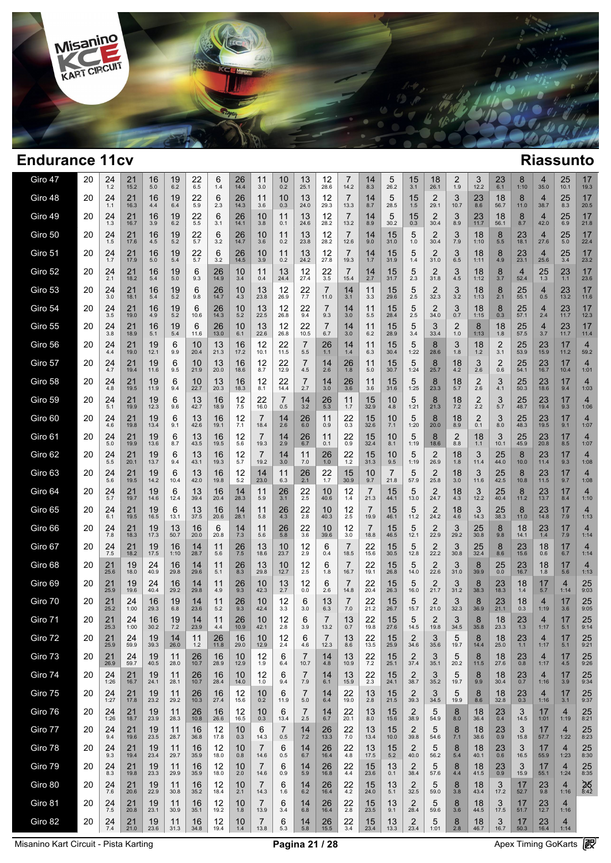

| Giro 47 | 20 | 24<br>$1.2$          | $21$<br>15.2         | 16<br>5.0       | 19<br>6.2            | $^{22}_{6.5}$        | 6<br>1.4             | 26<br>14.4       | 11<br>3.0        | 10<br>0.2        | 13<br>25.1            | 12<br>28.6             | 7<br>14.2              | 14<br>8.3              | 5<br>26.2              | 15<br>3.1              | 18<br>26.1             | 2<br>1.9                         | 3<br>12.2             | $^{23}_{6.1}$         | 8<br>1:10              | 4<br>35.0              | $25$ <sub>10.1</sub>   | 17<br>19.3             |
|---------|----|----------------------|----------------------|-----------------|----------------------|----------------------|----------------------|------------------|------------------|------------------|-----------------------|------------------------|------------------------|------------------------|------------------------|------------------------|------------------------|----------------------------------|-----------------------|-----------------------|------------------------|------------------------|------------------------|------------------------|
| Giro 48 | 20 | 24<br>1.1            | $21$<br>16.3         | 16<br>4.4       | 19<br>6.4            | 22<br>5.9            | 6<br>2.3             | $26$<br>14.3     | 11<br>3.6        | 10<br>0.3        | $13 \atop 24.0$       | 12<br>29.3             | $\overline{7}$<br>13.3 | $14 \n8.7$             | 5<br>28.5              | 15<br>1.5              | 2<br>29.1              | $3$ <sub>10.7</sub>              | $^{23}_{8.6}$         | 18<br>56.7            | $8$ <sub>11.0</sub>    | $\overline{4}$<br>38.7 | $25 \over 8.3$         | 17<br>20.5             |
| Giro 49 | 20 | 24<br>1.3            | 21<br>16.7           | 16<br>3.9       | 19<br>6.2            | 22<br>5.5            | 6<br>3.1             | 26<br>14.1       | 10<br>3.8        | 11<br>0.1        | 13<br>24.6            | 12<br>28.2             | $\overline{7}$<br>13.2 | 14<br>8.9              | 5<br>30.2              | 15<br>0.3              | $\overline{2}$<br>30.4 | 3<br>8.9                         | 23<br>11.7            | 18<br>56.1            | 8<br>8.7               | $\overline{4}$<br>42.0 | $25$ <sub>6.9</sub>    | 17<br>21.8             |
| Giro 50 | 20 | 24<br>1.5            | $21$<br>17.6         | 16<br>4.5       | 19<br>5.2            | $22$<br>5.7          | 6<br>3.2             | 26<br>14.7       | 10<br>3.6        | 11<br>0.2        | 13<br>23.8            | 12<br>28.2             | $\overline{7}$<br>12.6 | 14<br>9.0              | 15<br>31.0             | 5<br>1.0               | $\overline{2}$<br>30.4 | 3<br>7.9                         | 18<br>1:10            | 8<br>5.5              | 23<br>18.1             | $\overline{4}$<br>27.6 | $25$ <sub>5.0</sub>    | 17<br>22.4             |
| Giro 51 | 20 | $24 \atop 1.7$       | $21$<br>17.9         | 16<br>5.0       | 19<br>5.4            | $22$<br>5.7          | 6<br>3.2             | $26$<br>14.5     | 10<br>3.9        | 11<br>0.2        | 13<br>24.2            | 12<br>27.8             | 7<br>19.3              | 14<br>1.7              | 15<br>31.9             | 5<br>1.4               | $\overline{2}$<br>31.0 | 3<br>6.5                         | 18<br>1:11            | 8<br>4.9              | $23$ <sub>23.1</sub>   | $\overline{4}$<br>25.6 | $\frac{25}{3.4}$       | 17<br>23.2             |
| Giro 52 | 20 | $24 \atop 2.1$       | $21$<br>18.2         | 16<br>5.4       | 19<br>$5.0\,$        | 6<br>9.3             | $26$ <sub>14.9</sub> | 10<br>3.4        | 11<br>0.4        | 13<br>24.4       | $12 \atop 27.4$       | $\frac{22}{3.5}$       | 7<br>15.4              | $14 \over 2.7$         | 15<br>31.7             | 5<br>2.3               | 2<br>31.8              | $3 \n4.5$                        | 18<br>1:12            | 8<br>3.7              | $\overline{4}$<br>52.4 | $25$ <sub>1.3</sub>    | $23 \atop 1.1$         | 17<br>23.6             |
| Giro 53 | 20 | 24<br>$3.0\,$        | 21<br>18.1           | 16<br>5.4       | 19<br>5.2            | 6<br>9.8             | 26<br>14.7           | 10<br>4.3        | 13<br>23.8       | 12<br>26.9       | 22<br>7.7             | $\overline{7}$<br>11.0 | 14<br>3.1              | 11<br>3.3              | 15<br>29.6             | 5<br>2.5               | $\overline{2}$<br>32.3 | 3<br>3.2                         | 18<br>1:13            | 8<br>2.1              | 25<br>55.1             | 4<br>0.5               | 23<br>13.2             | 17<br>11.6             |
| Giro 54 | 20 | $^{24}_{3.5}$        | $21$<br>19.0         | 16<br>4.9       | 19<br>5.2            | 6<br>10.6            | $26$<br>14.3         | 10<br>5.2        | 13<br>22.5       | 12<br>26.8       | 22<br>9.4             | 7<br>9.3               | 14<br>3.0              | 11<br>5.5              | 15<br>28.4             | 5<br>2.5               | $\overline{2}$<br>34.0 | $\mathbf{3}_{0.7}$               | 18<br>1:15            | 8<br>0.3              | $25$ <sub>57.1</sub>   | $\frac{4}{2.4}$        | $23$<br>11.7           | 17<br>12.3             |
| Giro 55 | 20 | 24<br>3.8            | $21$<br>18.9         | 16<br>5.1       | 19<br>$5.4$          | 6<br>11.6            | $\frac{26}{13.0}$    | 10<br>6.1        | 13<br>22.6       | 12<br>26.8       | 22<br>10.5            | $\overline{7}$<br>6.7  | 14<br>3.0              | 11<br>6.2              | 15<br>28.9             | 5<br>3.4               | 3<br>33.4              | $^{2}_{1.0}$                     | 8<br>1:13             | 18<br>1.8             | $25$ <sub>57.5</sub>   | $\frac{4}{3.7}$        | $23$<br>11.7           | 17<br>11.4             |
| Giro 56 | 20 | 24<br>4.4            | $21$<br>19.0         | 19<br>12.1      | 6<br>9.9             | 10<br>20.4           | 13<br>21.3           | 16<br>17.2       | 12<br>10.1       | $^{22}_{11.5}$   | 7<br>$5.5\,$          | $26$ <sub>1.1</sub>    | 14<br>$1.4$            | 11<br>6.3              | 15<br>30.4             | 5<br>1:22              | 8<br>28.6              | $3_{1.8}$                        | 18<br>1.2             | $\frac{2}{3.1}$       | $25$ <sub>53.9</sub>   | $23$<br>15.9           | 17<br>11.2             | $\overline{4}$<br>59.2 |
| Giro 57 | 20 | 24<br>4.7            | 21<br>19.4           | 19<br>11.6      | 6<br>9.5             | 10<br>21.9           | 13<br>20.0           | 16<br>18.6       | 12<br>8.7        | 22<br>12.9       | 7<br>4.5              | 14<br>2.6              | 26<br>1.8              | 11<br>5.0              | 15<br>30.7             | 5<br>1:24              | 8<br>25.7              | 18<br>4.2                        | 3<br>2.6              | $\overline{2}$<br>0.6 | 25<br>54.1             | 23<br>16.7             | 17<br>10.4             | 4<br>1:01              |
| Giro 58 | 20 | 24<br>4.8            | $21$<br>19.5         | 19<br>11.9      | 6<br>9.4             | 10<br>22.7           | 13<br>20.3           | 16<br>18.3       | 12<br>8.1        | 22<br>14.4       | 7<br>2.7              | 14<br>3.0              | 26<br>3.6              | 11<br>3.6              | 15<br>31.6             | 5<br>1:25              | $8_{23.3}$             | 18<br>5.7                        | $\overline{c}$<br>2.6 | 3<br>4.1              | $25$ <sub>50.3</sub>   | $23$<br>18.6           | 17<br>9.4              | 4<br>1:03              |
| Giro 59 | 20 | 24<br>5.1            | $21$<br>19.9         | 19<br>12.3      | 6<br>9.6             | 13<br>42.7           | 16<br>18.9           | $^{12}_{7.5}$    | $22$<br>16.0     | 7<br>0.5         | 14<br>3.2             | 26<br>5.3              | 11<br>1.7              | 15<br>32.9             | 10<br>4.8              | 5<br>1:21              | $8$ <sub>21.3</sub>    | $18 \atop 7.2$                   | $^{2}_{2.2}$          | $\frac{3}{5.7}$       | $25$<br>48.7           | $23$<br>19.4           | 17<br>9.3              | 4<br>1:06              |
| Giro 60 | 20 | 24<br>4.6            | 21<br>19.8           | 19<br>13.4      | 6<br>9.1             | 13<br>42.6           | 16<br>19.1           | 12<br>7.1        | 7<br>18.4        | 14<br>2.6        | 26<br>6.0             | 11<br>0.9              | 22<br>0.3              | 15<br>32.6             | 10<br>7.1              | 5<br>1:20              | 8<br>20.0              | 18<br>8.9                        | $\overline{c}$<br>0.1 | 3<br>8.0              | 25<br>48.3             | 23<br>19.5             | 17<br>9.1              | $\overline{4}$<br>1:07 |
| Giro 61 | 20 | 24<br>5.0            | $21$<br>19.9         | 19<br>13.6      | 6<br>8.7             | $13\n43.5$           | 16<br>19.5           | 12<br>5.6        | 7<br>19.3        | $14$<br>2.9      | $\frac{26}{6.7}$      | 11<br>0.1              | $^{22}_{0.9}$          | $15 \over 32.4$        | 10<br>8.1              | 5<br>1:19              | $\frac{8}{18.6}$       | $2$ $_{\scriptscriptstyle{8.8}}$ | 18<br>1.1             | $3$ <sub>10.1</sub>   | $25$ <sub>45.9</sub>   | $23$ <sub>20.8</sub>   | 17<br>8.5              | $\overline{4}$<br>1:07 |
| Giro 62 | 20 | $^{24}_{\,5.5}$      | $21$ <sub>20.1</sub> | 19<br>13.7      | 6<br>9.4             | $13\n43.1$           | 16<br>19.3           | $12 \n5.7$       | $\frac{7}{19.2}$ | $14 \choose 3.0$ | 11<br>7.0             | $^{26}_{1.0}$          | $22$<br>1.2            | $15 \over 31.3$        | $^{10}_{9.5}$          | 5<br>1:19              | $\frac{2}{26.9}$       | $18 \atop 1.8$                   | $3$ <sub>11.4</sub>   | 25<br>44.0            | $8_{10.0}$             | $^{23}_{11.4}$         | 17<br>9.3              | $\overline{4}$<br>1:08 |
| Giro 63 | 20 | 24<br>5.6            | $21$<br>19.5         | 19<br>14.2      | 6<br>10.4            | $13\n42.0$           | 16<br>19.8           | $12 \n5.2$       | $14 \over 23.0$  | 11<br>6.3        | $^{26}_{2.1}$         | $22$<br>1.7            | 15<br>30.9             | $^{10}_{9.7}$          | $\overline{7}$<br>21.8 | 5<br>57.9              | $\frac{2}{25.8}$       | $18 \atop 3.0$                   | $3$ <sub>11.6</sub>   | $25$<br>$42.5$        | $8_{10.8}$             | $23$ <sub>11.5</sub>   | 17<br>9.7              | $\overline{4}$<br>1:08 |
| Giro 64 | 20 | 24<br>5.7            | $21$<br>19.7         | 19<br>14.6      | 6<br>12.4            | 13<br>39.4           | 16<br>20.4           | 14<br>28.3       | 11<br>5.9        | $\frac{26}{3.1}$ | $^{22}_{2.5}$         | 10<br>40.6             | 12<br>1.4              | $\overline{7}$<br>21.3 | 15<br>44.1             | 5<br>13.0              | $\overline{2}$<br>24.7 | 18<br>4.3                        | 3<br>12.2             | 25<br>40.4            | 8<br>11.2              | $23$<br>13.7           | 17<br>8.4              | 4<br>1:10              |
| Giro 65 | 20 | $^{24}_{6.1}$        | $21$<br>19.5         | 19<br>16.5      | 6<br>13.1            | $13 \over 37.5$      | 16<br>20.6           | 14<br>28.1       | 11<br>5.8        | $^{26}_{4.3}$    | $^{22}_{2.8}$         | 10<br>40.3             | $12 \atop 2.5$         | 7<br>19.9              | 15<br>46.1             | 5<br>11.2              | $2^{2}_{24.2}$         | 18<br>4.6                        | 3<br>14.3             | $25$ <sub>38.3</sub>  | 8<br>11.0              | $23$<br>14.8           | 17<br>7.9              | 4<br>1:13              |
| Giro 66 | 20 | $^{24}_{7.8}$        | $21$<br>18.3         | $19 \atop 17.3$ | $13$ <sub>50.7</sub> | $16_{20.0}$          | 6<br>20.8            | $14 \atop 7.3$   | 11<br>5.6        | $^{26}_{\,5.8}$  | $^{22}_{3.6}$         | 10<br>39.6             | $12_{3,0}$             | 7<br>18.8              | 15<br>46.5             | $\frac{5}{12.1}$       | $\overline{2}$<br>22.9 | 3<br>29.2                        | $25 \over 30.8$       | 8<br>9.8              | $18$ <sub>14.1</sub>   | $^{23}_{1.4}$          | $\frac{17}{7.9}$       | 4<br>1:14              |
| Giro 67 | 20 | 24<br>$7.5\,$        | 21<br>18.2           | 19<br>17.5      | 16<br>1:10           | 14<br>28.7           | 11<br>5.6            | 26<br>7.5        | 13<br>18.6       | 10<br>23.7       | 12<br>2.9             | 6<br>0.4               | 7<br>18.5              | 22<br>15.6             | 15<br>30.5             | 5<br>12.8              | $\overline{2}$<br>22.2 | 3<br>30.8                        | 25<br>32.4            | 8<br>8.6              | 23<br>15.6             | 18<br>0.6              | 17<br>6.7              | 4<br>1:14              |
| Giro 68 | 20 | 21<br>25.6           | 19<br>18.0           | 24<br>40.9      | 16<br>29.8           | 14<br>29.6           | 11<br>5.1            | $\frac{26}{8.3}$ | 13<br>29.8       | 10<br>12.7       | 12<br>2.5             | 6<br>1.8               | 7<br>16.7              | 22<br>19.1             | 15<br>26.8             | 5<br>14.0              | $\overline{2}$<br>22.6 | 3<br>31.0                        | $8_{39.9}$            | 25<br>0.0             | $23$<br>16.7           | $18 \atop 1.8$         | 17<br>5.6              | 4<br>1:13              |
| Giro 69 | 20 | $21$ <sub>25.9</sub> | 19<br>19.6           | 24<br>40.4      | 16<br>29.2           | 14<br>29.8           | 11<br>4.9            | $\frac{26}{9.3}$ | 10<br>42.3       | 13<br>2.7        | 12<br>0.0             | 6<br>2.6               | $\overline{7}$<br>14.8 | $22$<br>$20.4$         | 15<br>26.3             | 5<br>16.0              | $\overline{2}$<br>21.7 | 3<br>31.2                        | 8<br>38.3             | 23<br>18.3            | 18<br>1.4              | 17<br>5.7              | 4<br>1:14              | 25<br>9:03             |
| Giro 70 | 20 | $21$<br>$25.2$       | $24 \atop 1:00$      | 16<br>29.3      | 19<br>6.8            | 14<br>23.6           | 11<br>5.2            | $\frac{26}{9.3}$ | 10<br>42.4       | 12<br>3.3        | 6<br>3.0              | 13<br>6.3              | $\overline{7}$<br>7.0  | $22$<br>$21.2$         | 15<br>26.7             | 5<br>15.7              | $\overline{2}$<br>21.0 | 3<br>32.3                        | 8<br>36.9             | $23$ <sub>21.1</sub>  | $18_{0.3}$             | 4<br>1:19              | 17<br>3.6              | 25<br>9:05             |
| Giro 71 | 20 | 21<br>25.3           | 24<br>1:00           | 16<br>30.2      | 19<br>7.2            | 14<br>23.9           | 11<br>4.4            | 26<br>10.9       | 10<br>42.1       | 12<br>2.8        | 6<br>3.9              | $\overline{7}$<br>13.2 | 13<br>0.7              | 22<br>19.8             | 15<br>27.6             | 5<br>14.5              | $\overline{2}$<br>19.8 | 3<br>34.5                        | 8<br>35.8             | 18<br>23.3            | 23<br>1.3              | 4<br>1:17              | 17<br>5.1              | 25<br>9:14             |
| Giro 72 | 20 | $21$ <sub>25.9</sub> | 24<br>59.9           | 19<br>39.3      | 14<br>26.0           | 11<br>1.2            | 26<br>11.8           | 16<br>29.0       | 10<br>12.9       | 12<br>2.4        | 6<br>4.6              | $\overline{ }$<br>12.3 | 13<br>8.6              | 22<br>13.5             | 15<br>25.9             | $\overline{c}$<br>34.6 | J<br>35.6              | 5<br>19.7                        | 8<br>14.4             | 18<br>25.0            | 23<br>$1.1$            | 4<br>1:17              | $\frac{1}{2}$<br>$5.1$ | 25<br>9:21             |
| Giro 73 | 20 | 21<br>26.9           | 24<br>59.7           | 19<br>40.5      | 11<br>28.0           | 26<br>10.7           | 16<br>28.9           | 10<br>12.9       | 12<br>1.9        | 6<br>6.4         | 7<br>10.7             | 14<br>4.8              | 13<br>10.9             | 22<br>7.2              | 15<br>25.1             | $\overline{2}$<br>37.4 | 3<br>35.1              | 5<br>20.2                        | 8<br>11.5             | 18<br>27.6            | 23<br>0.8              | 4<br>1:17              | 17<br>4.5              | 25<br>9:26             |
| Giro 74 | 20 | 24<br>1:26           | 21<br>16.7           | 19<br>24.1      | 11<br>28.1           | 26<br>10.7           | 16<br>28.4           | 10<br>14.0       | 12<br>1.0        | 6<br>9.4         | 7<br>7.9              | 14<br>6.1              | 13<br>15.9             | 22<br>2.3              | 15<br>24.1             | $\overline{2}$<br>38.7 | 3<br>35.2              | 5<br>19.7                        | 8<br>9.9              | 18<br>30.4            | 23<br>0.7              | $\overline{4}$<br>1:16 | 17<br>3.9              | 25<br>9:34             |
| Giro 75 | 20 | 24<br>1:27           | $^{21}_{17.8}$       | 19<br>23.2      | 11<br>29.2           | $26$ <sub>10.3</sub> | 16<br>27.4           | 12<br>15.6       | 10<br>0.2        | 6<br>11.9        | $\overline{7}$<br>5.0 | 14<br>6.4              | 22<br>19.0             | 13<br>2.8              | 15<br>21.5             | $\overline{2}$<br>39.3 | 3<br>34.5              | 5<br>19.9                        | 8<br>8.6              | 18<br>32.8            | $^{23}_{0.3}$          | 4<br>1:16              | 17<br>3.1              | 25<br>9:37             |
| Giro 76 | 20 | 24<br>1:26           | 21<br>18.7           | 19<br>23.9      | 11<br>28.3           | 26<br>10.8           | 16<br>26.6           | 12<br>16.5       | 10<br>0.3        | 6<br>13.4        | 7<br>2.5              | 14<br>6.7              | 22<br>20.1             | 13<br>8.0              | 15<br>15.6             | $\overline{2}$<br>38.9 | 5<br>54.9              | 8<br>8.0                         | 18<br>36.4            | 23<br>0.4             | 3<br>14.5              | 17<br>1:01             | 4<br>1:19              | 25<br>8:21             |
| Giro 77 | 20 | 24<br>9.4            | $21$<br>19.6         | 19<br>23.5      | 11<br>28.7           | 16<br>36.8           | 12<br>17.8           | 10<br>0.3        | 6<br>14.3        | 7<br>0.5         | 14<br>7.2             | 26<br>13.3             | 22<br>7.0              | 13<br>13.4             | 15<br>10.0             | $\overline{2}$<br>39.8 | 5<br>54.6              | 8<br>7.1                         | 18<br>38.6            | 23<br>0.9             | 3<br>15.8              | 17<br>57.7             | 4<br>1:22              | 25<br>8:23             |
| Giro 78 | 20 | 24<br>9.3            | 21<br>19.4           | 19<br>23.4      | 11<br>29.7           | 16<br>35.9           | 12<br>18.0           | 10<br>0.8        | 7<br>14.6        | 6<br>0.5         | 14<br>6.7             | 26<br>16.4             | 22<br>4.8              | 13<br>17.5             | 15<br>5.2              | $\overline{2}$<br>40.0 | 5<br>56.2              | 8<br>5.4                         | 18<br>40.1            | 23<br>0.6             | 3<br>16.5              | 17<br>55.9             | 4<br>1:23              | 25<br>8:30             |
| Giro 79 | 20 | 24<br>8.3            | $21$<br>19.8         | 19<br>23.3      | 11<br>29.9           | 16<br>35.9           | 12<br>18.0           | 10<br>2.0        | 7<br>14.6        | 6<br>0.9         | 14<br>5.9             | 26<br>16.8             | $^{22}_{4.4}$          | 15<br>23.6             | 13<br>0.1              | $\overline{2}$<br>38.4 | 5<br>57.6              | $8_{4.4}$                        | 18<br>41.5            | $^{23}_{0.9}$         | 3<br>15.9              | 17<br>55.1             | 4<br>1:24              | 25<br>8:35             |
| Giro 80 | 20 | 24<br>7.6            | 21<br>20.6           | 19<br>22.9      | 11<br>30.8           | 16<br>35.2           | 12<br>18.4           | 10<br>2.1        | 7<br>14.3        | 6<br>1.6         | 14<br>6.2             | 26<br>16.4             | $^{22}_{4.2}$          | 15<br>24.0             | 13<br>5.1              | $\overline{2}$<br>32.5 | 5<br>59.0              | 8<br>3.8                         | 18<br>43.4            | 3<br>17.2             | 17<br>52.7             | $^{23}_{9.8}$          | 4<br>1:16              | $26$ <sub>8:42</sub>   |
| Giro 81 | 20 | 24<br>7.5            | 21<br>20.8           | 19<br>23.1      | 11<br>30.9           | 16<br>35.1           | 12<br>19.2           | 10<br>1.8        | 7<br>13.9        | 6<br>3.4         | 14<br>6.8             | 26<br>16.4             | 22<br>2.8              | 15<br>23.5             | 13<br>9.1              | $\overline{2}$<br>28.4 | 5<br>59.6              | 8<br>3.6                         | 18<br>44.5            | 3<br>17.5             | 17<br>51.7             | 23<br>12.7             | $\overline{4}$<br>1:16 |                        |
| Giro 82 | 20 | 24<br>7.4            | 21<br>21.0           | 19<br>23.6      | 11<br>31.3           | 16<br>34.8           | 12<br>19.4           | 10<br>1.4        | 7<br>13.8        | 6<br>5.3         | 14<br>5.8             | 26<br>15.5             | 22<br>3.4              | 15<br>23.4             | 13<br>13.3             | 2<br>23.4              | 5<br>1:01              | 8<br>2.8                         | 18<br>46.7            | 3<br>16.7             | 17<br>50.3             | 23<br>16.4             | 4<br>1:14              |                        |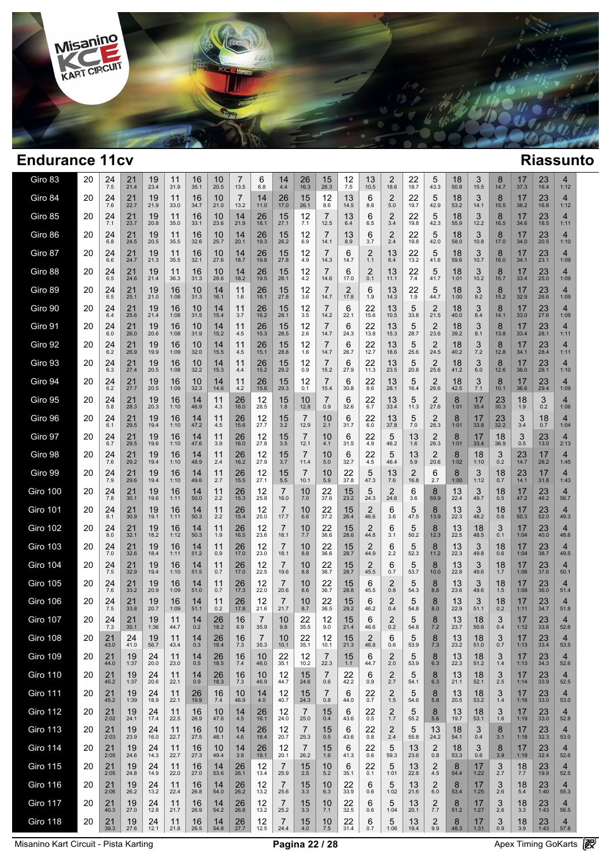

| Giro 83         | 20 | 24<br>7.5  | 21<br>21.4 | 19<br>23.4 | 11<br>31.9 | 16<br>35.1 | 10<br>20.5 | 7<br>13.5  | 6<br>6.8               | 14<br>4.4              | 26<br>16.3 | 15<br>26.3             | 12<br>7.5  | 13<br>10.5             | 2<br>18.6             | 22<br>18.7 | 5<br>43.3              | 18<br>50.8 | 3<br>15.5  | 8<br>14.7   | 17<br>37.3   | 23<br>16.4 | 4<br>1:12              |  |
|-----------------|----|------------|------------|------------|------------|------------|------------|------------|------------------------|------------------------|------------|------------------------|------------|------------------------|-----------------------|------------|------------------------|------------|------------|-------------|--------------|------------|------------------------|--|
| Giro 84         | 20 | 24<br>7.6  | 21<br>22.7 | 19<br>21.9 | 11<br>33.0 | 16<br>34.7 | 10<br>21.0 | 7<br>13.2  | 14<br>11.0             | 26<br>17.0             | 15<br>26.1 | 12<br>8.6              | 13<br>14.5 | 6<br>8.6               | 2<br>5.0              | 22<br>19.7 | 5<br>42.9              | 18<br>53.2 | 3<br>14.1  | 8<br>15.5   | 17<br>36.2   | 23<br>16.8 | 4<br>1:12              |  |
| Giro 85         | 20 | 24<br>7.1  | 21<br>23.7 | 19<br>20.8 | 11<br>35.0 | 16<br>33.1 | 10<br>23.6 | 14<br>21.9 | 26<br>18.1             | 15<br>27.1             | 12<br>7.1  | 7<br>12.5              | 13<br>6.4  | 6<br>6.5               | 2<br>3.4              | 22<br>19.8 | 5<br>42.3              | 18<br>55.9 | 3<br>12.2  | 8<br>16.5   | 17<br>34.6   | 23<br>18.5 | 4<br>1:11              |  |
| Giro 86         | 20 | 24<br>6.8  | 21<br>24.5 | 19<br>20.5 | 11<br>35.5 | 16<br>32.6 | 10<br>25.7 | 14<br>20.1 | 26<br>19.3             | 15<br>26.2             | 12<br>6.9  | 7<br>14.1              | 13<br>8.9  | 6<br>3.7               | $\overline{2}$<br>2.4 | 22<br>19.8 | 5<br>42.0              | 18<br>58.0 | 3<br>10.8  | 8<br>17.0   | 17<br>34.0   | 23<br>20.5 | 4<br>1:10              |  |
| Giro 87         | 20 | 24<br>6.6  | 21<br>24.7 | 19<br>21.3 | 11<br>35.5 | 16<br>32.1 | 10<br>27.6 | 14<br>18.7 | 26<br>19.8             | 15<br>27.8             | 12<br>4.9  | 7<br>14.3              | 6<br>14.7  | $\overline{c}$<br>1.1  | 13<br>6.4             | 22<br>13.2 | 5<br>41.6              | 18<br>59.6 | 3<br>10.7  | 8<br>16.0   | 17<br>34.1   | 23<br>23.1 | 4<br>1:09              |  |
| Giro 88         | 20 | 24<br>6.5  | 21<br>24.6 | 19<br>21.4 | 11<br>36.3 | 16<br>31.3 | 10<br>28.6 | 14<br>18.2 | 26<br>19.5             | 15<br>28.1             | 12<br>4.2  | 7<br>14.6              | 6<br>17.0  | $\overline{2}$<br>0.1  | 13<br>11.1            | 22<br>7.4  | 5<br>41.7              | 18<br>1:01 | 3<br>10.2  | 8<br>15.7   | 17<br>33.4   | 23<br>25.0 | 4<br>1:09              |  |
| Giro 89         | 20 | 24<br>6.5  | 21<br>25.1 | 19<br>21.0 | 16<br>1:08 | 10<br>31.3 | 14<br>16.1 | 11<br>1.6  | 26<br>18.1             | 15<br>27.8             | 12<br>3.6  | $\overline{7}$<br>14.7 | 2<br>17.8  | 6<br>1.9               | 13<br>14.3            | 22<br>1.9  | 5<br>44.7              | 18<br>1:00 | 3<br>9.2   | 8<br>15.2   | 17<br>32.9   | 23<br>26.6 | 4<br>1:09              |  |
| Giro 90         | 20 | 24<br>6.4  | 21<br>25.6 | 19<br>21.4 | 16<br>1:08 | 10<br>31.5 | 14<br>15.4 | 11<br>3.7  | 26<br>16.2             | 15<br>28.1             | 12<br>3.5  | 7<br>14.2              | 6<br>22.1  | 22<br>15.6             | 13<br>10.5            | 5<br>33.8  | 2<br>21.5              | 18<br>40.0 | 3<br>8.4   | 8<br>14.1   | 17<br>33.0   | 23<br>27.6 | 4<br>1:09              |  |
| Giro 91         | 20 | 24<br>6.0  | 21<br>26.0 | 19<br>20.6 | 16<br>1:08 | 10<br>31.9 | 14<br>15.2 | 11<br>4.5  | 26<br>15.3             | 15<br>28.5             | 12<br>2.6  | $\overline{7}$<br>14.7 | 6<br>24.3  | 22<br>13.8             | 13<br>15.3            | 5<br>28.7  | $\overline{2}$<br>23.6 | 18<br>39.2 | 3<br>8.1   | 8<br>13.8   | 17<br>33.4   | 23<br>28.1 | 4<br>1:11              |  |
| Giro 92         | 20 | 24<br>6.2  | 21<br>26.9 | 19<br>19.9 | 16<br>1:09 | 10<br>32.0 | 14<br>15.5 | 11<br>4.5  | 26<br>15.1             | 15<br>28.8             | 12<br>1.6  | 7<br>14.7              | 6<br>26.7  | 22<br>12.7             | 13<br>18.6            | 5<br>25.6  | $\overline{2}$<br>24.5 | 18<br>40.2 | 3<br>7.2   | 8<br>12.8   | 17<br>34.1   | 23<br>28.4 | 4<br>1:11              |  |
| Giro 93         | 20 | 24<br>6.3  | 21<br>27.4 | 19<br>20.5 | 16<br>1:08 | 10<br>32.2 | 14<br>15.3 | 11<br>4.4  | 26<br>15.2             | 15<br>29.2             | 12<br>0.9  | $\overline{7}$<br>15.2 | 6<br>27.9  | 22<br>11.3             | 13<br>23.5            | 5<br>20.8  | 2<br>25.6              | 18<br>41.2 | 3<br>6.0   | 8<br>12.6   | 17<br>36.0   | 23<br>28.1 | 4<br>1:10              |  |
| Giro 94         | 20 | 24<br>6.2  | 21<br>27.7 | 19<br>20.5 | 16<br>1:09 | 10<br>32.3 | 14<br>14.6 | 11<br>4.2  | 26<br>15.6             | 15<br>29.3             | 12<br>0.1  | 7<br>15.4              | 6<br>30.8  | 22<br>8.6              | 13<br>28.1            | 5<br>16.4  | 2<br>26.6              | 18<br>42.5 | 3<br>7.1   | 8<br>10.1   | 17<br>36.6   | 23<br>29.4 | 4<br>1:09              |  |
| Giro 95         | 20 | 24<br>5.8  | 21<br>28.3 | 19<br>20.3 | 16<br>1:10 | 14<br>46.9 | 11<br>4.3  | 26<br>16.0 | 12<br>28.5             | 15<br>1.8              | 10<br>12.8 | 7<br>0.9               | 6<br>32.6  | 22<br>6.7              | 13<br>33.4            | 5<br>11.3  | 2<br>27.6              | 8<br>1:01  | 17<br>35.4 | 23<br>30.3  | 18<br>1.9    | 3<br>0.2   | 4<br>1:06              |  |
| Giro 96         | 20 | 24<br>6.1  | 21<br>29.5 | 19<br>19.4 | 16<br>1:10 | 14<br>47.2 | 11<br>4.5  | 26<br>15.6 | 12<br>27.7             | 15<br>3.2              | 7<br>12.9  | 10<br>2.1              | 6<br>31.7  | 22<br>6.0              | 13<br>37.8            | 5<br>7.0   | 2<br>28.3              | 8<br>1:01  | 17<br>33.8 | 23<br>32.2  | 3<br>3.4     | 18<br>0.7  | 4<br>1:04              |  |
| Giro 97         | 20 | 24<br>6.7  | 21<br>29.5 | 19<br>19.6 | 16<br>1:10 | 14<br>47.6 | 11<br>3.9  | 26<br>16.0 | 12<br>27.8             | $\frac{15}{3.5}$       | 7<br>12.1  | 10<br>4.1              | 6<br>31.5  | 22<br>4.9              | 5<br>46.2             | 13<br>1.6  | 2<br>26.3              | 8<br>1:01  | 17<br>33.4 | 18<br>36.9  | 3<br>0.5     | 23<br>13.0 | 4<br>2:13              |  |
| Giro 98         | 20 | 24<br>7.6  | 21<br>29.2 | 19<br>19.4 | 16<br>1:10 | 14<br>48.9 | 11<br>2.4  | 26<br>16.2 | 12<br>27.9             | $\frac{15}{3.7}$       | 7<br>11.4  | 10<br>5.0              | 6<br>32.7  | 22<br>4.5              | 5<br>46.4             | 13<br>5.9  | 2<br>20.6              | 8<br>1:02  | 18<br>1:10 | 3<br>0.2    | $23$<br>14.7 | 17<br>28.2 | 4<br>1:45              |  |
| Giro 99         | 20 | 24<br>7.9  | 21<br>29.6 | 19<br>19.4 | 16<br>1:10 | 14<br>49.6 | 11<br>2.7  | 26<br>15.5 | 12<br>27.1             | 15<br>5.5              | 7<br>10.1  | 10<br>5.9              | 22<br>37.8 | 5<br>47.3              | 13<br>7.6             | 2<br>16.8  | 6<br>2.7               | 8<br>1:00  | 3<br>1:12  | 18<br>0.7   | 23<br>14.1   | 17<br>31.8 | 4<br>1:43              |  |
| Giro 100        | 20 | 24<br>7.8  | 21<br>30.1 | 19<br>19.6 | 16<br>1:11 | 14<br>50.0 | 11<br>2.2  | 26<br>15.3 | 12<br>25.8             | $\overline{7}$<br>16.0 | 10<br>7.0  | 22<br>37.6             | 15<br>23.2 | 5<br>24.3              | 2<br>24.6             | 6<br>3.6   | 8<br>59.9              | 13<br>22.4 | 3<br>49.7  | 18<br>0.5   | 17<br>47.2   | 23<br>46.2 | 4<br>56.7              |  |
| <b>Giro 101</b> | 20 | 24<br>8.1  | 21<br>30.9 | 19<br>19.1 | 16<br>1:11 | 14<br>50.3 | 11<br>2.2  | 26<br>15.4 | 12<br>25.0             | 7<br>17.7              | 10<br>6.6  | 22<br>37.2             | 15<br>26.4 | $\overline{2}$<br>46.6 | 6<br>3.6              | 5<br>47.5  | 8<br>13.9              | 13<br>22.3 | 3<br>48.2  | 18<br>0.6   | 17<br>50.3   | 23<br>52.0 | 4<br>49.3              |  |
| <b>Giro 102</b> | 20 | 24<br>8.0  | 21<br>32.1 | 19<br>18.2 | 16<br>1:12 | 14<br>50.3 | 11<br>1.9  | 26<br>16.5 | 12<br>23.6             | 7<br>18.1              | 10<br>7.7  | 22<br>36.6             | 15<br>28.6 | $\overline{2}$<br>44.8 | 6<br>3.1              | 5<br>50.2  | 8<br>12.3              | 13<br>22.5 | 18<br>48.5 | 3<br>0.1    | 17<br>1:04   | 23<br>40.0 | 4<br>48.6              |  |
| <b>Giro 103</b> | 20 | 24<br>7.0  | 21<br>32.6 | 19<br>18.4 | 16<br>1:11 | 14<br>51.2 | 11<br>0.9  | 26<br>17.0 | 12<br>23.0             | $\overline{7}$<br>18.1 | 10<br>8.8  | 22<br>36.6             | 15<br>28.7 | $\overline{2}$<br>44.9 | 6<br>2.2              | 5<br>52.3  | 8<br>11.2              | 13<br>22.3 | 3<br>49.8  | 18<br>0.6   | 17<br>1:04   | 23<br>38.7 | 4<br>49.5              |  |
| <b>Giro 104</b> | 20 | 24<br>7.5  | 21<br>32.9 | 19<br>19.4 | 16<br>1:10 | 14<br>51.5 | 11<br>0.7  | 26<br>17.0 | 12<br>22.5             | 7<br>19.6              | 10<br>8.8  | 22<br>36.7             | 15<br>28.7 | $\overline{2}$<br>45.5 | 6<br>0.7              | 5<br>53.7  | 8<br>10.0              | 13<br>22.8 | 3<br>49.6  | 18<br>1.7   | 17<br>1:06   | 23<br>37.6 | 4<br>50.1              |  |
| <b>Giro 105</b> | 20 | 24<br>7.6  | 21<br>33.2 | 19<br>20.9 | 16<br>1:09 | 14<br>51.0 | 11<br>0.7  | 26<br>17.3 | 12<br>22.0             | $\overline{7}$<br>20.6 | 10<br>8.6  | 22<br>36.7             | 15<br>28.8 | 6<br>45.5              | $\overline{c}$<br>0.8 | 5<br>54.3  | 8<br>8.6               | 13<br>23.6 | 3<br>49.6  | 18<br>$1.5$ | 17<br>1:08   | 23<br>36.0 | 4<br>51.4              |  |
| <b>Giro 106</b> | 20 | 24<br>7.5  | 21<br>33.8 | 19<br>20.7 | 16<br>1:09 | 14<br>51.1 | 11<br>0.2  | 26<br>17.8 | 12<br>21.6             | 7<br>21.7              | 10<br>8.7  | 22<br>36.5             | 15<br>29.2 | 6<br>46.2              | 2<br>0.4              | 5<br>54.8  | 8<br>8.0               | 13<br>22.9 | 3<br>51.1  | 18<br>0.2   | 17<br>1:11   | 23<br>34.7 | 4<br>51.8              |  |
| <b>Giro 107</b> | 20 | 24<br>7.3  | 21<br>35.1 | 19<br>1:36 | 11<br>44.7 | 14<br>0.2  | 26<br>18.2 | 16<br>6.9  | 7<br>35.9              | 10<br>9.8              | 22<br>35.5 | 12<br>9.0              | 15<br>21.4 | 6<br>46.6              | 2<br>0.2              | 5<br>54.8  | 8<br>7.2               | 13<br>23.7 | 18<br>50.6 | 3<br>0.4    | 17<br>1:12   | 23<br>33.8 | 4<br>52.6              |  |
| Giro 108        | 20 | 21<br>43.0 | 24<br>41.0 | 19<br>56.7 | 11<br>43.4 | 14<br>0.3  | 26<br>18.4 | 16<br>7.3  | $\overline{ }$<br>35.3 | 10<br>10.1             | 22<br>35.1 | 12<br>10.1             | 15<br>21.3 | $\overline{2}$<br>46.8 | 6<br>0.6              | 5<br>53.9  | 8<br>7.3               | 13<br>23.2 | 18<br>51.0 | 3<br>0.7    | 17<br>1:13   | 23<br>33.4 | 53.5                   |  |
| <b>Giro 109</b> | 20 | 21<br>44.0 | 19<br>1:37 | 24<br>20.0 | 11<br>23.0 | 14<br>0.5  | 26<br>18.5 | 16<br>7.4  | 10<br>46.0             | 22<br>35.1             | 12<br>10.2 | 7<br>22.3              | 15<br>1.1  | 6<br>44.7              | 2<br>2.0              | 5<br>53.9  | 8<br>6.3               | 13<br>22.3 | 18<br>51.2 | 3<br>1.4    | 17<br>1:13   | 23<br>34.3 | 4<br>52.6              |  |
| <b>Giro 110</b> | 20 | 21<br>45.2 | 19<br>1:37 | 24<br>20.6 | 11<br>22.1 | 14<br>0.9  | 26<br>18.3 | 16<br>7.3  | 10<br>46.9             | 12<br>44.7             | 15<br>24.6 | $\overline{7}$<br>0.6  | 22<br>42.2 | 6<br>0.9               | 2<br>2.7              | 5<br>54.1  | 8<br>6.3               | 13<br>21.1 | 18<br>52.1 | 3<br>2.5    | 17<br>1:14   | 23<br>33.9 | $\overline{4}$<br>52.5 |  |
| <b>Giro 111</b> | 20 | 21<br>45.2 | 19<br>1:39 | 24<br>18.9 | 11<br>22.1 | 26<br>19.9 | 16<br>7.4  | 10<br>46.9 | 14<br>4.0              | 12<br>40.7             | 15<br>24.3 | $\overline{7}$<br>0.8  | 6<br>44.0  | 22<br>0.7              | 2<br>1.5              | 5<br>54.6  | 8<br>5.8               | 13<br>20.5 | 18<br>53.2 | 3<br>1.4    | 17<br>1:16   | 23<br>33.0 | 4<br>53.0              |  |
| <b>Giro 112</b> | 20 | 21<br>2:02 | 19<br>24.1 | 24<br>17.4 | 11<br>22.5 | 16<br>26.9 | 10<br>47.6 | 14<br>4.5  | 26<br>16.1             | 12<br>24.0             | 7<br>25.0  | 15<br>0.4              | 6<br>43.6  | 22<br>0.5              | 2<br>1.7              | 5<br>55.2  | 8<br>5.6               | 13<br>19.7 | 18<br>53.1 | 3<br>1.6    | 17<br>1:19   | 23<br>33.0 | 4<br>52.8              |  |
| <b>Giro 113</b> | 20 | 21<br>2:03 | 19<br>23.9 | 24<br>16.0 | 11<br>22.7 | 16<br>27.5 | 10<br>48.1 | 14<br>4.6  | 26<br>18.4             | 12<br>20.7             | 7<br>25.3  | 15<br>0.5              | 6<br>43.6  | 22<br>0.8              | 2<br>2.4              | 5<br>55.8  | 13<br>24.2             | 18<br>54.1 | 3<br>0.4   | 8<br>3.1    | 17<br>1:18   | 23<br>32.3 | 4<br>53.0              |  |
| <b>Giro 114</b> | 20 | 21<br>2:05 | 19<br>24.6 | 24<br>14.3 | 11<br>22.7 | 16<br>27.3 | 10<br>49.4 | 14<br>3.8  | 26<br>19.1             | 12<br>20.1             | 7<br>26.2  | 15<br>1.6              | 6<br>41.3  | 22<br>0.6              | 5<br>59.3             | 13<br>23.6 | 2<br>0.8               | 18<br>53.3 | 3<br>0.6   | 8<br>3.9    | 17<br>1:19   | 23<br>32.4 | 4<br>52.6              |  |
| <b>Giro 115</b> | 20 | 21<br>2:05 | 19<br>24.8 | 24<br>14.9 | 11<br>22.0 | 16<br>27.0 | 14<br>53.6 | 26<br>26.1 | 12<br>13.4             | 7<br>25.9              | 15<br>2.5  | 10<br>5.2              | 6<br>35.1  | 22<br>0.1              | 5<br>1:01             | 13<br>22.8 | $^{2}_{4.5}$           | 8<br>54.4  | 17<br>1:22 | 3<br>2.7    | 18<br>7.7    | 23<br>19.9 | 4<br>52.5              |  |
| <b>Giro 116</b> | 20 | 21<br>2:06 | 19<br>26.2 | 24<br>13.2 | 11<br>22.4 | 16<br>26.8 | 14<br>54.0 | 26<br>26.2 | 12<br>13.2             | 7<br>25.6              | 15<br>3.3  | 10<br>6.3              | 22<br>33.9 | 6<br>0.6               | 5<br>1:02             | 13<br>21.6 | 2<br>6.0               | 8<br>53.4  | 17<br>1:25 | 3<br>2.6    | 18<br>5.4    | 23<br>1:40 | 4<br>55.3              |  |
| Giro 117        | 20 | 21<br>40.3 | 19<br>27.0 | 24<br>12.8 | 11<br>21.7 | 16<br>26.9 | 14<br>54.2 | 26<br>26.8 | 12<br>13.2             | 7<br>25.2              | 15<br>3.3  | 10<br>7.1              | 22<br>32.5 | 6<br>0.6               | 5<br>1:04             | 13<br>20.1 | $\overline{2}$<br>7.7  | 8<br>51.2  | 17<br>1:27 | 3<br>2.6    | 18<br>3.3    | 23<br>1:43 | 4<br>56.5              |  |
| Giro 118        | 20 | 21<br>39.3 | 19<br>27.6 | 24<br>12.1 | 11<br>21.8 | 16<br>26.5 | 14<br>54.8 | 26<br>27.7 | 12<br>12.5             | 7<br>24.4              | 15<br>4.0  | 10<br>7.5              | 22<br>31.4 | 6<br>0.7               | 5<br>1:06             | 13<br>19.4 | 2<br>9.9               | 8<br>48.3  | 17<br>1:31 | 3<br>0.9    | 18<br>3.9    | 23<br>1:43 | 4<br>57.8              |  |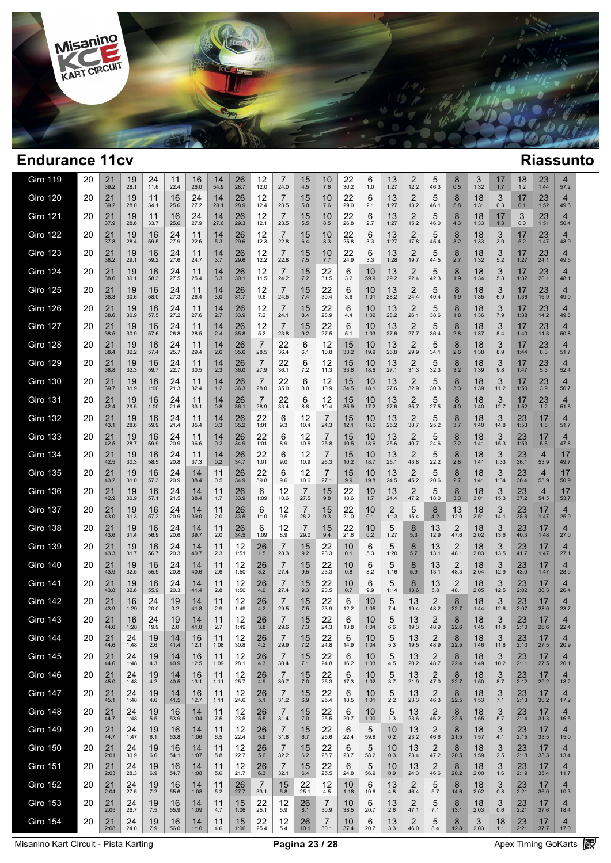

| Giro 119        | 20 | 21<br>39.2 | 19<br>28.1 | 24<br>11.6    | 11<br>22.4 | 16<br>26.0 | 14<br>54.9 | 26<br>28.7 | 12<br>12.0    | 24.0                   | 15<br>4.5     | 10<br>7.6              | 22<br>30.2 | 6<br>1.0   | 13<br>1:27 | 2<br>12.2              | 5<br>46.3              | 8<br>0.5   | 3<br>1:32  | 1/<br>1.7 | 18<br>$1.2$          | 23<br>1:44 | 4<br>57.2              |  |
|-----------------|----|------------|------------|---------------|------------|------------|------------|------------|---------------|------------------------|---------------|------------------------|------------|------------|------------|------------------------|------------------------|------------|------------|-----------|----------------------|------------|------------------------|--|
| <b>Giro 120</b> | 20 | 21<br>39.2 | 19<br>28.0 | 11<br>34.1    | 16<br>25.6 | 24<br>27.2 | 14<br>28.1 | 26<br>28.9 | 12<br>12.4    | 7<br>23.5              | 15<br>5.0     | 10<br>7.6              | 22<br>29.0 | 6<br>2.1   | 13<br>1:27 | 2<br>13.2              | 5<br>46.1              | 8<br>5.8   | 18<br>1:31 | 3<br>0.3  | 17<br>0.1            | 23<br>1:52 | 4<br>49.6              |  |
| <b>Giro 121</b> | 20 | 21<br>37.9 | 19<br>28.6 | 11<br>33.7    | 16<br>25.6 | 24<br>27.9 | 14<br>27.6 | 26<br>29.3 | 12<br>12.1    | 7<br>23.5              | 15<br>5.5     | 10<br>8.5              | 22<br>26.8 | 6<br>2.7   | 13<br>1:27 | 2<br>15.2              | 5<br>46.0              | 8<br>4.3   | 18<br>1:33 | 17<br>1.3 | 3<br>0.0             | 23<br>1:51 | 4<br>50.4              |  |
| Giro 122        | 20 | 21<br>37.8 | 19<br>28.4 | 16<br>59.5    | 24<br>27.9 | 11<br>22.6 | 14<br>5.3  | 26<br>29.6 | 12<br>12.3    | 7<br>22.8              | 15<br>6.4     | 10<br>8.3              | 22<br>25.8 | 6<br>3.3   | 13<br>1:27 | 2<br>17.8              | 5<br>45.4              | 8<br>3.2   | 18<br>1:33 | 3<br>3.0  | 17<br>5.2            | 23<br>1:47 | 4<br>48.9              |  |
| <b>Giro 123</b> | 20 | 21<br>38.2 | 19<br>29.1 | 16<br>59.2    | 24<br>27.6 | 11<br>24.7 | 14<br>3.7  | 26<br>29.6 | 12<br>12.2    | 7<br>22.8              | 15<br>7.5     | 10<br>7.7              | 22<br>24.9 | 6<br>3.3   | 13<br>1:28 | 2<br>19.7              | 5<br>44.5              | 8<br>2.7   | 18<br>1:32 | 3<br>5.2  | 17<br>1:27           | 23<br>24.1 | 4<br>49.5              |  |
| Giro 124        | 20 | 21<br>38.6 | 19<br>30.1 | 16<br>58.3    | 24<br>27.5 | 11<br>25.4 | 14<br>3.3  | 26<br>30.1 | 12<br>11.5    | 7<br>24.2              | 15<br>7.2     | 22<br>31.5             | 6<br>3.2   | 10<br>59.9 | 13<br>29.2 | 2<br>22.4              | 5<br>42.3              | 8<br>1.9   | 18<br>1:34 | 3<br>5.8  | 17<br>1:32           | 23<br>20.1 | 4<br>48.1              |  |
| Giro 125        | 20 | 21<br>38.3 | 19<br>30.6 | 16<br>58.0    | 24<br>27.3 | 11<br>26.4 | 14<br>3.0  | 26<br>31.7 | 12<br>9.6     | 7<br>24.5              | 15<br>7.4     | 22<br>30.4             | 6<br>3.6   | 10<br>1:01 | 13<br>28.2 | 2<br>24.4              | 5<br>40.4              | 8<br>1.9   | 18<br>1:35 | 3<br>6.9  | 17<br>1:36           | 23<br>16.9 | 4<br>49.0              |  |
| Giro 126        | 20 | 21<br>38.6 | 19<br>30.9 | 16<br>57.5    | 24<br>27.2 | 11<br>27.6 | 14<br>2.7  | 26<br>33.9 | 12<br>7.2     | 7<br>24.1              | 15<br>8.4     | 22<br>28.9             | 6<br>4.4   | 10<br>1:02 | 13<br>28.2 | 2<br>26.1              | 5<br>38.6              | 8<br>1.8   | 18<br>1:36 | 3<br>7.9  | 17<br>1:38           | 23<br>14.2 | 4<br>49.8              |  |
| Giro 127        | 20 | 21<br>38.5 | 19<br>30.9 | 16<br>57.6    | 24<br>26.8 | 11<br>28.5 | 14<br>2.4  | 26<br>35.8 | 12<br>5.2     | 7<br>23.8              | 15<br>9.2     | 22<br>27.5             | 6<br>5.1   | 10<br>1:03 | 13<br>27.6 | 2<br>27.7              | 5<br>36.4              | 8<br>2.8   | 18<br>1:37 | 3<br>8.4  | 17<br>1:40           | 23<br>11.3 | 4<br>50.8              |  |
| Giro 128        | 20 | 21<br>38.4 | 19<br>32.2 | 16<br>57.4    | 24<br>25.7 | 11<br>29.4 | 14<br>2.6  | 26<br>35.6 | 7<br>28.5     | 22<br>36.4             | 6<br>6.1      | 12<br>10.8             | 15<br>33.2 | 10<br>19.9 | 13<br>26.8 | 2<br>29.9              | 5<br>34.1              | 8<br>2.6   | 18<br>1:38 | 3<br>8.9  | 17<br>1:44           | 23<br>8.3  | $\overline{4}$<br>51.7 |  |
| <b>Giro 129</b> | 20 | 21<br>38.8 | 19<br>32.3 | 16<br>59.7    | 24<br>22.7 | 11<br>30.5 | 14<br>2.3  | 26<br>36.0 | 7<br>27.9     | 22<br>36.1             | 6<br>7.2      | 12<br>11.3             | 15<br>33.6 | 10<br>18.6 | 13<br>27.1 | 2<br>31.3              | 5<br>32.3              | 8<br>3.2   | 18<br>1:39 | 3<br>9.8  | 17<br>1:47           | 23<br>5.3  | 4<br>52.4              |  |
| <b>Giro 130</b> | 20 | 21<br>39.7 | 19<br>31.9 | 16<br>1:00    | 24<br>21.3 | 11<br>32.4 | 14<br>1.2  | 26<br>36.3 | 7<br>28.0     | 22<br>35.0             | 6<br>8.0      | 12<br>10.9             | 15<br>34.5 | 10<br>18.1 | 13<br>27.6 | 2<br>32.9              | 5<br>30.3              | 8<br>3.3   | 18<br>1:39 | 3<br>11.2 | 17<br>1:50           | 23<br>3.9  | 4<br>50.7              |  |
| <b>Giro 131</b> | 20 | 21<br>42.4 | 19<br>29.5 | 16<br>1:00    | 24<br>21.6 | 11<br>33.1 | 14<br>0.8  | 26<br>36.1 | 7<br>28.9     | 22<br>33.4             | 6<br>8.8      | 12<br>10.4             | 15<br>35.9 | 10<br>17.2 | 13<br>27.6 | 2<br>35.7              | 5<br>27.5              | 8<br>4.0   | 18<br>1:40 | 3<br>12.7 | 17<br>1:52           | 23<br>1.2  | 4<br>51.8              |  |
| <b>Giro 132</b> | 20 | 21<br>43.1 | 19<br>28.6 | 16<br>59.9    | 24<br>21.4 | 11<br>35.4 | 14<br>0.3  | 26<br>35.2 | 22<br>1:01    | 6<br>9.3               | 12<br>10.4    | 7<br>24.3              | 15<br>12.1 | 10<br>18.6 | 13<br>25.2 | 2<br>38.7              | 5<br>25.2              | 8<br>3.7   | 18<br>1:40 | 3<br>14.8 | 23<br>1:53           | 17<br>1.8  | 4<br>51.7              |  |
| <b>Giro 133</b> | 20 | 21<br>42.5 | 19<br>28.7 | 16<br>59.9    | 24<br>20.9 | 11<br>36.6 | 14<br>0.2  | 26<br>34.9 | 22<br>1:01    | 6<br>8.9               | 12<br>10.5    | 7<br>25.8              | 15<br>10.5 | 10<br>18.6 | 13<br>25.6 | 2<br>40.7              | 5<br>24.6              | 8<br>2.2   | 18<br>1:41 | 3<br>15.3 | 23<br>1:53           | 17<br>5.6  | 4<br>47.8              |  |
| <b>Giro 134</b> | 20 | 21<br>42.5 | 19<br>30.3 | 16<br>58.5    | 24<br>20.8 | 11<br>37.3 | 14<br>0.2  | 26<br>34.7 | 22<br>1:01    | 6<br>9.0               | 12<br>10.9    | 26.3                   | 15<br>10.2 | 10<br>18.7 | 13<br>25.1 | 2<br>43.8              | 5<br>22.2              | 8<br>2.8   | 18<br>1:41 | 3<br>1:33 | 23<br>36.1           | 4<br>53.9  | 17<br>49.7             |  |
| <b>Giro 135</b> | 20 | 21<br>43.2 | 19<br>31.0 | 16<br>57.3    | 24<br>20.9 | 14<br>38.4 | 11<br>0.5  | 26<br>34.9 | 22<br>59.8    | 6<br>9.6               | 12<br>10.6    | 7<br>27.1              | 15<br>9.9  | 10<br>19.8 | 13<br>24.5 | 2<br>45.2              | 5<br>20.6              | 8<br>2.7   | 18<br>1:41 | 3<br>1:34 | 23<br>36.4           | 4<br>53.9  | 17<br>50.9             |  |
| Giro 136        | 20 | 21<br>42.9 | 19<br>30.9 | 16<br>57.1    | 24<br>21.5 | 14<br>38.4 | 11<br>1.7  | 26<br>33.9 | 6<br>1:09     | 12<br>10.6             | 7<br>27.5     | 15<br>9.8              | 22<br>18.6 | 10<br>1.7  | 13<br>24.4 | 2<br>47.2              | 5<br>18.0              | 8<br>3.3   | 18<br>3:01 | 3<br>15.3 | 23<br>37.2           | 4<br>54.5  | 17<br>53.7             |  |
| <b>Giro 137</b> | 20 | 21<br>43.0 | 19<br>31.3 | 16<br>57.2    | 24<br>20.9 | 14<br>39.0 | 11<br>2.0  | 26<br>33.5 | 6<br>1:10     | 12<br>9.5              | 7<br>28.2     | 15<br>9.3              | 22<br>21.0 | 10<br>0.1  | 2<br>1:13  | 5<br>15.4              | 8<br>4.2               | 13<br>12.0 | 18<br>2:51 | 3<br>14.1 | 23<br>38.8           | 17<br>1:47 | 4<br>25.9              |  |
| <b>Giro 138</b> | 20 | 21<br>43.6 | 19<br>31.4 | 16<br>56.9    | 24<br>20.6 | 14<br>39.7 | 11<br>2.0  | 26<br>34.5 | 6<br>1:09     | 12<br>8.9              | 7<br>29.0     | 15<br>9.4              | 22<br>21.6 | 10<br>0.2  | 5<br>1:27  | 8<br>5.3               | 13<br>12.9             | 2<br>47.6  | 18<br>2:02 | 3<br>13.6 | 23<br>40.3           | 17<br>1:48 | 4<br>27.0              |  |
| <b>Giro 139</b> | 20 | 21<br>43.3 | 19<br>31.7 | 16<br>56.7    | 24<br>20.3 | 14<br>40.7 | 11<br>2.3  | 12<br>1:51 | 26<br>1.5     | 7<br>28.3              | 15<br>9.2     | 22<br>23.3             | 10<br>0.1  | 6<br>5.3   | 5<br>1:20  | 8<br>5.7               | 13<br>13.1             | 2<br>48.1  | 18<br>2:03 | 3<br>13.5 | 23<br>41.7           | 17<br>1:47 | 4<br>27.1              |  |
| Giro 140        | 20 | 21<br>43.9 | 19<br>32.5 | 16<br>55.9    | 24<br>20.8 | 14<br>40.6 | 11<br>2.6  | 12<br>1:50 | 26<br>3.2     | 7<br>27.4              | 15<br>9.5     | 22<br>23.3             | 10<br>0.8  | 6<br>8.2   | 5<br>1:16  | 8<br>5.9               | 13<br>13.1             | 2<br>48.3  | 18<br>2:04 | 3<br>12.9 | 23<br>43.0           | 17<br>1:47 | 4<br>28.0              |  |
| <b>Giro 141</b> | 20 | 21<br>43.8 | 19<br>32.6 | 16<br>55.9    | 24<br>20.3 | 14<br>41.4 | 11<br>2.8  | 12<br>1:50 | 26<br>4.0     | 7<br>27.4              | 15<br>9.3     | 22<br>23.5             | 10<br>0.7  | 6<br>9.9   | 5<br>1:14  | 8<br>13.6              | 13<br>5.8              | 2<br>48.1  | 18<br>2:05 | 3<br>12.5 | 23<br>2:02           | 17<br>30.3 | 4<br>26.4              |  |
| Giro 142        | 20 | 21<br>43.9 | 16<br>1:29 | 24<br>20.0    | 19<br>0.2  | 14<br>41.8 | 11<br>2.9  | 12<br>1:49 | 26<br>4.2     | 7<br>29.5              | 15<br>7.5     | 22<br>23.9             | 6<br>12.2  | 10<br>1:05 | 5<br>7.4   | 13<br>19.4             | 2<br>48.2              | 8<br>22.7  | 18<br>1:44 | 3<br>12.6 | 23<br>2:07           | 17<br>28.0 | 4<br>23.7              |  |
| <b>Giro 143</b> | 20 | 21<br>44.0 | 16<br>1:28 | 24<br>19.9    | 19<br>2.0  | 14<br>41.0 | 11<br>2.7  | 12<br>1:49 | 26<br>3.8     | 7<br>29.6              | 15<br>7.3     | 22<br>24.3             | 6<br>13.8  | 10<br>1:04 | 5<br>6.6   | 13<br>19.3             | 2<br>48.9              | 8<br>22.6  | 18<br>1:45 | 3<br>11.8 | 23<br>2:10           | 17<br>26.6 | 4<br>22.4              |  |
| Giro 144        | 20 | 21<br>44.6 | 24<br>1:48 | 19<br>$2.6\,$ | 14<br>41.4 | 16<br>12.1 | 11<br>1:08 | 12<br>30.8 | 26<br>$4.2\,$ | 29.9                   | 15<br>$7.2\,$ | 22<br>24.8             | 6<br>14.9  | 10<br>1:04 | 5<br>5.3   | 13<br>19.5             | 2<br>48.9              | ŏ<br>22.5  | 18<br>1:46 | 3<br>11.8 | 23<br>2:10           | 17<br>27.5 | 20.9                   |  |
| <b>Giro 145</b> | 20 | 21<br>44.6 | 24<br>1:48 | 19<br>4.3     | 14<br>40.9 | 16<br>12.5 | 11<br>1:09 | 12<br>28.1 | 26<br>4.3     | 7<br>30.4              | 15<br>7.1     | 22<br>24.8             | 6<br>16.2  | 10<br>1:03 | 5<br>4.5   | 13<br>20.2             | 2<br>48.7              | 8<br>22.4  | 18<br>1:49 | 3<br>10.2 | $23$<br>$2:11$       | 17<br>27.5 | 4<br>20.1              |  |
| <b>Giro 146</b> | 20 | 21<br>45.0 | 24<br>1:48 | 19<br>4.2     | 14<br>40.5 | 16<br>13.1 | 11<br>1:11 | 12<br>25.7 | 26<br>4.9     | 7<br>30.7              | 15<br>7.0     | 22<br>25.3             | 6<br>17.3  | 10<br>1:02 | 5<br>3.7   | 13<br>21.9             | 2<br>47.0              | 8<br>22.7  | 18<br>1:50 | 3<br>8.7  | 23<br>2:12           | 17<br>29.2 | 4<br>18.2              |  |
| <b>Giro 147</b> | 20 | 21<br>45.1 | 24<br>1:48 | 19<br>4.6     | 14<br>41.5 | 16<br>12.7 | 11<br>1:11 | 12<br>24.6 | 26<br>5.1     | 7<br>31.2              | 15<br>6.9     | 22<br>25.4             | 6<br>18.5  | 10<br>1:01 | 5<br>2.2   | 13<br>23.3             | 2<br>46.3              | 8<br>22.5  | 18<br>1:53 | 3<br>7.1  | $23$<br>$2:13$       | 17<br>30.2 | 4<br>17.2              |  |
| <b>Giro 148</b> | 20 | 21<br>44.7 | 24<br>1:48 | 19<br>5.5     | 16<br>53.9 | 14<br>1:04 | 11<br>7.5  | 12<br>23.5 | 26<br>5.5     | 7<br>31.4              | 15<br>7.0     | 22<br>25.5             | 6<br>20.7  | 10<br>1:00 | 5<br>1.3   | 13<br>23.6             | 2<br>46.2              | 8<br>22.5  | 18<br>1:55 | 3<br>5.7  | $23$<br>$2:14$       | 17<br>31.3 | 4<br>16.5              |  |
| <b>Giro 149</b> | 20 | 21<br>44.7 | 24<br>1:47 | 19<br>6.1     | 16<br>53.8 | 14<br>1:06 | 11<br>6.5  | 12<br>22.4 | 26<br>5.9     | 7<br>31.8              | 15<br>6.7     | 22<br>25.6             | 6<br>22.4  | 5<br>59.8  | 10<br>0.2  | 13<br>23.2             | 2<br>46.6              | 8<br>21.5  | 18<br>1:57 | 3<br>4.1  | 23<br>2:15           | 17<br>33.5 | 4<br>15.0              |  |
| <b>Giro 150</b> | 20 | 21<br>2:01 | 24<br>30.9 | 19<br>6.6     | 16<br>54.1 | 14<br>1:07 | 11<br>5.8  | 12<br>22.7 | 26<br>5.6     | 7<br>32.2              | 15<br>6.2     | 22<br>25.7             | 6<br>23.7  | 5<br>58.2  | 10<br>0.3  | 13<br>23.4             | 2<br>47.2              | 8<br>20.5  | 18<br>1:59 | 3<br>2.5  | 23<br>2:18           | 17<br>33.3 | 4<br>13.4              |  |
| <b>Giro 151</b> | 20 | 21<br>2:03 | 24<br>28.3 | 19<br>6.9     | 16<br>54.7 | 14<br>1:08 | 11<br>5.6  | 12<br>21.7 | 26<br>6.3     | $\overline{7}$<br>32.1 | 15<br>6.4     | 22<br>25.5             | 6<br>24.8  | 5<br>56.9  | 10<br>0.9  | 13<br>24.3             | $\overline{2}$<br>46.6 | 8<br>20.2  | 18<br>2:00 | 3<br>1.6  | $23$<br>$2:19$       | 17<br>35.4 | 4<br>11.7              |  |
| <b>Giro 152</b> | 20 | 21<br>2:04 | 24<br>27.5 | 19<br>7.2     | 16<br>55.6 | 14<br>1:08 | 11<br>5.2  | 26<br>27.7 | 7<br>33.1     | 15<br>5.8              | 22<br>25.1    | 12<br>4.5              | 10<br>1:18 | 6<br>19.6  | 13<br>4.8  | 2<br>46.4              | 5<br>5.7               | 8<br>14.6  | 18<br>2:02 | 3<br>0.8  | $23$ <sub>2:21</sub> | 17<br>36.0 | 4<br>10.3              |  |
| <b>Giro 153</b> | 20 | 21<br>2:05 | 24<br>26.7 | 19<br>7.5     | 16<br>55.9 | 14<br>1:09 | 11<br>4.7  | 15<br>1:06 | 22<br>25.1    | 12<br>5.9              | 26<br>8.1     | $\overline{7}$<br>30.9 | 10<br>38.5 | 6<br>20.7  | 13<br>2.6  | $\overline{2}$<br>47.1 | 5<br>7.1               | 8<br>13.1  | 18<br>2:03 | 3<br>0.6  | 23<br>2:21           | 17<br>37.6 | 4<br>18.4              |  |
| <b>Giro 154</b> | 20 | 21<br>2:08 | 24<br>24.0 | 19<br>7.9     | 16<br>56.0 | 14<br>1:10 | 11<br>4.6  | 15<br>1:06 | 22<br>25.4    | 12<br>5.4              | 26<br>10.1    | 7<br>30.1              | 10<br>37.4 | 6<br>20.7  | 13<br>3.3  | 2<br>46.0              | 5<br>8.4               | 8<br>12.8  | 3<br>2:03  | 18<br>1.1 | 23<br>2:21           | 17<br>37.7 | 4<br>17.0              |  |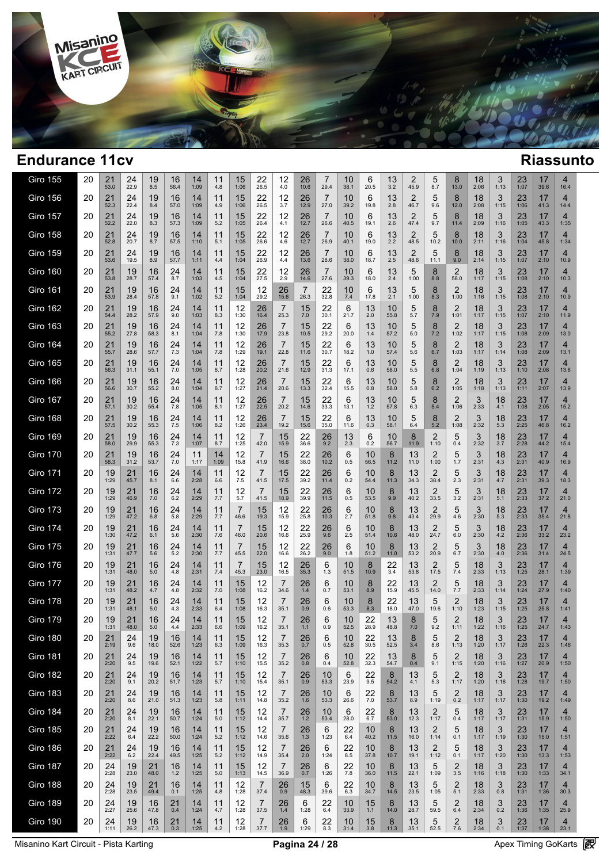

| Giro 155        | 20 | 21<br>53.0 | 24<br>22.9 | 19<br>8.5  | 16<br>56.4    | 14<br>1:09 | 11<br>4.8   | 15<br>1:06 | 22<br>26.5             | 12<br>4.0  | 26<br>10.6  | 7<br>29.4  | 10<br>38.1            | 6<br>20.5  | 13<br>3.2  | 2<br>45.9  | 5<br>8.7               | 8<br>13.0             | 18<br>2:06 | 3<br>1:13 | 23<br>1:07           | 17<br>39.6 | 4<br>16.4              |  |
|-----------------|----|------------|------------|------------|---------------|------------|-------------|------------|------------------------|------------|-------------|------------|-----------------------|------------|------------|------------|------------------------|-----------------------|------------|-----------|----------------------|------------|------------------------|--|
| <b>Giro 156</b> | 20 | 21<br>52.3 | 24<br>22.4 | 19<br>8.4  | 16<br>57.0    | 14<br>1:09 | -11<br>4.9  | 15<br>1:06 | 22<br>26.5             | 12<br>3.7  | 26<br>12.9  | 7<br>27.0  | 10<br>39.2            | 6<br>19.8  | 13<br>2.8  | 2<br>46.7  | 5<br>9.6               | 8<br>12.0             | 18<br>2:08 | 3<br>1:15 | 23<br>1:06           | 17<br>41.3 | 4<br>14.4              |  |
| <b>Giro 157</b> | 20 | 21<br>52.2 | 24<br>22.0 | 19<br>8.3  | 16<br>57.3    | 14<br>1:09 | 11<br>5.2   | 15<br>1:05 | 22<br>26.4             | 12<br>4.1  | 26<br>12.7  | 7<br>26.6  | 10<br>40.5            | 6<br>19.1  | 13<br>2.6  | 2<br>47.4  | 5<br>9.7               | 8<br>11.4             | 18<br>2:09 | 3<br>1:16 | 23<br>1:05           | 17<br>43.3 | 4<br>1:35              |  |
| <b>Giro 158</b> | 20 | 21<br>52.8 | 24<br>20.7 | 19<br>8.7  | 16<br>57.5    | 14<br>1:10 | 11<br>5.1   | 15<br>1:05 | 22<br>26.6             | 12<br>4.6  | 26<br>12.7  | 7<br>26.9  | 10<br>40.1            | 6<br>19.0  | 13<br>2.2  | 2<br>48.5  | 5<br>10.2              | 8<br>10.0             | 18<br>2:11 | 3<br>1:16 | 23<br>1:04           | 17<br>45.8 | 4<br>1:34              |  |
| <b>Giro 159</b> | 20 | 21<br>53.6 | 24<br>19.5 | 19<br>8.9  | 16<br>57.7    | 14<br>1:11 | 11<br>4.4   | 15<br>1:04 | 22<br>26.9             | 12<br>4.4  | 26<br>13.6  | 7<br>28.6  | 10<br>38.0            | 6<br>18.7  | 13<br>2.5  | 2<br>48.6  | 5<br>11.1              | 8<br>9.0              | 18<br>2:14 | 3<br>1:15 | 23<br>1:07           | 17<br>2:10 | 4<br>10.9              |  |
| <b>Giro 160</b> | 20 | 21<br>53.8 | 19<br>28.7 | 16<br>57.4 | 24<br>8.7     | 14<br>1:03 | 11<br>4.5   | 15<br>1:04 | 22<br>27.5             | 12<br>2.9  | 26<br>14.6  | 7<br>27.6  | 10<br>39.3            | 6<br>18.0  | 13<br>2.4  | 5<br>1:00  | 8<br>8.8               | 2<br>58.0             | 18<br>1:17 | 3<br>1:15 | 23<br>1:08           | 17<br>2:10 | 4<br>10.3              |  |
| Giro 161        | 20 | 21<br>53.9 | 19<br>28.4 | 16<br>57.8 | 24<br>9.1     | 14<br>1:02 | 11<br>5.2   | 15<br>1:04 | 12<br>29.2             | 26<br>15.6 | 7<br>26.3   | 22<br>32.8 | 10<br>7.4             | 6<br>17.8  | 13<br>2.1  | 5<br>1:00  | 8<br>8.3               | 2<br>1:00             | 18<br>1:16 | 3<br>1:15 | 23<br>1:08           | 17<br>2:10 | 4<br>10.9              |  |
| Giro 162        | 20 | 21<br>54.4 | 19<br>28.2 | 16<br>57.9 | 24<br>9.0     | 14<br>1:03 | 11<br>8.3   | 12<br>1:30 | 26<br>16.4             | 7<br>25.3  | 15<br>7.0   | 22<br>30.1 | 6<br>21.7             | 13<br>2.0  | 10<br>55.8 | 5<br>5.7   | 8<br>7.9               | 2<br>1:01             | 18<br>1:17 | 3<br>1:15 | 23<br>1:07           | 17<br>2:10 | 4<br>11.9              |  |
| <b>Giro 163</b> | 20 | 21<br>55.2 | 19<br>27.8 | 16<br>58.3 | 24<br>8.1     | 14<br>1:04 | 11<br>7.8   | 12<br>1:30 | 26<br>17.9             | 7<br>23.8  | 15<br>10.5  | 22<br>29.2 | 6<br>20.0             | 13<br>1.4  | 10<br>57.2 | 5<br>5.0   | 8<br>7.2               | 2<br>1:02             | 18<br>1:17 | 3<br>1:15 | 23<br>1:08           | 17<br>2:09 | 4<br>13.0              |  |
| Giro 164        | 20 | 21<br>55.7 | 19<br>28.6 | 16<br>57.7 | 24<br>7.3     | 14<br>1:04 | 11<br>7.8   | 12<br>1:29 | 26<br>19.1             | 7<br>22.8  | 15<br>11.6  | 22<br>30.7 | 6<br>18.2             | 13<br>1.0  | 10<br>57.4 | 5<br>5.6   | 8<br>6.7               | 2<br>1:03             | 18<br>1:17 | 3<br>1:14 | 23<br>1:08           | 17<br>2:09 | 4<br>13.1              |  |
| <b>Giro 165</b> | 20 | 21<br>56.3 | 19<br>31.1 | 16<br>55.1 | 24<br>7.0     | 14<br>1:05 | 11<br>8.7   | 12<br>1:28 | 26<br>20.2             | 7<br>21.6  | 15<br>12.9  | 22<br>31.3 | 6<br>17.1             | 13<br>0.6  | 10<br>58.0 | 5<br>5.5   | 8<br>6.8               | 2<br>1:04             | 18<br>1:19 | 3<br>1:13 | 23<br>1:10           | 17<br>2:08 | 4<br>13.6              |  |
| <b>Giro 166</b> | 20 | 21<br>56.6 | 19<br>30.7 | 16<br>55.2 | 24<br>8.0     | 14<br>1:04 | 11<br>8.7   | 12<br>1:27 | 26<br>21.4             | 7<br>20.6  | 15<br>13.3  | 22<br>32.4 | 6<br>15.5             | 13<br>0.8  | 10<br>58.0 | 5<br>5.8   | 8<br>6.2               | 2<br>1:05             | 18<br>1:18 | 3<br>1:13 | 23<br>1:11           | 17<br>2:07 | 4<br>13.9              |  |
| <b>Giro 167</b> | 20 | 21<br>57.1 | 19<br>30.2 | 16<br>55.4 | 24<br>7.8     | 14<br>1:05 | 11<br>8.1   | 12<br>1:27 | 26<br>22.5             | 7<br>20.2  | 15<br>14.6  | 22<br>33.3 | 6<br>13.1             | 13<br>1.2  | 10<br>57.8 | 5<br>6.3   | 8<br>5.4               | 2<br>1:06             | 3<br>2:33  | 18<br>4.1 | 23<br>1:08           | 17<br>2:05 | 4<br>15.2              |  |
| Giro 168        | 20 | 21<br>57.5 | 19<br>30.2 | 16<br>55.3 | 24<br>7.5     | 14<br>1:06 | 11<br>8.2   | 12<br>1:26 | 26<br>23.4             | 7<br>19.2  | 15<br>15.6  | 22<br>35.0 | 6<br>11.6             | 13<br>0.3  | 10<br>58.1 | 5<br>6.4   | 8<br>5.2               | 2<br>1:08             | 3<br>2:32  | 18<br>5.3 | 23<br>2:25           | 17<br>46.8 | 4<br>16.2              |  |
| <b>Giro 169</b> | 20 | 21<br>58.0 | 19<br>29.9 | 16<br>55.3 | $^{24}_{7.3}$ | 14<br>1:07 | 11<br>8.7   | 12<br>1:25 | 7<br>42.0              | 15<br>15.9 | 22<br>36.6  | 26<br>9.2  | 13<br>2.3             | 6<br>0.2   | 10<br>56.7 | 8<br>11.9  | 2<br>1:10              | 5<br>0.4              | 3<br>2:32  | 18<br>3.7 | $23$<br>$2:28$       | 17<br>44.2 | 4<br>15.4              |  |
| Giro 170        | 20 | 21<br>58.3 | 19<br>31.2 | 16<br>53.7 | 24<br>7.0     | 11<br>1:17 | 14<br>1:09  | 12<br>15.8 | 7<br>41.9              | 15<br>16.6 | 22<br>38.0  | 26<br>10.2 | 6<br>0.5              | 10<br>56.5 | 8<br>11.2  | 13<br>11.0 | 2<br>1:00              | 5<br>1.7              | 3<br>2:31  | 18<br>4.3 | $23$ <sub>2:31</sub> | 17<br>40.9 | 4<br>16.9              |  |
| <b>Giro 171</b> | 20 | 19<br>1:29 | 21<br>45.7 | 16<br>8.1  | 24<br>6.6     | 14<br>2:28 | 11<br>6.6   | 12<br>7.5  | 7<br>41.5              | 15<br>17.5 | 22<br>39.2  | 26<br>11.4 | 6<br>0.2              | 10<br>54.4 | 8<br>11.3  | 13<br>34.3 | 2<br>38.4              | 5<br>2.3              | 3<br>2:31  | 18<br>4.7 | $23$ <sub>2:31</sub> | 17<br>39.3 | 4<br>18.3              |  |
| <b>Giro 172</b> | 20 | 19<br>1:29 | 21<br>46.9 | 16<br>7.0  | 24<br>6.2     | 14<br>2:29 | 11<br>7.7   | 12<br>5.7  | 7<br>41.5              | 15<br>18.9 | 22<br>39.9  | 26<br>11.5 | 6<br>0.5              | 10<br>53.5 | 8<br>9.9   | 13<br>40.2 | 2<br>33.5              | 5<br>3.2              | 3<br>2:31  | 18<br>5.1 | 23<br>2:33           | 17<br>37.2 | 4<br>21.0              |  |
| <b>Giro 173</b> | 20 | 19<br>1:29 | 21<br>47.2 | 16<br>6.8  | 24<br>5.8     | 14<br>2:29 | 11<br>7.7   | 7<br>46.6  | 15<br>19.3             | 12<br>15.9 | 22<br>25.8  | 26<br>10.3 | 6<br>2.7              | 10<br>51.8 | 8<br>9.8   | 13<br>43.4 | 2<br>29.9              | 5<br>4.6              | 3<br>2:30  | 18<br>5.3 | 23<br>2:33           | 17<br>35.4 | 4<br>21.8              |  |
| <b>Giro 174</b> | 20 | 19<br>1:30 | 21<br>47.2 | 16<br>6.1  | 24<br>5.6     | 14<br>2:30 | 11<br>7.6   | 7<br>46.0  | 15<br>20.6             | 12<br>16.6 | 22<br>25.9  | 26<br>9.6  | 6<br>2.5              | 10<br>51.4 | 8<br>10.6  | 13<br>48.0 | 2<br>24.7              | 5<br>6.0              | 3<br>2:30  | 18<br>4.2 | 23<br>2:36           | 17<br>33.2 | 4<br>23.2              |  |
| <b>Giro 175</b> | 20 | 19<br>1:31 | 21<br>47.7 | 16<br>5.6  | 24<br>5.2     | 14<br>2:30 | 11<br>7.7   | 7<br>45.5  | 15<br>22.0             | 12<br>16.6 | 22<br>26.2  | 26<br>9.0  | 6<br>1.8              | 10<br>51.2 | 8<br>11.0  | 13<br>53.2 | 2<br>20.9              | 5<br>6.7              | 3<br>2:30  | 18<br>4.0 | 23<br>2:36           | 17<br>31.4 | 4<br>24.5              |  |
| <b>Giro 176</b> | 20 | 19<br>1:31 | 21<br>48.0 | 16<br>5.0  | 24<br>4.8     | 14<br>2:31 | 11<br>7.4   | 7<br>45.3  | 15<br>23.0             | 12<br>16.5 | 26<br>35.3  | 6<br>1.3   | 10<br>51.5            | 8<br>10.9  | 22<br>3.4  | 13<br>53.8 | 2<br>17.5              | 5<br>7.4              | 18<br>2:33 | 3<br>1:13 | 23<br>1:25           | 17<br>28.1 | 4<br>1:39              |  |
| <b>Giro 177</b> | 20 | 19<br>1:31 | 21<br>48.2 | 16<br>4.7  | 24<br>4.8     | 14<br>2:32 | 11<br>7.0   | 15<br>1:08 | 12<br>16.2             | 7<br>34.6  | 26<br>1.4   | 6<br>0.7   | 10<br>53.1            | 8<br>8.9   | 22<br>15.9 | 13<br>45.5 | 2<br>14.0              | 5<br>7.7              | 18<br>2:33 | 3<br>1:14 | 23<br>1:24           | 17<br>27.9 | 4<br>1:40              |  |
| <b>Giro 178</b> | 20 | 19<br>1:31 | 21<br>48.1 | 16<br>5.0  | 24<br>4.3     | 14<br>2:33 | 11<br>6.4   | 15<br>1:08 | 12<br>16.3             | 7<br>35.1  | 26<br>0.9   | 6<br>0.6   | 10<br>53.3            | 8<br>8.3   | 22<br>18.0 | 13<br>47.0 | 5<br>19.6              | 2<br>1:10             | 18<br>1:23 | 3<br>1:15 | 23<br>1:25           | 17<br>25.8 | 4<br>1:41              |  |
| <b>Giro 179</b> | 20 | 19<br>1:31 | 21<br>48.0 | 16<br>5.0  | 24<br>4.4     | 14<br>2:33 | 11<br>6.6   | 15<br>1:09 | 12<br>16.2             | 7<br>35.1  | 26<br>1.1   | 6<br>0.9   | 10<br>52.5            | 22<br>28.9 | 13<br>48.8 | 8<br>7.0   | 5<br>9.2               | 2<br>1:11             | 18<br>1:22 | 3<br>1:16 | 23<br>1:25           | 17<br>24.7 | 4<br>1:43              |  |
| Giro 180        | 20 | 21<br>2:19 | 24<br>9.6  | 19<br>18.0 | 16<br>52.6    | 14<br>1:23 | 11<br>6.3   | 15<br>1:09 | 12<br>16.3             | 35.3       | 26<br>0.7   | 6<br>0.5   | 10<br>52.8            | 22<br>30.5 | 13<br>52.5 | ୪<br>3.4   | 5<br>8.6               | 2<br>1:13             | 18<br>1:20 | 3<br>1:17 | 23<br>1:26           | 1/<br>22.3 | 1:46                   |  |
| <b>Giro 181</b> | 20 | 21<br>2:20 | 24<br>9.5  | 19<br>19.6 | 16<br>52.1    | 14<br>1:22 | $11$<br>5.7 | 15<br>1:10 | 12<br>15.5             | 7<br>35.2  | 26<br>0.8   | 6<br>0.4   | 10<br>52.8            | 22<br>32.3 | 13<br>54.7 | 8<br>0.4   | 5<br>9.1               | 2<br>1:15             | 18<br>1:20 | 3<br>1:16 | 23<br>1:27           | 17<br>20.9 | 4<br>1:50              |  |
| Giro 182        | 20 | 21<br>2:20 | 24<br>9.1  | 19<br>20.2 | 16<br>51.7    | 14<br>1:23 | 11<br>5.7   | 15<br>1:10 | 12<br>15.4             | 7<br>35.1  | 26<br>0.9   | 10<br>53.3 | 6<br>23.9             | 22<br>9.5  | 8<br>54.2  | 13<br>4.1  | 5<br>5.3               | 2<br>1:17             | 18<br>1:20 | 3<br>1:16 | 23<br>1:28           | 17<br>19.7 | $\overline{4}$<br>1:50 |  |
| <b>Giro 183</b> | 20 | 21<br>2:20 | 24<br>8.6  | 19<br>21.0 | 16<br>51.3    | 14<br>1:23 | 11<br>5.8   | 15<br>1:11 | 12<br>14.8             | 7<br>35.2  | 26<br>1.6   | 10<br>53.3 | 6<br>26.6             | 22<br>7.0  | 8<br>53.7  | 13<br>8.9  | 5<br>1:19              | $\overline{2}$<br>0.2 | 18<br>1:17 | 3<br>1:17 | 23<br>1:30           | 17<br>19.2 | $\overline{4}$<br>1:49 |  |
| <b>Giro 184</b> | 20 | 21<br>2:20 | 24<br>8.1  | 19<br>22.1 | 16<br>50.7    | 14<br>1:24 | 11<br>5.0   | 15<br>1:12 | 12<br>14.4             | 7<br>35.7  | 26<br>$1.2$ | 10<br>53.4 | 6<br>28.0             | 22<br>6.7  | 8<br>53.0  | 13<br>12.3 | 2<br>1:17              | 5<br>0.4              | 18<br>1:17 | 3<br>1:17 | 23<br>1:31           | 17<br>15.9 | 4<br>1:50              |  |
| <b>Giro 185</b> | 20 | 21<br>2:22 | 24<br>6.4  | 19<br>22.2 | 16<br>50.0    | 14<br>1:24 | 11<br>5.2   | 15<br>1:12 | 12<br>14.6             | 7<br>35.6  | 26<br>1.3   | 6<br>1:23  | 22<br>6.4             | 10<br>40.2 | 8<br>11.5  | 13<br>16.0 | $\overline{2}$<br>1:14 | 5<br>0.1              | 18<br>1:17 | 3<br>1:19 | 23<br>1:30           | 17<br>15.0 | $\overline{4}$<br>1:51 |  |
| Giro 186        | 20 | 21<br>2:22 | 24<br>6.2  | 19<br>22.4 | 16<br>49.5    | 14<br>1:25 | 11<br>5.2   | 15<br>1:12 | 12<br>14.9             | 7<br>35.4  | 26<br>2.0   | 6<br>1:24  | 22<br>8.5             | 10<br>37.8 | 8<br>10.7  | 13<br>19.1 | 2<br>1:12              | 5<br>0.1              | 18<br>1:17 | 3<br>1:20 | 23<br>1:30           | 17<br>13.3 | 4<br>1:53              |  |
| <b>Giro 187</b> | 20 | 24<br>2:28 | 19<br>23.0 | 21<br>48.0 | 16<br>$1.2$   | 14<br>1:25 | 11<br>5.0   | 15<br>1:13 | 12<br>14.5             | 7<br>36.9  | 26<br>0.7   | 6<br>1:26  | $\frac{22}{ }$<br>7.8 | 10<br>36.0 | 8<br>11.5  | 13<br>22.1 | 5<br>1:09              | 2<br>3.5              | 18<br>1:16 | 3<br>1:18 | 23<br>1:30           | 17<br>1:33 | $\overline{4}$<br>34.1 |  |
| Giro 188        | 20 | 24<br>2:28 | 19<br>23.5 | 21<br>49.4 | 16<br>0.1     | 14<br>1:25 | 11<br>4.8   | 12<br>1:28 | 7<br>37.4              | 26<br>0.9  | 15<br>48.3  | 6<br>39.6  | $^{22}_{6.3}$         | 10<br>34.7 | 8<br>14.5  | 13<br>23.5 | 5<br>1:05              | 2<br>5.1              | 18<br>2:33 | 3<br>0.8  | 23<br>1:31           | 17<br>1:36 | 4<br>30.3              |  |
| <b>Giro 189</b> | 20 | 24<br>2:27 | 19<br>25.6 | 16<br>47.8 | 21<br>0.4     | 14<br>1:24 | 11<br>4.7   | 12<br>1:28 | $\overline{7}$<br>37.5 | 26<br>1.4  | 6<br>1:28   | 22<br>6.4  | 10<br>33.9            | 15<br>1.1  | 8<br>14.0  | 13<br>28.7 | 5<br>59.5              | $\overline{2}$<br>6.4 | 18<br>2:34 | 3<br>0.2  | 23<br>1:36           | 17<br>1:35 | $\overline{4}$<br>25.9 |  |
| <b>Giro 190</b> | 20 | 24<br>1:11 | 19<br>26.2 | 16<br>47.3 | 21<br>0.3     | 14<br>1:25 | 11<br>4.2   | 12<br>1:28 | 7<br>37.7              | 26<br>1.9  | 6<br>1:29   | 22<br>8.3  | 10<br>31.4            | 15<br>3.8  | 8<br>11.3  | 13<br>35.1 | 5<br>52.5              | 2<br>7.6              | 18<br>2:34 | 3<br>0.1  | 23<br>1:37           | 17<br>1:38 | 4<br>23.1              |  |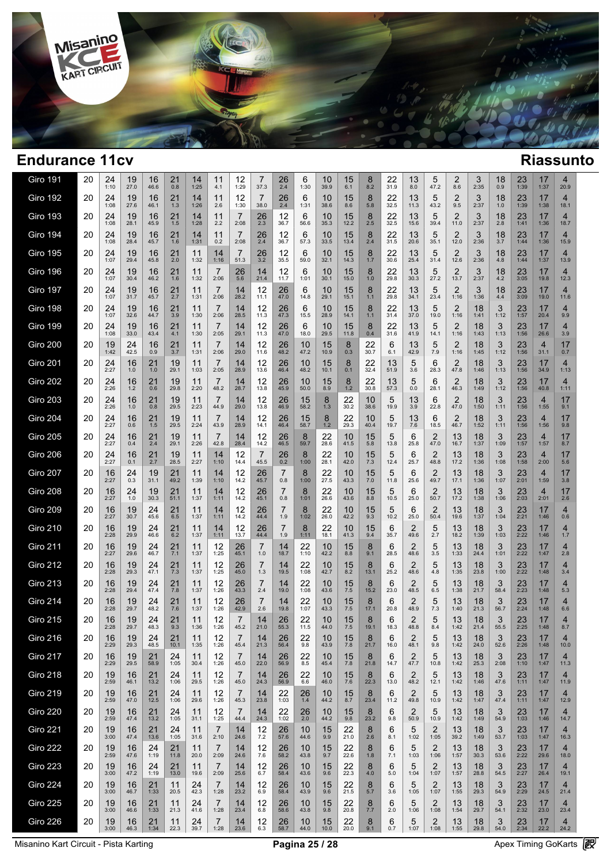

| Giro 191        | 20 | 24<br>1:10 | 19<br>27.0 | 16<br>46.6    | 21<br>0.8  | 14<br>1:25 | 11<br>4.1              | 12<br>1:29 | 7<br>37.3             | 26<br>2.4     | 6<br>1:30  | 10<br>39.9 | 15<br>6.1   | 8<br>8.2   | 22<br>31.9 | 13<br>8.0  | 5<br>47.2              | 2<br>8.6               | 3<br>2:35  | 18<br>0.9 | 23<br>1:39     | 17<br>1:37             | 4<br>20.9 |  |
|-----------------|----|------------|------------|---------------|------------|------------|------------------------|------------|-----------------------|---------------|------------|------------|-------------|------------|------------|------------|------------------------|------------------------|------------|-----------|----------------|------------------------|-----------|--|
| <b>Giro 192</b> | 20 | 24<br>1:08 | 19<br>27.6 | 16<br>46.1    | 21<br>1.3  | 14<br>1:26 | 11<br>2.6              | 12<br>1:30 | 7<br>38.0             | 26<br>2.4     | 6<br>1:31  | 10<br>38.6 | 15<br>8.6   | 8<br>5.8   | 22<br>32.5 | 13<br>11.3 | 5<br>43.2              | 2<br>9.5               | 3<br>2:37  | 18<br>1.0 | 23<br>1:39     | 17<br>1:38             | 4<br>18.1 |  |
| <b>Giro 193</b> | 20 | 24<br>1:08 | 19<br>28.1 | 16<br>45.9    | 21<br>1.5  | 14<br>1:28 | 11<br>2.2              | 7<br>2:08  | 26<br>2.3             | 12<br>36.7    | 6<br>56.6  | 10<br>35.3 | 15<br>12.2  | 8<br>2.5   | 22<br>32.5 | 13<br>15.6 | 5<br>39.4              | 2<br>11.0              | 3<br>2:37  | 18<br>2.8 | 23<br>1:41     | 17<br>1:36             | 4<br>18.7 |  |
| Giro 194        | 20 | 24<br>1:08 | 19<br>28.4 | 16<br>45.7    | 21<br>1.6  | 14<br>1:31 | 11<br>0.2              | 7<br>2:08  | 26<br>2.4             | 12<br>36.7    | 6<br>57.3  | 10<br>33.5 | 15<br>13.4  | 8<br>2.4   | 22<br>31.5 | 13<br>20.6 | 5<br>35.1              | 2<br>12.0              | 3<br>2:36  | 18<br>3.7 | 23<br>1:44     | 17<br>1:36             | 4<br>15.9 |  |
| <b>Giro 195</b> | 20 | 24<br>1:07 | 19<br>29.4 | 16<br>45.8    | 21<br>2.0  | 11<br>1:32 | 14<br>1:16             | 7<br>51.3  | 26<br>3.2             | 12<br>35.5    | 6<br>59.0  | 10<br>32.1 | 15<br>14.3  | 8<br>1.7   | 22<br>30.6 | 13<br>25.4 | 5<br>31.4              | 2<br>12.6              | 3<br>2:36  | 18<br>4.8 | 23<br>1:44     | 17<br>1:37             | 4<br>13.9 |  |
| <b>Giro 196</b> | 20 | 24<br>1:07 | 19<br>30.4 | 16<br>46.2    | 21<br>1.6  | 11<br>1:32 | 7<br>2:06              | 26<br>5.6  | 14<br>21.4            | 12<br>11.7    | 6<br>1:01  | 10<br>30.1 | 15<br>15.0  | 8<br>1.0   | 22<br>29.8 | 13<br>30.3 | 5<br>27.2              | 2<br>13.7              | 3<br>2:37  | 18<br>4.2 | 23<br>3:05     | 17<br>19.8             | 4<br>12.3 |  |
| <b>Giro 197</b> | 20 | 24<br>1:07 | 19<br>31.7 | 16<br>45.7    | 21<br>2.7  | 11<br>1:31 | 7<br>2:06              | 14<br>28.2 | 12<br>11.1            | 26<br>47.0    | 6<br>14.8  | 10<br>29.1 | 15<br>15.1  | 8<br>1.1   | 22<br>29.8 | 13<br>34.1 | 5<br>23.4              | 2<br>1:16              | 3<br>1:36  | 18<br>4.4 | 23<br>3:09     | 17<br>19.0             | 4<br>11.6 |  |
| Giro 198        | 20 | 24<br>1:07 | 19<br>32.6 | 16<br>44.7    | 21<br>3.9  | 11<br>1:30 | 7<br>2:06              | 14<br>28.5 | 12<br>11.3            | 26<br>47.3    | 6<br>15.5  | 10<br>28.9 | 15<br>14.1  | 8<br>1.1   | 22<br>31.4 | 13<br>37.0 | 5<br>19.0              | $\overline{2}$<br>1:16 | 18<br>1:41 | 3<br>1:12 | 23<br>1:57     | 17<br>20.4             | 4<br>9.9  |  |
| Giro 199        | 20 | 24<br>1:08 | 19<br>33.0 | 16<br>43.4    | 21<br>4.1  | 11<br>1:30 | 7<br>2:05              | 14<br>29.1 | 12<br>11.3            | 26<br>47.0    | 6<br>18.0  | 10<br>29.5 | 15<br>11.8  | 8<br>0.4   | 22<br>31.6 | 13<br>41.9 | 5<br>14.1              | $\overline{2}$<br>1:16 | 18<br>1:43 | 3<br>1:13 | 23<br>1:56     | 17<br>26.6             | 4<br>3.9  |  |
| Giro 200        | 20 | 19<br>1:42 | 24<br>42.5 | 16<br>0.9     | 21<br>3.7  | 11<br>1:31 | 7<br>2:06              | 14<br>29.0 | 12<br>11.6            | 26<br>48.2    | 10<br>47.2 | 15<br>10.9 | 8<br>0.3    | 22<br>30.7 | 6<br>6.1   | 13<br>42.9 | 5<br>7.9               | 2<br>1:16              | 18<br>1:45 | 3<br>1:12 | 23<br>1:56     | $\overline{4}$<br>31.1 | 17<br>0.7 |  |
| <b>Giro 201</b> | 20 | 24<br>2:27 | 16<br>1.0  | 21<br>1.0     | 19<br>29.1 | 11<br>1:03 | 7<br>2:05              | 14<br>28.9 | 12<br>13.6            | 26<br>46.4    | 10<br>48.2 | 15<br>10.1 | 8<br>0.1    | 22<br>32.4 | 13<br>51.9 | 5<br>3.6   | 6<br>28.3              | $\overline{2}$<br>47.8 | 18<br>1:46 | 3<br>1:13 | 23<br>1:56     | 17<br>34.9             | 4<br>1:13 |  |
| Giro 202        | 20 | 24<br>2:26 | 16<br>1.2  | 21<br>0.6     | 19<br>29.8 | 11<br>2:20 | 7<br>48.2              | 14<br>28.7 | 12<br>13.8            | 26<br>45.9    | 10<br>50.0 | 15<br>8.9  | 8<br>$1.2$  | 22<br>30.8 | 13<br>57.3 | 5<br>0.0   | 6<br>28.1              | 2<br>46.3              | 18<br>1:49 | 3<br>1:12 | 23<br>1:56     | 17<br>40.8             | 4<br>1:11 |  |
| <b>Giro 203</b> | 20 | 24<br>2:26 | 16<br>1.0  | 21<br>0.8     | 19<br>29.5 | 11<br>2:23 | 7<br>44.9              | 14<br>29.0 | 12<br>13.8            | 26<br>46.9    | 15<br>58.2 | 8<br>1.3   | 22<br>30.2  | 10<br>38.6 | 5<br>19.9  | 13<br>3.9  | 6<br>22.8              | 2<br>47.0              | 18<br>1:50 | 3<br>1:11 | 23<br>1:56     | 4<br>1:55              | 17<br>9.1 |  |
| <b>Giro 204</b> | 20 | 24<br>2:27 | 16<br>0.6  | 21<br>1.5     | 19<br>29.5 | 11<br>2:24 | 7<br>43.9              | 14<br>28.9 | 12<br>14.1            | 26<br>46.4    | 15<br>58.7 | 8<br>1.2   | 22<br>29.3  | 10<br>40.4 | 5<br>19.7  | 13<br>7.6  | 6<br>18.5              | 2<br>46.7              | 18<br>1:52 | 3<br>1:11 | 23<br>1:56     | 4<br>1:56              | 17<br>9.8 |  |
| <b>Giro 205</b> | 20 | 24<br>2:27 | 16<br>0.4  | 21<br>2.4     | 19<br>29.1 | 11<br>2:26 | 42.8                   | 14<br>28.4 | 12<br>14.2            | 26<br>46.5    | 8<br>59.7  | 22<br>28.6 | 10<br>41.5  | 15<br>5.8  | 5<br>13.8  | 6<br>25.8  | 2<br>47.0              | 13<br>16.7             | 18<br>1:37 | 3<br>1:09 | 23<br>1:57     | 4<br>1:57              | 17<br>8.7 |  |
| <b>Giro 206</b> | 20 | 24<br>2:27 | 16<br>0.1  | $^{21}_{2.7}$ | 19<br>28.5 | 11<br>2:27 | 14<br>1:10             | 12<br>14.4 | 45.5                  | $^{26}_{0.2}$ | 8<br>1:00  | 22<br>28.1 | 10<br>42.0  | 15<br>7.3  | 5<br>12.4  | 6<br>25.7  | 2<br>48.8              | 13<br>17.2             | 18<br>1:36 | 3<br>1:08 | 23<br>1:58     | 4<br>2:00              | 17<br>5.6 |  |
| <b>Giro 207</b> | 20 | 16<br>2:27 | 24<br>0.3  | 19<br>31.1    | 21<br>49.2 | 11<br>1:39 | 14<br>1:10             | 12<br>14.2 | 26<br>45.7            | 7<br>0.8      | 8<br>1:00  | 22<br>27.5 | 10<br>43.3  | 15<br>7.0  | 5<br>11.8  | 6<br>25.6  | 2<br>49.7              | 13<br>17.1             | 18<br>1:36 | 3<br>1:07 | 23<br>2:01     | 4<br>1:59              | 17<br>3.8 |  |
| <b>Giro 208</b> | 20 | 16<br>2:27 | 24<br>1.0  | 19<br>30.3    | 21<br>51.1 | 11<br>1:37 | 14<br>1:11             | 12<br>14.2 | 26<br>45.1            | 7<br>0.8      | 8<br>1:01  | 22<br>26.6 | 10<br>43.6  | 15<br>8.8  | 5<br>10.5  | 6<br>25.0  | 2<br>50.7              | 13<br>17.2             | 18<br>1:38 | 3<br>1:06 | 23<br>2:03     | 4<br>2:01              | 17<br>2.6 |  |
| <b>Giro 209</b> | 20 | 16<br>2:27 | 19<br>30.7 | 24<br>45.6    | 21<br>6.5  | 11<br>1:37 | 14<br>1:11             | 12<br>14.2 | 26<br>44.4            | 7<br>1.9      | 8<br>1:02  | 22<br>26.0 | 10<br>42.2  | 15<br>9.3  | 5<br>10.2  | 6<br>25.0  | 2<br>50.4              | 13<br>19.6             | 18<br>1:37 | 3<br>1:04 | 23<br>2:21     | 17<br>1:46             | 4<br>0.6  |  |
| <b>Giro 210</b> | 20 | 16<br>2:28 | 19<br>29.9 | 24<br>46.6    | 21<br>6.2  | 11<br>1:37 | 14<br>1:11             | 12<br>13.7 | 26<br>44.4            | 1.9           | 8<br>1:11  | 22<br>18.1 | 10<br>41.3  | 15<br>9.4  | 6<br>35.7  | 2<br>49.6  | 5<br>2.7               | 13<br>18.2             | 18<br>1:39 | 3<br>1:03 | 23<br>2:22     | 17<br>1:46             | 4<br>1.7  |  |
| Giro 211        | 20 | 16<br>2:27 | 19<br>29.6 | 24<br>46.7    | 21<br>7.1  | 11<br>1:37 | 12<br>1:25             | 26<br>45.1 | $\overline{7}$<br>1.0 | 14<br>18.7    | 22<br>1:10 | 10<br>42.2 | 15<br>8.8   | 8<br>9.1   | 6<br>28.5  | 2<br>48.6  | 5<br>3.5               | 13<br>1:33             | 18<br>24.4 | 3<br>1:01 | 23<br>2:22     | 17<br>1:47             | 4<br>2.8  |  |
| <b>Giro 212</b> | 20 | 16<br>2:28 | 19<br>29.3 | 24<br>47.1    | 21<br>7.3  | 11<br>1:37 | 12<br>1:25             | 26<br>45.0 | 7<br>1.3              | 14<br>19.5    | 22<br>1:08 | 10<br>42.7 | 15<br>8.2   | 8<br>13.1  | 6<br>25.2  | 2<br>48.6  | 5<br>4.8               | 13<br>1:35             | 18<br>23.8 | 3<br>1:00 | 23<br>2:22     | 17<br>1:48             | 4<br>3.4  |  |
| <b>Giro 213</b> | 20 | 16<br>2:28 | 19<br>29.4 | 24<br>47.4    | 21<br>7.8  | 11<br>1:37 | 12<br>1:26             | 26<br>43.3 | 7<br>2.4              | 14<br>19.0    | 22<br>1:08 | 10<br>43.6 | 15<br>7.5   | 8<br>15.2  | 6<br>23.0  | 2<br>48.5  | 5<br>6.5               | 13<br>1:38             | 18<br>21.7 | 3<br>58.4 | 23<br>2:23     | 17<br>1:48             | 4<br>5.3  |  |
| <b>Giro 214</b> | 20 | 16<br>2:28 | 19<br>29.7 | 24<br>48.2    | 21<br>7.6  | 11<br>1:37 | 12<br>1:26             | 26<br>42.9 | 7<br>2.6              | 14<br>19.8    | 22<br>1:07 | 10<br>43.3 | 15<br>7.5   | 8<br>17.1  | 6<br>20.8  | 2<br>48.9  | 5<br>7.3               | 13<br>1:40             | 18<br>21.3 | 3<br>56.7 | 23<br>2:24     | 17<br>1:48             | 4<br>6.6  |  |
| <b>Giro 215</b> | 20 | 16<br>2:28 | 19<br>29.7 | 24<br>48.3    | 21<br>9.3  | 11<br>1:36 | 12<br>1:26             | 7<br>45.2  | 14<br>21.0            | 26<br>55.3    | 22<br>11.5 | 10<br>44.0 | 15<br>7.5   | 8<br>19.1  | 6<br>18.3  | 2<br>48.8  | 5<br>8.4               | 13<br>1:42             | 18<br>21.4 | 3<br>55.5 | 23<br>2:25     | 17<br>1:48             | 4<br>8.7  |  |
| <b>Giro 216</b> | 20 | 16<br>2:29 | 19<br>29.3 | 24<br>48.5    | 21<br>10.1 | 11<br>1:35 | 12<br>1:26             | 45.4       | 14<br>21.3            | 26<br>56.4    | 22<br>9.8  | 10<br>43.9 | 15<br>$7.8$ | ୪<br>21.7  | 6<br>16.0  | 2<br>48.1  | 5<br>9.8               | 13<br>1:42             | 18<br>24.0 | 3<br>52.6 | 23<br>2:26     | 17<br>1:48             | 10.0      |  |
| <b>Giro 217</b> | 20 | 16<br>2:29 | 19<br>29.5 | 21<br>58.9    | 24<br>1:05 | 11<br>30.4 | 12<br>1:26             | 7<br>45.0  | 14<br>22.0            | 26<br>56.9    | 22<br>8.5  | 10<br>45.4 | 15<br>7.8   | 8<br>21.8  | 6<br>14.7  | 2<br>47.7  | 5<br>10.8              | 13<br>1:42             | 18<br>25.3 | 3<br>2:08 | 23<br>1:10     | 17<br>1:47             | 4<br>11.3 |  |
| <b>Giro 218</b> | 20 | 19<br>2:59 | 16<br>46.1 | 21<br>13.2    | 24<br>1:06 | 11<br>29.5 | 12<br>1:26             | 7<br>45.0  | 14<br>24.3            | 26<br>56.9    | 22<br>6.6  | 10<br>46.0 | 15<br>7.6   | 8<br>22.3  | 6<br>13.0  | 2<br>48.2  | 5<br>12.1              | 13<br>1:42             | 18<br>1:46 | 3<br>47.6 | 23<br>1:11     | 17<br>1:47             | 4<br>11.9 |  |
| <b>Giro 219</b> | 20 | 19<br>2:59 | 16<br>47.0 | 21<br>12.5    | 24<br>1:06 | 11<br>29.6 | 12<br>1:26             | 7<br>45.3  | 14<br>23.8            | 22<br>1:03    | 26<br>1.4  | 10<br>44.2 | 15<br>8.7   | 8<br>23.4  | 6<br>11.2  | 2<br>49.8  | 5<br>10.9              | 13<br>1:42             | 18<br>1:47 | 3<br>47.4 | 23<br>1:11     | 17<br>1:47             | 4<br>12.9 |  |
| <b>Giro 220</b> | 20 | 19<br>2:59 | 16<br>47.4 | 21<br>13.2    | 24<br>1:05 | 11<br>31.1 | 12<br>1:25             | 7<br>44.4  | 14<br>24.3            | 22<br>1:02    | 26<br>2.0  | 10<br>44.2 | 15<br>9.8   | 8<br>23.2  | 6<br>9.8   | 2<br>50.9  | 5<br>10.9              | 13<br>1:42             | 18<br>1:49 | 3<br>54.9 | 23<br>1:03     | 17<br>1:46             | 4<br>14.7 |  |
| <b>Giro 221</b> | 20 | 19<br>3:00 | 16<br>47.4 | 21<br>13.6    | 24<br>1:05 | 11<br>31.6 | 7<br>2:10              | 14<br>24.6 | 12<br>7.2             | 26<br>57.6    | 10<br>44.6 | 15<br>9.9  | 22<br>21.0  | 8<br>2.6   | 6<br>8.1   | 5<br>1:02  | $\overline{2}$<br>1:05 | 13<br>39.2             | 18<br>1:49 | 3<br>53.7 | 23<br>1:03     | 17<br>1:47             | 4<br>16.3 |  |
| <b>Giro 222</b> | 20 | 19<br>2:59 | 16<br>47.6 | 24<br>1:19    | 21<br>11.8 | 11<br>20.0 | 7<br>2:09              | 14<br>24.6 | 12<br>7.6             | 26<br>58.2    | 10<br>43.8 | 15<br>9.7  | 22<br>22.6  | 8<br>1.8   | 6<br>7.1   | 5<br>1:03  | $\overline{2}$<br>1:06 | 13<br>1:57             | 18<br>30.3 | 3<br>53.6 | 23<br>2:22     | 17<br>29.6             | 4<br>18.0 |  |
| <b>Giro 223</b> | 20 | 19<br>3:00 | 16<br>47.2 | 24<br>1:19    | 21<br>13.0 | 11<br>19.6 | $\overline{7}$<br>2:09 | 14<br>25.6 | 12<br>6.7             | 26<br>58.4    | 10<br>43.6 | 15<br>9.6  | 22<br>22.3  | 8<br>4.0   | 6<br>5.0   | 5<br>1:04  | $\overline{2}$<br>1:07 | 13<br>1:57             | 18<br>28.8 | 3<br>54.5 | $23$<br>$2:27$ | 17<br>26.4             | 4<br>19.1 |  |
| <b>Giro 224</b> | 20 | 19<br>3:00 | 16<br>46.7 | 21<br>1:33    | 11<br>20.5 | 24<br>42.3 | 7<br>1:28              | 14<br>23.2 | 12<br>6.9             | 26<br>58.4    | 10<br>43.9 | 15<br>9.6  | 22<br>21.5  | 8<br>5.7   | 6<br>3.6   | 5<br>1:05  | $\overline{2}$<br>1:07 | 13<br>1:55             | 18<br>29.3 | 3<br>54.9 | 23<br>2:29     | 17<br>24.5             | 4<br>21.4 |  |
| <b>Giro 225</b> | 20 | 19<br>3:00 | 16<br>46.6 | 21<br>1:33    | 11<br>21.3 | 24<br>41.6 | $\overline{7}$<br>1:28 | 14<br>23.4 | 12<br>6.8             | 26<br>58.6    | 10<br>43.8 | 15<br>9.8  | 22<br>20.8  | 8<br>7.7   | 6<br>2.0   | 5<br>1:06  | 2<br>1:08              | 13<br>1:54             | 18<br>29.7 | 3<br>54.1 | 23<br>2:32     | 17<br>23.0             | 4<br>23.4 |  |
| Giro 226        | 20 | 19<br>3:00 | 16<br>46.3 | 21<br>1:34    | 11<br>22.3 | 24<br>39.7 | 7<br>1:28              | 14<br>23.6 | 12<br>6.3             | 26<br>58.7    | 10<br>44.0 | 15<br>10.0 | 22<br>20.0  | 8<br>9.1   | 6<br>0.7   | 5<br>1:07  | 2<br>1:08              | 13<br>1:55             | 18<br>29.8 | 3<br>54.0 | 23<br>2:34     | 17<br>22.2             | 4<br>24.2 |  |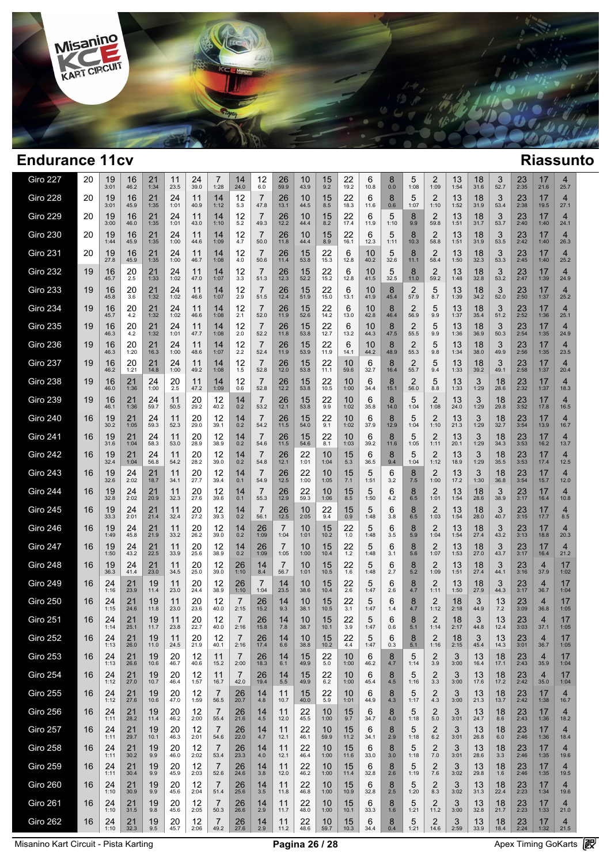

| Giro 227        | 20 | 19<br>3:01           | 16<br>46.2           | 21<br>1:34 | 11<br>23.5 | 24<br>39.0 | 7<br>1:28              | 14<br>24.0             | 12<br>6.0  | 26<br>59.9     | 10<br>43.9     | 15<br>9.2  | 22<br>19.2  | 6<br>10.8  | 8<br>0.0  | 5<br>1:08  | 2<br>1:09              | 13<br>1:54 | 18<br>31.6 | 3<br>52.7  | 23<br>2:35           | 17<br>21.6             | 4<br>25.7  |  |
|-----------------|----|----------------------|----------------------|------------|------------|------------|------------------------|------------------------|------------|----------------|----------------|------------|-------------|------------|-----------|------------|------------------------|------------|------------|------------|----------------------|------------------------|------------|--|
| <b>Giro 228</b> | 20 | 19<br>3:01           | 16<br>45.9           | 21<br>1:35 | 24<br>1:01 | 11<br>40.9 | 14<br>1:12             | 12<br>5.3              | 7<br>47.8  | 26<br>13.1     | 10<br>44.5     | 15<br>8.5  | 22<br>18.3  | 6<br>11.6  | 8<br>0.6  | 5<br>1:07  | 2<br>1:10              | 13<br>1:52 | 18<br>31.9 | 3<br>53.4  | 23<br>2:38           | 17<br>19.5             | 4<br>27.1  |  |
| Giro 229        | 20 | 19<br>3:00           | 16<br>46.0           | 21<br>1:35 | 24<br>1:01 | 11<br>43.0 | 14<br>1:10             | 12<br>5.2              | 7<br>49.3  | 26<br>12.2     | 10<br>44.4     | 15<br>8.2  | 22<br>17.4  | 6<br>11.9  | 5<br>1:10 | 8<br>9.9   | $\overline{2}$<br>59.8 | 13<br>1:51 | 18<br>31.7 | 3<br>53.7  | 23<br>2:40           | 17<br>1:40             | 4<br>24.1  |  |
| <b>Giro 230</b> | 20 | 19<br>1:44           | 16<br>45.9           | 21<br>1:35 | 24<br>1:00 | 11<br>44.6 | 14<br>1:09             | 12<br>4.7              | 7<br>50.0  | 26<br>11.8     | 10<br>44.4     | 15<br>8.9  | 22<br>16.1  | 6<br>12.3  | 5<br>1:11 | 8<br>10.3  | $\overline{2}$<br>58.8 | 13<br>1:51 | 18<br>31.9 | 3<br>53.5  | 23<br>2:42           | 17<br>1:40             | 4<br>26.3  |  |
| <b>Giro 231</b> | 20 | 19<br>27.8           | 16<br>45.9           | 21<br>1:35 | 24<br>1:00 | 11<br>46.7 | 14<br>1:08             | 12<br>4.0              | 7<br>50.6  | 26<br>11.4     | 15<br>53.8     | 22<br>15.3 | 6<br>12.8   | 10<br>40.2 | 5<br>32.6 | 8<br>11.1  | $\overline{2}$<br>58.4 | 13<br>1:50 | 18<br>32.3 | 3<br>53.3  | 23<br>2:45           | 17<br>1:40             | 4<br>25.2  |  |
| Giro 232        | 19 | 16<br>45.7           | 20<br>2.5            | 21<br>1:33 | 24<br>1:02 | 11<br>47.0 | 14<br>1:07             | 12<br>3.3              | 7<br>51.3  | 26<br>12.3     | 15<br>52.2     | 22<br>15.2 | 6<br>12.8   | 10<br>41.5 | 5<br>32.5 | 8<br>11.0  | 2<br>59.2              | 13<br>1:48 | 18<br>32.8 | 3<br>53.2  | 23<br>2:47           | 17<br>1:39             | 4<br>24.9  |  |
| Giro 233        | 19 | 16<br>45.8           | 20<br>3.6            | 21<br>1:32 | 24<br>1:02 | 11<br>46.6 | 14<br>1:07             | 12<br>2.9              | 7<br>51.5  | 26<br>12.4     | 15<br>51.9     | 22<br>15.0 | 6<br>13.1   | 10<br>41.9 | 8<br>45.4 | 2<br>57.9  | 5<br>8.7               | 13<br>1:39 | 18<br>34.2 | 3<br>52.0  | 23<br>2:50           | 17<br>1:37             | 4<br>25.2  |  |
| Giro 234        | 19 | 16<br>45.7           | 20<br>4.2            | 21<br>1:32 | 24<br>1:02 | 11<br>46.6 | 14<br>1:08             | 12<br>2.1              | 7<br>52.0  | 26<br>11.9     | 15<br>52.6     | 22<br>14.2 | 6<br>13.0   | 10<br>42.8 | 8<br>46.4 | 2<br>56.9  | 5<br>9.9               | 13<br>1:37 | 18<br>35.4 | 3<br>51.2  | 23<br>2:52           | 17<br>1:36             | 4<br>25.1  |  |
| Giro 235        | 19 | 16<br>46.3           | 20<br>4.2            | 21<br>1:32 | 24<br>1:01 | 11<br>47.7 | 14<br>1:08             | 12<br>2.0              | 7<br>52.2  | 26<br>11.8     | 15<br>53.8     | 22<br>12.7 | 6<br>13.2   | 10<br>44.3 | 8<br>47.5 | 2<br>55.5  | 5<br>9.9               | 13<br>1:36 | 18<br>36.9 | 3<br>50.3  | 23<br>2:54           | 17<br>1:35             | 4<br>24.9  |  |
| Giro 236        | 19 | 16<br>46.3           | 20<br>1:20           | 21<br>16.3 | 24<br>1:00 | 11<br>48.6 | 14<br>1:07             | 12<br>2.2              | 7<br>52.4  | 26<br>11.9     | 15<br>53.9     | 22<br>11.9 | 6<br>14.1   | 10<br>44.2 | 8<br>48.9 | 2<br>55.3  | 5<br>9.8               | 13<br>1:34 | 18<br>38.0 | 3<br>49.9  | 23<br>2:56           | 17<br>1:35             | 4<br>23.5  |  |
| Giro 237        | 19 | 16<br>46.2           | 20<br>1:21           | 21<br>14.8 | 24<br>1:00 | 11<br>49.2 | 14<br>1:08             | 12<br>1.5              | 7<br>52.8  | 26<br>12.0     | 15<br>53.8     | 22<br>11.1 | 10<br>59.6  | 6<br>32.7  | 8<br>16.4 | 2<br>55.7  | 5<br>9.4               | 13<br>1:33 | 18<br>39.2 | 3<br>49.1  | 23<br>2:58           | 17<br>1:37             | 4<br>20.4  |  |
| Giro 238        | 19 | 16<br>46.0           | 21<br>1:36           | 24<br>1:00 | 20<br>2.5  | 11<br>47.2 | 14<br>1:09             | 12<br>0.6              | 7<br>52.8  | 26<br>12.2     | 15<br>53.8     | 22<br>10.5 | 10<br>1:00  | 6<br>34.4  | 8<br>15.1 | 2<br>56.0  | 5<br>8.8               | 13<br>1:33 | 3<br>1:29  | 18<br>28.6 | 23<br>2:32           | 17<br>1:37             | 4<br>18.3  |  |
| <b>Giro 239</b> | 19 | 16<br>46.1           | 21<br>1:36           | 24<br>59.7 | 11<br>50.5 | 20<br>29.2 | 12<br>40.2             | 14<br>0.2              | 7<br>53.2  | 26<br>12.1     | 15<br>53.8     | 22<br>9.9  | 10<br>1:02  | 6<br>35.8  | 8<br>14.0 | 5<br>1:04  | 2<br>1:08              | 13<br>24.0 | 3<br>1:29  | 18<br>29.8 | 23<br>3:52           | 17<br>17.8             | 4<br>16.5  |  |
| Giro 240        | 16 | 19<br>30.2           | 21<br>1:05           | 24<br>59.3 | 11<br>52.3 | 20<br>29.0 | 12<br>39.1             | 14<br>0.2              | 7<br>54.2  | 26<br>11.5     | 15<br>54.0     | 22<br>9.1  | 10<br>1:02  | 6<br>37.9  | 8<br>12.9 | 5<br>1:04  | $\overline{2}$<br>1:10 | 13<br>21.3 | 3<br>1:29  | 18<br>32.7 | 23<br>3:54           | 17<br>13.9             | 4<br>16.7  |  |
| Giro 241        | 16 | 19<br>31.6           | 21<br>1:04           | 24<br>58.3 | 11<br>53.0 | 20<br>28.9 | 12<br>38.9             | 14<br>0.2              | 7<br>54.6  | 26<br>11.5     | 15<br>54.6     | 22<br>8.1  | 10<br>1:03  | 6<br>39.2  | 8<br>11.6 | 5<br>1:05  | 2<br>1:11              | 13<br>20.1 | 3<br>1:29  | 18<br>34.3 | 23<br>3:53           | 17<br>16.2             | 4<br>13.7  |  |
| Giro 242        | 16 | 19<br>32.4           | 21<br>1:04           | 24<br>56.8 | 11<br>54.2 | 20<br>28.2 | 12<br>39.0             | 14<br>0.2              | 54.8       | $26$<br>$12.1$ | 22<br>1:01     | 10<br>1:04 | 15<br>5.3   | 6<br>36.5  | 8<br>9.4  | 5<br>1:04  | 2<br>1:12              | 13<br>18.9 | 3<br>1:29  | 18<br>35.5 | 23<br>3:53           | 17<br>17.4             | 4<br>12.5  |  |
| <b>Giro 243</b> | 16 | 19<br>32.6           | 24<br>2:02           | 21<br>18.7 | 11<br>34.1 | 20<br>27.7 | 12<br>39.4             | 14<br>0.1              | 7<br>54.9  | 26<br>12.5     | 22<br>1:00     | 10<br>1:05 | 15<br>7.1   | 5<br>1:51  | 6<br>3.2  | 8<br>7.5   | 2<br>1:00              | 13<br>17.2 | 3<br>1:30  | 18<br>36.8 | 23<br>3:54           | 17<br>15.7             | 4<br>12.0  |  |
| Giro 244        | 16 | 19<br>32.8           | 24<br>2:02           | 21<br>20.9 | 11<br>32.3 | 20<br>27.6 | 12<br>39.6             | 14<br>0.1              | 7<br>55.3  | 26<br>12.9     | 22<br>59.3     | 10<br>1:06 | 15<br>8.5   | 5<br>1:50  | 6<br>4.2  | 8<br>6.5   | 2<br>1:01              | 13<br>1:54 | 18<br>28.6 | 3<br>38.9  | 23<br>3:17           | 17<br>16.4             | 4<br>10.8  |  |
| Giro 245        | 16 | 19<br>33.3           | 24<br>2:01           | 21<br>21.4 | 11<br>32.4 | 20<br>27.2 | 12<br>39.3             | 14<br>0.2              | 7<br>56.1  | 26<br>12.5     | 10<br>2:05     | 22<br>9.4  | 15<br>0.9   | 5<br>1:48  | 6<br>3.8  | 8<br>6.5   | 2<br>1:03              | 13<br>1:54 | 18<br>28.0 | 3<br>40.7  | 23<br>3:15           | 17<br>17.7             | 4<br>8.5   |  |
| Giro 246        | 16 | 19<br>1:49           | 24<br>45.8           | 21<br>21.9 | 11<br>33.2 | 20<br>26.2 | 12<br>39.0             | 14<br>0.2              | 26<br>1:09 | 7<br>1:04      | 10<br>1:01     | 15<br>10.2 | 22<br>1.0   | 5<br>1:48  | 6<br>3.5  | 8<br>5.9   | 2<br>1:04              | 13<br>1:54 | 18<br>27.4 | 3<br>43.2  | 23<br>3:13           | 17<br>18.8             | 4<br>20.3  |  |
| <b>Giro 247</b> | 16 | 19<br>1:50           | 24<br>43.2           | 21<br>22.5 | 11<br>33.9 | 20<br>25.6 | 12<br>38.9             | 14<br>0.2              | 26<br>1:09 | 7<br>1:05      | 10<br>1:00     | 15<br>10.4 | 22<br>1.2   | 5<br>1:48  | 6<br>3.1  | 8<br>5.6   | 2<br>1:07              | 13<br>1:53 | 18<br>27.0 | 3<br>43.7  | 23<br>3:17           | 17<br>16.4             | 4<br>21.2  |  |
| Giro 248        | 16 | 19<br>36.3           | 24<br>41.4           | 21<br>23.0 | 11<br>34.5 | 20<br>25.0 | 12<br>39.0             | 26<br>1:10             | 14<br>8.4  | 7<br>56.7      | 10<br>1:01     | 15<br>10.5 | 22<br>1.6   | 5<br>1:48  | 6<br>2.7  | 8<br>5.2   | 2<br>1:09              | 13<br>1:51 | 18<br>27.4 | 3<br>44.1  | 23<br>3:16           | 4<br>37.9              | 17<br>1:02 |  |
| <b>Giro 249</b> | 16 | 24<br>1:16           | 21<br>23.9           | 19<br>11.4 | 11<br>23.0 | 20<br>24.4 | 12<br>38.9             | 26<br>1:10             | 7<br>1:04  | 14<br>23.5     | 10<br>38.6     | 15<br>10.4 | 22<br>2.6   | 5<br>1:47  | 6<br>2.6  | 8<br>4.7   | 2<br>1:11              | 13<br>1:50 | 18<br>27.9 | 3<br>44.3  | 23<br>3:17           | 4<br>36.7              | 17<br>1:04 |  |
| Giro 250        | 16 | 24<br>1:15           | 21<br>24.6           | 19<br>11.8 | 11<br>23.0 | 20<br>23.6 | 12<br>40.0             | 7<br>2:15              | 26<br>15.2 | 14<br>9.3      | 10<br>38.1     | 15<br>10.5 | 22<br>3.1   | 5<br>1:47  | 6<br>1.4  | 8<br>4.7   | 2<br>1:12              | 18<br>2:18 | 3<br>44.9  | 13<br>7.2  | 23<br>3:09           | 4<br>36.8              | 17<br>1:05 |  |
| <b>Giro 251</b> | 16 | 24<br>1:14           | 21<br>25.1           | 19<br>11.7 | 11<br>23.8 | 20<br>22.7 | 12<br>40.0             | $\overline{7}$<br>2:16 | 26<br>15.8 | 14<br>7.8      | 10<br>38.7     | 15<br>10.1 | 22<br>3.9   | 5<br>1:47  | 6<br>0.6  | 8<br>5.1   | 2<br>1:14              | 18<br>2:17 | 3<br>44.8  | 13<br>12.4 | 23<br>3:03           | 4<br>37.1              | 17<br>1:05 |  |
| <b>Giro 252</b> | 16 | 24<br>1:13           | 21<br>26.0           | 19<br>11.0 | 11<br>24.5 | 20<br>21.9 | 12<br>40.1             | 2:16                   | 26<br>17.4 | 14<br>$6.6\,$  | 10<br>38.8     | 15<br>10.2 | 22<br>$4.4$ | 5<br>1:47  | 6<br>0.3  | 8<br>$5.1$ | 2<br>1:16              | 18<br>2:15 | 3<br>45.4  | 13<br>14.3 | 23<br>3:01           | 36.7                   | 17<br>1:05 |  |
| <b>Giro 253</b> | 16 | $24 \atop 1:13$      | 21<br>26.6           | 19<br>10.6 | 20<br>46.7 | 12<br>40.6 | 11<br>15.2             | $\overline{7}$<br>2:00 | 26<br>18.3 | 14<br>6.1      | 15<br>49.9     | 22<br>5.0  | 10<br>1:00  | 6<br>46.2  | 8<br>4.7  | 5<br>1:14  | 2<br>3.9               | 3<br>3:00  | 13<br>16.4 | 18<br>17.1 | 23<br>2:43           | 4<br>35.9              | 17<br>1:04 |  |
| <b>Giro 254</b> | 16 | 24<br>1:12           | 21<br>27.0           | 19<br>10.7 | 20<br>46.4 | 12<br>1:57 | 11<br>16.7             | 7<br>42.0              | 26<br>19.4 | 14<br>$5.5$    | 15<br>49.9     | 22<br>6.2  | 10<br>1:00  | 6<br>45.4  | 8<br>4.5  | 5<br>1:16  | 2<br>3.3               | 3<br>3:00  | 13<br>17.6 | 18<br>17.2 | 23<br>2:42           | $\overline{4}$<br>35.0 | 17<br>1:04 |  |
| <b>Giro 255</b> | 16 | $24$ <sub>1:12</sub> | $\frac{21}{27.6}$    | 19<br>10.6 | 20<br>47.0 | 12<br>1:59 | $\overline{7}$<br>56.5 | 26<br>20.7             | 14<br>4.8  | 11<br>10.7     | 15<br>40.0     | 22<br>5.9  | 10<br>1:01  | 6<br>44.9  | 8<br>4.3  | 5<br>1:17  | $\overline{2}$<br>4.3  | 3<br>3:00  | 13<br>21.3 | 18<br>13.7 | $23$ <sub>2:42</sub> | 17<br>1:38             | 4<br>16.7  |  |
| <b>Giro 256</b> | 16 | 24<br>1:11           | $21$<br>$28.2$       | 19<br>11.4 | 20<br>46.2 | 12<br>2:00 | 7<br>55.4              | 26<br>21.6             | 14<br>4.5  | 11<br>12.0     | 22<br>45.5     | 10<br>1:00 | 15<br>9.7   | 6<br>34.7  | 8<br>4.0  | 5<br>1:18  | 2<br>5.0               | 3<br>3:01  | 13<br>24.7 | 18<br>8.6  | 23<br>2:43           | 17<br>1:36             | 4<br>18.2  |  |
| <b>Giro 257</b> | 16 | 24<br>1:11           | $21$ <sub>29.7</sub> | 19<br>10.1 | 20<br>46.3 | 12<br>2:01 | $\overline{7}$<br>54.6 | 26<br>22.0             | 14<br>4.7  | 11<br>12.1     | 22<br>46.1     | 10<br>59.9 | 15<br>11.2  | 6<br>34.1  | 8<br>2.9  | 5<br>1:18  | $\overline{2}$<br>6.2  | 3<br>3:01  | 13<br>26.8 | 18<br>6.0  | 23<br>2:46           | 17<br>1:36             | 4<br>18.4  |  |
| <b>Giro 258</b> | 16 | 24<br>1:11           | 21<br>30.2           | 19<br>9.9  | 20<br>46.0 | 12<br>2:02 | 7<br>53.4              | 26<br>23.3             | 14<br>4.0  | 11<br>12.1     | 22<br>46.4     | 10<br>1:00 | 15<br>11.6  | 6<br>33.0  | 8<br>3.0  | 5<br>1:18  | $\overline{2}$<br>7.0  | 3<br>3:01  | 13<br>28.6 | 18<br>3.3  | 23<br>2:46           | 17<br>1:35             | 4<br>19.6  |  |
| <b>Giro 259</b> | 16 | 24<br>1:11           | $21$ <sub>30.4</sub> | 19<br>9.9  | 20<br>45.9 | 12<br>2:03 | $\overline{7}$<br>52.6 | 26<br>24.6             | 14<br>3.8  | 11<br>12.0     | $^{22}_{46.2}$ | 10<br>1:00 | 15<br>11.4  | 6<br>32.8  | 8<br>2.6  | 5<br>1:19  | $\overline{2}$<br>7.6  | 3<br>3:02  | 13<br>29.8 | 18<br>1.6  | $23$<br>$2:46$       | 17<br>1:35             | 4<br>19.5  |  |
| Giro 260        | 16 | 24<br>1:10           | 21<br>30.9           | 19<br>9.9  | 20<br>45.6 | 12<br>2:04 | 7<br>51.4              | 26<br>25.6             | 14<br>3.5  | 11<br>11.8     | 22<br>46.8     | 10<br>1:00 | 15<br>10.9  | 6<br>32.8  | 8<br>2.5  | 5<br>1:20  | $\overline{2}$<br>8.3  | 3<br>3:02  | 13<br>31.3 | 18<br>22.4 | 23<br>2:23           | 17<br>1:34             | 4<br>19.6  |  |
| <b>Giro 261</b> | 16 | 24<br>1:10           | 21<br>31.5           | 19<br>9.8  | 20<br>45.6 | 12<br>2:05 | $\overline{7}$<br>50.3 | 26<br>26.6             | 14<br>2.9  | 11<br>11.7     | 22<br>48.0     | 10<br>1:00 | 15<br>10.1  | 6<br>33.3  | 8<br>1.6  | 5<br>1:21  | $\overline{2}$<br>11.2 | 3<br>3:00  | 13<br>32.8 | 18<br>21.7 | 23<br>2:23           | 17<br>1:33             | 4<br>21.0  |  |
| <b>Giro 262</b> | 16 | 24<br>1:10           | 21<br>32.3           | 19<br>9.5  | 20<br>45.7 | 12<br>2:06 | $\overline{7}$<br>49.2 | 26<br>27.6             | 14<br>2.9  | 11<br>11.2     | 22<br>48.6     | 10<br>59.7 | 15<br>10.3  | 6<br>34.4  | 8<br>0.4  | 5<br>1:21  | 2<br>14.6              | 3<br>2:59  | 13<br>33.9 | 18<br>18.4 | 23<br>2:24           | 17<br>1:32             | 4<br>21.5  |  |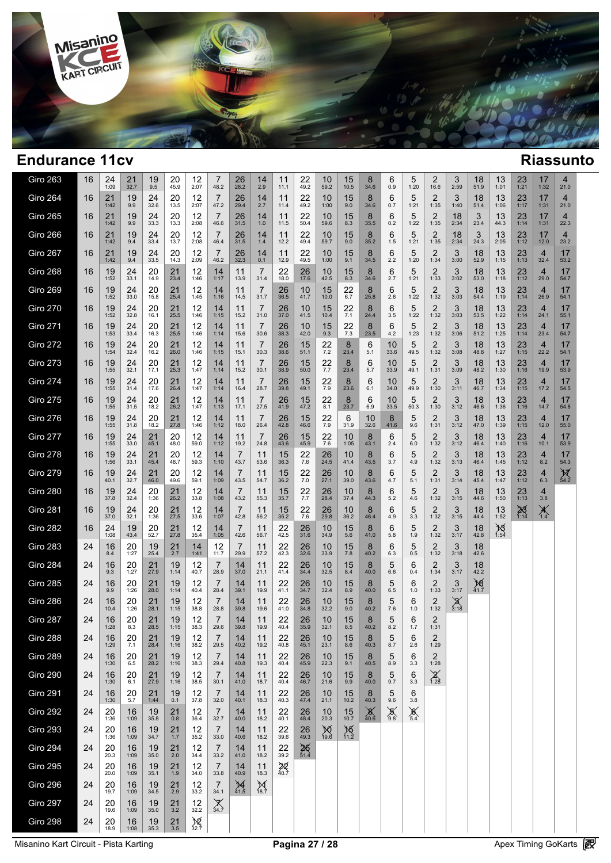

| <b>Giro 264</b><br>21<br>19<br>22<br>2<br>17<br>16<br>24<br>20<br>12<br>7<br>26<br>14<br>10<br>15<br>6<br>3<br>18<br>13<br>23<br>11<br>8<br>5<br>4<br>1:42<br>9.9<br>32.6<br>13.5<br>2:07<br>47.2<br>29.4<br>2.7<br>11.4<br>49.2<br>1:00<br>9.0<br>34.6<br>0.7<br>1:21<br>1:35<br>1:40<br>51.4<br>1:06<br>1:17<br>1:31<br>21.0<br>$\overline{2}$<br><b>Giro 265</b><br>21<br>19<br>20<br>22<br>6<br>23<br>16<br>24<br>12<br>7<br>26<br>14<br>10<br>15<br>8<br>18<br>3<br>13<br>17<br>$\overline{4}$<br>11<br>5<br>1:42<br>9.9<br>33.3<br>13.3<br>2:08<br>46.6<br>31.5<br>1.0<br>11.5<br>50.4<br>59.6<br>8.3<br>35.5<br>0.2<br>1:22<br>1:35<br>2:34<br>23.4<br>44.3<br>1:14<br>1:31<br>22.3<br><b>Giro 266</b><br>21<br>19<br>22<br>2<br>16<br>24<br>20<br>12<br>26<br>14<br>10<br>8<br>6<br>3<br>13<br>23<br>17<br>7<br>11<br>15<br>5<br>18<br>4<br>1:42<br>9.4<br>33.4<br>13.7<br>2:08<br>46.4<br>31.5<br>1.4<br>12.2<br>49.4<br>59.7<br>9.0<br>35.2<br>1.5<br>1:21<br>1:35<br>2:34<br>24.3<br>2:05<br>1:12<br>12.0<br>23.2<br>$\overline{2}$<br><b>Giro 267</b><br>21<br>22<br>6<br>23<br>16<br>19<br>24<br>20<br>12<br>26<br>10<br>8<br>3<br>18<br>13<br>$\overline{4}$<br>17<br>7<br>14<br>11<br>15<br>5<br>9.4<br>0.1<br>34.5<br>1:15<br>1:13<br>32.4<br>1:42<br>33.5<br>14.3<br>32.3<br>49.5<br>1:00<br>2.2<br>1:20<br>3:00<br>52.9<br>2:09<br>46.2<br>12.9<br>9.1<br>1:34<br>53.2<br><b>Giro 268</b><br>2<br>16<br>19<br>24<br>20<br>22<br>26<br>6<br>3<br>13<br>23<br>$\overline{4}$<br>17<br>21<br>12<br>14<br>11<br>7<br>10<br>15<br>8<br>5<br>18<br>17.6<br>23.4<br>1:12<br>29.0<br>33.1<br>14.9<br>31.4<br>18.0<br>42.5<br>34.6<br>2.7<br>1:21<br>1:33<br>3:02<br>53.0<br>1:18<br>1:52<br>1:46<br>1:17<br>13.9<br>8.3<br>54.7<br>$\overline{2}$<br><b>Giro 269</b><br>24<br>20<br>12<br>22<br>6<br>13<br>23<br>16<br>19<br>21<br>14<br>7<br>26<br>10<br>15<br>8<br>5<br>3<br>18<br>$\overline{4}$<br>17<br>11<br>33.0<br>15.8<br>25.4<br>1:45<br>1:16<br>14.5<br>36.5<br>41.7<br>10.0<br>25.8<br>2.6<br>1:22<br>1:32<br>3:03<br>54.4<br>1:19<br>1:14<br>26.9<br>54.1<br>1:52<br>31.7<br>6.7<br>24<br>20<br>22<br>2<br>Giro 270<br>16<br>19<br>12<br>6<br>3<br>13<br>23<br>17<br>21<br>14<br>11<br>7<br>26<br>10<br>15<br>8<br>5<br>18<br>$\overline{4}$<br>32.8<br>37.0<br>1:14<br>16.1<br>25.5<br>41.5<br>10.4<br>7.1<br>24.4<br>1:22<br>1:32<br>3:03<br>1:22<br>24.1<br>1:52<br>1:46<br>1:15<br>15.2<br>31.0<br>3.5<br>53.5<br>55.1<br>19<br>24<br>20<br>22<br>6<br>2<br>23<br>Giro 271<br>16<br>21<br>12<br>14<br>26<br>15<br>8<br>3<br>18<br>13<br>17<br>11<br>7<br>10<br>5<br>$\overline{4}$<br>38.3<br>1:14<br>33.4<br>16.3<br>25.5<br>42.0<br>9.3<br>7.3<br>23.5<br>1:23<br>1:32<br>3:06<br>51.2<br>1:25<br>23.4<br>1:53<br>1:46<br>1:14<br>15.6<br>30.6<br>4.2<br>54.7<br>24<br>20<br>$^{22}_{7.2}$<br>6<br>2<br>Giro 272<br>16<br>19<br>12<br>8<br>10<br>5<br>3<br>13<br>23<br>17<br>21<br>14<br>11<br>7<br>26<br>15<br>18<br>4<br>38.6<br>22.2<br>32.4<br>16.2<br>26.0<br>51.1<br>23.4<br>5.1<br>49.5<br>1:32<br>3:08<br>1:27<br>1:15<br>1:54<br>1:46<br>1:15<br>15.1<br>30.3<br>33.6<br>48.8<br>54.1<br><b>Giro 273</b><br>19<br>24<br>20<br>12<br>22<br>8<br>6<br>2<br>13<br>23<br>17<br>16<br>21<br>14<br>11<br>7<br>26<br>15<br>10<br>5<br>3<br>18<br>$\overline{4}$<br>32.1<br>17.1<br>25.3<br>1:47<br>38.9<br>50.0<br>7.7<br>23.4<br>5.7<br>49.1<br>3:09<br>48.2<br>1:30<br>1:16<br>19.9<br>1:55<br>1:14<br>15.2<br>30.1<br>33.9<br>1:31<br>53.9<br>19<br>22<br>2<br>Giro 274<br>16<br>24<br>20<br>21<br>12<br>8<br>6<br>10<br>3<br>18<br>13<br>23<br>17<br>14<br>11<br>7<br>26<br>15<br>5<br>4<br>31.4<br>17.6<br>26.4<br>1:47<br>39.8<br>7.9<br>23.6<br>49.9<br>1:30<br>3:11<br>1:34<br>1:15<br>17.2<br>1:55<br>1:14<br>16.4<br>28.7<br>49.1<br>6.1<br>34.0<br>46.7<br>54.5<br><b>Giro 275</b><br>19<br>24<br>20<br>12<br>22<br>2<br>23<br>17<br>16<br>21<br>14<br>7<br>26<br>15<br>8<br>6<br>10<br>5<br>3<br>18<br>13<br>11<br>$\overline{4}$<br>31.5<br>18.2<br>26.2<br>1:47<br>41.9<br>47.2<br>23.7<br>6.9<br>50.3<br>1:30<br>3:12<br>1:36<br>1:16<br>14.7<br>1:55<br>1:13<br>17.1<br>27.5<br>8.1<br>33.5<br>46.6<br>54.8<br><b>Giro 276</b><br>24<br>22<br>$\overline{2}$<br>16<br>19<br>20<br>21<br>12<br>14<br>11<br>7<br>26<br>15<br>6<br>8<br>5<br>3<br>18<br>13<br>23<br>17<br>10<br>4<br>31.8<br>27.8<br>42.8<br>3:12<br>1:55<br>18.2<br>1:46<br>1:12<br>18.0<br>26.4<br>46.6<br>7.9<br>31.9<br>32.6<br>41.6<br>9.6<br>1:31<br>47.0<br>1:39<br>1:15<br>12.0<br>55.0<br><b>Giro 277</b><br>24<br>22<br>17<br>16<br>19<br>21<br>20<br>12<br>14<br>7<br>26<br>15<br>10<br>8<br>6<br>2<br>3<br>18<br>13<br>23<br>11<br>5<br>4<br>33.0<br>45.1<br>43.6<br>3:12<br>1:16<br>1:55<br>48.0<br>59.0<br>1:12<br>19.2<br>24.8<br>45.9<br>7.6<br>1:05<br>43.1<br>2.4<br>6.0<br>1:32<br>46.4<br>1:40<br>10.1<br>53.9<br><b>Giro 278</b><br>19<br>22<br>16<br>24<br>21<br>20<br>12<br>14<br>7<br>15<br>26<br>10<br>8<br>6<br>2<br>3<br>13<br>23<br>17<br>11<br>5<br>18<br>4<br>45.4<br>43.7<br>3:13<br>1:12<br>1:56<br>33.1<br>48.7<br>59.3<br>1:10<br>53.6<br>36.3<br>7.6<br>24.5<br>41.4<br>43.5<br>3.7<br>4.9<br>1:32<br>46.4<br>1:45<br>8.2<br>54.3<br>$\mathcal{X}_{54.2}$<br><b>Giro 279</b><br>19<br>24<br>22<br>26<br>6<br>2<br>16<br>21<br>20<br>12<br>14<br>7<br>11<br>15<br>10<br>8<br>5<br>3<br>18<br>13<br>23<br>4<br>46.0<br>27.1<br>6.3<br>40.1<br>32.7<br>49.6<br>59.1<br>1:09<br>43.5<br>54.7<br>36.2<br>7.0<br>39.0<br>43.6<br>4.7<br>5.1<br>1:31<br>3:14<br>45.4<br>1:47<br>1:12<br><b>Giro 280</b><br>24<br>22<br>2<br>23<br>16<br>19<br>20<br>21<br>12<br>14<br>15<br>26<br>10<br>8<br>6<br>5<br>3<br>18<br>13<br>$\overline{4}$<br>7<br>11<br>26.2<br>7.7<br>3.8<br>37.8<br>32.4<br>1:36<br>33.8<br>1:08<br>43.2<br>55.3<br>35.7<br>28.4<br>37.4<br>44.3<br>5.2<br>4.6<br>1:32<br>3:15<br>44.6<br>1:50<br>1:13<br><b>Giro 281</b><br>24<br>22<br>6<br>2<br>16<br>19<br>20<br>21<br>12<br>14<br>7<br>15<br>26<br>8<br>3<br>18<br>13<br>$28$ <sub>1:14</sub><br>$\frac{\cancel{4}}{1.4}$<br>11<br>10<br>5<br>27.5<br>35.2<br>32.1<br>42.8<br>29.8<br>36.2<br>1:52<br>37.0<br>1:36<br>33.6<br>1:07<br>7.6<br>46.4<br>3.3<br>1:32<br>3:15<br>44.4<br>56.2<br>4.9<br>$\frac{1}{1.54}$<br><b>Giro 282</b><br>24<br>12<br>2<br>16<br>19<br>21<br>14<br>$^{22}_{42.5}$<br>26<br>10<br>15<br>8<br>6<br>5<br>3<br>18<br>20<br>7<br>11<br>27.8<br>43.4<br>52.7<br>1:05<br>42.6<br>31.6<br>3:17<br>1:08<br>35.4<br>56.7<br>34.9<br>41.0<br>1.9<br>1:32<br>42.8<br>5.6<br>5.8<br><b>Giro 283</b><br>24<br>20<br>12<br>22<br>26<br>6<br>$\overline{2}$<br>3<br>18<br>16<br>19<br>21<br>14<br>7<br>10<br>15<br>8<br>5<br>11<br>42.3<br>2.7<br>1:41<br>32.6<br>1:27<br>25.4<br>11.7<br>29.9<br>57.2<br>33.9<br>40.2<br>0.5<br>1:32<br>3:18<br>42.6<br>8.4<br>7.8<br>6.3<br><b>Giro 284</b><br>24<br>20<br>5<br>2<br>18<br>16<br>21<br>19<br>12<br>22<br>26<br>10<br>3<br>7<br>14<br>11<br>15<br>8<br>6<br>1:27<br>27.9<br>1:14<br>28.9<br>37.0<br>41.4<br>34.4<br>32.5<br>40.0<br>3:17<br>9.3<br>40.7<br>21.1<br>8.4<br>1:34<br>42.2<br>6.6<br>0.4<br>$\frac{18}{41.7}$<br><b>Giro 285</b><br>24<br>16<br>20<br>12<br>22<br>5<br>$\overline{2}$<br>3<br>21<br>19<br>7<br>26<br>10<br>15<br>8<br>14<br>11<br>6<br>41.1<br>34.7<br>1:26<br>28.0<br>1:14<br>28.4<br>39.1<br>32.4<br>40.0<br>1:33<br>3:17<br>9.9<br>40.4<br>19.9<br>8.9<br>1.0<br>6.5<br>$\frac{8}{3:18}$<br><b>Giro 286</b><br>5<br>$\overline{2}$<br>24<br>16<br>20<br>21<br>19<br>12<br>7<br>22<br>26<br>10<br>14<br>11<br>15<br>8<br>6<br>41.0<br>34.8<br>1:26<br>28.1<br>1:15<br>28.8<br>32.2<br>1:32<br>10.4<br>38.8<br>39.8<br>9.0<br>40.2<br>7.6<br>19.6<br>1.0<br>5<br>$\overline{2}$<br><b>Giro 287</b><br>24<br>16<br>20<br>19<br>12<br>7<br>22<br>26<br>8<br>21<br>10<br>15<br>6<br>14<br>11<br>1:28<br>8.3<br>28.5<br>1:15<br>38.3<br>29.6<br>39.8<br>40.4<br>35.9<br>32.1<br>8.5<br>40.2<br>8.2<br>1.7<br>19.9<br>1:31<br>Giro 288<br>16<br>21<br>26<br>24<br>$^{20}_{7.1}$<br>19<br>14<br>11<br>22<br>10<br>$\frac{12}{38.2}$<br>15<br>8<br>5<br>6<br>2<br>1:29<br>28.4<br>1:16<br>40.2<br>40.8<br>45.1<br>23.1<br>8.6<br>40.3<br>29.5<br>19.2<br>8.7<br>2.6<br>1:29<br><b>Giro 289</b><br>24<br>16<br>$^{20}_{6.5}$<br>19<br>$\frac{12}{38.3}$<br>$^{22}_{40.4}$<br>26<br>5<br>$\overline{2}$<br>21<br>7<br>11<br>10<br>15<br>8<br>6<br>14<br>1:30<br>28.2<br>1:16<br>29.4<br>40.8<br>19.3<br>45.9<br>22.3<br>9.1<br>40.5<br>3.3<br>1:28<br>8.9<br>$X_{1:28}$<br><b>Giro 290</b><br>24<br>20<br>$\overline{7}$<br>26<br>5<br>16<br>21<br>19<br>12<br>14<br>22<br>10<br>15<br>8<br>6<br>11<br>6.1<br>27.9<br>38.5<br>41.0<br>40.4<br>46.7<br>21.6<br>40.0<br>3.3<br>1:30<br>1:16<br>30.1<br>18.7<br>9.9<br>9.7<br><b>Giro 291</b><br>24<br>$\overline{7}$<br>5<br>6<br>$16 \atop 1:30$<br>$^{20}_{\,5.7}$<br>21<br>19<br>$\frac{12}{37.8}$<br>14<br>11<br>$^{22}_{40.3}$<br>$^{26}_{47.4}$<br>10<br>$15$ <sub>10.2</sub><br>8<br>40.3<br>40.1<br>21.1<br>3.8<br>1:44<br>0.1<br>32.0<br>18.3<br>9.6<br>$\chi$ <sub>5.4</sub><br><b>Giro 292</b><br>$\sum_{9.8}$<br>24<br>20<br>16<br>26<br>$\frac{8}{40.6}$<br>19<br>12<br>7<br>22<br>10<br>$15$ <sub>10.7</sub><br>21<br>14<br>11<br>1:36<br>0.8<br>40.1<br>48.4<br>20.3<br>1:09<br>35.8<br>36.4<br>32.7<br>40.0<br>18.2<br><b>Giro 293</b><br>$^{30}_{19.6}$<br>24<br>20<br>16<br>$\overline{7}$<br>$^{26}_{49.3}$<br>19<br>$12_{35.2}$<br>14<br>11<br>$\frac{22}{39.6}$<br>$\frac{15}{11.2}$<br>$^{21}_{1.7}$<br>1:36<br>1:09<br>34.7<br>33.0<br>40.6<br>18.2<br>Giro 294<br>$\frac{26}{51.4}$<br>24<br>20<br>16<br>$\overline{7}$<br>19<br>12<br>14<br>11<br>$22$<br>$39.2$<br>21<br>2.0<br>20.3<br>1:09<br>35.0<br>34.4<br>33.2<br>41.0<br>18.2<br>$\frac{2}{\cancel{2}}$<br>40.7<br><b>Giro 295</b><br>24<br>20<br>16<br>$\overline{7}$<br>19<br>$\frac{12}{34.0}$<br>14<br>11<br>$^{21}_{1.9}$<br>40.9<br>20.0<br>33.8<br>1:09<br>35.1<br>18.3<br>Giro 296<br>$\underset{18.7}{\cancel{M}}$<br>24<br>$\overline{7}$<br>$\frac{1}{41.5}$<br>20<br>16<br>$12_{33.2}$<br>19<br>$^{21}_{2.9}$<br>34.1<br>19.7<br>1:09<br>34.5<br>$\mathbb{X}_{34.7}$<br><b>Giro 297</b><br>24<br>20<br>16<br>12<br>19<br>21<br>32.2<br>3.2<br>19.6<br>1:09<br>35.0<br>$\frac{1}{22}$<br>Giro 298<br>24<br>20<br>16<br>21<br>19<br>$3.5\,$<br>18.9<br>1:08<br>35.3 | Giro 263 | 16 | 24<br>1:09 | 21<br>32.7 | 19<br>9.5 | 20<br>45.9 | 12<br>2:07 | 7<br>48.2 | 26<br>28.2 | 14<br>2.9 | 11<br>11.1 | 22<br>49.2 | 10<br>59.2 | 15<br>10.5 | 8<br>34.6 | 6<br>0.9 | 5<br>1:20 | 2<br>16.6 | 3<br>2:59 | 18<br>51.9 | 13<br>1:01 | 23<br>1:21 | 17<br>1:32 | 4<br>21.0 |  |
|---------------------------------------------------------------------------------------------------------------------------------------------------------------------------------------------------------------------------------------------------------------------------------------------------------------------------------------------------------------------------------------------------------------------------------------------------------------------------------------------------------------------------------------------------------------------------------------------------------------------------------------------------------------------------------------------------------------------------------------------------------------------------------------------------------------------------------------------------------------------------------------------------------------------------------------------------------------------------------------------------------------------------------------------------------------------------------------------------------------------------------------------------------------------------------------------------------------------------------------------------------------------------------------------------------------------------------------------------------------------------------------------------------------------------------------------------------------------------------------------------------------------------------------------------------------------------------------------------------------------------------------------------------------------------------------------------------------------------------------------------------------------------------------------------------------------------------------------------------------------------------------------------------------------------------------------------------------------------------------------------------------------------------------------------------------------------------------------------------------------------------------------------------------------------------------------------------------------------------------------------------------------------------------------------------------------------------------------------------------------------------------------------------------------------------------------------------------------------------------------------------------------------------------------------------------------------------------------------------------------------------------------------------------------------------------------------------------------------------------------------------------------------------------------------------------------------------------------------------------------------------------------------------------------------------------------------------------------------------------------------------------------------------------------------------------------------------------------------------------------------------------------------------------------------------------------------------------------------------------------------------------------------------------------------------------------------------------------------------------------------------------------------------------------------------------------------------------------------------------------------------------------------------------------------------------------------------------------------------------------------------------------------------------------------------------------------------------------------------------------------------------------------------------------------------------------------------------------------------------------------------------------------------------------------------------------------------------------------------------------------------------------------------------------------------------------------------------------------------------------------------------------------------------------------------------------------------------------------------------------------------------------------------------------------------------------------------------------------------------------------------------------------------------------------------------------------------------------------------------------------------------------------------------------------------------------------------------------------------------------------------------------------------------------------------------------------------------------------------------------------------------------------------------------------------------------------------------------------------------------------------------------------------------------------------------------------------------------------------------------------------------------------------------------------------------------------------------------------------------------------------------------------------------------------------------------------------------------------------------------------------------------------------------------------------------------------------------------------------------------------------------------------------------------------------------------------------------------------------------------------------------------------------------------------------------------------------------------------------------------------------------------------------------------------------------------------------------------------------------------------------------------------------------------------------------------------------------------------------------------------------------------------------------------------------------------------------------------------------------------------------------------------------------------------------------------------------------------------------------------------------------------------------------------------------------------------------------------------------------------------------------------------------------------------------------------------------------------------------------------------------------------------------------------------------------------------------------------------------------------------------------------------------------------------------------------------------------------------------------------------------------------------------------------------------------------------------------------------------------------------------------------------------------------------------------------------------------------------------------------------------------------------------------------------------------------------------------------------------------------------------------------------------------------------------------------------------------------------------------------------------------------------------------------------------------------------------------------------------------------------------------------------------------------------------------------------------------------------------------------------------------------------------------------------------------------------------------------------------------------------------------------------------------------------------------------------------------------------------------------------------------------------------------------------------------------------------------------------------------------------------------------------------------------------------------------------------------------------------------------------------------------------------------------------------------------------------------------------------------------------------------------------------------------------------------------------------------------------------------------------------------------------------------------------------------------------------------------------------------------------------------------------------------------------------------------------------------------------------------------------------------------------------------------------------------------------------------------------------------------------------------------------------------------------------------------------------------------------------------------------------------------------------------------------------------------------------------------------------------------------------------------------------------------------------------------------------------------------------------------------------------------------------------------------------------------------------------------------------------------------------------------------------------------------------------------------------------------------------------------------------------------------------------------------------------------------------------------------------------------------------------------------------------------------------------------------------------------------------------------------------------------------------------------------------------------------------------------------------------------------------------------------------------------------------------------------------------------------------------------------------------------------------------------------------------------------------------------------------------------------------------------------------------------------------------------------------------------------------------------------------------------------------------------------------------------------------------------------------------------------------------------------------------------------------------------------------------------------------------------------------------------------------------------------------------------------------------------------------------------------------------------------------------------------------------|----------|----|------------|------------|-----------|------------|------------|-----------|------------|-----------|------------|------------|------------|------------|-----------|----------|-----------|-----------|-----------|------------|------------|------------|------------|-----------|--|
|                                                                                                                                                                                                                                                                                                                                                                                                                                                                                                                                                                                                                                                                                                                                                                                                                                                                                                                                                                                                                                                                                                                                                                                                                                                                                                                                                                                                                                                                                                                                                                                                                                                                                                                                                                                                                                                                                                                                                                                                                                                                                                                                                                                                                                                                                                                                                                                                                                                                                                                                                                                                                                                                                                                                                                                                                                                                                                                                                                                                                                                                                                                                                                                                                                                                                                                                                                                                                                                                                                                                                                                                                                                                                                                                                                                                                                                                                                                                                                                                                                                                                                                                                                                                                                                                                                                                                                                                                                                                                                                                                                                                                                                                                                                                                                                                                                                                                                                                                                                                                                                                                                                                                                                                                                                                                                                                                                                                                                                                                                                                                                                                                                                                                                                                                                                                                                                                                                                                                                                                                                                                                                                                                                                                                                                                                                                                                                                                                                                                                                                                                                                                                                                                                                                                                                                                                                                                                                                                                                                                                                                                                                                                                                                                                                                                                                                                                                                                                                                                                                                                                                                                                                                                                                                                                                                                                                                                                                                                                                                                                                                                                                                                                                                                                                                                                                                                                                                                                                                                                                                                                                                                                                                                                                                                                                                                                                                                                                                                                                                                                                                                                                                                                                                                                                                                                                                                                                                                                                                                                                                                                                                                                                                                                                                                                                                                                                                                                                                                                                                                                                                                                                                                                                                                                                                                                                               |          |    |            |            |           |            |            |           |            |           |            |            |            |            |           |          |           |           |           |            |            |            |            |           |  |
|                                                                                                                                                                                                                                                                                                                                                                                                                                                                                                                                                                                                                                                                                                                                                                                                                                                                                                                                                                                                                                                                                                                                                                                                                                                                                                                                                                                                                                                                                                                                                                                                                                                                                                                                                                                                                                                                                                                                                                                                                                                                                                                                                                                                                                                                                                                                                                                                                                                                                                                                                                                                                                                                                                                                                                                                                                                                                                                                                                                                                                                                                                                                                                                                                                                                                                                                                                                                                                                                                                                                                                                                                                                                                                                                                                                                                                                                                                                                                                                                                                                                                                                                                                                                                                                                                                                                                                                                                                                                                                                                                                                                                                                                                                                                                                                                                                                                                                                                                                                                                                                                                                                                                                                                                                                                                                                                                                                                                                                                                                                                                                                                                                                                                                                                                                                                                                                                                                                                                                                                                                                                                                                                                                                                                                                                                                                                                                                                                                                                                                                                                                                                                                                                                                                                                                                                                                                                                                                                                                                                                                                                                                                                                                                                                                                                                                                                                                                                                                                                                                                                                                                                                                                                                                                                                                                                                                                                                                                                                                                                                                                                                                                                                                                                                                                                                                                                                                                                                                                                                                                                                                                                                                                                                                                                                                                                                                                                                                                                                                                                                                                                                                                                                                                                                                                                                                                                                                                                                                                                                                                                                                                                                                                                                                                                                                                                                                                                                                                                                                                                                                                                                                                                                                                                                                                                                                               |          |    |            |            |           |            |            |           |            |           |            |            |            |            |           |          |           |           |           |            |            |            |            |           |  |
|                                                                                                                                                                                                                                                                                                                                                                                                                                                                                                                                                                                                                                                                                                                                                                                                                                                                                                                                                                                                                                                                                                                                                                                                                                                                                                                                                                                                                                                                                                                                                                                                                                                                                                                                                                                                                                                                                                                                                                                                                                                                                                                                                                                                                                                                                                                                                                                                                                                                                                                                                                                                                                                                                                                                                                                                                                                                                                                                                                                                                                                                                                                                                                                                                                                                                                                                                                                                                                                                                                                                                                                                                                                                                                                                                                                                                                                                                                                                                                                                                                                                                                                                                                                                                                                                                                                                                                                                                                                                                                                                                                                                                                                                                                                                                                                                                                                                                                                                                                                                                                                                                                                                                                                                                                                                                                                                                                                                                                                                                                                                                                                                                                                                                                                                                                                                                                                                                                                                                                                                                                                                                                                                                                                                                                                                                                                                                                                                                                                                                                                                                                                                                                                                                                                                                                                                                                                                                                                                                                                                                                                                                                                                                                                                                                                                                                                                                                                                                                                                                                                                                                                                                                                                                                                                                                                                                                                                                                                                                                                                                                                                                                                                                                                                                                                                                                                                                                                                                                                                                                                                                                                                                                                                                                                                                                                                                                                                                                                                                                                                                                                                                                                                                                                                                                                                                                                                                                                                                                                                                                                                                                                                                                                                                                                                                                                                                                                                                                                                                                                                                                                                                                                                                                                                                                                                                                               |          |    |            |            |           |            |            |           |            |           |            |            |            |            |           |          |           |           |           |            |            |            |            |           |  |
|                                                                                                                                                                                                                                                                                                                                                                                                                                                                                                                                                                                                                                                                                                                                                                                                                                                                                                                                                                                                                                                                                                                                                                                                                                                                                                                                                                                                                                                                                                                                                                                                                                                                                                                                                                                                                                                                                                                                                                                                                                                                                                                                                                                                                                                                                                                                                                                                                                                                                                                                                                                                                                                                                                                                                                                                                                                                                                                                                                                                                                                                                                                                                                                                                                                                                                                                                                                                                                                                                                                                                                                                                                                                                                                                                                                                                                                                                                                                                                                                                                                                                                                                                                                                                                                                                                                                                                                                                                                                                                                                                                                                                                                                                                                                                                                                                                                                                                                                                                                                                                                                                                                                                                                                                                                                                                                                                                                                                                                                                                                                                                                                                                                                                                                                                                                                                                                                                                                                                                                                                                                                                                                                                                                                                                                                                                                                                                                                                                                                                                                                                                                                                                                                                                                                                                                                                                                                                                                                                                                                                                                                                                                                                                                                                                                                                                                                                                                                                                                                                                                                                                                                                                                                                                                                                                                                                                                                                                                                                                                                                                                                                                                                                                                                                                                                                                                                                                                                                                                                                                                                                                                                                                                                                                                                                                                                                                                                                                                                                                                                                                                                                                                                                                                                                                                                                                                                                                                                                                                                                                                                                                                                                                                                                                                                                                                                                                                                                                                                                                                                                                                                                                                                                                                                                                                                                                               |          |    |            |            |           |            |            |           |            |           |            |            |            |            |           |          |           |           |           |            |            |            |            |           |  |
|                                                                                                                                                                                                                                                                                                                                                                                                                                                                                                                                                                                                                                                                                                                                                                                                                                                                                                                                                                                                                                                                                                                                                                                                                                                                                                                                                                                                                                                                                                                                                                                                                                                                                                                                                                                                                                                                                                                                                                                                                                                                                                                                                                                                                                                                                                                                                                                                                                                                                                                                                                                                                                                                                                                                                                                                                                                                                                                                                                                                                                                                                                                                                                                                                                                                                                                                                                                                                                                                                                                                                                                                                                                                                                                                                                                                                                                                                                                                                                                                                                                                                                                                                                                                                                                                                                                                                                                                                                                                                                                                                                                                                                                                                                                                                                                                                                                                                                                                                                                                                                                                                                                                                                                                                                                                                                                                                                                                                                                                                                                                                                                                                                                                                                                                                                                                                                                                                                                                                                                                                                                                                                                                                                                                                                                                                                                                                                                                                                                                                                                                                                                                                                                                                                                                                                                                                                                                                                                                                                                                                                                                                                                                                                                                                                                                                                                                                                                                                                                                                                                                                                                                                                                                                                                                                                                                                                                                                                                                                                                                                                                                                                                                                                                                                                                                                                                                                                                                                                                                                                                                                                                                                                                                                                                                                                                                                                                                                                                                                                                                                                                                                                                                                                                                                                                                                                                                                                                                                                                                                                                                                                                                                                                                                                                                                                                                                                                                                                                                                                                                                                                                                                                                                                                                                                                                                                               |          |    |            |            |           |            |            |           |            |           |            |            |            |            |           |          |           |           |           |            |            |            |            |           |  |
|                                                                                                                                                                                                                                                                                                                                                                                                                                                                                                                                                                                                                                                                                                                                                                                                                                                                                                                                                                                                                                                                                                                                                                                                                                                                                                                                                                                                                                                                                                                                                                                                                                                                                                                                                                                                                                                                                                                                                                                                                                                                                                                                                                                                                                                                                                                                                                                                                                                                                                                                                                                                                                                                                                                                                                                                                                                                                                                                                                                                                                                                                                                                                                                                                                                                                                                                                                                                                                                                                                                                                                                                                                                                                                                                                                                                                                                                                                                                                                                                                                                                                                                                                                                                                                                                                                                                                                                                                                                                                                                                                                                                                                                                                                                                                                                                                                                                                                                                                                                                                                                                                                                                                                                                                                                                                                                                                                                                                                                                                                                                                                                                                                                                                                                                                                                                                                                                                                                                                                                                                                                                                                                                                                                                                                                                                                                                                                                                                                                                                                                                                                                                                                                                                                                                                                                                                                                                                                                                                                                                                                                                                                                                                                                                                                                                                                                                                                                                                                                                                                                                                                                                                                                                                                                                                                                                                                                                                                                                                                                                                                                                                                                                                                                                                                                                                                                                                                                                                                                                                                                                                                                                                                                                                                                                                                                                                                                                                                                                                                                                                                                                                                                                                                                                                                                                                                                                                                                                                                                                                                                                                                                                                                                                                                                                                                                                                                                                                                                                                                                                                                                                                                                                                                                                                                                                                                               |          |    |            |            |           |            |            |           |            |           |            |            |            |            |           |          |           |           |           |            |            |            |            |           |  |
|                                                                                                                                                                                                                                                                                                                                                                                                                                                                                                                                                                                                                                                                                                                                                                                                                                                                                                                                                                                                                                                                                                                                                                                                                                                                                                                                                                                                                                                                                                                                                                                                                                                                                                                                                                                                                                                                                                                                                                                                                                                                                                                                                                                                                                                                                                                                                                                                                                                                                                                                                                                                                                                                                                                                                                                                                                                                                                                                                                                                                                                                                                                                                                                                                                                                                                                                                                                                                                                                                                                                                                                                                                                                                                                                                                                                                                                                                                                                                                                                                                                                                                                                                                                                                                                                                                                                                                                                                                                                                                                                                                                                                                                                                                                                                                                                                                                                                                                                                                                                                                                                                                                                                                                                                                                                                                                                                                                                                                                                                                                                                                                                                                                                                                                                                                                                                                                                                                                                                                                                                                                                                                                                                                                                                                                                                                                                                                                                                                                                                                                                                                                                                                                                                                                                                                                                                                                                                                                                                                                                                                                                                                                                                                                                                                                                                                                                                                                                                                                                                                                                                                                                                                                                                                                                                                                                                                                                                                                                                                                                                                                                                                                                                                                                                                                                                                                                                                                                                                                                                                                                                                                                                                                                                                                                                                                                                                                                                                                                                                                                                                                                                                                                                                                                                                                                                                                                                                                                                                                                                                                                                                                                                                                                                                                                                                                                                                                                                                                                                                                                                                                                                                                                                                                                                                                                                                               |          |    |            |            |           |            |            |           |            |           |            |            |            |            |           |          |           |           |           |            |            |            |            |           |  |
|                                                                                                                                                                                                                                                                                                                                                                                                                                                                                                                                                                                                                                                                                                                                                                                                                                                                                                                                                                                                                                                                                                                                                                                                                                                                                                                                                                                                                                                                                                                                                                                                                                                                                                                                                                                                                                                                                                                                                                                                                                                                                                                                                                                                                                                                                                                                                                                                                                                                                                                                                                                                                                                                                                                                                                                                                                                                                                                                                                                                                                                                                                                                                                                                                                                                                                                                                                                                                                                                                                                                                                                                                                                                                                                                                                                                                                                                                                                                                                                                                                                                                                                                                                                                                                                                                                                                                                                                                                                                                                                                                                                                                                                                                                                                                                                                                                                                                                                                                                                                                                                                                                                                                                                                                                                                                                                                                                                                                                                                                                                                                                                                                                                                                                                                                                                                                                                                                                                                                                                                                                                                                                                                                                                                                                                                                                                                                                                                                                                                                                                                                                                                                                                                                                                                                                                                                                                                                                                                                                                                                                                                                                                                                                                                                                                                                                                                                                                                                                                                                                                                                                                                                                                                                                                                                                                                                                                                                                                                                                                                                                                                                                                                                                                                                                                                                                                                                                                                                                                                                                                                                                                                                                                                                                                                                                                                                                                                                                                                                                                                                                                                                                                                                                                                                                                                                                                                                                                                                                                                                                                                                                                                                                                                                                                                                                                                                                                                                                                                                                                                                                                                                                                                                                                                                                                                                                               |          |    |            |            |           |            |            |           |            |           |            |            |            |            |           |          |           |           |           |            |            |            |            |           |  |
|                                                                                                                                                                                                                                                                                                                                                                                                                                                                                                                                                                                                                                                                                                                                                                                                                                                                                                                                                                                                                                                                                                                                                                                                                                                                                                                                                                                                                                                                                                                                                                                                                                                                                                                                                                                                                                                                                                                                                                                                                                                                                                                                                                                                                                                                                                                                                                                                                                                                                                                                                                                                                                                                                                                                                                                                                                                                                                                                                                                                                                                                                                                                                                                                                                                                                                                                                                                                                                                                                                                                                                                                                                                                                                                                                                                                                                                                                                                                                                                                                                                                                                                                                                                                                                                                                                                                                                                                                                                                                                                                                                                                                                                                                                                                                                                                                                                                                                                                                                                                                                                                                                                                                                                                                                                                                                                                                                                                                                                                                                                                                                                                                                                                                                                                                                                                                                                                                                                                                                                                                                                                                                                                                                                                                                                                                                                                                                                                                                                                                                                                                                                                                                                                                                                                                                                                                                                                                                                                                                                                                                                                                                                                                                                                                                                                                                                                                                                                                                                                                                                                                                                                                                                                                                                                                                                                                                                                                                                                                                                                                                                                                                                                                                                                                                                                                                                                                                                                                                                                                                                                                                                                                                                                                                                                                                                                                                                                                                                                                                                                                                                                                                                                                                                                                                                                                                                                                                                                                                                                                                                                                                                                                                                                                                                                                                                                                                                                                                                                                                                                                                                                                                                                                                                                                                                                                                               |          |    |            |            |           |            |            |           |            |           |            |            |            |            |           |          |           |           |           |            |            |            |            |           |  |
|                                                                                                                                                                                                                                                                                                                                                                                                                                                                                                                                                                                                                                                                                                                                                                                                                                                                                                                                                                                                                                                                                                                                                                                                                                                                                                                                                                                                                                                                                                                                                                                                                                                                                                                                                                                                                                                                                                                                                                                                                                                                                                                                                                                                                                                                                                                                                                                                                                                                                                                                                                                                                                                                                                                                                                                                                                                                                                                                                                                                                                                                                                                                                                                                                                                                                                                                                                                                                                                                                                                                                                                                                                                                                                                                                                                                                                                                                                                                                                                                                                                                                                                                                                                                                                                                                                                                                                                                                                                                                                                                                                                                                                                                                                                                                                                                                                                                                                                                                                                                                                                                                                                                                                                                                                                                                                                                                                                                                                                                                                                                                                                                                                                                                                                                                                                                                                                                                                                                                                                                                                                                                                                                                                                                                                                                                                                                                                                                                                                                                                                                                                                                                                                                                                                                                                                                                                                                                                                                                                                                                                                                                                                                                                                                                                                                                                                                                                                                                                                                                                                                                                                                                                                                                                                                                                                                                                                                                                                                                                                                                                                                                                                                                                                                                                                                                                                                                                                                                                                                                                                                                                                                                                                                                                                                                                                                                                                                                                                                                                                                                                                                                                                                                                                                                                                                                                                                                                                                                                                                                                                                                                                                                                                                                                                                                                                                                                                                                                                                                                                                                                                                                                                                                                                                                                                                                                               |          |    |            |            |           |            |            |           |            |           |            |            |            |            |           |          |           |           |           |            |            |            |            |           |  |
|                                                                                                                                                                                                                                                                                                                                                                                                                                                                                                                                                                                                                                                                                                                                                                                                                                                                                                                                                                                                                                                                                                                                                                                                                                                                                                                                                                                                                                                                                                                                                                                                                                                                                                                                                                                                                                                                                                                                                                                                                                                                                                                                                                                                                                                                                                                                                                                                                                                                                                                                                                                                                                                                                                                                                                                                                                                                                                                                                                                                                                                                                                                                                                                                                                                                                                                                                                                                                                                                                                                                                                                                                                                                                                                                                                                                                                                                                                                                                                                                                                                                                                                                                                                                                                                                                                                                                                                                                                                                                                                                                                                                                                                                                                                                                                                                                                                                                                                                                                                                                                                                                                                                                                                                                                                                                                                                                                                                                                                                                                                                                                                                                                                                                                                                                                                                                                                                                                                                                                                                                                                                                                                                                                                                                                                                                                                                                                                                                                                                                                                                                                                                                                                                                                                                                                                                                                                                                                                                                                                                                                                                                                                                                                                                                                                                                                                                                                                                                                                                                                                                                                                                                                                                                                                                                                                                                                                                                                                                                                                                                                                                                                                                                                                                                                                                                                                                                                                                                                                                                                                                                                                                                                                                                                                                                                                                                                                                                                                                                                                                                                                                                                                                                                                                                                                                                                                                                                                                                                                                                                                                                                                                                                                                                                                                                                                                                                                                                                                                                                                                                                                                                                                                                                                                                                                                                                               |          |    |            |            |           |            |            |           |            |           |            |            |            |            |           |          |           |           |           |            |            |            |            |           |  |
|                                                                                                                                                                                                                                                                                                                                                                                                                                                                                                                                                                                                                                                                                                                                                                                                                                                                                                                                                                                                                                                                                                                                                                                                                                                                                                                                                                                                                                                                                                                                                                                                                                                                                                                                                                                                                                                                                                                                                                                                                                                                                                                                                                                                                                                                                                                                                                                                                                                                                                                                                                                                                                                                                                                                                                                                                                                                                                                                                                                                                                                                                                                                                                                                                                                                                                                                                                                                                                                                                                                                                                                                                                                                                                                                                                                                                                                                                                                                                                                                                                                                                                                                                                                                                                                                                                                                                                                                                                                                                                                                                                                                                                                                                                                                                                                                                                                                                                                                                                                                                                                                                                                                                                                                                                                                                                                                                                                                                                                                                                                                                                                                                                                                                                                                                                                                                                                                                                                                                                                                                                                                                                                                                                                                                                                                                                                                                                                                                                                                                                                                                                                                                                                                                                                                                                                                                                                                                                                                                                                                                                                                                                                                                                                                                                                                                                                                                                                                                                                                                                                                                                                                                                                                                                                                                                                                                                                                                                                                                                                                                                                                                                                                                                                                                                                                                                                                                                                                                                                                                                                                                                                                                                                                                                                                                                                                                                                                                                                                                                                                                                                                                                                                                                                                                                                                                                                                                                                                                                                                                                                                                                                                                                                                                                                                                                                                                                                                                                                                                                                                                                                                                                                                                                                                                                                                                                               |          |    |            |            |           |            |            |           |            |           |            |            |            |            |           |          |           |           |           |            |            |            |            |           |  |
|                                                                                                                                                                                                                                                                                                                                                                                                                                                                                                                                                                                                                                                                                                                                                                                                                                                                                                                                                                                                                                                                                                                                                                                                                                                                                                                                                                                                                                                                                                                                                                                                                                                                                                                                                                                                                                                                                                                                                                                                                                                                                                                                                                                                                                                                                                                                                                                                                                                                                                                                                                                                                                                                                                                                                                                                                                                                                                                                                                                                                                                                                                                                                                                                                                                                                                                                                                                                                                                                                                                                                                                                                                                                                                                                                                                                                                                                                                                                                                                                                                                                                                                                                                                                                                                                                                                                                                                                                                                                                                                                                                                                                                                                                                                                                                                                                                                                                                                                                                                                                                                                                                                                                                                                                                                                                                                                                                                                                                                                                                                                                                                                                                                                                                                                                                                                                                                                                                                                                                                                                                                                                                                                                                                                                                                                                                                                                                                                                                                                                                                                                                                                                                                                                                                                                                                                                                                                                                                                                                                                                                                                                                                                                                                                                                                                                                                                                                                                                                                                                                                                                                                                                                                                                                                                                                                                                                                                                                                                                                                                                                                                                                                                                                                                                                                                                                                                                                                                                                                                                                                                                                                                                                                                                                                                                                                                                                                                                                                                                                                                                                                                                                                                                                                                                                                                                                                                                                                                                                                                                                                                                                                                                                                                                                                                                                                                                                                                                                                                                                                                                                                                                                                                                                                                                                                                                                               |          |    |            |            |           |            |            |           |            |           |            |            |            |            |           |          |           |           |           |            |            |            |            |           |  |
|                                                                                                                                                                                                                                                                                                                                                                                                                                                                                                                                                                                                                                                                                                                                                                                                                                                                                                                                                                                                                                                                                                                                                                                                                                                                                                                                                                                                                                                                                                                                                                                                                                                                                                                                                                                                                                                                                                                                                                                                                                                                                                                                                                                                                                                                                                                                                                                                                                                                                                                                                                                                                                                                                                                                                                                                                                                                                                                                                                                                                                                                                                                                                                                                                                                                                                                                                                                                                                                                                                                                                                                                                                                                                                                                                                                                                                                                                                                                                                                                                                                                                                                                                                                                                                                                                                                                                                                                                                                                                                                                                                                                                                                                                                                                                                                                                                                                                                                                                                                                                                                                                                                                                                                                                                                                                                                                                                                                                                                                                                                                                                                                                                                                                                                                                                                                                                                                                                                                                                                                                                                                                                                                                                                                                                                                                                                                                                                                                                                                                                                                                                                                                                                                                                                                                                                                                                                                                                                                                                                                                                                                                                                                                                                                                                                                                                                                                                                                                                                                                                                                                                                                                                                                                                                                                                                                                                                                                                                                                                                                                                                                                                                                                                                                                                                                                                                                                                                                                                                                                                                                                                                                                                                                                                                                                                                                                                                                                                                                                                                                                                                                                                                                                                                                                                                                                                                                                                                                                                                                                                                                                                                                                                                                                                                                                                                                                                                                                                                                                                                                                                                                                                                                                                                                                                                                                                               |          |    |            |            |           |            |            |           |            |           |            |            |            |            |           |          |           |           |           |            |            |            |            |           |  |
|                                                                                                                                                                                                                                                                                                                                                                                                                                                                                                                                                                                                                                                                                                                                                                                                                                                                                                                                                                                                                                                                                                                                                                                                                                                                                                                                                                                                                                                                                                                                                                                                                                                                                                                                                                                                                                                                                                                                                                                                                                                                                                                                                                                                                                                                                                                                                                                                                                                                                                                                                                                                                                                                                                                                                                                                                                                                                                                                                                                                                                                                                                                                                                                                                                                                                                                                                                                                                                                                                                                                                                                                                                                                                                                                                                                                                                                                                                                                                                                                                                                                                                                                                                                                                                                                                                                                                                                                                                                                                                                                                                                                                                                                                                                                                                                                                                                                                                                                                                                                                                                                                                                                                                                                                                                                                                                                                                                                                                                                                                                                                                                                                                                                                                                                                                                                                                                                                                                                                                                                                                                                                                                                                                                                                                                                                                                                                                                                                                                                                                                                                                                                                                                                                                                                                                                                                                                                                                                                                                                                                                                                                                                                                                                                                                                                                                                                                                                                                                                                                                                                                                                                                                                                                                                                                                                                                                                                                                                                                                                                                                                                                                                                                                                                                                                                                                                                                                                                                                                                                                                                                                                                                                                                                                                                                                                                                                                                                                                                                                                                                                                                                                                                                                                                                                                                                                                                                                                                                                                                                                                                                                                                                                                                                                                                                                                                                                                                                                                                                                                                                                                                                                                                                                                                                                                                                                               |          |    |            |            |           |            |            |           |            |           |            |            |            |            |           |          |           |           |           |            |            |            |            |           |  |
|                                                                                                                                                                                                                                                                                                                                                                                                                                                                                                                                                                                                                                                                                                                                                                                                                                                                                                                                                                                                                                                                                                                                                                                                                                                                                                                                                                                                                                                                                                                                                                                                                                                                                                                                                                                                                                                                                                                                                                                                                                                                                                                                                                                                                                                                                                                                                                                                                                                                                                                                                                                                                                                                                                                                                                                                                                                                                                                                                                                                                                                                                                                                                                                                                                                                                                                                                                                                                                                                                                                                                                                                                                                                                                                                                                                                                                                                                                                                                                                                                                                                                                                                                                                                                                                                                                                                                                                                                                                                                                                                                                                                                                                                                                                                                                                                                                                                                                                                                                                                                                                                                                                                                                                                                                                                                                                                                                                                                                                                                                                                                                                                                                                                                                                                                                                                                                                                                                                                                                                                                                                                                                                                                                                                                                                                                                                                                                                                                                                                                                                                                                                                                                                                                                                                                                                                                                                                                                                                                                                                                                                                                                                                                                                                                                                                                                                                                                                                                                                                                                                                                                                                                                                                                                                                                                                                                                                                                                                                                                                                                                                                                                                                                                                                                                                                                                                                                                                                                                                                                                                                                                                                                                                                                                                                                                                                                                                                                                                                                                                                                                                                                                                                                                                                                                                                                                                                                                                                                                                                                                                                                                                                                                                                                                                                                                                                                                                                                                                                                                                                                                                                                                                                                                                                                                                                                                               |          |    |            |            |           |            |            |           |            |           |            |            |            |            |           |          |           |           |           |            |            |            |            |           |  |
|                                                                                                                                                                                                                                                                                                                                                                                                                                                                                                                                                                                                                                                                                                                                                                                                                                                                                                                                                                                                                                                                                                                                                                                                                                                                                                                                                                                                                                                                                                                                                                                                                                                                                                                                                                                                                                                                                                                                                                                                                                                                                                                                                                                                                                                                                                                                                                                                                                                                                                                                                                                                                                                                                                                                                                                                                                                                                                                                                                                                                                                                                                                                                                                                                                                                                                                                                                                                                                                                                                                                                                                                                                                                                                                                                                                                                                                                                                                                                                                                                                                                                                                                                                                                                                                                                                                                                                                                                                                                                                                                                                                                                                                                                                                                                                                                                                                                                                                                                                                                                                                                                                                                                                                                                                                                                                                                                                                                                                                                                                                                                                                                                                                                                                                                                                                                                                                                                                                                                                                                                                                                                                                                                                                                                                                                                                                                                                                                                                                                                                                                                                                                                                                                                                                                                                                                                                                                                                                                                                                                                                                                                                                                                                                                                                                                                                                                                                                                                                                                                                                                                                                                                                                                                                                                                                                                                                                                                                                                                                                                                                                                                                                                                                                                                                                                                                                                                                                                                                                                                                                                                                                                                                                                                                                                                                                                                                                                                                                                                                                                                                                                                                                                                                                                                                                                                                                                                                                                                                                                                                                                                                                                                                                                                                                                                                                                                                                                                                                                                                                                                                                                                                                                                                                                                                                                                                               |          |    |            |            |           |            |            |           |            |           |            |            |            |            |           |          |           |           |           |            |            |            |            |           |  |
|                                                                                                                                                                                                                                                                                                                                                                                                                                                                                                                                                                                                                                                                                                                                                                                                                                                                                                                                                                                                                                                                                                                                                                                                                                                                                                                                                                                                                                                                                                                                                                                                                                                                                                                                                                                                                                                                                                                                                                                                                                                                                                                                                                                                                                                                                                                                                                                                                                                                                                                                                                                                                                                                                                                                                                                                                                                                                                                                                                                                                                                                                                                                                                                                                                                                                                                                                                                                                                                                                                                                                                                                                                                                                                                                                                                                                                                                                                                                                                                                                                                                                                                                                                                                                                                                                                                                                                                                                                                                                                                                                                                                                                                                                                                                                                                                                                                                                                                                                                                                                                                                                                                                                                                                                                                                                                                                                                                                                                                                                                                                                                                                                                                                                                                                                                                                                                                                                                                                                                                                                                                                                                                                                                                                                                                                                                                                                                                                                                                                                                                                                                                                                                                                                                                                                                                                                                                                                                                                                                                                                                                                                                                                                                                                                                                                                                                                                                                                                                                                                                                                                                                                                                                                                                                                                                                                                                                                                                                                                                                                                                                                                                                                                                                                                                                                                                                                                                                                                                                                                                                                                                                                                                                                                                                                                                                                                                                                                                                                                                                                                                                                                                                                                                                                                                                                                                                                                                                                                                                                                                                                                                                                                                                                                                                                                                                                                                                                                                                                                                                                                                                                                                                                                                                                                                                                                                               |          |    |            |            |           |            |            |           |            |           |            |            |            |            |           |          |           |           |           |            |            |            |            |           |  |
|                                                                                                                                                                                                                                                                                                                                                                                                                                                                                                                                                                                                                                                                                                                                                                                                                                                                                                                                                                                                                                                                                                                                                                                                                                                                                                                                                                                                                                                                                                                                                                                                                                                                                                                                                                                                                                                                                                                                                                                                                                                                                                                                                                                                                                                                                                                                                                                                                                                                                                                                                                                                                                                                                                                                                                                                                                                                                                                                                                                                                                                                                                                                                                                                                                                                                                                                                                                                                                                                                                                                                                                                                                                                                                                                                                                                                                                                                                                                                                                                                                                                                                                                                                                                                                                                                                                                                                                                                                                                                                                                                                                                                                                                                                                                                                                                                                                                                                                                                                                                                                                                                                                                                                                                                                                                                                                                                                                                                                                                                                                                                                                                                                                                                                                                                                                                                                                                                                                                                                                                                                                                                                                                                                                                                                                                                                                                                                                                                                                                                                                                                                                                                                                                                                                                                                                                                                                                                                                                                                                                                                                                                                                                                                                                                                                                                                                                                                                                                                                                                                                                                                                                                                                                                                                                                                                                                                                                                                                                                                                                                                                                                                                                                                                                                                                                                                                                                                                                                                                                                                                                                                                                                                                                                                                                                                                                                                                                                                                                                                                                                                                                                                                                                                                                                                                                                                                                                                                                                                                                                                                                                                                                                                                                                                                                                                                                                                                                                                                                                                                                                                                                                                                                                                                                                                                                                                               |          |    |            |            |           |            |            |           |            |           |            |            |            |            |           |          |           |           |           |            |            |            |            |           |  |
|                                                                                                                                                                                                                                                                                                                                                                                                                                                                                                                                                                                                                                                                                                                                                                                                                                                                                                                                                                                                                                                                                                                                                                                                                                                                                                                                                                                                                                                                                                                                                                                                                                                                                                                                                                                                                                                                                                                                                                                                                                                                                                                                                                                                                                                                                                                                                                                                                                                                                                                                                                                                                                                                                                                                                                                                                                                                                                                                                                                                                                                                                                                                                                                                                                                                                                                                                                                                                                                                                                                                                                                                                                                                                                                                                                                                                                                                                                                                                                                                                                                                                                                                                                                                                                                                                                                                                                                                                                                                                                                                                                                                                                                                                                                                                                                                                                                                                                                                                                                                                                                                                                                                                                                                                                                                                                                                                                                                                                                                                                                                                                                                                                                                                                                                                                                                                                                                                                                                                                                                                                                                                                                                                                                                                                                                                                                                                                                                                                                                                                                                                                                                                                                                                                                                                                                                                                                                                                                                                                                                                                                                                                                                                                                                                                                                                                                                                                                                                                                                                                                                                                                                                                                                                                                                                                                                                                                                                                                                                                                                                                                                                                                                                                                                                                                                                                                                                                                                                                                                                                                                                                                                                                                                                                                                                                                                                                                                                                                                                                                                                                                                                                                                                                                                                                                                                                                                                                                                                                                                                                                                                                                                                                                                                                                                                                                                                                                                                                                                                                                                                                                                                                                                                                                                                                                                                                               |          |    |            |            |           |            |            |           |            |           |            |            |            |            |           |          |           |           |           |            |            |            |            |           |  |
|                                                                                                                                                                                                                                                                                                                                                                                                                                                                                                                                                                                                                                                                                                                                                                                                                                                                                                                                                                                                                                                                                                                                                                                                                                                                                                                                                                                                                                                                                                                                                                                                                                                                                                                                                                                                                                                                                                                                                                                                                                                                                                                                                                                                                                                                                                                                                                                                                                                                                                                                                                                                                                                                                                                                                                                                                                                                                                                                                                                                                                                                                                                                                                                                                                                                                                                                                                                                                                                                                                                                                                                                                                                                                                                                                                                                                                                                                                                                                                                                                                                                                                                                                                                                                                                                                                                                                                                                                                                                                                                                                                                                                                                                                                                                                                                                                                                                                                                                                                                                                                                                                                                                                                                                                                                                                                                                                                                                                                                                                                                                                                                                                                                                                                                                                                                                                                                                                                                                                                                                                                                                                                                                                                                                                                                                                                                                                                                                                                                                                                                                                                                                                                                                                                                                                                                                                                                                                                                                                                                                                                                                                                                                                                                                                                                                                                                                                                                                                                                                                                                                                                                                                                                                                                                                                                                                                                                                                                                                                                                                                                                                                                                                                                                                                                                                                                                                                                                                                                                                                                                                                                                                                                                                                                                                                                                                                                                                                                                                                                                                                                                                                                                                                                                                                                                                                                                                                                                                                                                                                                                                                                                                                                                                                                                                                                                                                                                                                                                                                                                                                                                                                                                                                                                                                                                                                                               |          |    |            |            |           |            |            |           |            |           |            |            |            |            |           |          |           |           |           |            |            |            |            |           |  |
|                                                                                                                                                                                                                                                                                                                                                                                                                                                                                                                                                                                                                                                                                                                                                                                                                                                                                                                                                                                                                                                                                                                                                                                                                                                                                                                                                                                                                                                                                                                                                                                                                                                                                                                                                                                                                                                                                                                                                                                                                                                                                                                                                                                                                                                                                                                                                                                                                                                                                                                                                                                                                                                                                                                                                                                                                                                                                                                                                                                                                                                                                                                                                                                                                                                                                                                                                                                                                                                                                                                                                                                                                                                                                                                                                                                                                                                                                                                                                                                                                                                                                                                                                                                                                                                                                                                                                                                                                                                                                                                                                                                                                                                                                                                                                                                                                                                                                                                                                                                                                                                                                                                                                                                                                                                                                                                                                                                                                                                                                                                                                                                                                                                                                                                                                                                                                                                                                                                                                                                                                                                                                                                                                                                                                                                                                                                                                                                                                                                                                                                                                                                                                                                                                                                                                                                                                                                                                                                                                                                                                                                                                                                                                                                                                                                                                                                                                                                                                                                                                                                                                                                                                                                                                                                                                                                                                                                                                                                                                                                                                                                                                                                                                                                                                                                                                                                                                                                                                                                                                                                                                                                                                                                                                                                                                                                                                                                                                                                                                                                                                                                                                                                                                                                                                                                                                                                                                                                                                                                                                                                                                                                                                                                                                                                                                                                                                                                                                                                                                                                                                                                                                                                                                                                                                                                                                                               |          |    |            |            |           |            |            |           |            |           |            |            |            |            |           |          |           |           |           |            |            |            |            |           |  |
|                                                                                                                                                                                                                                                                                                                                                                                                                                                                                                                                                                                                                                                                                                                                                                                                                                                                                                                                                                                                                                                                                                                                                                                                                                                                                                                                                                                                                                                                                                                                                                                                                                                                                                                                                                                                                                                                                                                                                                                                                                                                                                                                                                                                                                                                                                                                                                                                                                                                                                                                                                                                                                                                                                                                                                                                                                                                                                                                                                                                                                                                                                                                                                                                                                                                                                                                                                                                                                                                                                                                                                                                                                                                                                                                                                                                                                                                                                                                                                                                                                                                                                                                                                                                                                                                                                                                                                                                                                                                                                                                                                                                                                                                                                                                                                                                                                                                                                                                                                                                                                                                                                                                                                                                                                                                                                                                                                                                                                                                                                                                                                                                                                                                                                                                                                                                                                                                                                                                                                                                                                                                                                                                                                                                                                                                                                                                                                                                                                                                                                                                                                                                                                                                                                                                                                                                                                                                                                                                                                                                                                                                                                                                                                                                                                                                                                                                                                                                                                                                                                                                                                                                                                                                                                                                                                                                                                                                                                                                                                                                                                                                                                                                                                                                                                                                                                                                                                                                                                                                                                                                                                                                                                                                                                                                                                                                                                                                                                                                                                                                                                                                                                                                                                                                                                                                                                                                                                                                                                                                                                                                                                                                                                                                                                                                                                                                                                                                                                                                                                                                                                                                                                                                                                                                                                                                                                               |          |    |            |            |           |            |            |           |            |           |            |            |            |            |           |          |           |           |           |            |            |            |            |           |  |
|                                                                                                                                                                                                                                                                                                                                                                                                                                                                                                                                                                                                                                                                                                                                                                                                                                                                                                                                                                                                                                                                                                                                                                                                                                                                                                                                                                                                                                                                                                                                                                                                                                                                                                                                                                                                                                                                                                                                                                                                                                                                                                                                                                                                                                                                                                                                                                                                                                                                                                                                                                                                                                                                                                                                                                                                                                                                                                                                                                                                                                                                                                                                                                                                                                                                                                                                                                                                                                                                                                                                                                                                                                                                                                                                                                                                                                                                                                                                                                                                                                                                                                                                                                                                                                                                                                                                                                                                                                                                                                                                                                                                                                                                                                                                                                                                                                                                                                                                                                                                                                                                                                                                                                                                                                                                                                                                                                                                                                                                                                                                                                                                                                                                                                                                                                                                                                                                                                                                                                                                                                                                                                                                                                                                                                                                                                                                                                                                                                                                                                                                                                                                                                                                                                                                                                                                                                                                                                                                                                                                                                                                                                                                                                                                                                                                                                                                                                                                                                                                                                                                                                                                                                                                                                                                                                                                                                                                                                                                                                                                                                                                                                                                                                                                                                                                                                                                                                                                                                                                                                                                                                                                                                                                                                                                                                                                                                                                                                                                                                                                                                                                                                                                                                                                                                                                                                                                                                                                                                                                                                                                                                                                                                                                                                                                                                                                                                                                                                                                                                                                                                                                                                                                                                                                                                                                                                               |          |    |            |            |           |            |            |           |            |           |            |            |            |            |           |          |           |           |           |            |            |            |            |           |  |
|                                                                                                                                                                                                                                                                                                                                                                                                                                                                                                                                                                                                                                                                                                                                                                                                                                                                                                                                                                                                                                                                                                                                                                                                                                                                                                                                                                                                                                                                                                                                                                                                                                                                                                                                                                                                                                                                                                                                                                                                                                                                                                                                                                                                                                                                                                                                                                                                                                                                                                                                                                                                                                                                                                                                                                                                                                                                                                                                                                                                                                                                                                                                                                                                                                                                                                                                                                                                                                                                                                                                                                                                                                                                                                                                                                                                                                                                                                                                                                                                                                                                                                                                                                                                                                                                                                                                                                                                                                                                                                                                                                                                                                                                                                                                                                                                                                                                                                                                                                                                                                                                                                                                                                                                                                                                                                                                                                                                                                                                                                                                                                                                                                                                                                                                                                                                                                                                                                                                                                                                                                                                                                                                                                                                                                                                                                                                                                                                                                                                                                                                                                                                                                                                                                                                                                                                                                                                                                                                                                                                                                                                                                                                                                                                                                                                                                                                                                                                                                                                                                                                                                                                                                                                                                                                                                                                                                                                                                                                                                                                                                                                                                                                                                                                                                                                                                                                                                                                                                                                                                                                                                                                                                                                                                                                                                                                                                                                                                                                                                                                                                                                                                                                                                                                                                                                                                                                                                                                                                                                                                                                                                                                                                                                                                                                                                                                                                                                                                                                                                                                                                                                                                                                                                                                                                                                                                               |          |    |            |            |           |            |            |           |            |           |            |            |            |            |           |          |           |           |           |            |            |            |            |           |  |
|                                                                                                                                                                                                                                                                                                                                                                                                                                                                                                                                                                                                                                                                                                                                                                                                                                                                                                                                                                                                                                                                                                                                                                                                                                                                                                                                                                                                                                                                                                                                                                                                                                                                                                                                                                                                                                                                                                                                                                                                                                                                                                                                                                                                                                                                                                                                                                                                                                                                                                                                                                                                                                                                                                                                                                                                                                                                                                                                                                                                                                                                                                                                                                                                                                                                                                                                                                                                                                                                                                                                                                                                                                                                                                                                                                                                                                                                                                                                                                                                                                                                                                                                                                                                                                                                                                                                                                                                                                                                                                                                                                                                                                                                                                                                                                                                                                                                                                                                                                                                                                                                                                                                                                                                                                                                                                                                                                                                                                                                                                                                                                                                                                                                                                                                                                                                                                                                                                                                                                                                                                                                                                                                                                                                                                                                                                                                                                                                                                                                                                                                                                                                                                                                                                                                                                                                                                                                                                                                                                                                                                                                                                                                                                                                                                                                                                                                                                                                                                                                                                                                                                                                                                                                                                                                                                                                                                                                                                                                                                                                                                                                                                                                                                                                                                                                                                                                                                                                                                                                                                                                                                                                                                                                                                                                                                                                                                                                                                                                                                                                                                                                                                                                                                                                                                                                                                                                                                                                                                                                                                                                                                                                                                                                                                                                                                                                                                                                                                                                                                                                                                                                                                                                                                                                                                                                                                               |          |    |            |            |           |            |            |           |            |           |            |            |            |            |           |          |           |           |           |            |            |            |            |           |  |
|                                                                                                                                                                                                                                                                                                                                                                                                                                                                                                                                                                                                                                                                                                                                                                                                                                                                                                                                                                                                                                                                                                                                                                                                                                                                                                                                                                                                                                                                                                                                                                                                                                                                                                                                                                                                                                                                                                                                                                                                                                                                                                                                                                                                                                                                                                                                                                                                                                                                                                                                                                                                                                                                                                                                                                                                                                                                                                                                                                                                                                                                                                                                                                                                                                                                                                                                                                                                                                                                                                                                                                                                                                                                                                                                                                                                                                                                                                                                                                                                                                                                                                                                                                                                                                                                                                                                                                                                                                                                                                                                                                                                                                                                                                                                                                                                                                                                                                                                                                                                                                                                                                                                                                                                                                                                                                                                                                                                                                                                                                                                                                                                                                                                                                                                                                                                                                                                                                                                                                                                                                                                                                                                                                                                                                                                                                                                                                                                                                                                                                                                                                                                                                                                                                                                                                                                                                                                                                                                                                                                                                                                                                                                                                                                                                                                                                                                                                                                                                                                                                                                                                                                                                                                                                                                                                                                                                                                                                                                                                                                                                                                                                                                                                                                                                                                                                                                                                                                                                                                                                                                                                                                                                                                                                                                                                                                                                                                                                                                                                                                                                                                                                                                                                                                                                                                                                                                                                                                                                                                                                                                                                                                                                                                                                                                                                                                                                                                                                                                                                                                                                                                                                                                                                                                                                                                                                               |          |    |            |            |           |            |            |           |            |           |            |            |            |            |           |          |           |           |           |            |            |            |            |           |  |
|                                                                                                                                                                                                                                                                                                                                                                                                                                                                                                                                                                                                                                                                                                                                                                                                                                                                                                                                                                                                                                                                                                                                                                                                                                                                                                                                                                                                                                                                                                                                                                                                                                                                                                                                                                                                                                                                                                                                                                                                                                                                                                                                                                                                                                                                                                                                                                                                                                                                                                                                                                                                                                                                                                                                                                                                                                                                                                                                                                                                                                                                                                                                                                                                                                                                                                                                                                                                                                                                                                                                                                                                                                                                                                                                                                                                                                                                                                                                                                                                                                                                                                                                                                                                                                                                                                                                                                                                                                                                                                                                                                                                                                                                                                                                                                                                                                                                                                                                                                                                                                                                                                                                                                                                                                                                                                                                                                                                                                                                                                                                                                                                                                                                                                                                                                                                                                                                                                                                                                                                                                                                                                                                                                                                                                                                                                                                                                                                                                                                                                                                                                                                                                                                                                                                                                                                                                                                                                                                                                                                                                                                                                                                                                                                                                                                                                                                                                                                                                                                                                                                                                                                                                                                                                                                                                                                                                                                                                                                                                                                                                                                                                                                                                                                                                                                                                                                                                                                                                                                                                                                                                                                                                                                                                                                                                                                                                                                                                                                                                                                                                                                                                                                                                                                                                                                                                                                                                                                                                                                                                                                                                                                                                                                                                                                                                                                                                                                                                                                                                                                                                                                                                                                                                                                                                                                                                               |          |    |            |            |           |            |            |           |            |           |            |            |            |            |           |          |           |           |           |            |            |            |            |           |  |
|                                                                                                                                                                                                                                                                                                                                                                                                                                                                                                                                                                                                                                                                                                                                                                                                                                                                                                                                                                                                                                                                                                                                                                                                                                                                                                                                                                                                                                                                                                                                                                                                                                                                                                                                                                                                                                                                                                                                                                                                                                                                                                                                                                                                                                                                                                                                                                                                                                                                                                                                                                                                                                                                                                                                                                                                                                                                                                                                                                                                                                                                                                                                                                                                                                                                                                                                                                                                                                                                                                                                                                                                                                                                                                                                                                                                                                                                                                                                                                                                                                                                                                                                                                                                                                                                                                                                                                                                                                                                                                                                                                                                                                                                                                                                                                                                                                                                                                                                                                                                                                                                                                                                                                                                                                                                                                                                                                                                                                                                                                                                                                                                                                                                                                                                                                                                                                                                                                                                                                                                                                                                                                                                                                                                                                                                                                                                                                                                                                                                                                                                                                                                                                                                                                                                                                                                                                                                                                                                                                                                                                                                                                                                                                                                                                                                                                                                                                                                                                                                                                                                                                                                                                                                                                                                                                                                                                                                                                                                                                                                                                                                                                                                                                                                                                                                                                                                                                                                                                                                                                                                                                                                                                                                                                                                                                                                                                                                                                                                                                                                                                                                                                                                                                                                                                                                                                                                                                                                                                                                                                                                                                                                                                                                                                                                                                                                                                                                                                                                                                                                                                                                                                                                                                                                                                                                                                               |          |    |            |            |           |            |            |           |            |           |            |            |            |            |           |          |           |           |           |            |            |            |            |           |  |
|                                                                                                                                                                                                                                                                                                                                                                                                                                                                                                                                                                                                                                                                                                                                                                                                                                                                                                                                                                                                                                                                                                                                                                                                                                                                                                                                                                                                                                                                                                                                                                                                                                                                                                                                                                                                                                                                                                                                                                                                                                                                                                                                                                                                                                                                                                                                                                                                                                                                                                                                                                                                                                                                                                                                                                                                                                                                                                                                                                                                                                                                                                                                                                                                                                                                                                                                                                                                                                                                                                                                                                                                                                                                                                                                                                                                                                                                                                                                                                                                                                                                                                                                                                                                                                                                                                                                                                                                                                                                                                                                                                                                                                                                                                                                                                                                                                                                                                                                                                                                                                                                                                                                                                                                                                                                                                                                                                                                                                                                                                                                                                                                                                                                                                                                                                                                                                                                                                                                                                                                                                                                                                                                                                                                                                                                                                                                                                                                                                                                                                                                                                                                                                                                                                                                                                                                                                                                                                                                                                                                                                                                                                                                                                                                                                                                                                                                                                                                                                                                                                                                                                                                                                                                                                                                                                                                                                                                                                                                                                                                                                                                                                                                                                                                                                                                                                                                                                                                                                                                                                                                                                                                                                                                                                                                                                                                                                                                                                                                                                                                                                                                                                                                                                                                                                                                                                                                                                                                                                                                                                                                                                                                                                                                                                                                                                                                                                                                                                                                                                                                                                                                                                                                                                                                                                                                                                               |          |    |            |            |           |            |            |           |            |           |            |            |            |            |           |          |           |           |           |            |            |            |            |           |  |
|                                                                                                                                                                                                                                                                                                                                                                                                                                                                                                                                                                                                                                                                                                                                                                                                                                                                                                                                                                                                                                                                                                                                                                                                                                                                                                                                                                                                                                                                                                                                                                                                                                                                                                                                                                                                                                                                                                                                                                                                                                                                                                                                                                                                                                                                                                                                                                                                                                                                                                                                                                                                                                                                                                                                                                                                                                                                                                                                                                                                                                                                                                                                                                                                                                                                                                                                                                                                                                                                                                                                                                                                                                                                                                                                                                                                                                                                                                                                                                                                                                                                                                                                                                                                                                                                                                                                                                                                                                                                                                                                                                                                                                                                                                                                                                                                                                                                                                                                                                                                                                                                                                                                                                                                                                                                                                                                                                                                                                                                                                                                                                                                                                                                                                                                                                                                                                                                                                                                                                                                                                                                                                                                                                                                                                                                                                                                                                                                                                                                                                                                                                                                                                                                                                                                                                                                                                                                                                                                                                                                                                                                                                                                                                                                                                                                                                                                                                                                                                                                                                                                                                                                                                                                                                                                                                                                                                                                                                                                                                                                                                                                                                                                                                                                                                                                                                                                                                                                                                                                                                                                                                                                                                                                                                                                                                                                                                                                                                                                                                                                                                                                                                                                                                                                                                                                                                                                                                                                                                                                                                                                                                                                                                                                                                                                                                                                                                                                                                                                                                                                                                                                                                                                                                                                                                                                                                               |          |    |            |            |           |            |            |           |            |           |            |            |            |            |           |          |           |           |           |            |            |            |            |           |  |
|                                                                                                                                                                                                                                                                                                                                                                                                                                                                                                                                                                                                                                                                                                                                                                                                                                                                                                                                                                                                                                                                                                                                                                                                                                                                                                                                                                                                                                                                                                                                                                                                                                                                                                                                                                                                                                                                                                                                                                                                                                                                                                                                                                                                                                                                                                                                                                                                                                                                                                                                                                                                                                                                                                                                                                                                                                                                                                                                                                                                                                                                                                                                                                                                                                                                                                                                                                                                                                                                                                                                                                                                                                                                                                                                                                                                                                                                                                                                                                                                                                                                                                                                                                                                                                                                                                                                                                                                                                                                                                                                                                                                                                                                                                                                                                                                                                                                                                                                                                                                                                                                                                                                                                                                                                                                                                                                                                                                                                                                                                                                                                                                                                                                                                                                                                                                                                                                                                                                                                                                                                                                                                                                                                                                                                                                                                                                                                                                                                                                                                                                                                                                                                                                                                                                                                                                                                                                                                                                                                                                                                                                                                                                                                                                                                                                                                                                                                                                                                                                                                                                                                                                                                                                                                                                                                                                                                                                                                                                                                                                                                                                                                                                                                                                                                                                                                                                                                                                                                                                                                                                                                                                                                                                                                                                                                                                                                                                                                                                                                                                                                                                                                                                                                                                                                                                                                                                                                                                                                                                                                                                                                                                                                                                                                                                                                                                                                                                                                                                                                                                                                                                                                                                                                                                                                                                                                               |          |    |            |            |           |            |            |           |            |           |            |            |            |            |           |          |           |           |           |            |            |            |            |           |  |
|                                                                                                                                                                                                                                                                                                                                                                                                                                                                                                                                                                                                                                                                                                                                                                                                                                                                                                                                                                                                                                                                                                                                                                                                                                                                                                                                                                                                                                                                                                                                                                                                                                                                                                                                                                                                                                                                                                                                                                                                                                                                                                                                                                                                                                                                                                                                                                                                                                                                                                                                                                                                                                                                                                                                                                                                                                                                                                                                                                                                                                                                                                                                                                                                                                                                                                                                                                                                                                                                                                                                                                                                                                                                                                                                                                                                                                                                                                                                                                                                                                                                                                                                                                                                                                                                                                                                                                                                                                                                                                                                                                                                                                                                                                                                                                                                                                                                                                                                                                                                                                                                                                                                                                                                                                                                                                                                                                                                                                                                                                                                                                                                                                                                                                                                                                                                                                                                                                                                                                                                                                                                                                                                                                                                                                                                                                                                                                                                                                                                                                                                                                                                                                                                                                                                                                                                                                                                                                                                                                                                                                                                                                                                                                                                                                                                                                                                                                                                                                                                                                                                                                                                                                                                                                                                                                                                                                                                                                                                                                                                                                                                                                                                                                                                                                                                                                                                                                                                                                                                                                                                                                                                                                                                                                                                                                                                                                                                                                                                                                                                                                                                                                                                                                                                                                                                                                                                                                                                                                                                                                                                                                                                                                                                                                                                                                                                                                                                                                                                                                                                                                                                                                                                                                                                                                                                                                               |          |    |            |            |           |            |            |           |            |           |            |            |            |            |           |          |           |           |           |            |            |            |            |           |  |
|                                                                                                                                                                                                                                                                                                                                                                                                                                                                                                                                                                                                                                                                                                                                                                                                                                                                                                                                                                                                                                                                                                                                                                                                                                                                                                                                                                                                                                                                                                                                                                                                                                                                                                                                                                                                                                                                                                                                                                                                                                                                                                                                                                                                                                                                                                                                                                                                                                                                                                                                                                                                                                                                                                                                                                                                                                                                                                                                                                                                                                                                                                                                                                                                                                                                                                                                                                                                                                                                                                                                                                                                                                                                                                                                                                                                                                                                                                                                                                                                                                                                                                                                                                                                                                                                                                                                                                                                                                                                                                                                                                                                                                                                                                                                                                                                                                                                                                                                                                                                                                                                                                                                                                                                                                                                                                                                                                                                                                                                                                                                                                                                                                                                                                                                                                                                                                                                                                                                                                                                                                                                                                                                                                                                                                                                                                                                                                                                                                                                                                                                                                                                                                                                                                                                                                                                                                                                                                                                                                                                                                                                                                                                                                                                                                                                                                                                                                                                                                                                                                                                                                                                                                                                                                                                                                                                                                                                                                                                                                                                                                                                                                                                                                                                                                                                                                                                                                                                                                                                                                                                                                                                                                                                                                                                                                                                                                                                                                                                                                                                                                                                                                                                                                                                                                                                                                                                                                                                                                                                                                                                                                                                                                                                                                                                                                                                                                                                                                                                                                                                                                                                                                                                                                                                                                                                                                               |          |    |            |            |           |            |            |           |            |           |            |            |            |            |           |          |           |           |           |            |            |            |            |           |  |
|                                                                                                                                                                                                                                                                                                                                                                                                                                                                                                                                                                                                                                                                                                                                                                                                                                                                                                                                                                                                                                                                                                                                                                                                                                                                                                                                                                                                                                                                                                                                                                                                                                                                                                                                                                                                                                                                                                                                                                                                                                                                                                                                                                                                                                                                                                                                                                                                                                                                                                                                                                                                                                                                                                                                                                                                                                                                                                                                                                                                                                                                                                                                                                                                                                                                                                                                                                                                                                                                                                                                                                                                                                                                                                                                                                                                                                                                                                                                                                                                                                                                                                                                                                                                                                                                                                                                                                                                                                                                                                                                                                                                                                                                                                                                                                                                                                                                                                                                                                                                                                                                                                                                                                                                                                                                                                                                                                                                                                                                                                                                                                                                                                                                                                                                                                                                                                                                                                                                                                                                                                                                                                                                                                                                                                                                                                                                                                                                                                                                                                                                                                                                                                                                                                                                                                                                                                                                                                                                                                                                                                                                                                                                                                                                                                                                                                                                                                                                                                                                                                                                                                                                                                                                                                                                                                                                                                                                                                                                                                                                                                                                                                                                                                                                                                                                                                                                                                                                                                                                                                                                                                                                                                                                                                                                                                                                                                                                                                                                                                                                                                                                                                                                                                                                                                                                                                                                                                                                                                                                                                                                                                                                                                                                                                                                                                                                                                                                                                                                                                                                                                                                                                                                                                                                                                                                                                               |          |    |            |            |           |            |            |           |            |           |            |            |            |            |           |          |           |           |           |            |            |            |            |           |  |